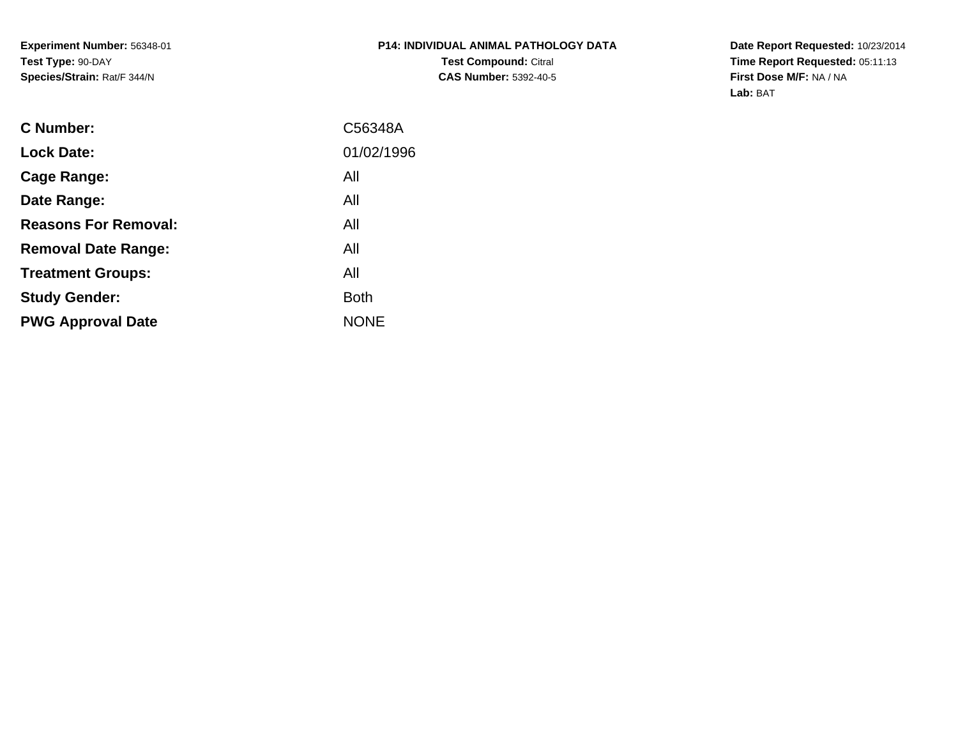**Experiment Number:** 56348-01**Test Type:** 90-DAY**Species/Strain:** Rat/F 344/N

**Date Report Requested:** 10/23/2014 **Time Report Requested:** 05:11:13**First Dose M/F:** NA / NA**Lab:** BAT

| <b>C</b> Number:            | C56348A     |
|-----------------------------|-------------|
| <b>Lock Date:</b>           | 01/02/1996  |
| Cage Range:                 | All         |
| Date Range:                 | All         |
| <b>Reasons For Removal:</b> | All         |
| <b>Removal Date Range:</b>  | All         |
| <b>Treatment Groups:</b>    | All         |
| <b>Study Gender:</b>        | <b>Both</b> |
| <b>PWG Approval Date</b>    | <b>NONE</b> |
|                             |             |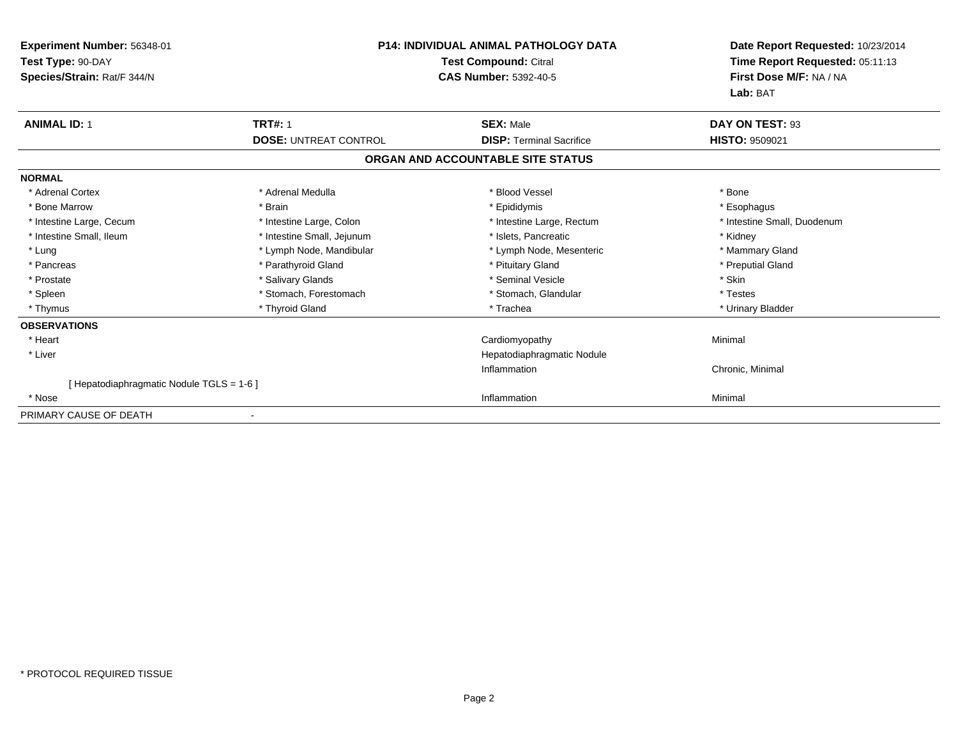| Experiment Number: 56348-01<br>Test Type: 90-DAY<br>Species/Strain: Rat/F 344/N | <b>P14: INDIVIDUAL ANIMAL PATHOLOGY DATA</b><br><b>Test Compound: Citral</b><br><b>CAS Number: 5392-40-5</b> |                                   | Date Report Requested: 10/23/2014<br>Time Report Requested: 05:11:13<br>First Dose M/F: NA / NA<br>Lab: BAT |
|---------------------------------------------------------------------------------|--------------------------------------------------------------------------------------------------------------|-----------------------------------|-------------------------------------------------------------------------------------------------------------|
| <b>ANIMAL ID: 1</b>                                                             | <b>TRT#: 1</b>                                                                                               | <b>SEX: Male</b>                  | DAY ON TEST: 93                                                                                             |
|                                                                                 | <b>DOSE: UNTREAT CONTROL</b>                                                                                 | <b>DISP: Terminal Sacrifice</b>   | <b>HISTO: 9509021</b>                                                                                       |
|                                                                                 |                                                                                                              | ORGAN AND ACCOUNTABLE SITE STATUS |                                                                                                             |
| <b>NORMAL</b>                                                                   |                                                                                                              |                                   |                                                                                                             |
| * Adrenal Cortex                                                                | * Adrenal Medulla                                                                                            | * Blood Vessel                    | * Bone                                                                                                      |
| * Bone Marrow                                                                   | * Brain                                                                                                      | * Epididymis                      | * Esophagus                                                                                                 |
| * Intestine Large, Cecum                                                        | * Intestine Large, Colon                                                                                     | * Intestine Large, Rectum         | * Intestine Small, Duodenum                                                                                 |
| * Intestine Small, Ileum                                                        | * Intestine Small, Jejunum                                                                                   | * Islets. Pancreatic              | * Kidney                                                                                                    |
| * Lung                                                                          | * Lymph Node, Mandibular                                                                                     | * Lymph Node, Mesenteric          | * Mammary Gland                                                                                             |
| * Pancreas                                                                      | * Parathyroid Gland                                                                                          | * Pituitary Gland                 | * Preputial Gland                                                                                           |
| * Prostate                                                                      | * Salivary Glands                                                                                            | * Seminal Vesicle                 | * Skin                                                                                                      |
| * Spleen                                                                        | * Stomach, Forestomach                                                                                       | * Stomach, Glandular              | * Testes                                                                                                    |
| * Thymus                                                                        | * Thyroid Gland                                                                                              | * Trachea                         | * Urinary Bladder                                                                                           |
| <b>OBSERVATIONS</b>                                                             |                                                                                                              |                                   |                                                                                                             |
| * Heart                                                                         |                                                                                                              | Cardiomyopathy                    | Minimal                                                                                                     |
| * Liver                                                                         |                                                                                                              | Hepatodiaphragmatic Nodule        |                                                                                                             |
|                                                                                 |                                                                                                              | Inflammation                      | Chronic, Minimal                                                                                            |
| [Hepatodiaphragmatic Nodule TGLS = 1-6]                                         |                                                                                                              |                                   |                                                                                                             |
| * Nose                                                                          |                                                                                                              | Inflammation                      | Minimal                                                                                                     |
| PRIMARY CAUSE OF DEATH                                                          |                                                                                                              |                                   |                                                                                                             |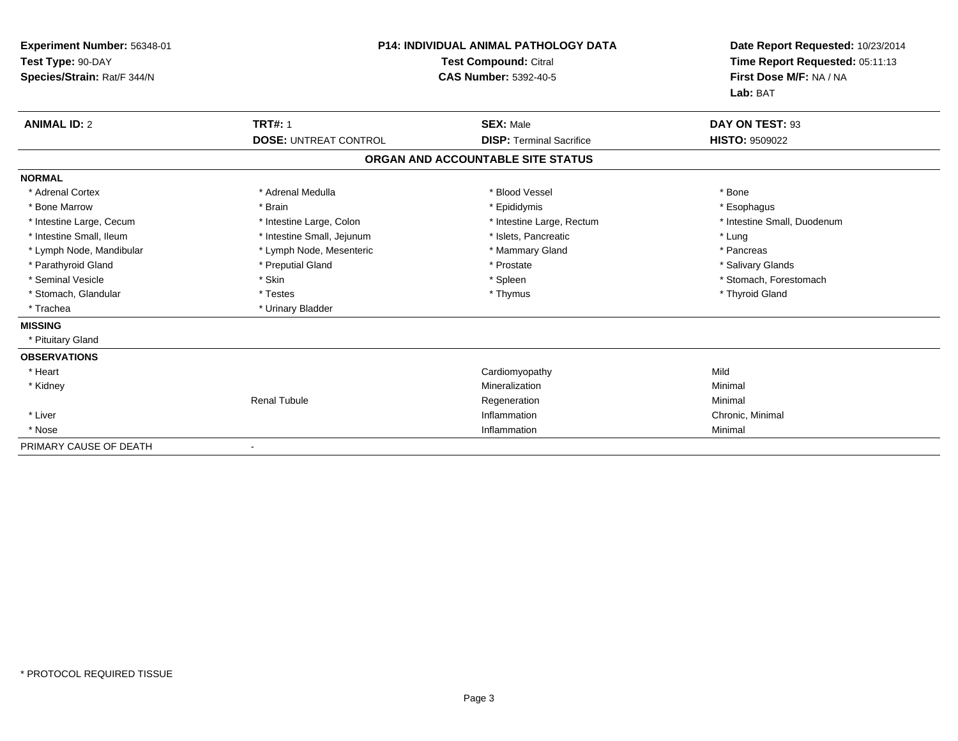| Experiment Number: 56348-01<br>Test Type: 90-DAY<br>Species/Strain: Rat/F 344/N | <b>P14: INDIVIDUAL ANIMAL PATHOLOGY DATA</b><br><b>Test Compound: Citral</b><br><b>CAS Number: 5392-40-5</b> |                                   | Date Report Requested: 10/23/2014<br>Time Report Requested: 05:11:13<br>First Dose M/F: NA / NA<br>Lab: BAT |  |
|---------------------------------------------------------------------------------|--------------------------------------------------------------------------------------------------------------|-----------------------------------|-------------------------------------------------------------------------------------------------------------|--|
| <b>ANIMAL ID: 2</b>                                                             | <b>TRT#: 1</b>                                                                                               | <b>SEX: Male</b>                  | DAY ON TEST: 93                                                                                             |  |
|                                                                                 | <b>DOSE: UNTREAT CONTROL</b>                                                                                 | <b>DISP: Terminal Sacrifice</b>   | <b>HISTO: 9509022</b>                                                                                       |  |
|                                                                                 |                                                                                                              | ORGAN AND ACCOUNTABLE SITE STATUS |                                                                                                             |  |
| <b>NORMAL</b>                                                                   |                                                                                                              |                                   |                                                                                                             |  |
| * Adrenal Cortex                                                                | * Adrenal Medulla                                                                                            | * Blood Vessel                    | * Bone                                                                                                      |  |
| * Bone Marrow                                                                   | * Brain                                                                                                      | * Epididymis                      | * Esophagus                                                                                                 |  |
| * Intestine Large, Cecum                                                        | * Intestine Large, Colon                                                                                     | * Intestine Large, Rectum         | * Intestine Small, Duodenum                                                                                 |  |
| * Intestine Small, Ileum                                                        | * Intestine Small, Jejunum                                                                                   | * Islets, Pancreatic              | * Lung                                                                                                      |  |
| * Lymph Node, Mandibular                                                        | * Lymph Node, Mesenteric                                                                                     | * Mammary Gland                   | * Pancreas                                                                                                  |  |
| * Parathyroid Gland                                                             | * Preputial Gland                                                                                            | * Prostate                        | * Salivary Glands                                                                                           |  |
| * Seminal Vesicle                                                               | * Skin                                                                                                       | * Spleen                          | * Stomach, Forestomach                                                                                      |  |
| * Stomach, Glandular                                                            | * Testes                                                                                                     | * Thymus                          | * Thyroid Gland                                                                                             |  |
| * Trachea                                                                       | * Urinary Bladder                                                                                            |                                   |                                                                                                             |  |
| <b>MISSING</b>                                                                  |                                                                                                              |                                   |                                                                                                             |  |
| * Pituitary Gland                                                               |                                                                                                              |                                   |                                                                                                             |  |
| <b>OBSERVATIONS</b>                                                             |                                                                                                              |                                   |                                                                                                             |  |
| * Heart                                                                         |                                                                                                              | Cardiomyopathy                    | Mild                                                                                                        |  |
| * Kidney                                                                        |                                                                                                              | Mineralization                    | Minimal                                                                                                     |  |
|                                                                                 | <b>Renal Tubule</b>                                                                                          | Regeneration                      | Minimal                                                                                                     |  |
| * Liver                                                                         |                                                                                                              | Inflammation                      | Chronic, Minimal                                                                                            |  |
| * Nose                                                                          |                                                                                                              | Inflammation                      | Minimal                                                                                                     |  |
| PRIMARY CAUSE OF DEATH                                                          |                                                                                                              |                                   |                                                                                                             |  |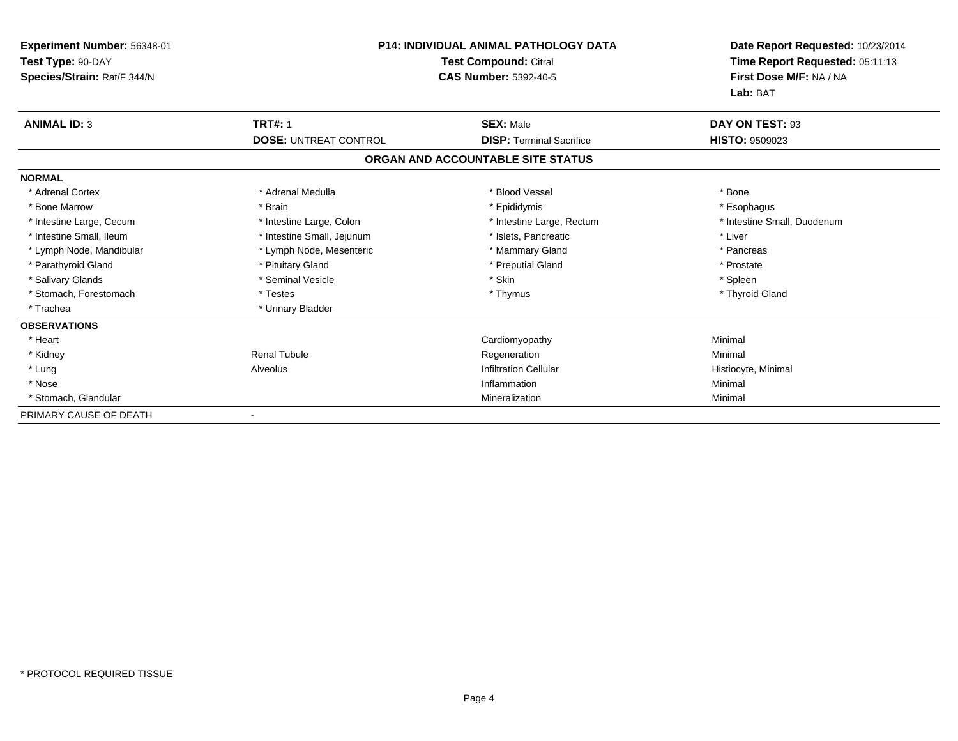| Experiment Number: 56348-01<br>Test Type: 90-DAY<br>Species/Strain: Rat/F 344/N | <b>P14: INDIVIDUAL ANIMAL PATHOLOGY DATA</b><br><b>Test Compound: Citral</b><br><b>CAS Number: 5392-40-5</b> |                                   | Date Report Requested: 10/23/2014<br>Time Report Requested: 05:11:13<br>First Dose M/F: NA / NA<br>Lab: BAT |
|---------------------------------------------------------------------------------|--------------------------------------------------------------------------------------------------------------|-----------------------------------|-------------------------------------------------------------------------------------------------------------|
| <b>ANIMAL ID: 3</b>                                                             | <b>TRT#: 1</b>                                                                                               | <b>SEX: Male</b>                  | DAY ON TEST: 93                                                                                             |
|                                                                                 | <b>DOSE: UNTREAT CONTROL</b>                                                                                 | <b>DISP: Terminal Sacrifice</b>   | <b>HISTO: 9509023</b>                                                                                       |
|                                                                                 |                                                                                                              | ORGAN AND ACCOUNTABLE SITE STATUS |                                                                                                             |
| <b>NORMAL</b>                                                                   |                                                                                                              |                                   |                                                                                                             |
| * Adrenal Cortex                                                                | * Adrenal Medulla                                                                                            | * Blood Vessel                    | * Bone                                                                                                      |
| * Bone Marrow                                                                   | * Brain                                                                                                      | * Epididymis                      | * Esophagus                                                                                                 |
| * Intestine Large, Cecum                                                        | * Intestine Large, Colon                                                                                     | * Intestine Large, Rectum         | * Intestine Small, Duodenum                                                                                 |
| * Intestine Small, Ileum                                                        | * Intestine Small, Jejunum                                                                                   | * Islets, Pancreatic              | * Liver                                                                                                     |
| * Lymph Node, Mandibular                                                        | * Lymph Node, Mesenteric                                                                                     | * Mammary Gland                   | * Pancreas                                                                                                  |
| * Parathyroid Gland                                                             | * Pituitary Gland                                                                                            | * Preputial Gland                 | * Prostate                                                                                                  |
| * Salivary Glands                                                               | * Seminal Vesicle                                                                                            | * Skin                            | * Spleen                                                                                                    |
| * Stomach, Forestomach                                                          | * Testes                                                                                                     | * Thymus                          | * Thyroid Gland                                                                                             |
| * Trachea                                                                       | * Urinary Bladder                                                                                            |                                   |                                                                                                             |
| <b>OBSERVATIONS</b>                                                             |                                                                                                              |                                   |                                                                                                             |
| * Heart                                                                         |                                                                                                              | Cardiomyopathy                    | Minimal                                                                                                     |
| * Kidney                                                                        | <b>Renal Tubule</b>                                                                                          | Regeneration                      | Minimal                                                                                                     |
| * Lung                                                                          | Alveolus                                                                                                     | <b>Infiltration Cellular</b>      | Histiocyte, Minimal                                                                                         |
| * Nose                                                                          |                                                                                                              | Inflammation                      | Minimal                                                                                                     |
| * Stomach, Glandular                                                            |                                                                                                              | Mineralization                    | Minimal                                                                                                     |
| PRIMARY CAUSE OF DEATH                                                          |                                                                                                              |                                   |                                                                                                             |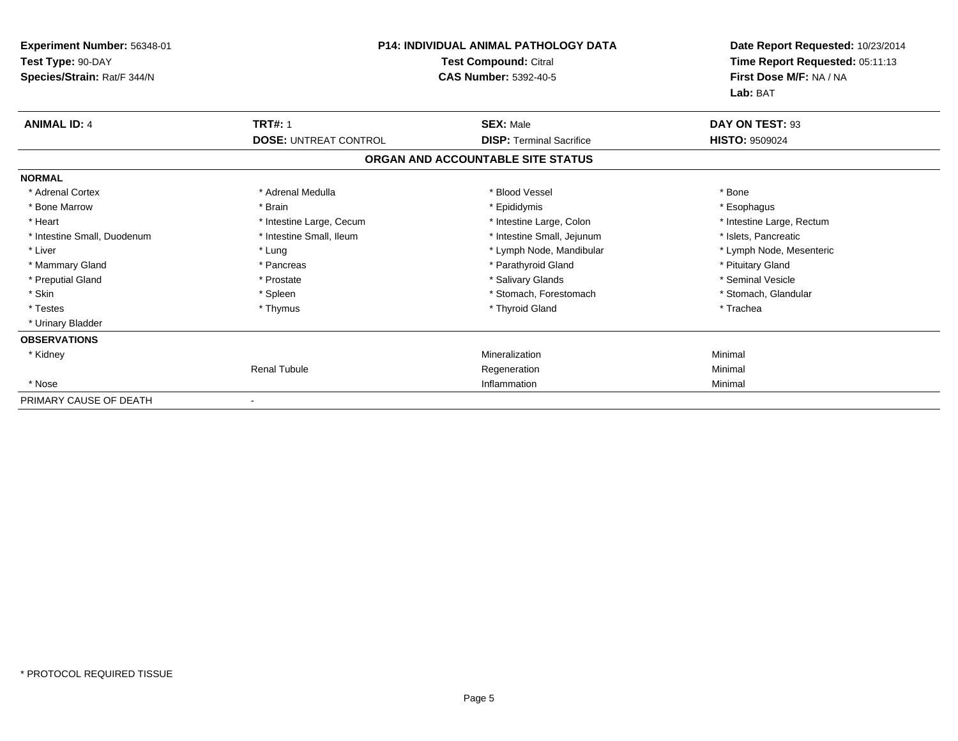| <b>Experiment Number: 56348-01</b><br>Test Type: 90-DAY<br>Species/Strain: Rat/F 344/N | <b>P14: INDIVIDUAL ANIMAL PATHOLOGY DATA</b><br>Test Compound: Citral<br><b>CAS Number: 5392-40-5</b> |                                   | Date Report Requested: 10/23/2014<br>Time Report Requested: 05:11:13<br>First Dose M/F: NA / NA<br>Lab: BAT |
|----------------------------------------------------------------------------------------|-------------------------------------------------------------------------------------------------------|-----------------------------------|-------------------------------------------------------------------------------------------------------------|
| <b>ANIMAL ID: 4</b>                                                                    | <b>TRT#: 1</b>                                                                                        | <b>SEX: Male</b>                  | DAY ON TEST: 93                                                                                             |
|                                                                                        | <b>DOSE: UNTREAT CONTROL</b>                                                                          | <b>DISP: Terminal Sacrifice</b>   | <b>HISTO: 9509024</b>                                                                                       |
|                                                                                        |                                                                                                       | ORGAN AND ACCOUNTABLE SITE STATUS |                                                                                                             |
| <b>NORMAL</b>                                                                          |                                                                                                       |                                   |                                                                                                             |
| * Adrenal Cortex                                                                       | * Adrenal Medulla                                                                                     | * Blood Vessel                    | * Bone                                                                                                      |
| * Bone Marrow                                                                          | * Brain                                                                                               | * Epididymis                      | * Esophagus                                                                                                 |
| * Heart                                                                                | * Intestine Large, Cecum                                                                              | * Intestine Large, Colon          | * Intestine Large, Rectum                                                                                   |
| * Intestine Small, Duodenum                                                            | * Intestine Small, Ileum                                                                              | * Intestine Small, Jejunum        | * Islets, Pancreatic                                                                                        |
| * Liver                                                                                | * Lung                                                                                                | * Lymph Node, Mandibular          | * Lymph Node, Mesenteric                                                                                    |
| * Mammary Gland                                                                        | * Pancreas                                                                                            | * Parathyroid Gland               | * Pituitary Gland                                                                                           |
| * Preputial Gland                                                                      | * Prostate                                                                                            | * Salivary Glands                 | * Seminal Vesicle                                                                                           |
| * Skin                                                                                 | * Spleen                                                                                              | * Stomach, Forestomach            | * Stomach, Glandular                                                                                        |
| * Testes                                                                               | * Thymus                                                                                              | * Thyroid Gland                   | * Trachea                                                                                                   |
| * Urinary Bladder                                                                      |                                                                                                       |                                   |                                                                                                             |
| <b>OBSERVATIONS</b>                                                                    |                                                                                                       |                                   |                                                                                                             |
| * Kidney                                                                               |                                                                                                       | Mineralization                    | Minimal                                                                                                     |
|                                                                                        | <b>Renal Tubule</b>                                                                                   | Regeneration                      | Minimal                                                                                                     |
| * Nose                                                                                 |                                                                                                       | Inflammation                      | Minimal                                                                                                     |
| PRIMARY CAUSE OF DEATH                                                                 |                                                                                                       |                                   |                                                                                                             |

-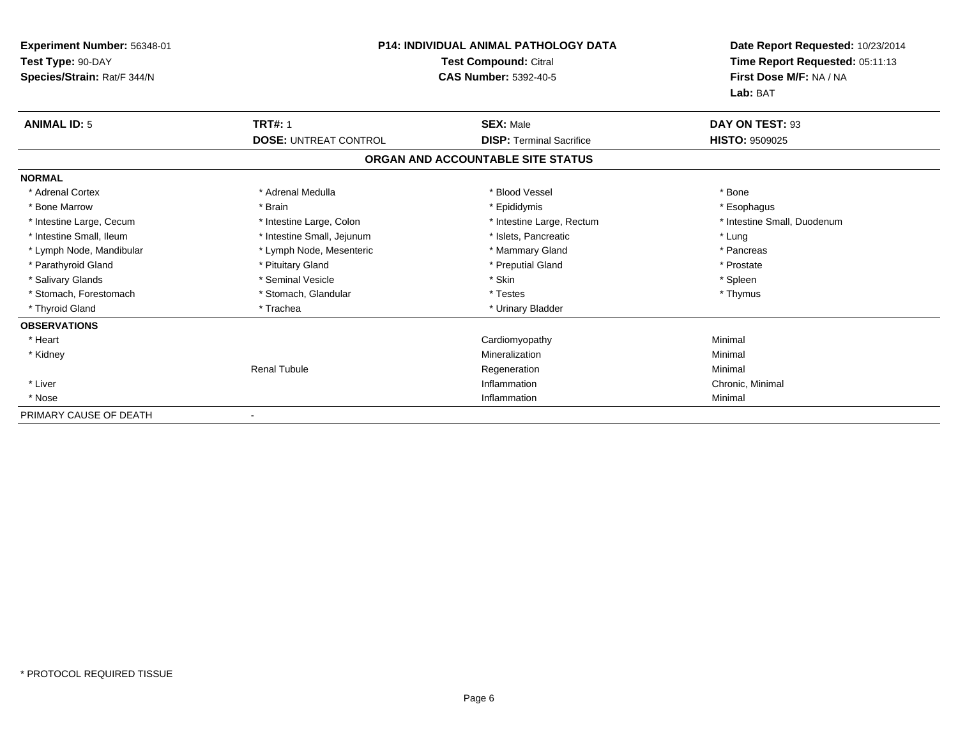| Experiment Number: 56348-01<br>Test Type: 90-DAY<br>Species/Strain: Rat/F 344/N |                              | <b>P14: INDIVIDUAL ANIMAL PATHOLOGY DATA</b><br><b>Test Compound: Citral</b><br><b>CAS Number: 5392-40-5</b> | Date Report Requested: 10/23/2014<br>Time Report Requested: 05:11:13<br>First Dose M/F: NA / NA<br>Lab: BAT |  |
|---------------------------------------------------------------------------------|------------------------------|--------------------------------------------------------------------------------------------------------------|-------------------------------------------------------------------------------------------------------------|--|
| <b>ANIMAL ID: 5</b>                                                             | <b>TRT#: 1</b>               | <b>SEX: Male</b>                                                                                             | DAY ON TEST: 93                                                                                             |  |
|                                                                                 | <b>DOSE: UNTREAT CONTROL</b> | <b>DISP: Terminal Sacrifice</b>                                                                              | <b>HISTO: 9509025</b>                                                                                       |  |
|                                                                                 |                              | ORGAN AND ACCOUNTABLE SITE STATUS                                                                            |                                                                                                             |  |
| <b>NORMAL</b>                                                                   |                              |                                                                                                              |                                                                                                             |  |
| * Adrenal Cortex                                                                | * Adrenal Medulla            | * Blood Vessel                                                                                               | * Bone                                                                                                      |  |
| * Bone Marrow                                                                   | * Brain                      | * Epididymis                                                                                                 | * Esophagus                                                                                                 |  |
| * Intestine Large, Cecum                                                        | * Intestine Large, Colon     | * Intestine Large, Rectum                                                                                    | * Intestine Small, Duodenum                                                                                 |  |
| * Intestine Small, Ileum                                                        | * Intestine Small, Jejunum   | * Islets, Pancreatic                                                                                         | * Lung                                                                                                      |  |
| * Lymph Node, Mandibular                                                        | * Lymph Node, Mesenteric     | * Mammary Gland                                                                                              | * Pancreas                                                                                                  |  |
| * Parathyroid Gland                                                             | * Pituitary Gland            | * Preputial Gland                                                                                            | * Prostate                                                                                                  |  |
| * Salivary Glands                                                               | * Seminal Vesicle            | * Skin                                                                                                       | * Spleen                                                                                                    |  |
| * Stomach, Forestomach                                                          | * Stomach, Glandular         | * Testes                                                                                                     | * Thymus                                                                                                    |  |
| * Thyroid Gland                                                                 | * Trachea                    | * Urinary Bladder                                                                                            |                                                                                                             |  |
| <b>OBSERVATIONS</b>                                                             |                              |                                                                                                              |                                                                                                             |  |
| * Heart                                                                         |                              | Cardiomyopathy                                                                                               | Minimal                                                                                                     |  |
| * Kidney                                                                        |                              | Mineralization                                                                                               | Minimal                                                                                                     |  |
|                                                                                 | <b>Renal Tubule</b>          | Regeneration                                                                                                 | Minimal                                                                                                     |  |
| * Liver                                                                         |                              | Inflammation                                                                                                 | Chronic, Minimal                                                                                            |  |
| * Nose                                                                          |                              | Inflammation                                                                                                 | Minimal                                                                                                     |  |
| PRIMARY CAUSE OF DEATH                                                          |                              |                                                                                                              |                                                                                                             |  |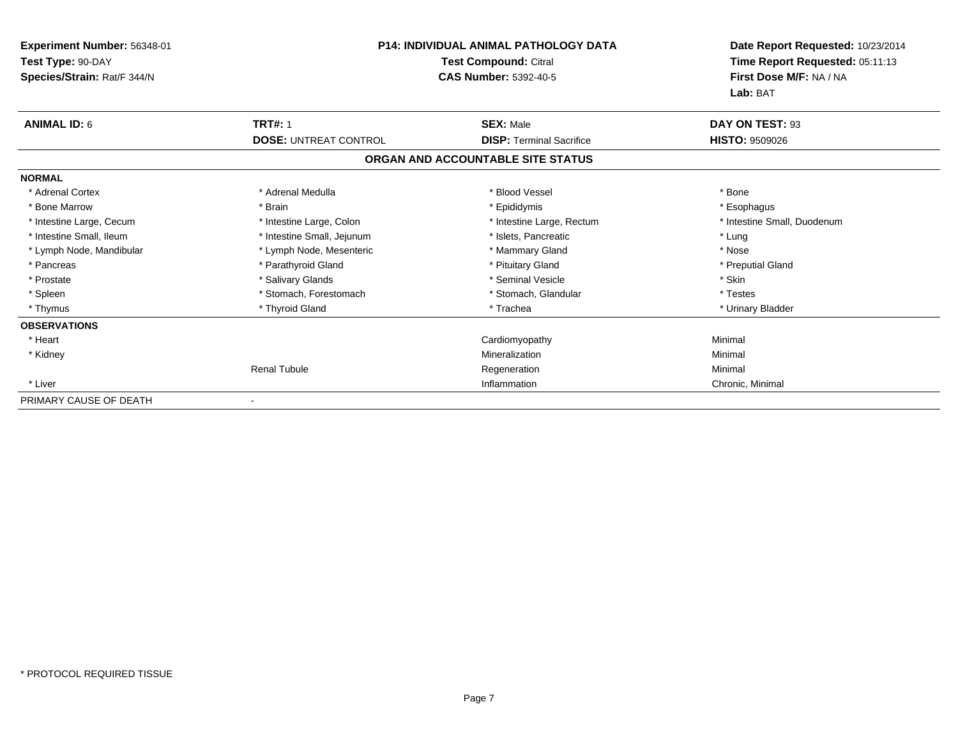| Experiment Number: 56348-01<br>Test Type: 90-DAY<br>Species/Strain: Rat/F 344/N | <b>P14: INDIVIDUAL ANIMAL PATHOLOGY DATA</b><br>Test Compound: Citral<br><b>CAS Number: 5392-40-5</b> |                                   | Date Report Requested: 10/23/2014<br>Time Report Requested: 05:11:13<br>First Dose M/F: NA / NA<br>Lab: BAT |
|---------------------------------------------------------------------------------|-------------------------------------------------------------------------------------------------------|-----------------------------------|-------------------------------------------------------------------------------------------------------------|
| <b>ANIMAL ID: 6</b>                                                             | <b>TRT#: 1</b>                                                                                        | <b>SEX: Male</b>                  | DAY ON TEST: 93                                                                                             |
|                                                                                 | <b>DOSE: UNTREAT CONTROL</b>                                                                          | <b>DISP:</b> Terminal Sacrifice   | <b>HISTO: 9509026</b>                                                                                       |
|                                                                                 |                                                                                                       | ORGAN AND ACCOUNTABLE SITE STATUS |                                                                                                             |
| <b>NORMAL</b>                                                                   |                                                                                                       |                                   |                                                                                                             |
| * Adrenal Cortex                                                                | * Adrenal Medulla                                                                                     | * Blood Vessel                    | * Bone                                                                                                      |
| * Bone Marrow                                                                   | * Brain                                                                                               | * Epididymis                      | * Esophagus                                                                                                 |
| * Intestine Large, Cecum                                                        | * Intestine Large, Colon                                                                              | * Intestine Large, Rectum         | * Intestine Small, Duodenum                                                                                 |
| * Intestine Small, Ileum                                                        | * Intestine Small, Jejunum                                                                            | * Islets, Pancreatic              | * Lung                                                                                                      |
| * Lymph Node, Mandibular                                                        | * Lymph Node, Mesenteric                                                                              | * Mammary Gland                   | * Nose                                                                                                      |
| * Pancreas                                                                      | * Parathyroid Gland                                                                                   | * Pituitary Gland                 | * Preputial Gland                                                                                           |
| * Prostate                                                                      | * Salivary Glands                                                                                     | * Seminal Vesicle                 | * Skin                                                                                                      |
| * Spleen                                                                        | * Stomach, Forestomach                                                                                | * Stomach, Glandular              | * Testes                                                                                                    |
| * Thymus                                                                        | * Thyroid Gland                                                                                       | * Trachea                         | * Urinary Bladder                                                                                           |
| <b>OBSERVATIONS</b>                                                             |                                                                                                       |                                   |                                                                                                             |
| * Heart                                                                         |                                                                                                       | Cardiomyopathy                    | Minimal                                                                                                     |
| * Kidney                                                                        |                                                                                                       | Mineralization                    | Minimal                                                                                                     |
|                                                                                 | <b>Renal Tubule</b>                                                                                   | Regeneration                      | Minimal                                                                                                     |
| * Liver                                                                         |                                                                                                       | Inflammation                      | Chronic, Minimal                                                                                            |
| PRIMARY CAUSE OF DEATH                                                          |                                                                                                       |                                   |                                                                                                             |

-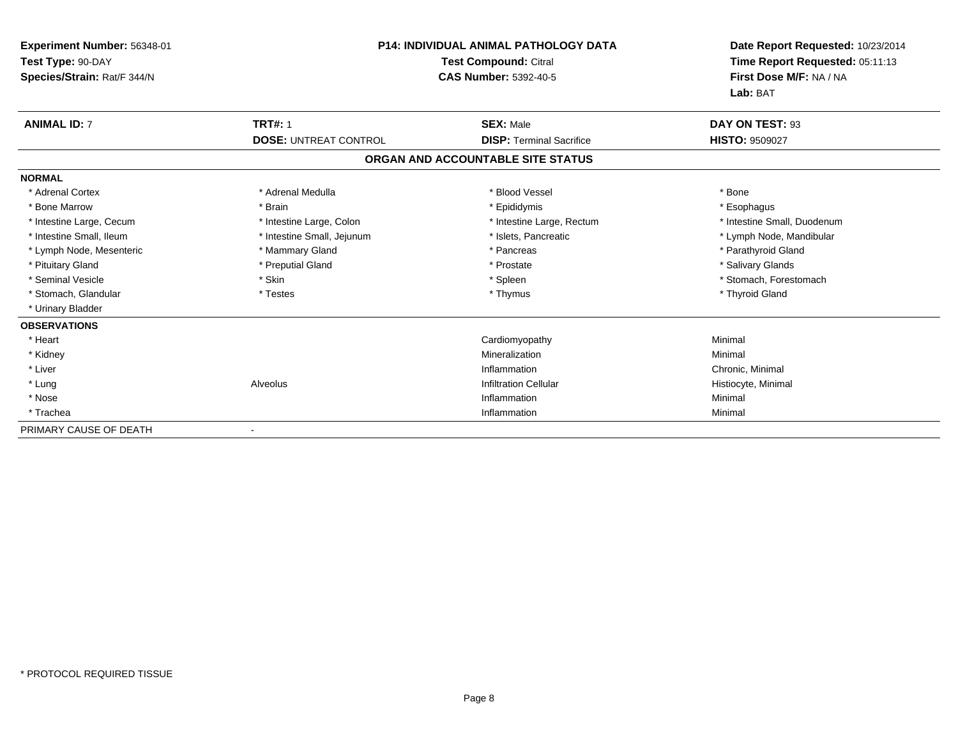| Experiment Number: 56348-01<br>Test Type: 90-DAY<br>Species/Strain: Rat/F 344/N | <b>P14: INDIVIDUAL ANIMAL PATHOLOGY DATA</b><br><b>Test Compound: Citral</b><br><b>CAS Number: 5392-40-5</b> |                                   | Date Report Requested: 10/23/2014<br>Time Report Requested: 05:11:13<br>First Dose M/F: NA / NA<br>Lab: BAT |  |
|---------------------------------------------------------------------------------|--------------------------------------------------------------------------------------------------------------|-----------------------------------|-------------------------------------------------------------------------------------------------------------|--|
| <b>ANIMAL ID: 7</b>                                                             | <b>TRT#: 1</b>                                                                                               | <b>SEX: Male</b>                  | DAY ON TEST: 93                                                                                             |  |
|                                                                                 | <b>DOSE: UNTREAT CONTROL</b>                                                                                 | <b>DISP: Terminal Sacrifice</b>   | <b>HISTO: 9509027</b>                                                                                       |  |
|                                                                                 |                                                                                                              | ORGAN AND ACCOUNTABLE SITE STATUS |                                                                                                             |  |
| <b>NORMAL</b>                                                                   |                                                                                                              |                                   |                                                                                                             |  |
| * Adrenal Cortex                                                                | * Adrenal Medulla                                                                                            | * Blood Vessel                    | * Bone                                                                                                      |  |
| * Bone Marrow                                                                   | * Brain                                                                                                      | * Epididymis                      | * Esophagus                                                                                                 |  |
| * Intestine Large, Cecum                                                        | * Intestine Large, Colon                                                                                     | * Intestine Large, Rectum         | * Intestine Small, Duodenum                                                                                 |  |
| * Intestine Small, Ileum                                                        | * Intestine Small, Jejunum                                                                                   | * Islets, Pancreatic              | * Lymph Node, Mandibular                                                                                    |  |
| * Lymph Node, Mesenteric                                                        | * Mammary Gland                                                                                              | * Pancreas                        | * Parathyroid Gland                                                                                         |  |
| * Pituitary Gland                                                               | * Preputial Gland                                                                                            | * Prostate                        | * Salivary Glands                                                                                           |  |
| * Seminal Vesicle                                                               | * Skin                                                                                                       | * Spleen                          | * Stomach, Forestomach                                                                                      |  |
| * Stomach, Glandular                                                            | * Testes                                                                                                     | * Thymus                          | * Thyroid Gland                                                                                             |  |
| * Urinary Bladder                                                               |                                                                                                              |                                   |                                                                                                             |  |
| <b>OBSERVATIONS</b>                                                             |                                                                                                              |                                   |                                                                                                             |  |
| * Heart                                                                         |                                                                                                              | Cardiomyopathy                    | Minimal                                                                                                     |  |
| * Kidney                                                                        |                                                                                                              | Mineralization                    | Minimal                                                                                                     |  |
| * Liver                                                                         |                                                                                                              | Inflammation                      | Chronic, Minimal                                                                                            |  |
| * Lung                                                                          | Alveolus                                                                                                     | <b>Infiltration Cellular</b>      | Histiocyte, Minimal                                                                                         |  |
| * Nose                                                                          |                                                                                                              | Inflammation                      | Minimal                                                                                                     |  |
| * Trachea                                                                       |                                                                                                              | Inflammation                      | Minimal                                                                                                     |  |
| PRIMARY CAUSE OF DEATH                                                          |                                                                                                              |                                   |                                                                                                             |  |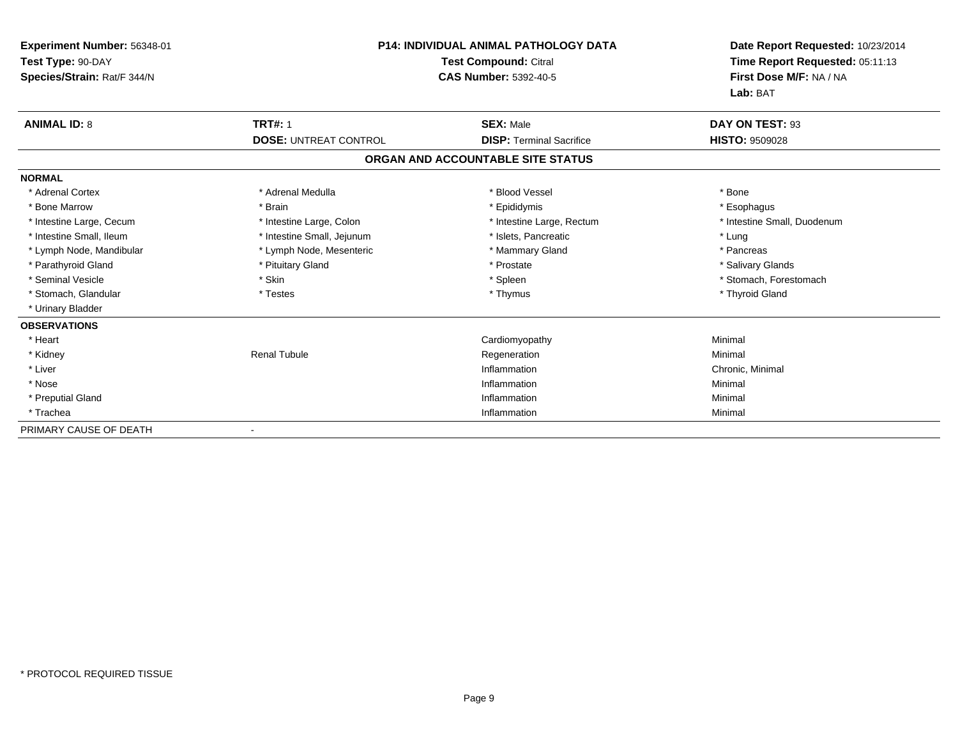| Experiment Number: 56348-01<br>Test Type: 90-DAY<br>Species/Strain: Rat/F 344/N |                              | <b>P14: INDIVIDUAL ANIMAL PATHOLOGY DATA</b><br><b>Test Compound: Citral</b><br><b>CAS Number: 5392-40-5</b> |                             |
|---------------------------------------------------------------------------------|------------------------------|--------------------------------------------------------------------------------------------------------------|-----------------------------|
| <b>ANIMAL ID: 8</b>                                                             | <b>TRT#: 1</b>               | <b>SEX: Male</b>                                                                                             | DAY ON TEST: 93             |
|                                                                                 | <b>DOSE: UNTREAT CONTROL</b> | <b>DISP: Terminal Sacrifice</b>                                                                              | <b>HISTO: 9509028</b>       |
|                                                                                 |                              | ORGAN AND ACCOUNTABLE SITE STATUS                                                                            |                             |
| <b>NORMAL</b>                                                                   |                              |                                                                                                              |                             |
| * Adrenal Cortex                                                                | * Adrenal Medulla            | * Blood Vessel                                                                                               | * Bone                      |
| * Bone Marrow                                                                   | * Brain                      | * Epididymis                                                                                                 | * Esophagus                 |
| * Intestine Large, Cecum                                                        | * Intestine Large, Colon     | * Intestine Large, Rectum                                                                                    | * Intestine Small, Duodenum |
| * Intestine Small, Ileum                                                        | * Intestine Small, Jejunum   | * Islets, Pancreatic                                                                                         | * Lung                      |
| * Lymph Node, Mandibular                                                        | * Lymph Node, Mesenteric     | * Mammary Gland                                                                                              | * Pancreas                  |
| * Parathyroid Gland                                                             | * Pituitary Gland            | * Prostate                                                                                                   | * Salivary Glands           |
| * Seminal Vesicle                                                               | * Skin                       | * Spleen                                                                                                     | * Stomach, Forestomach      |
| * Stomach, Glandular                                                            | * Testes                     | * Thymus                                                                                                     | * Thyroid Gland             |
| * Urinary Bladder                                                               |                              |                                                                                                              |                             |
| <b>OBSERVATIONS</b>                                                             |                              |                                                                                                              |                             |
| * Heart                                                                         |                              | Cardiomyopathy                                                                                               | Minimal                     |
| * Kidney                                                                        | <b>Renal Tubule</b>          | Regeneration                                                                                                 | Minimal                     |
| * Liver                                                                         |                              | Inflammation                                                                                                 | Chronic, Minimal            |
| * Nose                                                                          |                              | Inflammation                                                                                                 | Minimal                     |
| * Preputial Gland                                                               |                              | Inflammation                                                                                                 | Minimal                     |
| * Trachea                                                                       |                              | Inflammation                                                                                                 | Minimal                     |
| PRIMARY CAUSE OF DEATH                                                          |                              |                                                                                                              |                             |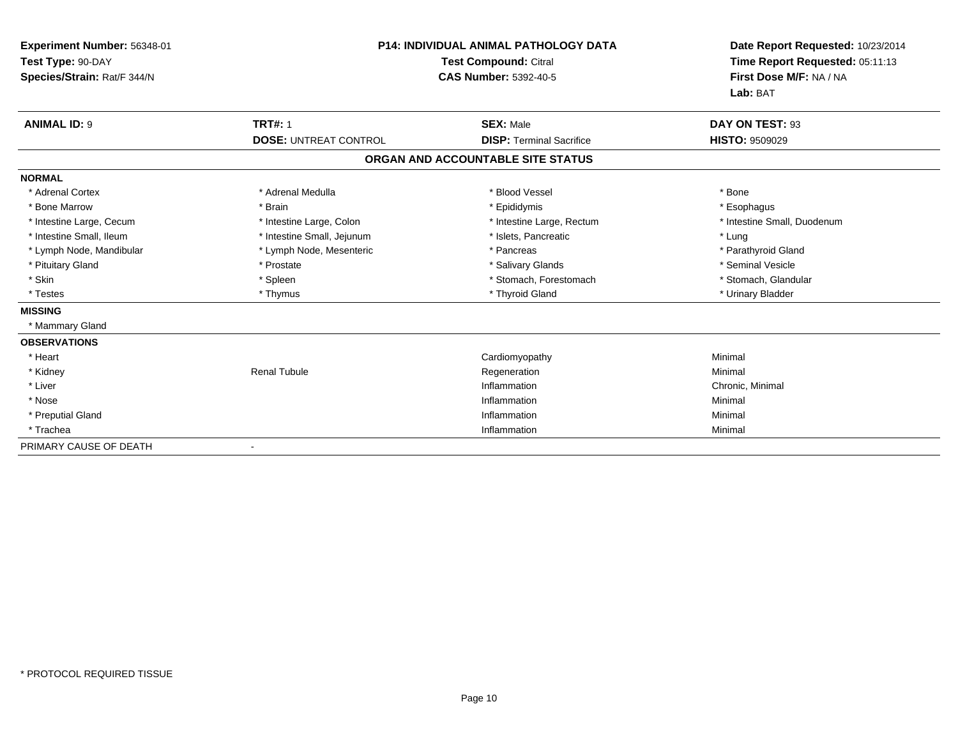| Experiment Number: 56348-01<br>Test Type: 90-DAY<br>Species/Strain: Rat/F 344/N | <b>P14: INDIVIDUAL ANIMAL PATHOLOGY DATA</b><br><b>Test Compound: Citral</b><br><b>CAS Number: 5392-40-5</b> |                                   | Date Report Requested: 10/23/2014<br>Time Report Requested: 05:11:13<br>First Dose M/F: NA / NA<br>Lab: BAT |  |
|---------------------------------------------------------------------------------|--------------------------------------------------------------------------------------------------------------|-----------------------------------|-------------------------------------------------------------------------------------------------------------|--|
| <b>ANIMAL ID: 9</b>                                                             | <b>TRT#: 1</b>                                                                                               | <b>SEX: Male</b>                  | DAY ON TEST: 93                                                                                             |  |
|                                                                                 | <b>DOSE: UNTREAT CONTROL</b>                                                                                 | <b>DISP: Terminal Sacrifice</b>   | <b>HISTO: 9509029</b>                                                                                       |  |
|                                                                                 |                                                                                                              | ORGAN AND ACCOUNTABLE SITE STATUS |                                                                                                             |  |
| <b>NORMAL</b>                                                                   |                                                                                                              |                                   |                                                                                                             |  |
| * Adrenal Cortex                                                                | * Adrenal Medulla                                                                                            | * Blood Vessel                    | * Bone                                                                                                      |  |
| * Bone Marrow                                                                   | * Brain                                                                                                      | * Epididymis                      | * Esophagus                                                                                                 |  |
| * Intestine Large, Cecum                                                        | * Intestine Large, Colon                                                                                     | * Intestine Large, Rectum         | * Intestine Small, Duodenum                                                                                 |  |
| * Intestine Small, Ileum                                                        | * Intestine Small, Jejunum                                                                                   | * Islets, Pancreatic              | * Lung                                                                                                      |  |
| * Lymph Node, Mandibular                                                        | * Lymph Node, Mesenteric                                                                                     | * Pancreas                        | * Parathyroid Gland                                                                                         |  |
| * Pituitary Gland                                                               | * Prostate                                                                                                   | * Salivary Glands                 | * Seminal Vesicle                                                                                           |  |
| * Skin                                                                          | * Spleen                                                                                                     | * Stomach, Forestomach            | * Stomach, Glandular                                                                                        |  |
| * Testes                                                                        | * Thymus                                                                                                     | * Thyroid Gland                   | * Urinary Bladder                                                                                           |  |
| <b>MISSING</b>                                                                  |                                                                                                              |                                   |                                                                                                             |  |
| * Mammary Gland                                                                 |                                                                                                              |                                   |                                                                                                             |  |
| <b>OBSERVATIONS</b>                                                             |                                                                                                              |                                   |                                                                                                             |  |
| * Heart                                                                         |                                                                                                              | Cardiomyopathy                    | Minimal                                                                                                     |  |
| * Kidney                                                                        | <b>Renal Tubule</b>                                                                                          | Regeneration                      | Minimal                                                                                                     |  |
| * Liver                                                                         |                                                                                                              | Inflammation                      | Chronic. Minimal                                                                                            |  |
| * Nose                                                                          |                                                                                                              | Inflammation                      | Minimal                                                                                                     |  |
| * Preputial Gland                                                               |                                                                                                              | Inflammation                      | Minimal                                                                                                     |  |
| * Trachea                                                                       |                                                                                                              | Inflammation                      | Minimal                                                                                                     |  |
| PRIMARY CAUSE OF DEATH                                                          |                                                                                                              |                                   |                                                                                                             |  |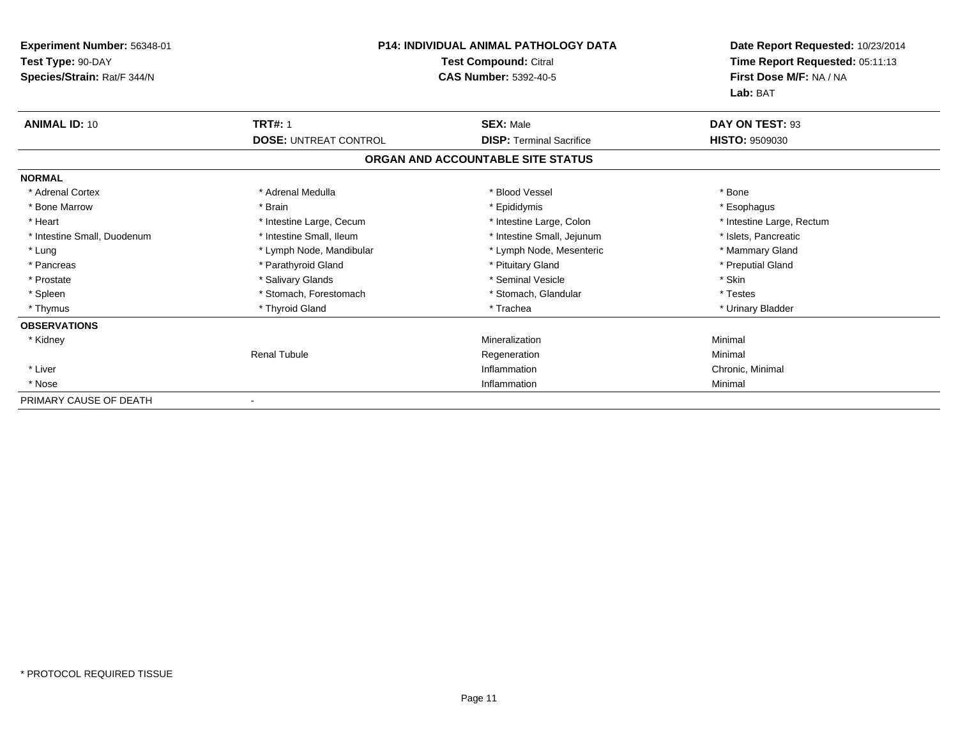| Experiment Number: 56348-01<br>Test Type: 90-DAY<br>Species/Strain: Rat/F 344/N | <b>P14: INDIVIDUAL ANIMAL PATHOLOGY DATA</b><br><b>Test Compound: Citral</b><br><b>CAS Number: 5392-40-5</b> |                                   | Date Report Requested: 10/23/2014<br>Time Report Requested: 05:11:13<br>First Dose M/F: NA / NA<br>Lab: BAT |  |
|---------------------------------------------------------------------------------|--------------------------------------------------------------------------------------------------------------|-----------------------------------|-------------------------------------------------------------------------------------------------------------|--|
| <b>ANIMAL ID: 10</b>                                                            | <b>TRT#: 1</b>                                                                                               | <b>SEX: Male</b>                  | DAY ON TEST: 93                                                                                             |  |
|                                                                                 | <b>DOSE: UNTREAT CONTROL</b>                                                                                 | <b>DISP: Terminal Sacrifice</b>   | <b>HISTO: 9509030</b>                                                                                       |  |
|                                                                                 |                                                                                                              | ORGAN AND ACCOUNTABLE SITE STATUS |                                                                                                             |  |
| <b>NORMAL</b>                                                                   |                                                                                                              |                                   |                                                                                                             |  |
| * Adrenal Cortex                                                                | * Adrenal Medulla                                                                                            | * Blood Vessel                    | * Bone                                                                                                      |  |
| * Bone Marrow                                                                   | * Brain                                                                                                      | * Epididymis                      | * Esophagus                                                                                                 |  |
| * Heart                                                                         | * Intestine Large, Cecum                                                                                     | * Intestine Large, Colon          | * Intestine Large, Rectum                                                                                   |  |
| * Intestine Small, Duodenum                                                     | * Intestine Small, Ileum                                                                                     | * Intestine Small, Jejunum        | * Islets, Pancreatic                                                                                        |  |
| * Lung                                                                          | * Lymph Node, Mandibular                                                                                     | * Lymph Node, Mesenteric          | * Mammary Gland                                                                                             |  |
| * Pancreas                                                                      | * Parathyroid Gland                                                                                          | * Pituitary Gland                 | * Preputial Gland                                                                                           |  |
| * Prostate                                                                      | * Salivary Glands                                                                                            | * Seminal Vesicle                 | * Skin                                                                                                      |  |
| * Spleen                                                                        | * Stomach, Forestomach                                                                                       | * Stomach, Glandular              | * Testes                                                                                                    |  |
| * Thymus                                                                        | * Thyroid Gland                                                                                              | * Trachea                         | * Urinary Bladder                                                                                           |  |
| <b>OBSERVATIONS</b>                                                             |                                                                                                              |                                   |                                                                                                             |  |
| * Kidney                                                                        |                                                                                                              | Mineralization                    | Minimal                                                                                                     |  |
|                                                                                 | <b>Renal Tubule</b>                                                                                          | Regeneration                      | Minimal                                                                                                     |  |
| * Liver                                                                         |                                                                                                              | Inflammation                      | Chronic, Minimal                                                                                            |  |
| * Nose                                                                          |                                                                                                              | Inflammation                      | Minimal                                                                                                     |  |
| PRIMARY CAUSE OF DEATH                                                          |                                                                                                              |                                   |                                                                                                             |  |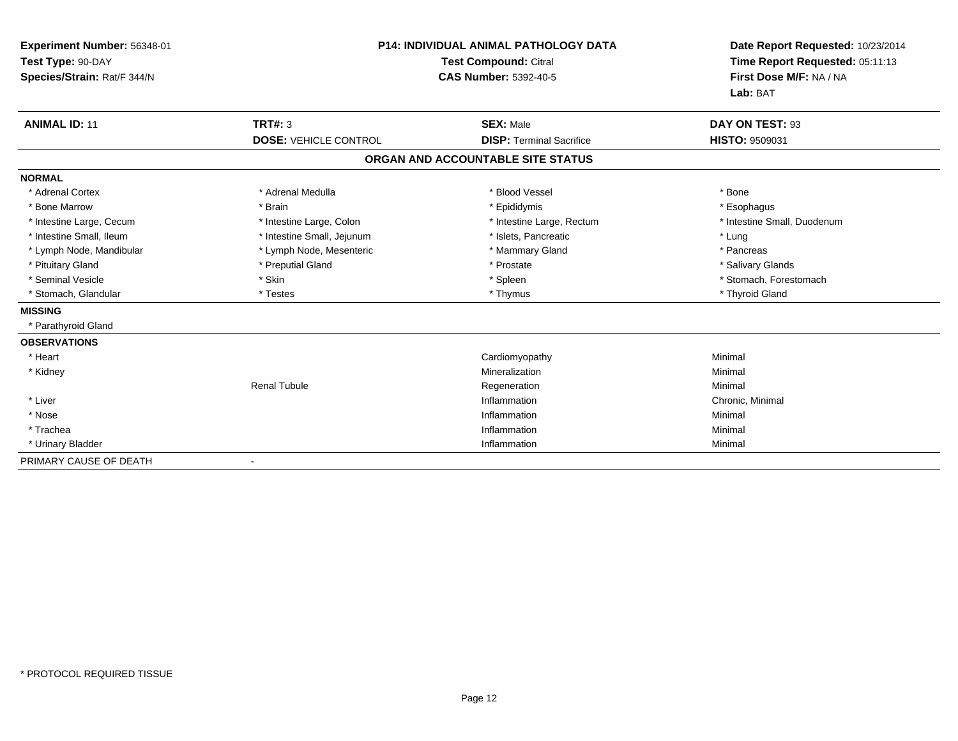| Experiment Number: 56348-01<br>Test Type: 90-DAY<br>Species/Strain: Rat/F 344/N |                              | <b>P14: INDIVIDUAL ANIMAL PATHOLOGY DATA</b><br><b>Test Compound: Citral</b><br><b>CAS Number: 5392-40-5</b> | Date Report Requested: 10/23/2014<br>Time Report Requested: 05:11:13<br>First Dose M/F: NA / NA<br>Lab: BAT |
|---------------------------------------------------------------------------------|------------------------------|--------------------------------------------------------------------------------------------------------------|-------------------------------------------------------------------------------------------------------------|
| <b>ANIMAL ID: 11</b>                                                            | <b>TRT#: 3</b>               | <b>SEX: Male</b>                                                                                             | DAY ON TEST: 93                                                                                             |
|                                                                                 | <b>DOSE: VEHICLE CONTROL</b> | <b>DISP: Terminal Sacrifice</b>                                                                              | <b>HISTO: 9509031</b>                                                                                       |
|                                                                                 |                              | ORGAN AND ACCOUNTABLE SITE STATUS                                                                            |                                                                                                             |
| <b>NORMAL</b>                                                                   |                              |                                                                                                              |                                                                                                             |
| * Adrenal Cortex                                                                | * Adrenal Medulla            | * Blood Vessel                                                                                               | * Bone                                                                                                      |
| * Bone Marrow                                                                   | * Brain                      | * Epididymis                                                                                                 | * Esophagus                                                                                                 |
| * Intestine Large, Cecum                                                        | * Intestine Large, Colon     | * Intestine Large, Rectum                                                                                    | * Intestine Small, Duodenum                                                                                 |
| * Intestine Small, Ileum                                                        | * Intestine Small, Jejunum   | * Islets, Pancreatic                                                                                         | * Lung                                                                                                      |
| * Lymph Node, Mandibular                                                        | * Lymph Node, Mesenteric     | * Mammary Gland                                                                                              | * Pancreas                                                                                                  |
| * Pituitary Gland                                                               | * Preputial Gland            | * Prostate                                                                                                   | * Salivary Glands                                                                                           |
| * Seminal Vesicle                                                               | * Skin                       | * Spleen                                                                                                     | * Stomach, Forestomach                                                                                      |
| * Stomach, Glandular                                                            | * Testes                     | * Thymus                                                                                                     | * Thyroid Gland                                                                                             |
| <b>MISSING</b>                                                                  |                              |                                                                                                              |                                                                                                             |
| * Parathyroid Gland                                                             |                              |                                                                                                              |                                                                                                             |
| <b>OBSERVATIONS</b>                                                             |                              |                                                                                                              |                                                                                                             |
| * Heart                                                                         |                              | Cardiomyopathy                                                                                               | Minimal                                                                                                     |
| * Kidney                                                                        |                              | Mineralization                                                                                               | Minimal                                                                                                     |
|                                                                                 | <b>Renal Tubule</b>          | Regeneration                                                                                                 | Minimal                                                                                                     |
| * Liver                                                                         |                              | Inflammation                                                                                                 | Chronic, Minimal                                                                                            |
| * Nose                                                                          |                              | Inflammation                                                                                                 | Minimal                                                                                                     |
| * Trachea                                                                       |                              | Inflammation                                                                                                 | Minimal                                                                                                     |
| * Urinary Bladder                                                               |                              | Inflammation                                                                                                 | Minimal                                                                                                     |
| PRIMARY CAUSE OF DEATH                                                          |                              |                                                                                                              |                                                                                                             |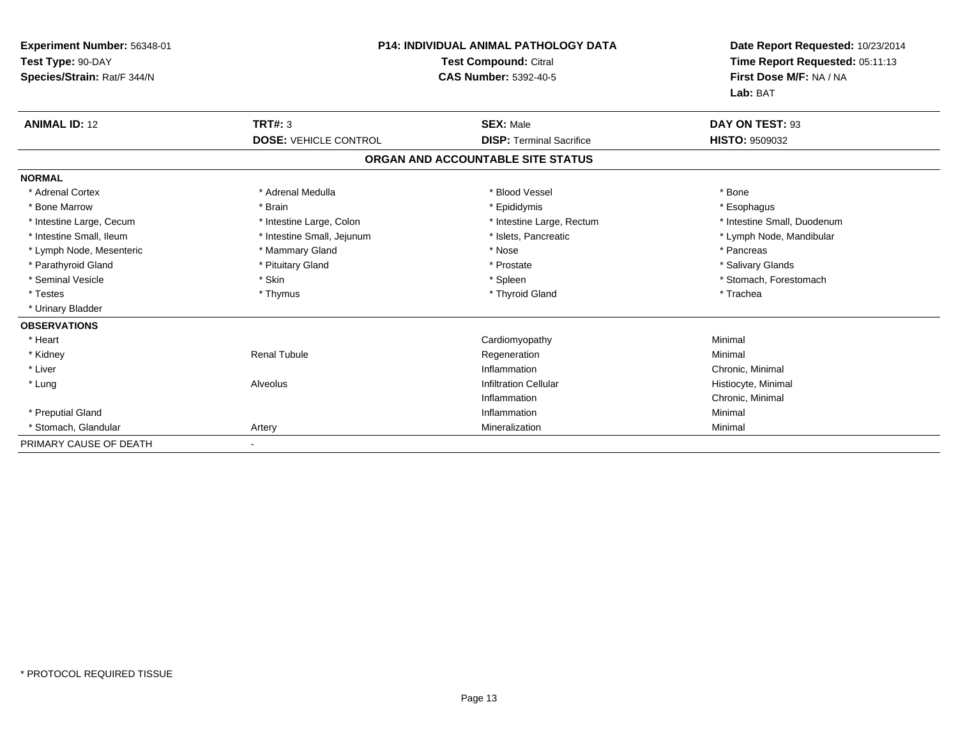| Experiment Number: 56348-01<br>Test Type: 90-DAY<br>Species/Strain: Rat/F 344/N |                              | <b>P14: INDIVIDUAL ANIMAL PATHOLOGY DATA</b><br><b>Test Compound: Citral</b><br><b>CAS Number: 5392-40-5</b> | Date Report Requested: 10/23/2014<br>Time Report Requested: 05:11:13<br>First Dose M/F: NA / NA<br>Lab: BAT |
|---------------------------------------------------------------------------------|------------------------------|--------------------------------------------------------------------------------------------------------------|-------------------------------------------------------------------------------------------------------------|
| <b>ANIMAL ID: 12</b>                                                            | <b>TRT#: 3</b>               | <b>SEX: Male</b>                                                                                             | DAY ON TEST: 93                                                                                             |
|                                                                                 | <b>DOSE: VEHICLE CONTROL</b> | <b>DISP: Terminal Sacrifice</b>                                                                              | HISTO: 9509032                                                                                              |
|                                                                                 |                              | ORGAN AND ACCOUNTABLE SITE STATUS                                                                            |                                                                                                             |
| <b>NORMAL</b>                                                                   |                              |                                                                                                              |                                                                                                             |
| * Adrenal Cortex                                                                | * Adrenal Medulla            | * Blood Vessel                                                                                               | * Bone                                                                                                      |
| * Bone Marrow                                                                   | * Brain                      | * Epididymis                                                                                                 | * Esophagus                                                                                                 |
| * Intestine Large, Cecum                                                        | * Intestine Large, Colon     | * Intestine Large, Rectum                                                                                    | * Intestine Small, Duodenum                                                                                 |
| * Intestine Small. Ileum                                                        | * Intestine Small, Jejunum   | * Islets. Pancreatic                                                                                         | * Lymph Node, Mandibular                                                                                    |
| * Lymph Node, Mesenteric                                                        | * Mammary Gland              | * Nose                                                                                                       | * Pancreas                                                                                                  |
| * Parathyroid Gland                                                             | * Pituitary Gland            | * Prostate                                                                                                   | * Salivary Glands                                                                                           |
| * Seminal Vesicle                                                               | * Skin                       | * Spleen                                                                                                     | * Stomach. Forestomach                                                                                      |
| * Testes                                                                        | * Thymus                     | * Thyroid Gland                                                                                              | * Trachea                                                                                                   |
| * Urinary Bladder                                                               |                              |                                                                                                              |                                                                                                             |
| <b>OBSERVATIONS</b>                                                             |                              |                                                                                                              |                                                                                                             |
| * Heart                                                                         |                              | Cardiomyopathy                                                                                               | Minimal                                                                                                     |
| * Kidney                                                                        | <b>Renal Tubule</b>          | Regeneration                                                                                                 | Minimal                                                                                                     |
| * Liver                                                                         |                              | Inflammation                                                                                                 | Chronic, Minimal                                                                                            |
| * Lung                                                                          | Alveolus                     | <b>Infiltration Cellular</b>                                                                                 | Histiocyte, Minimal                                                                                         |
|                                                                                 |                              | Inflammation                                                                                                 | Chronic, Minimal                                                                                            |
| * Preputial Gland                                                               |                              | Inflammation                                                                                                 | Minimal                                                                                                     |
| * Stomach, Glandular                                                            | Artery                       | Mineralization                                                                                               | Minimal                                                                                                     |
| PRIMARY CAUSE OF DEATH                                                          |                              |                                                                                                              |                                                                                                             |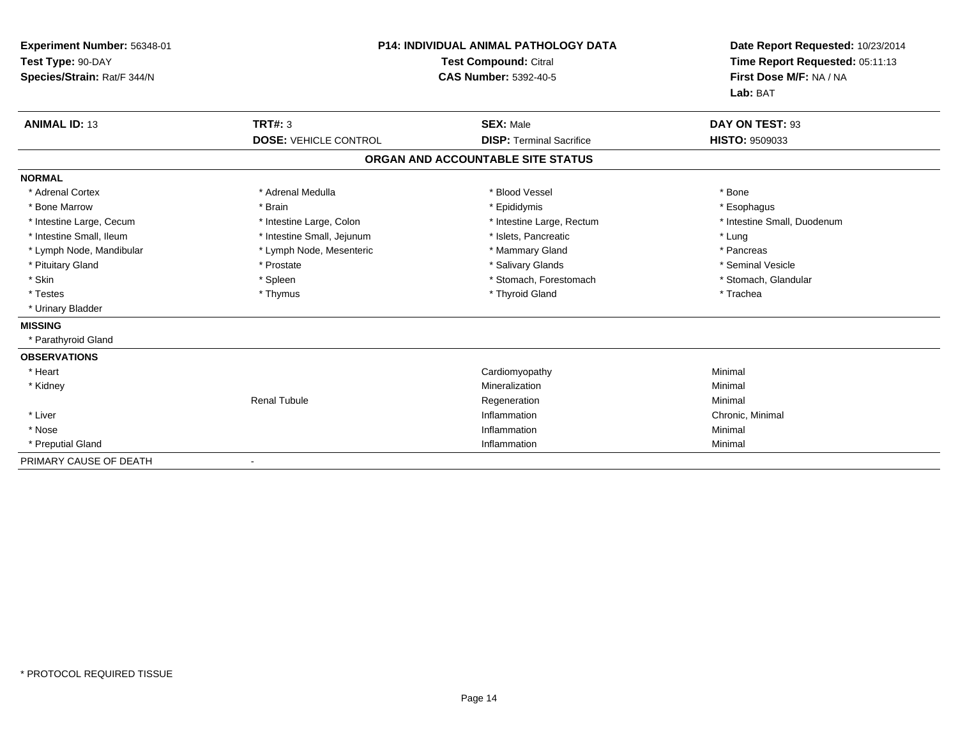| Experiment Number: 56348-01<br>Test Type: 90-DAY<br>Species/Strain: Rat/F 344/N |                              | <b>P14: INDIVIDUAL ANIMAL PATHOLOGY DATA</b><br><b>Test Compound: Citral</b><br><b>CAS Number: 5392-40-5</b> | Date Report Requested: 10/23/2014<br>Time Report Requested: 05:11:13<br>First Dose M/F: NA / NA<br>Lab: BAT |
|---------------------------------------------------------------------------------|------------------------------|--------------------------------------------------------------------------------------------------------------|-------------------------------------------------------------------------------------------------------------|
| <b>ANIMAL ID: 13</b>                                                            | <b>TRT#: 3</b>               | <b>SEX: Male</b>                                                                                             | DAY ON TEST: 93                                                                                             |
|                                                                                 | <b>DOSE: VEHICLE CONTROL</b> | <b>DISP: Terminal Sacrifice</b>                                                                              | <b>HISTO: 9509033</b>                                                                                       |
|                                                                                 |                              | ORGAN AND ACCOUNTABLE SITE STATUS                                                                            |                                                                                                             |
| <b>NORMAL</b>                                                                   |                              |                                                                                                              |                                                                                                             |
| * Adrenal Cortex                                                                | * Adrenal Medulla            | * Blood Vessel                                                                                               | * Bone                                                                                                      |
| * Bone Marrow                                                                   | * Brain                      | * Epididymis                                                                                                 | * Esophagus                                                                                                 |
| * Intestine Large, Cecum                                                        | * Intestine Large, Colon     | * Intestine Large, Rectum                                                                                    | * Intestine Small, Duodenum                                                                                 |
| * Intestine Small, Ileum                                                        | * Intestine Small, Jejunum   | * Islets, Pancreatic                                                                                         | * Lung                                                                                                      |
| * Lymph Node, Mandibular                                                        | * Lymph Node, Mesenteric     | * Mammary Gland                                                                                              | * Pancreas                                                                                                  |
| * Pituitary Gland                                                               | * Prostate                   | * Salivary Glands                                                                                            | * Seminal Vesicle                                                                                           |
| * Skin                                                                          | * Spleen                     | * Stomach, Forestomach                                                                                       | * Stomach, Glandular                                                                                        |
| * Testes                                                                        | * Thymus                     | * Thyroid Gland                                                                                              | * Trachea                                                                                                   |
| * Urinary Bladder                                                               |                              |                                                                                                              |                                                                                                             |
| <b>MISSING</b>                                                                  |                              |                                                                                                              |                                                                                                             |
| * Parathyroid Gland                                                             |                              |                                                                                                              |                                                                                                             |
| <b>OBSERVATIONS</b>                                                             |                              |                                                                                                              |                                                                                                             |
| * Heart                                                                         |                              | Cardiomyopathy                                                                                               | Minimal                                                                                                     |
| * Kidney                                                                        |                              | Mineralization                                                                                               | Minimal                                                                                                     |
|                                                                                 | <b>Renal Tubule</b>          | Regeneration                                                                                                 | Minimal                                                                                                     |
| * Liver                                                                         |                              | Inflammation                                                                                                 | Chronic, Minimal                                                                                            |
| * Nose                                                                          |                              | Inflammation                                                                                                 | Minimal                                                                                                     |
| * Preputial Gland                                                               |                              | Inflammation                                                                                                 | Minimal                                                                                                     |
| PRIMARY CAUSE OF DEATH                                                          | $\blacksquare$               |                                                                                                              |                                                                                                             |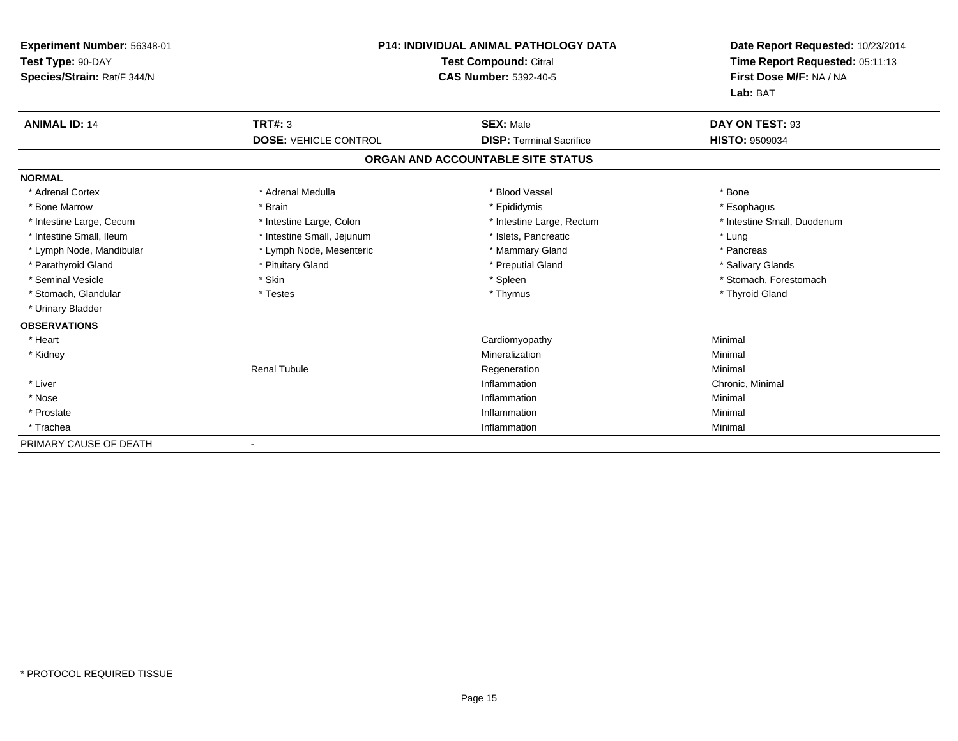| Experiment Number: 56348-01<br>Test Type: 90-DAY<br>Species/Strain: Rat/F 344/N |                              | P14: INDIVIDUAL ANIMAL PATHOLOGY DATA<br><b>Test Compound: Citral</b><br><b>CAS Number: 5392-40-5</b> | Date Report Requested: 10/23/2014<br>Time Report Requested: 05:11:13<br>First Dose M/F: NA / NA<br>Lab: BAT |
|---------------------------------------------------------------------------------|------------------------------|-------------------------------------------------------------------------------------------------------|-------------------------------------------------------------------------------------------------------------|
| <b>ANIMAL ID: 14</b>                                                            | <b>TRT#: 3</b>               | <b>SEX: Male</b>                                                                                      | DAY ON TEST: 93                                                                                             |
|                                                                                 | <b>DOSE: VEHICLE CONTROL</b> | <b>DISP: Terminal Sacrifice</b>                                                                       | <b>HISTO: 9509034</b>                                                                                       |
|                                                                                 |                              | ORGAN AND ACCOUNTABLE SITE STATUS                                                                     |                                                                                                             |
| <b>NORMAL</b>                                                                   |                              |                                                                                                       |                                                                                                             |
| * Adrenal Cortex                                                                | * Adrenal Medulla            | * Blood Vessel                                                                                        | * Bone                                                                                                      |
| * Bone Marrow                                                                   | * Brain                      | * Epididymis                                                                                          | * Esophagus                                                                                                 |
| * Intestine Large, Cecum                                                        | * Intestine Large, Colon     | * Intestine Large, Rectum                                                                             | * Intestine Small, Duodenum                                                                                 |
| * Intestine Small. Ileum                                                        | * Intestine Small, Jejunum   | * Islets, Pancreatic                                                                                  | * Lung                                                                                                      |
| * Lymph Node, Mandibular                                                        | * Lymph Node, Mesenteric     | * Mammary Gland                                                                                       | * Pancreas                                                                                                  |
| * Parathyroid Gland                                                             | * Pituitary Gland            | * Preputial Gland                                                                                     | * Salivary Glands                                                                                           |
| * Seminal Vesicle                                                               | * Skin                       | * Spleen                                                                                              | * Stomach, Forestomach                                                                                      |
| * Stomach, Glandular                                                            | * Testes                     | * Thymus                                                                                              | * Thyroid Gland                                                                                             |
| * Urinary Bladder                                                               |                              |                                                                                                       |                                                                                                             |
| <b>OBSERVATIONS</b>                                                             |                              |                                                                                                       |                                                                                                             |
| * Heart                                                                         |                              | Cardiomyopathy                                                                                        | Minimal                                                                                                     |
| * Kidney                                                                        |                              | Mineralization                                                                                        | Minimal                                                                                                     |
|                                                                                 | <b>Renal Tubule</b>          | Regeneration                                                                                          | Minimal                                                                                                     |
| * Liver                                                                         |                              | Inflammation                                                                                          | Chronic, Minimal                                                                                            |
| * Nose                                                                          |                              | Inflammation                                                                                          | Minimal                                                                                                     |
| * Prostate                                                                      |                              | Inflammation                                                                                          | Minimal                                                                                                     |
| * Trachea                                                                       |                              | Inflammation                                                                                          | Minimal                                                                                                     |
| PRIMARY CAUSE OF DEATH                                                          |                              |                                                                                                       |                                                                                                             |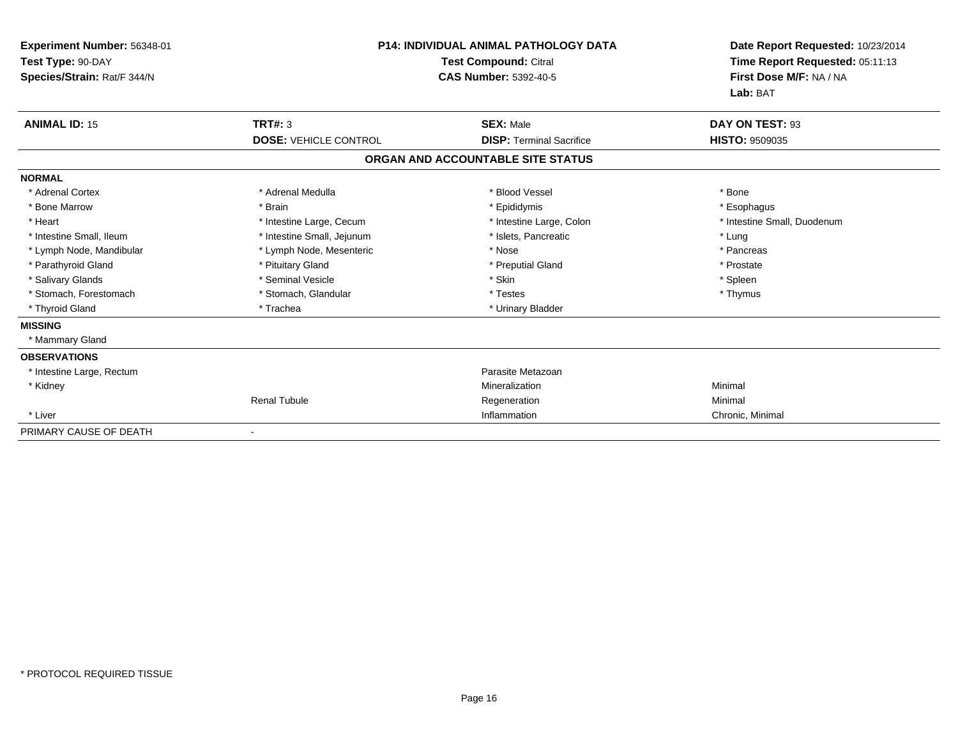| Experiment Number: 56348-01<br>Test Type: 90-DAY<br>Species/Strain: Rat/F 344/N | <b>P14: INDIVIDUAL ANIMAL PATHOLOGY DATA</b><br><b>Test Compound: Citral</b><br><b>CAS Number: 5392-40-5</b> |                                   | Date Report Requested: 10/23/2014<br>Time Report Requested: 05:11:13<br>First Dose M/F: NA / NA<br>Lab: BAT |
|---------------------------------------------------------------------------------|--------------------------------------------------------------------------------------------------------------|-----------------------------------|-------------------------------------------------------------------------------------------------------------|
| <b>ANIMAL ID: 15</b>                                                            | TRT#: 3                                                                                                      | <b>SEX: Male</b>                  | DAY ON TEST: 93                                                                                             |
|                                                                                 | <b>DOSE: VEHICLE CONTROL</b>                                                                                 | <b>DISP: Terminal Sacrifice</b>   | <b>HISTO: 9509035</b>                                                                                       |
|                                                                                 |                                                                                                              | ORGAN AND ACCOUNTABLE SITE STATUS |                                                                                                             |
| <b>NORMAL</b>                                                                   |                                                                                                              |                                   |                                                                                                             |
| * Adrenal Cortex                                                                | * Adrenal Medulla                                                                                            | * Blood Vessel                    | * Bone                                                                                                      |
| * Bone Marrow                                                                   | * Brain                                                                                                      | * Epididymis                      | * Esophagus                                                                                                 |
| * Heart                                                                         | * Intestine Large, Cecum                                                                                     | * Intestine Large, Colon          | * Intestine Small. Duodenum                                                                                 |
| * Intestine Small, Ileum                                                        | * Intestine Small, Jejunum                                                                                   | * Islets, Pancreatic              | * Lung                                                                                                      |
| * Lymph Node, Mandibular                                                        | * Lymph Node, Mesenteric                                                                                     | * Nose                            | * Pancreas                                                                                                  |
| * Parathyroid Gland                                                             | * Pituitary Gland                                                                                            | * Preputial Gland                 | * Prostate                                                                                                  |
| * Salivary Glands                                                               | * Seminal Vesicle                                                                                            | * Skin                            | * Spleen                                                                                                    |
| * Stomach, Forestomach                                                          | * Stomach, Glandular                                                                                         | * Testes                          | * Thymus                                                                                                    |
| * Thyroid Gland                                                                 | * Trachea                                                                                                    | * Urinary Bladder                 |                                                                                                             |
| <b>MISSING</b>                                                                  |                                                                                                              |                                   |                                                                                                             |
| * Mammary Gland                                                                 |                                                                                                              |                                   |                                                                                                             |
| <b>OBSERVATIONS</b>                                                             |                                                                                                              |                                   |                                                                                                             |
| * Intestine Large, Rectum                                                       |                                                                                                              | Parasite Metazoan                 |                                                                                                             |
| * Kidney                                                                        |                                                                                                              | Mineralization                    | Minimal                                                                                                     |
|                                                                                 | <b>Renal Tubule</b>                                                                                          | Regeneration                      | Minimal                                                                                                     |
| * Liver                                                                         |                                                                                                              | Inflammation                      | Chronic, Minimal                                                                                            |
| PRIMARY CAUSE OF DEATH                                                          |                                                                                                              |                                   |                                                                                                             |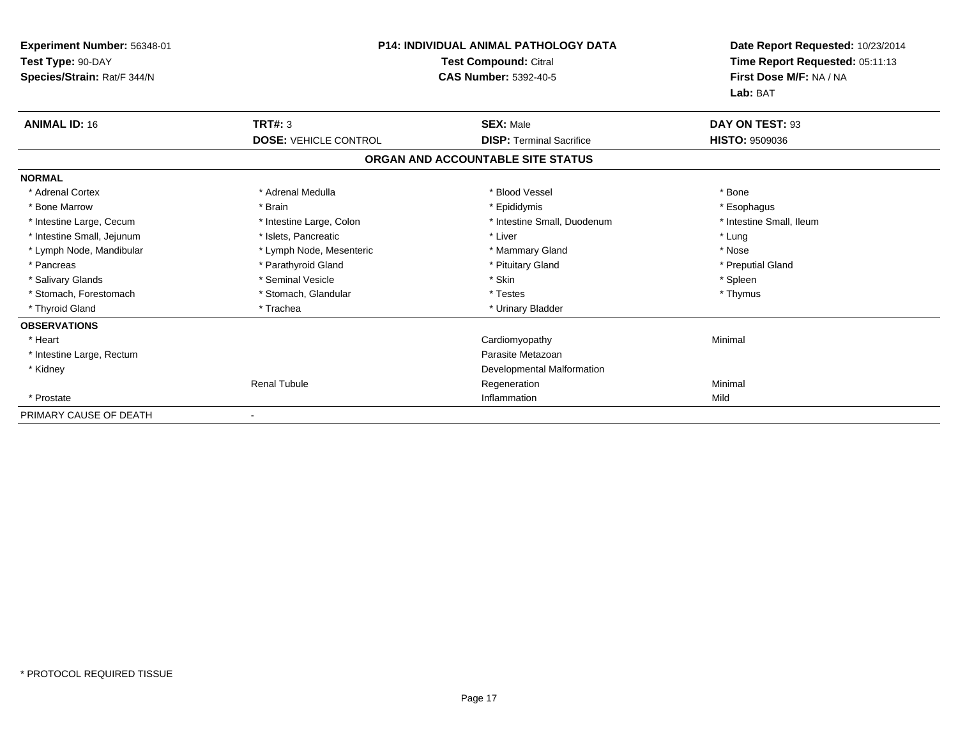| <b>Experiment Number: 56348-01</b><br>Test Type: 90-DAY<br>Species/Strain: Rat/F 344/N | P14: INDIVIDUAL ANIMAL PATHOLOGY DATA<br><b>Test Compound: Citral</b><br><b>CAS Number: 5392-40-5</b> |                                   | Date Report Requested: 10/23/2014<br>Time Report Requested: 05:11:13<br>First Dose M/F: NA / NA<br>Lab: BAT |
|----------------------------------------------------------------------------------------|-------------------------------------------------------------------------------------------------------|-----------------------------------|-------------------------------------------------------------------------------------------------------------|
| <b>ANIMAL ID: 16</b>                                                                   | TRT#: 3                                                                                               | <b>SEX: Male</b>                  | DAY ON TEST: 93                                                                                             |
|                                                                                        | <b>DOSE: VEHICLE CONTROL</b>                                                                          | <b>DISP: Terminal Sacrifice</b>   | <b>HISTO: 9509036</b>                                                                                       |
|                                                                                        |                                                                                                       | ORGAN AND ACCOUNTABLE SITE STATUS |                                                                                                             |
| <b>NORMAL</b>                                                                          |                                                                                                       |                                   |                                                                                                             |
| * Adrenal Cortex                                                                       | * Adrenal Medulla                                                                                     | * Blood Vessel                    | * Bone                                                                                                      |
| * Bone Marrow                                                                          | * Brain                                                                                               | * Epididymis                      | * Esophagus                                                                                                 |
| * Intestine Large, Cecum                                                               | * Intestine Large, Colon                                                                              | * Intestine Small, Duodenum       | * Intestine Small, Ileum                                                                                    |
| * Intestine Small, Jejunum                                                             | * Islets, Pancreatic                                                                                  | * Liver                           | * Lung                                                                                                      |
| * Lymph Node, Mandibular                                                               | * Lymph Node, Mesenteric                                                                              | * Mammary Gland                   | * Nose                                                                                                      |
| * Pancreas                                                                             | * Parathyroid Gland                                                                                   | * Pituitary Gland                 | * Preputial Gland                                                                                           |
| * Salivary Glands                                                                      | * Seminal Vesicle                                                                                     | * Skin                            | * Spleen                                                                                                    |
| * Stomach, Forestomach                                                                 | * Stomach, Glandular                                                                                  | * Testes                          | * Thymus                                                                                                    |
| * Thyroid Gland                                                                        | * Trachea                                                                                             | * Urinary Bladder                 |                                                                                                             |
| <b>OBSERVATIONS</b>                                                                    |                                                                                                       |                                   |                                                                                                             |
| * Heart                                                                                |                                                                                                       | Cardiomyopathy                    | Minimal                                                                                                     |
| * Intestine Large, Rectum                                                              |                                                                                                       | Parasite Metazoan                 |                                                                                                             |
| * Kidney                                                                               |                                                                                                       | Developmental Malformation        |                                                                                                             |
|                                                                                        | <b>Renal Tubule</b>                                                                                   | Regeneration                      | Minimal                                                                                                     |
| * Prostate                                                                             |                                                                                                       | Inflammation                      | Mild                                                                                                        |
| PRIMARY CAUSE OF DEATH                                                                 |                                                                                                       |                                   |                                                                                                             |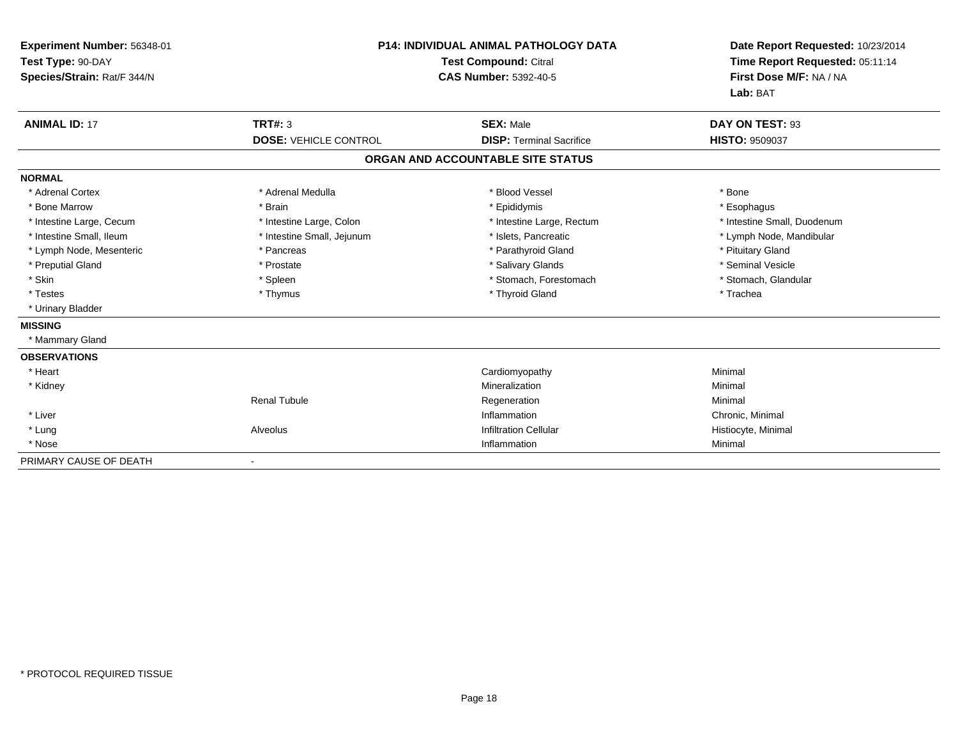| Experiment Number: 56348-01<br>Test Type: 90-DAY<br>Species/Strain: Rat/F 344/N |                              | <b>P14: INDIVIDUAL ANIMAL PATHOLOGY DATA</b><br><b>Test Compound: Citral</b><br><b>CAS Number: 5392-40-5</b> | Date Report Requested: 10/23/2014<br>Time Report Requested: 05:11:14<br>First Dose M/F: NA / NA<br>Lab: BAT |
|---------------------------------------------------------------------------------|------------------------------|--------------------------------------------------------------------------------------------------------------|-------------------------------------------------------------------------------------------------------------|
| <b>ANIMAL ID: 17</b>                                                            | <b>TRT#: 3</b>               | <b>SEX: Male</b>                                                                                             | DAY ON TEST: 93                                                                                             |
|                                                                                 | <b>DOSE: VEHICLE CONTROL</b> | <b>DISP: Terminal Sacrifice</b>                                                                              | <b>HISTO: 9509037</b>                                                                                       |
|                                                                                 |                              | ORGAN AND ACCOUNTABLE SITE STATUS                                                                            |                                                                                                             |
| <b>NORMAL</b>                                                                   |                              |                                                                                                              |                                                                                                             |
| * Adrenal Cortex                                                                | * Adrenal Medulla            | * Blood Vessel                                                                                               | * Bone                                                                                                      |
| * Bone Marrow                                                                   | * Brain                      | * Epididymis                                                                                                 | * Esophagus                                                                                                 |
| * Intestine Large, Cecum                                                        | * Intestine Large, Colon     | * Intestine Large, Rectum                                                                                    | * Intestine Small, Duodenum                                                                                 |
| * Intestine Small, Ileum                                                        | * Intestine Small, Jejunum   | * Islets. Pancreatic                                                                                         | * Lymph Node, Mandibular                                                                                    |
| * Lymph Node, Mesenteric                                                        | * Pancreas                   | * Parathyroid Gland                                                                                          | * Pituitary Gland                                                                                           |
| * Preputial Gland                                                               | * Prostate                   | * Salivary Glands                                                                                            | * Seminal Vesicle                                                                                           |
| * Skin                                                                          | * Spleen                     | * Stomach, Forestomach                                                                                       | * Stomach, Glandular                                                                                        |
| * Testes                                                                        | * Thymus                     | * Thyroid Gland                                                                                              | * Trachea                                                                                                   |
| * Urinary Bladder                                                               |                              |                                                                                                              |                                                                                                             |
| <b>MISSING</b>                                                                  |                              |                                                                                                              |                                                                                                             |
| * Mammary Gland                                                                 |                              |                                                                                                              |                                                                                                             |
| <b>OBSERVATIONS</b>                                                             |                              |                                                                                                              |                                                                                                             |
| * Heart                                                                         |                              | Cardiomyopathy                                                                                               | Minimal                                                                                                     |
| * Kidney                                                                        |                              | Mineralization                                                                                               | Minimal                                                                                                     |
|                                                                                 | <b>Renal Tubule</b>          | Regeneration                                                                                                 | Minimal                                                                                                     |
| * Liver                                                                         |                              | Inflammation                                                                                                 | Chronic, Minimal                                                                                            |
| * Lung                                                                          | Alveolus                     | <b>Infiltration Cellular</b>                                                                                 | Histiocyte, Minimal                                                                                         |
| * Nose                                                                          |                              | Inflammation                                                                                                 | Minimal                                                                                                     |
| PRIMARY CAUSE OF DEATH                                                          |                              |                                                                                                              |                                                                                                             |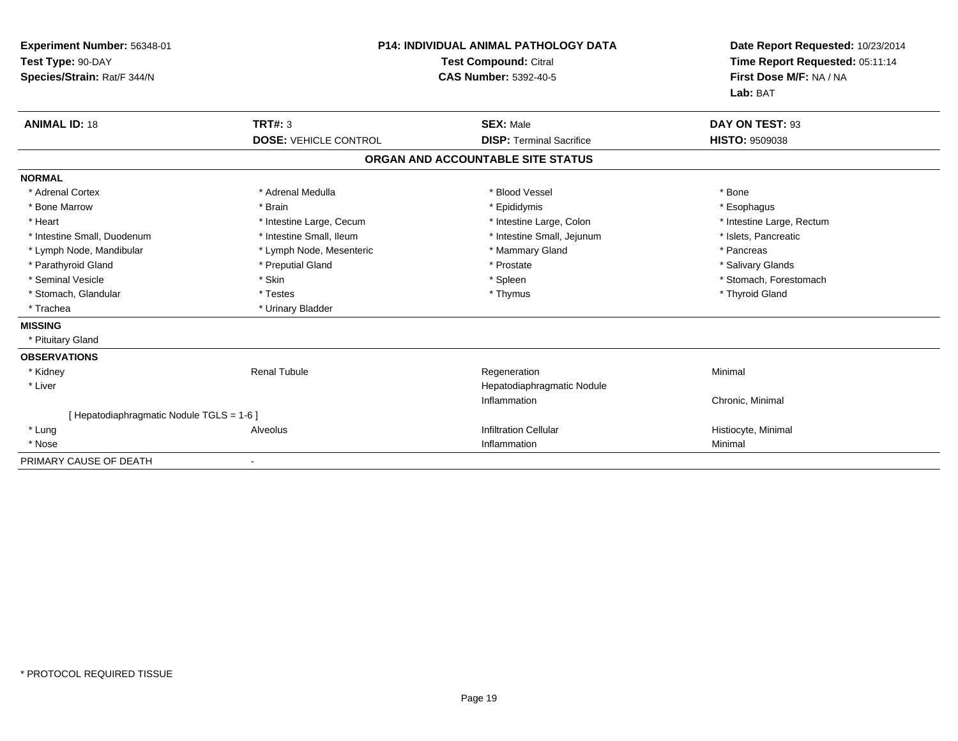| Experiment Number: 56348-01<br>Test Type: 90-DAY<br>Species/Strain: Rat/F 344/N |                              | <b>P14: INDIVIDUAL ANIMAL PATHOLOGY DATA</b><br><b>Test Compound: Citral</b><br><b>CAS Number: 5392-40-5</b> | Date Report Requested: 10/23/2014<br>Time Report Requested: 05:11:14<br>First Dose M/F: NA / NA<br>Lab: BAT |
|---------------------------------------------------------------------------------|------------------------------|--------------------------------------------------------------------------------------------------------------|-------------------------------------------------------------------------------------------------------------|
| <b>ANIMAL ID: 18</b>                                                            | <b>TRT#: 3</b>               | <b>SEX: Male</b>                                                                                             | DAY ON TEST: 93                                                                                             |
|                                                                                 | <b>DOSE: VEHICLE CONTROL</b> | <b>DISP: Terminal Sacrifice</b>                                                                              | <b>HISTO: 9509038</b>                                                                                       |
|                                                                                 |                              | ORGAN AND ACCOUNTABLE SITE STATUS                                                                            |                                                                                                             |
| <b>NORMAL</b>                                                                   |                              |                                                                                                              |                                                                                                             |
| * Adrenal Cortex                                                                | * Adrenal Medulla            | * Blood Vessel                                                                                               | * Bone                                                                                                      |
| * Bone Marrow                                                                   | * Brain                      | * Epididymis                                                                                                 | * Esophagus                                                                                                 |
| * Heart                                                                         | * Intestine Large, Cecum     | * Intestine Large, Colon                                                                                     | * Intestine Large, Rectum                                                                                   |
| * Intestine Small, Duodenum                                                     | * Intestine Small, Ileum     | * Intestine Small, Jejunum                                                                                   | * Islets, Pancreatic                                                                                        |
| * Lymph Node, Mandibular                                                        | * Lymph Node, Mesenteric     | * Mammary Gland                                                                                              | * Pancreas                                                                                                  |
| * Parathyroid Gland                                                             | * Preputial Gland            | * Prostate                                                                                                   | * Salivary Glands                                                                                           |
| * Seminal Vesicle                                                               | * Skin                       | * Spleen                                                                                                     | * Stomach, Forestomach                                                                                      |
| * Stomach, Glandular                                                            | * Testes                     | * Thymus                                                                                                     | * Thyroid Gland                                                                                             |
| * Trachea                                                                       | * Urinary Bladder            |                                                                                                              |                                                                                                             |
| <b>MISSING</b>                                                                  |                              |                                                                                                              |                                                                                                             |
| * Pituitary Gland                                                               |                              |                                                                                                              |                                                                                                             |
| <b>OBSERVATIONS</b>                                                             |                              |                                                                                                              |                                                                                                             |
| * Kidney                                                                        | <b>Renal Tubule</b>          | Regeneration                                                                                                 | Minimal                                                                                                     |
| * Liver                                                                         |                              | Hepatodiaphragmatic Nodule                                                                                   |                                                                                                             |
|                                                                                 |                              | Inflammation                                                                                                 | Chronic, Minimal                                                                                            |
| [ Hepatodiaphragmatic Nodule TGLS = 1-6 ]                                       |                              |                                                                                                              |                                                                                                             |
| * Lung                                                                          | Alveolus                     | <b>Infiltration Cellular</b>                                                                                 | Histiocyte, Minimal                                                                                         |
| * Nose                                                                          |                              | Inflammation                                                                                                 | Minimal                                                                                                     |
| PRIMARY CAUSE OF DEATH                                                          |                              |                                                                                                              |                                                                                                             |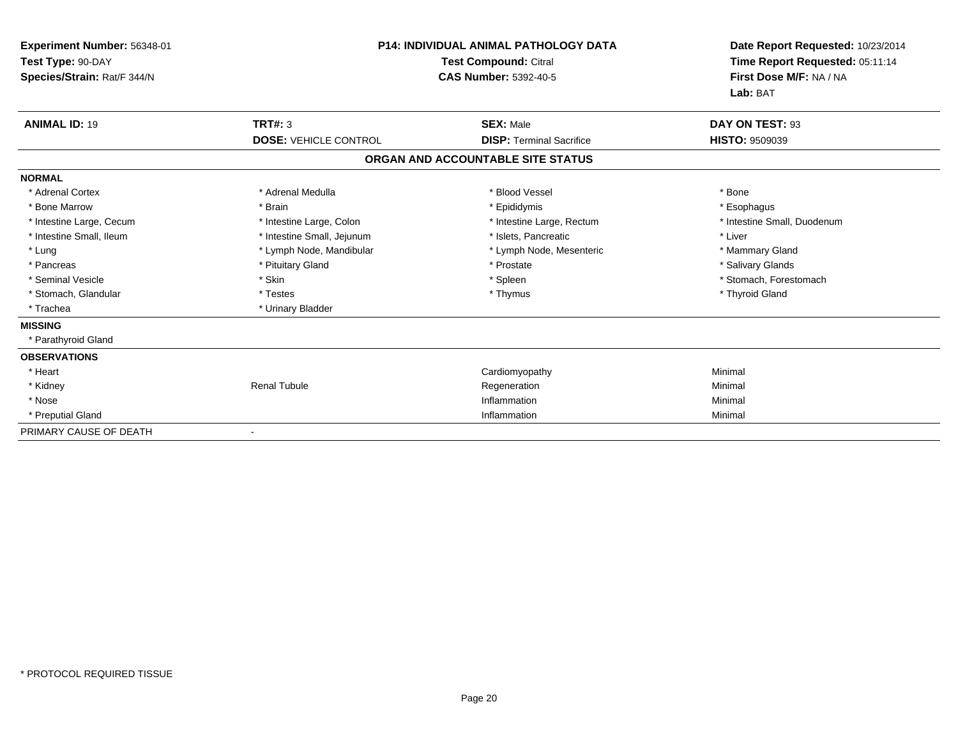| <b>Experiment Number: 56348-01</b><br>Test Type: 90-DAY<br>Species/Strain: Rat/F 344/N | <b>P14: INDIVIDUAL ANIMAL PATHOLOGY DATA</b><br><b>Test Compound: Citral</b><br><b>CAS Number: 5392-40-5</b> |                                   | Date Report Requested: 10/23/2014<br>Time Report Requested: 05:11:14<br>First Dose M/F: NA / NA<br>Lab: BAT |
|----------------------------------------------------------------------------------------|--------------------------------------------------------------------------------------------------------------|-----------------------------------|-------------------------------------------------------------------------------------------------------------|
| <b>ANIMAL ID: 19</b>                                                                   | TRT#: 3                                                                                                      | <b>SEX: Male</b>                  | DAY ON TEST: 93                                                                                             |
|                                                                                        | <b>DOSE: VEHICLE CONTROL</b>                                                                                 | <b>DISP: Terminal Sacrifice</b>   | <b>HISTO: 9509039</b>                                                                                       |
|                                                                                        |                                                                                                              | ORGAN AND ACCOUNTABLE SITE STATUS |                                                                                                             |
| <b>NORMAL</b>                                                                          |                                                                                                              |                                   |                                                                                                             |
| * Adrenal Cortex                                                                       | * Adrenal Medulla                                                                                            | * Blood Vessel                    | * Bone                                                                                                      |
| * Bone Marrow                                                                          | * Brain                                                                                                      | * Epididymis                      | * Esophagus                                                                                                 |
| * Intestine Large, Cecum                                                               | * Intestine Large, Colon                                                                                     | * Intestine Large, Rectum         | * Intestine Small, Duodenum                                                                                 |
| * Intestine Small, Ileum                                                               | * Intestine Small, Jejunum                                                                                   | * Islets, Pancreatic              | * Liver                                                                                                     |
| * Lung                                                                                 | * Lymph Node, Mandibular                                                                                     | * Lymph Node, Mesenteric          | * Mammary Gland                                                                                             |
| * Pancreas                                                                             | * Pituitary Gland                                                                                            | * Prostate                        | * Salivary Glands                                                                                           |
| * Seminal Vesicle                                                                      | * Skin                                                                                                       | * Spleen                          | * Stomach, Forestomach                                                                                      |
| * Stomach, Glandular                                                                   | * Testes                                                                                                     | * Thymus                          | * Thyroid Gland                                                                                             |
| * Trachea                                                                              | * Urinary Bladder                                                                                            |                                   |                                                                                                             |
| <b>MISSING</b>                                                                         |                                                                                                              |                                   |                                                                                                             |
| * Parathyroid Gland                                                                    |                                                                                                              |                                   |                                                                                                             |
| <b>OBSERVATIONS</b>                                                                    |                                                                                                              |                                   |                                                                                                             |
| * Heart                                                                                |                                                                                                              | Cardiomyopathy                    | Minimal                                                                                                     |
| * Kidney                                                                               | <b>Renal Tubule</b>                                                                                          | Regeneration                      | Minimal                                                                                                     |
| * Nose                                                                                 |                                                                                                              | Inflammation                      | Minimal                                                                                                     |
| * Preputial Gland                                                                      |                                                                                                              | Inflammation                      | Minimal                                                                                                     |
| PRIMARY CAUSE OF DEATH                                                                 |                                                                                                              |                                   |                                                                                                             |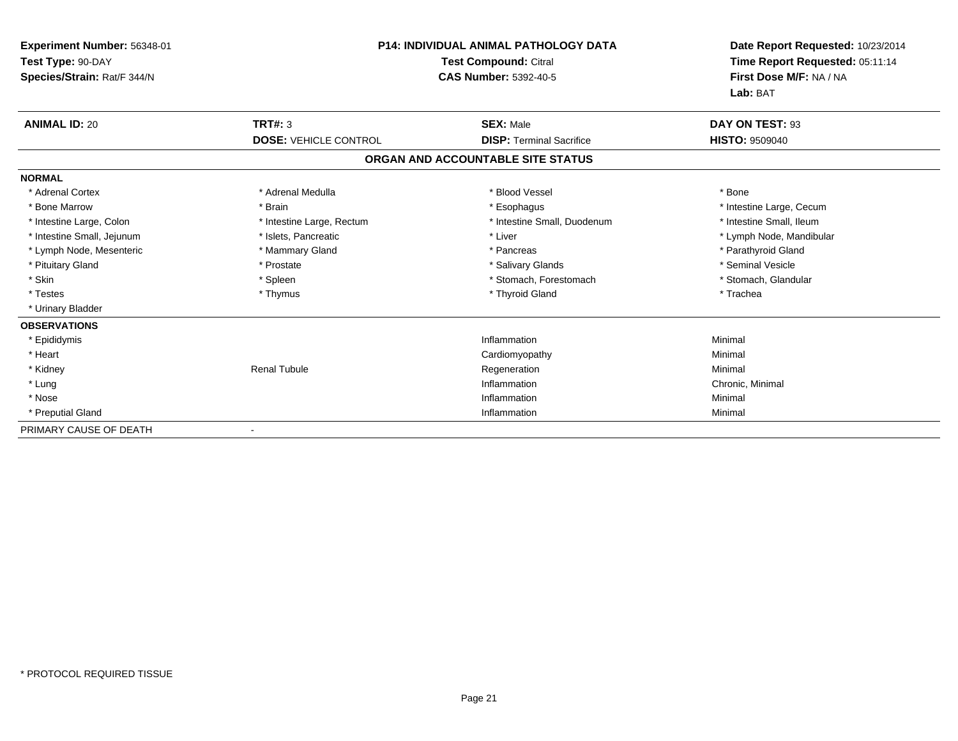| Experiment Number: 56348-01<br>Test Type: 90-DAY<br>Species/Strain: Rat/F 344/N | <b>P14: INDIVIDUAL ANIMAL PATHOLOGY DATA</b><br><b>Test Compound: Citral</b><br><b>CAS Number: 5392-40-5</b> |                                   | Date Report Requested: 10/23/2014<br>Time Report Requested: 05:11:14<br>First Dose M/F: NA / NA<br>Lab: BAT |
|---------------------------------------------------------------------------------|--------------------------------------------------------------------------------------------------------------|-----------------------------------|-------------------------------------------------------------------------------------------------------------|
| <b>ANIMAL ID: 20</b>                                                            | <b>TRT#: 3</b>                                                                                               | <b>SEX: Male</b>                  | DAY ON TEST: 93                                                                                             |
|                                                                                 | <b>DOSE: VEHICLE CONTROL</b>                                                                                 | <b>DISP: Terminal Sacrifice</b>   | <b>HISTO: 9509040</b>                                                                                       |
|                                                                                 |                                                                                                              | ORGAN AND ACCOUNTABLE SITE STATUS |                                                                                                             |
| <b>NORMAL</b>                                                                   |                                                                                                              |                                   |                                                                                                             |
| * Adrenal Cortex                                                                | * Adrenal Medulla                                                                                            | * Blood Vessel                    | * Bone                                                                                                      |
| * Bone Marrow                                                                   | * Brain                                                                                                      | * Esophagus                       | * Intestine Large, Cecum                                                                                    |
| * Intestine Large, Colon                                                        | * Intestine Large, Rectum                                                                                    | * Intestine Small, Duodenum       | * Intestine Small, Ileum                                                                                    |
| * Intestine Small, Jejunum                                                      | * Islets, Pancreatic                                                                                         | * Liver                           | * Lymph Node, Mandibular                                                                                    |
| * Lymph Node, Mesenteric                                                        | * Mammary Gland                                                                                              | * Pancreas                        | * Parathyroid Gland                                                                                         |
| * Pituitary Gland                                                               | * Prostate                                                                                                   | * Salivary Glands                 | * Seminal Vesicle                                                                                           |
| * Skin                                                                          | * Spleen                                                                                                     | * Stomach, Forestomach            | * Stomach, Glandular                                                                                        |
| * Testes                                                                        | * Thymus                                                                                                     | * Thyroid Gland                   | * Trachea                                                                                                   |
| * Urinary Bladder                                                               |                                                                                                              |                                   |                                                                                                             |
| <b>OBSERVATIONS</b>                                                             |                                                                                                              |                                   |                                                                                                             |
| * Epididymis                                                                    |                                                                                                              | Inflammation                      | Minimal                                                                                                     |
| * Heart                                                                         |                                                                                                              | Cardiomyopathy                    | Minimal                                                                                                     |
| * Kidney                                                                        | <b>Renal Tubule</b>                                                                                          | Regeneration                      | Minimal                                                                                                     |
| * Lung                                                                          |                                                                                                              | Inflammation                      | Chronic, Minimal                                                                                            |
| * Nose                                                                          |                                                                                                              | Inflammation                      | Minimal                                                                                                     |
| * Preputial Gland                                                               |                                                                                                              | Inflammation                      | Minimal                                                                                                     |
| PRIMARY CAUSE OF DEATH                                                          |                                                                                                              |                                   |                                                                                                             |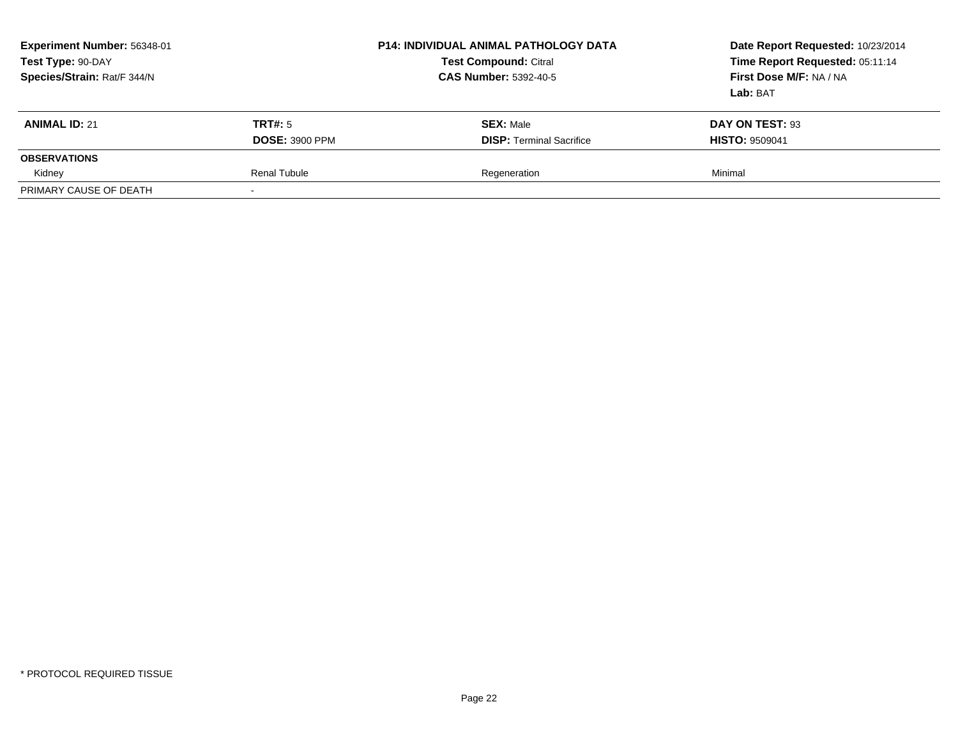| Experiment Number: 56348-01<br>Test Type: 90-DAY<br>Species/Strain: Rat/F 344/N |                       | <b>P14: INDIVIDUAL ANIMAL PATHOLOGY DATA</b><br><b>Test Compound: Citral</b><br><b>CAS Number: 5392-40-5</b> | Date Report Requested: 10/23/2014<br>Time Report Requested: 05:11:14<br>First Dose M/F: NA / NA<br>Lab: BAT |
|---------------------------------------------------------------------------------|-----------------------|--------------------------------------------------------------------------------------------------------------|-------------------------------------------------------------------------------------------------------------|
| <b>ANIMAL ID: 21</b>                                                            | TRT#: 5               | <b>SEX: Male</b>                                                                                             | DAY ON TEST: 93                                                                                             |
|                                                                                 | <b>DOSE: 3900 PPM</b> | <b>DISP: Terminal Sacrifice</b>                                                                              | <b>HISTO: 9509041</b>                                                                                       |
| <b>OBSERVATIONS</b>                                                             |                       |                                                                                                              |                                                                                                             |
| Kidney                                                                          | <b>Renal Tubule</b>   | Regeneration                                                                                                 | Minimal                                                                                                     |
| PRIMARY CAUSE OF DEATH                                                          |                       |                                                                                                              |                                                                                                             |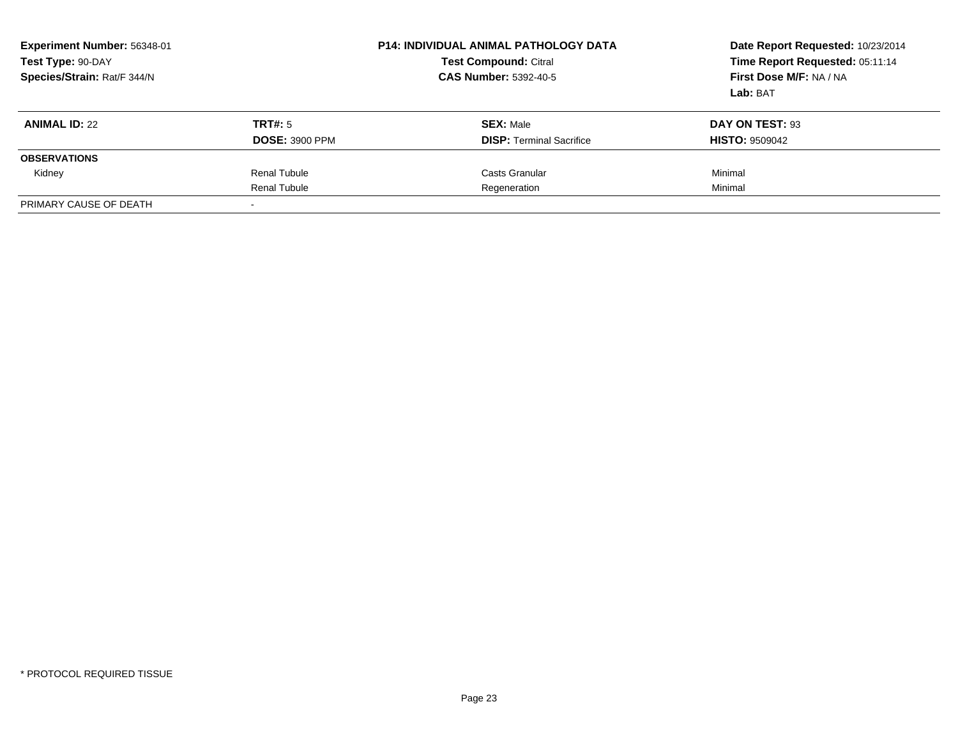| Experiment Number: 56348-01<br>Test Type: 90-DAY<br>Species/Strain: Rat/F 344/N | <b>P14: INDIVIDUAL ANIMAL PATHOLOGY DATA</b><br><b>Test Compound: Citral</b><br><b>CAS Number: 5392-40-5</b> |                                 | Date Report Requested: 10/23/2014<br>Time Report Requested: 05:11:14<br>First Dose M/F: NA / NA<br>Lab: BAT |
|---------------------------------------------------------------------------------|--------------------------------------------------------------------------------------------------------------|---------------------------------|-------------------------------------------------------------------------------------------------------------|
| <b>ANIMAL ID: 22</b>                                                            | TRT#: 5                                                                                                      | <b>SEX: Male</b>                | DAY ON TEST: 93                                                                                             |
|                                                                                 | <b>DOSE: 3900 PPM</b>                                                                                        | <b>DISP:</b> Terminal Sacrifice | <b>HISTO: 9509042</b>                                                                                       |
| <b>OBSERVATIONS</b>                                                             |                                                                                                              |                                 |                                                                                                             |
| Kidney                                                                          | <b>Renal Tubule</b>                                                                                          | Casts Granular                  | Minimal                                                                                                     |
|                                                                                 | Renal Tubule                                                                                                 | Regeneration                    | Minimal                                                                                                     |
| PRIMARY CAUSE OF DEATH                                                          |                                                                                                              |                                 |                                                                                                             |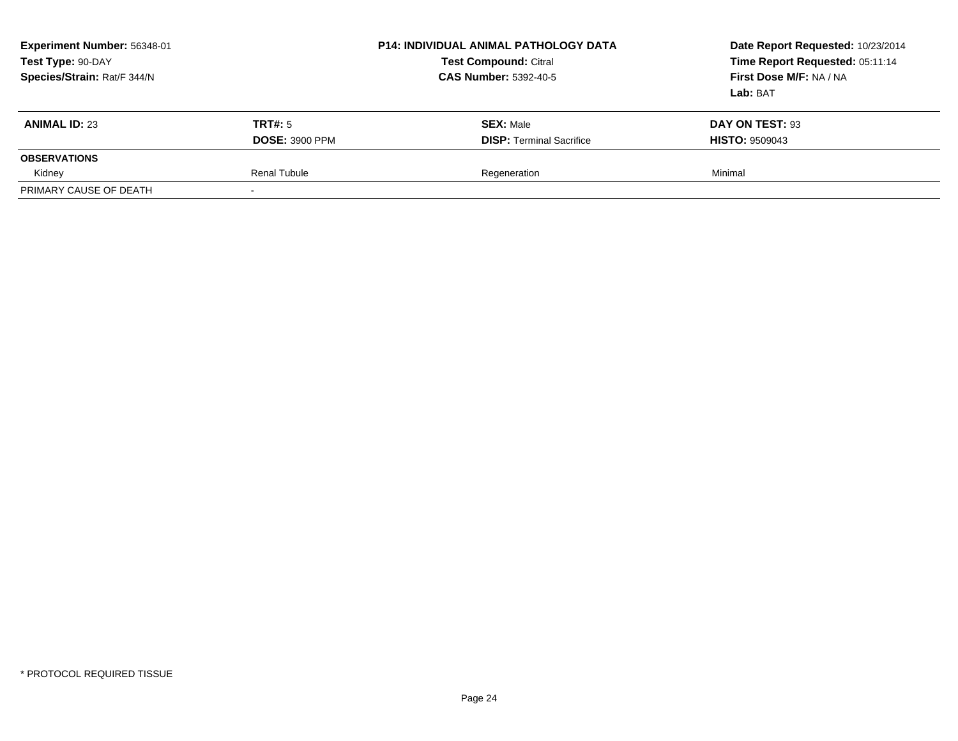| Experiment Number: 56348-01<br>Test Type: 90-DAY<br>Species/Strain: Rat/F 344/N |                       | <b>P14: INDIVIDUAL ANIMAL PATHOLOGY DATA</b><br><b>Test Compound: Citral</b><br><b>CAS Number: 5392-40-5</b> | Date Report Requested: 10/23/2014<br>Time Report Requested: 05:11:14<br>First Dose M/F: NA / NA<br>Lab: BAT |
|---------------------------------------------------------------------------------|-----------------------|--------------------------------------------------------------------------------------------------------------|-------------------------------------------------------------------------------------------------------------|
| <b>ANIMAL ID: 23</b>                                                            | TRT#: 5               | <b>SEX: Male</b>                                                                                             | DAY ON TEST: 93                                                                                             |
|                                                                                 | <b>DOSE: 3900 PPM</b> | <b>DISP: Terminal Sacrifice</b>                                                                              | <b>HISTO: 9509043</b>                                                                                       |
| <b>OBSERVATIONS</b>                                                             |                       |                                                                                                              |                                                                                                             |
| Kidney                                                                          | <b>Renal Tubule</b>   | Regeneration                                                                                                 | Minimal                                                                                                     |
| PRIMARY CAUSE OF DEATH                                                          |                       |                                                                                                              |                                                                                                             |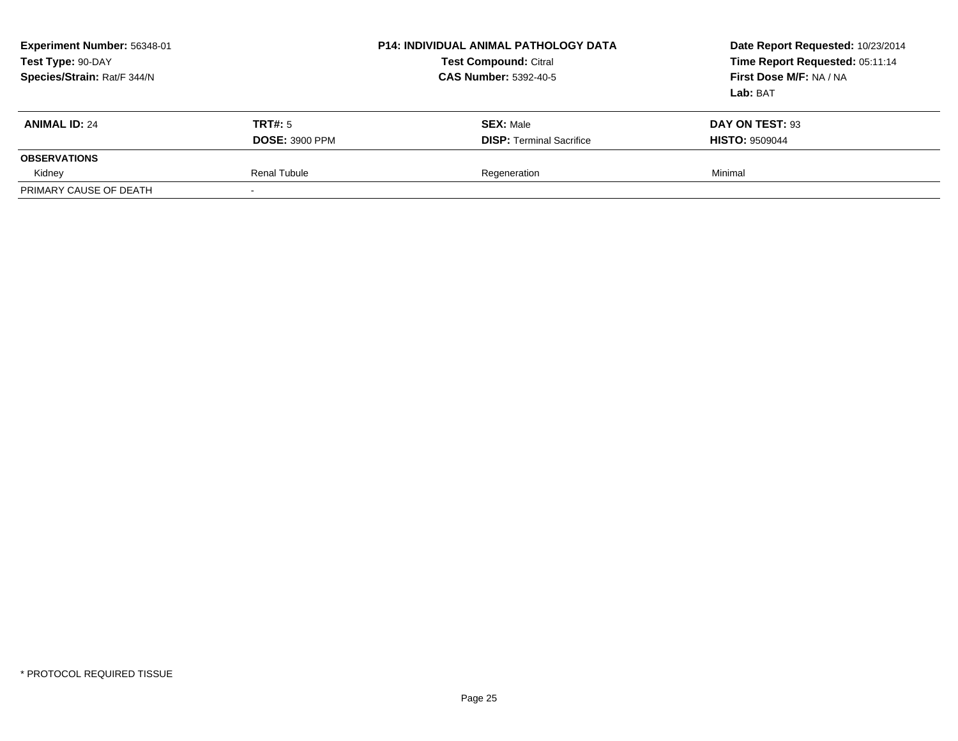| Experiment Number: 56348-01<br>Test Type: 90-DAY<br>Species/Strain: Rat/F 344/N |                       | <b>P14: INDIVIDUAL ANIMAL PATHOLOGY DATA</b><br><b>Test Compound: Citral</b><br><b>CAS Number: 5392-40-5</b> | Date Report Requested: 10/23/2014<br>Time Report Requested: 05:11:14<br>First Dose M/F: NA / NA<br>Lab: BAT |
|---------------------------------------------------------------------------------|-----------------------|--------------------------------------------------------------------------------------------------------------|-------------------------------------------------------------------------------------------------------------|
| <b>ANIMAL ID: 24</b>                                                            | TRT#: 5               | <b>SEX: Male</b>                                                                                             | DAY ON TEST: 93                                                                                             |
|                                                                                 | <b>DOSE: 3900 PPM</b> | <b>DISP: Terminal Sacrifice</b>                                                                              | <b>HISTO: 9509044</b>                                                                                       |
| <b>OBSERVATIONS</b>                                                             |                       |                                                                                                              |                                                                                                             |
| Kidney                                                                          | <b>Renal Tubule</b>   | Regeneration                                                                                                 | Minimal                                                                                                     |
| PRIMARY CAUSE OF DEATH                                                          |                       |                                                                                                              |                                                                                                             |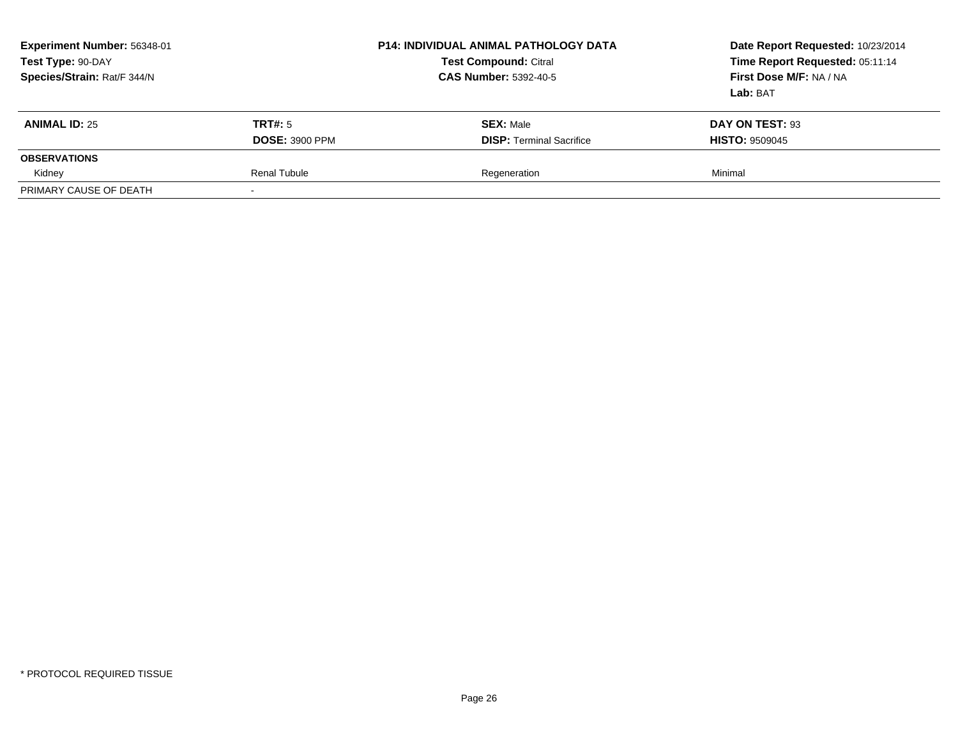| Experiment Number: 56348-01<br>Test Type: 90-DAY<br>Species/Strain: Rat/F 344/N |                       | <b>P14: INDIVIDUAL ANIMAL PATHOLOGY DATA</b><br><b>Test Compound: Citral</b><br><b>CAS Number: 5392-40-5</b> | Date Report Requested: 10/23/2014<br>Time Report Requested: 05:11:14<br>First Dose M/F: NA / NA<br>Lab: BAT |
|---------------------------------------------------------------------------------|-----------------------|--------------------------------------------------------------------------------------------------------------|-------------------------------------------------------------------------------------------------------------|
| <b>ANIMAL ID: 25</b>                                                            | TRT#: 5               | <b>SEX: Male</b>                                                                                             | DAY ON TEST: 93                                                                                             |
|                                                                                 | <b>DOSE: 3900 PPM</b> | <b>DISP: Terminal Sacrifice</b>                                                                              | <b>HISTO: 9509045</b>                                                                                       |
| <b>OBSERVATIONS</b>                                                             |                       |                                                                                                              |                                                                                                             |
| Kidney                                                                          | <b>Renal Tubule</b>   | Regeneration                                                                                                 | Minimal                                                                                                     |
| PRIMARY CAUSE OF DEATH                                                          |                       |                                                                                                              |                                                                                                             |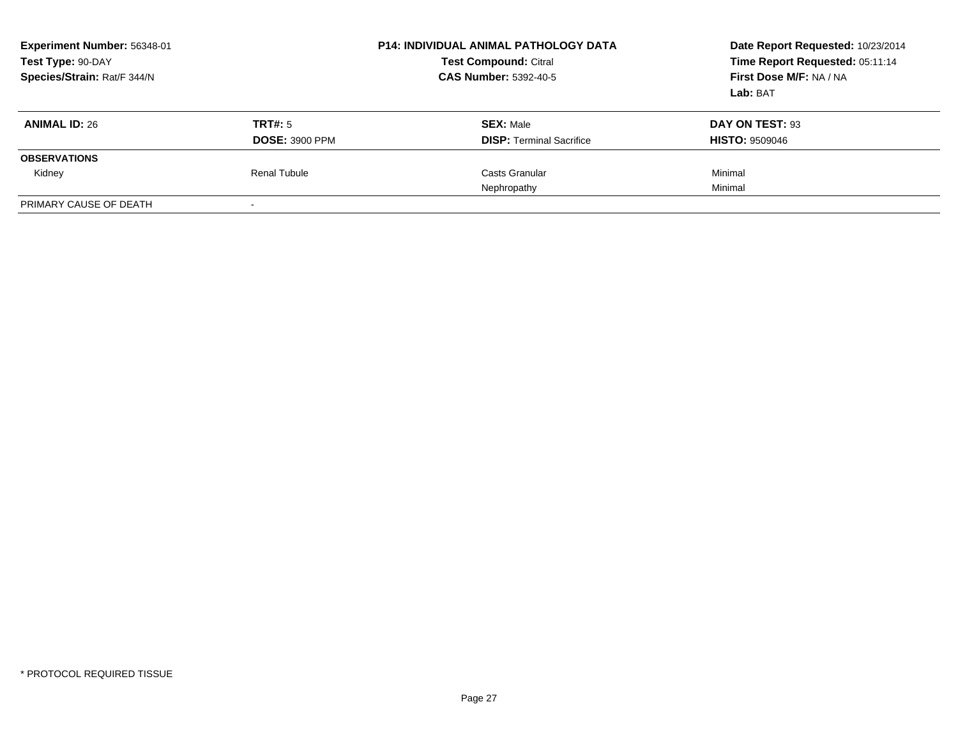| Experiment Number: 56348-01<br>Test Type: 90-DAY<br>Species/Strain: Rat/F 344/N |                          | <b>P14: INDIVIDUAL ANIMAL PATHOLOGY DATA</b><br><b>Test Compound: Citral</b><br><b>CAS Number: 5392-40-5</b> | Date Report Requested: 10/23/2014<br>Time Report Requested: 05:11:14<br>First Dose M/F: NA / NA<br>Lab: BAT |
|---------------------------------------------------------------------------------|--------------------------|--------------------------------------------------------------------------------------------------------------|-------------------------------------------------------------------------------------------------------------|
| <b>ANIMAL ID: 26</b>                                                            | TRT#: 5                  | <b>SEX: Male</b>                                                                                             | DAY ON TEST: 93                                                                                             |
|                                                                                 | <b>DOSE: 3900 PPM</b>    | <b>DISP: Terminal Sacrifice</b>                                                                              | <b>HISTO: 9509046</b>                                                                                       |
| <b>OBSERVATIONS</b>                                                             |                          |                                                                                                              |                                                                                                             |
| Kidney                                                                          | Renal Tubule             | Casts Granular                                                                                               | Minimal                                                                                                     |
|                                                                                 |                          | Nephropathy                                                                                                  | Minimal                                                                                                     |
| PRIMARY CAUSE OF DEATH                                                          | $\overline{\phantom{0}}$ |                                                                                                              |                                                                                                             |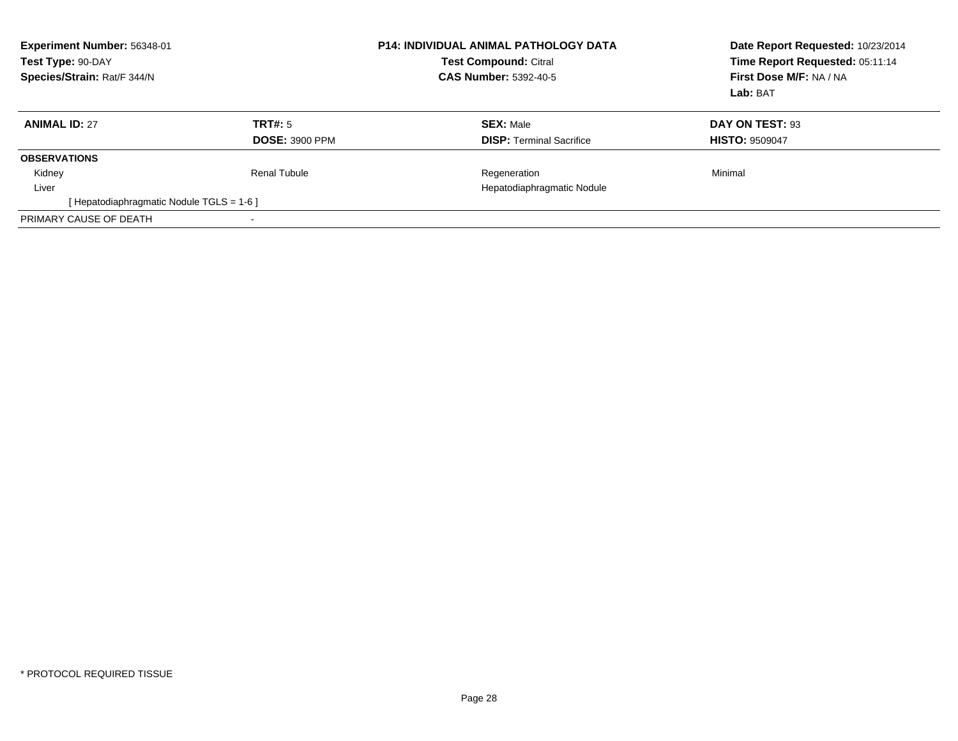| Experiment Number: 56348-01<br>Test Type: 90-DAY<br>Species/Strain: Rat/F 344/N |                       | <b>P14: INDIVIDUAL ANIMAL PATHOLOGY DATA</b><br><b>Test Compound: Citral</b><br><b>CAS Number: 5392-40-5</b> | Date Report Requested: 10/23/2014<br>Time Report Requested: 05:11:14<br>First Dose M/F: NA / NA<br>Lab: BAT |
|---------------------------------------------------------------------------------|-----------------------|--------------------------------------------------------------------------------------------------------------|-------------------------------------------------------------------------------------------------------------|
| <b>ANIMAL ID: 27</b>                                                            | TRT#: 5               | <b>SEX: Male</b>                                                                                             | DAY ON TEST: 93                                                                                             |
|                                                                                 | <b>DOSE: 3900 PPM</b> | <b>DISP: Terminal Sacrifice</b>                                                                              | <b>HISTO: 9509047</b>                                                                                       |
| <b>OBSERVATIONS</b>                                                             |                       |                                                                                                              |                                                                                                             |
| Kidney                                                                          | Renal Tubule          | Regeneration                                                                                                 | Minimal                                                                                                     |
| Liver                                                                           |                       | Hepatodiaphragmatic Nodule                                                                                   |                                                                                                             |
| [Hepatodiaphragmatic Nodule TGLS = 1-6]                                         |                       |                                                                                                              |                                                                                                             |
| PRIMARY CAUSE OF DEATH                                                          |                       |                                                                                                              |                                                                                                             |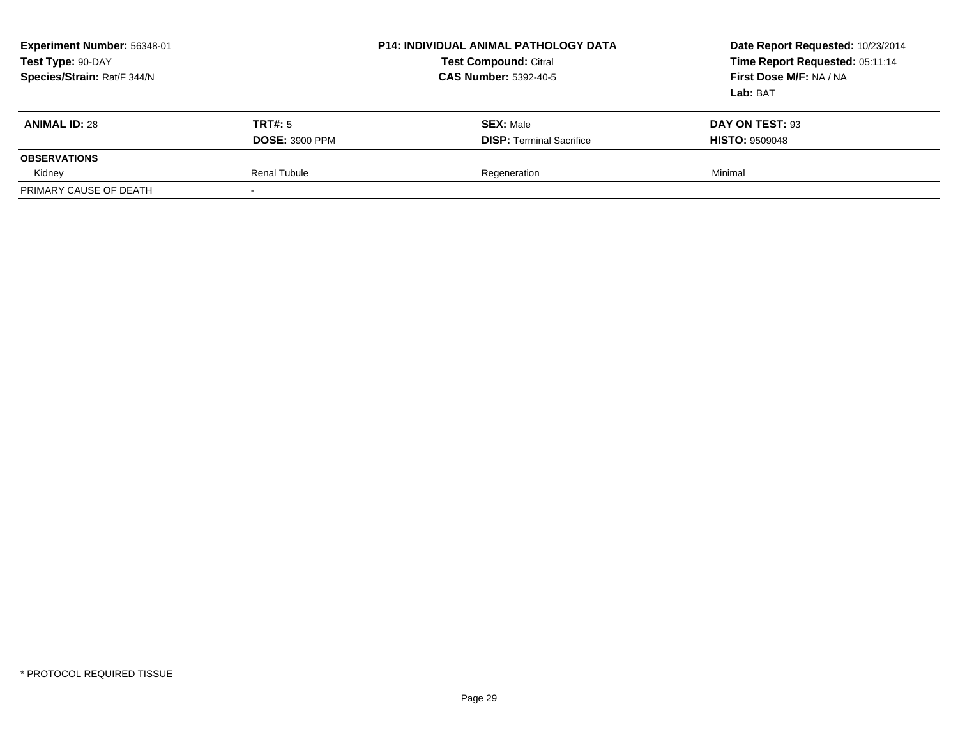| Experiment Number: 56348-01<br>Test Type: 90-DAY<br>Species/Strain: Rat/F 344/N |                       | <b>P14: INDIVIDUAL ANIMAL PATHOLOGY DATA</b><br><b>Test Compound: Citral</b><br><b>CAS Number: 5392-40-5</b> | Date Report Requested: 10/23/2014<br>Time Report Requested: 05:11:14<br>First Dose M/F: NA / NA<br>Lab: BAT |
|---------------------------------------------------------------------------------|-----------------------|--------------------------------------------------------------------------------------------------------------|-------------------------------------------------------------------------------------------------------------|
| <b>ANIMAL ID: 28</b>                                                            | TRT#: 5               | <b>SEX: Male</b>                                                                                             | DAY ON TEST: 93                                                                                             |
|                                                                                 | <b>DOSE: 3900 PPM</b> | <b>DISP: Terminal Sacrifice</b>                                                                              | <b>HISTO: 9509048</b>                                                                                       |
| <b>OBSERVATIONS</b>                                                             |                       |                                                                                                              |                                                                                                             |
| Kidney                                                                          | <b>Renal Tubule</b>   | Regeneration                                                                                                 | Minimal                                                                                                     |
| PRIMARY CAUSE OF DEATH                                                          |                       |                                                                                                              |                                                                                                             |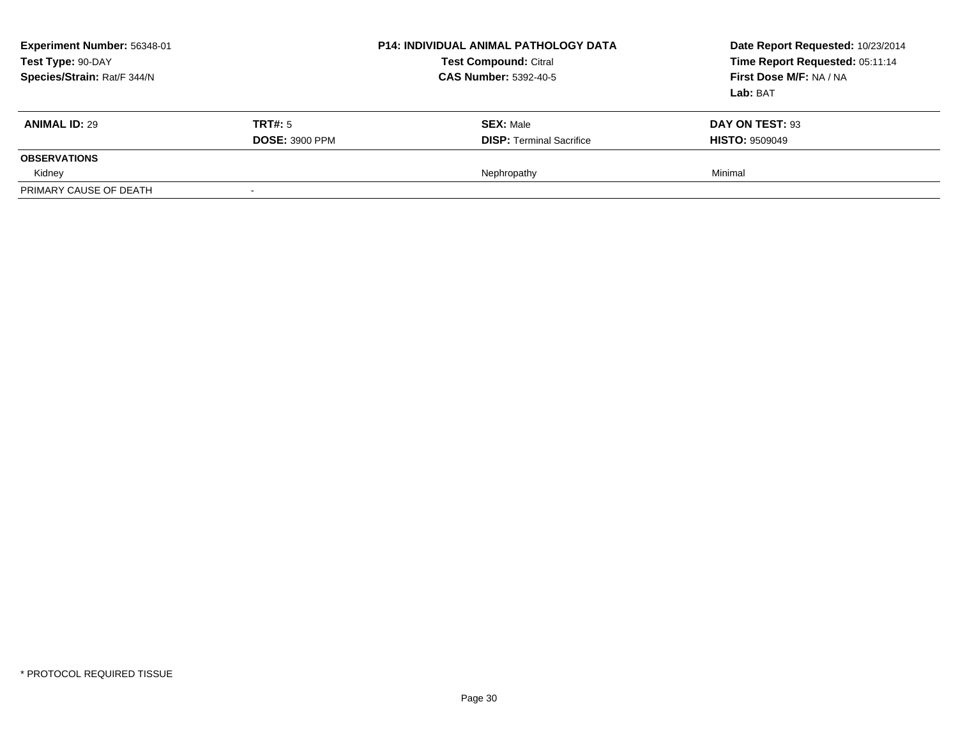| Experiment Number: 56348-01<br>Test Type: 90-DAY<br>Species/Strain: Rat/F 344/N |                       | <b>P14: INDIVIDUAL ANIMAL PATHOLOGY DATA</b><br><b>Test Compound: Citral</b><br><b>CAS Number: 5392-40-5</b> | Date Report Requested: 10/23/2014<br>Time Report Requested: 05:11:14<br>First Dose M/F: NA / NA<br>Lab: BAT |
|---------------------------------------------------------------------------------|-----------------------|--------------------------------------------------------------------------------------------------------------|-------------------------------------------------------------------------------------------------------------|
| <b>ANIMAL ID: 29</b>                                                            | TRT#: 5               | <b>SEX: Male</b>                                                                                             | DAY ON TEST: 93                                                                                             |
|                                                                                 | <b>DOSE: 3900 PPM</b> | <b>DISP:</b> Terminal Sacrifice                                                                              | <b>HISTO: 9509049</b>                                                                                       |
| <b>OBSERVATIONS</b>                                                             |                       |                                                                                                              |                                                                                                             |
| Kidney                                                                          |                       | Nephropathy                                                                                                  | Minimal                                                                                                     |
| PRIMARY CAUSE OF DEATH                                                          |                       |                                                                                                              |                                                                                                             |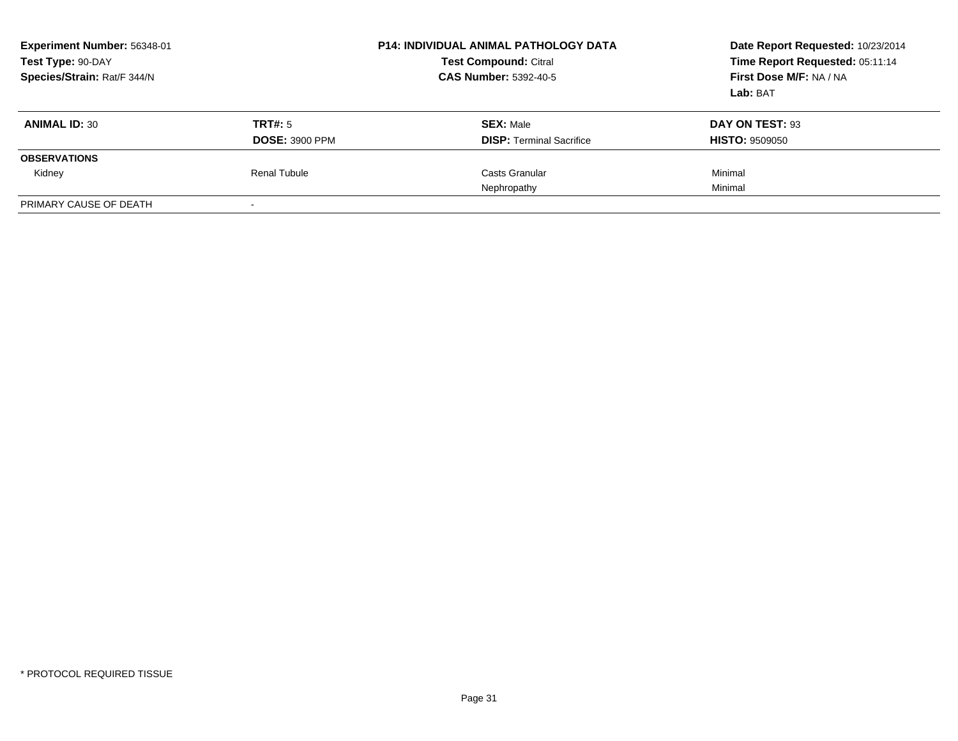| Experiment Number: 56348-01<br>Test Type: 90-DAY<br>Species/Strain: Rat/F 344/N |                          | <b>P14: INDIVIDUAL ANIMAL PATHOLOGY DATA</b><br><b>Test Compound: Citral</b><br><b>CAS Number: 5392-40-5</b> | Date Report Requested: 10/23/2014<br>Time Report Requested: 05:11:14<br>First Dose M/F: NA / NA<br>Lab: BAT |
|---------------------------------------------------------------------------------|--------------------------|--------------------------------------------------------------------------------------------------------------|-------------------------------------------------------------------------------------------------------------|
| <b>ANIMAL ID: 30</b>                                                            | TRT#: 5                  | <b>SEX: Male</b>                                                                                             | DAY ON TEST: 93                                                                                             |
|                                                                                 | <b>DOSE: 3900 PPM</b>    | <b>DISP:</b> Terminal Sacrifice                                                                              | <b>HISTO: 9509050</b>                                                                                       |
| <b>OBSERVATIONS</b>                                                             |                          |                                                                                                              |                                                                                                             |
| Kidney                                                                          | Renal Tubule             | Casts Granular                                                                                               | Minimal                                                                                                     |
|                                                                                 |                          | Nephropathy                                                                                                  | Minimal                                                                                                     |
| PRIMARY CAUSE OF DEATH                                                          | $\overline{\phantom{0}}$ |                                                                                                              |                                                                                                             |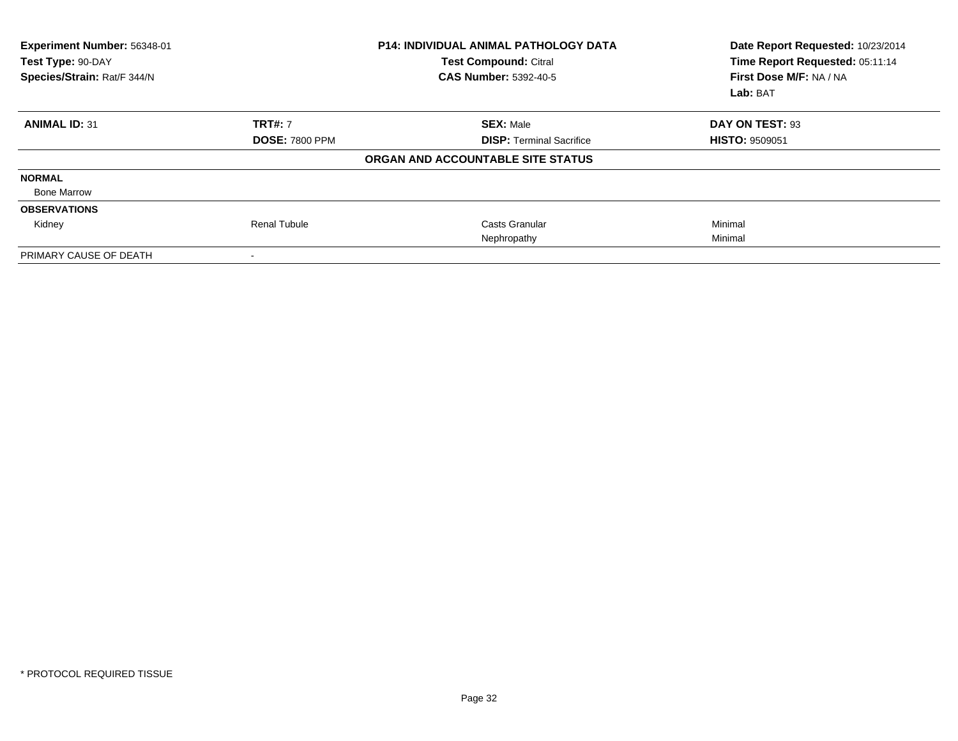| Experiment Number: 56348-01<br>Test Type: 90-DAY<br>Species/Strain: Rat/F 344/N |                       | <b>P14: INDIVIDUAL ANIMAL PATHOLOGY DATA</b><br><b>Test Compound: Citral</b><br><b>CAS Number: 5392-40-5</b> | Date Report Requested: 10/23/2014<br>Time Report Requested: 05:11:14<br>First Dose M/F: NA / NA<br>Lab: BAT |
|---------------------------------------------------------------------------------|-----------------------|--------------------------------------------------------------------------------------------------------------|-------------------------------------------------------------------------------------------------------------|
| <b>ANIMAL ID: 31</b>                                                            | <b>TRT#: 7</b>        | <b>SEX: Male</b>                                                                                             | DAY ON TEST: 93                                                                                             |
|                                                                                 | <b>DOSE: 7800 PPM</b> | <b>DISP: Terminal Sacrifice</b>                                                                              | <b>HISTO: 9509051</b>                                                                                       |
|                                                                                 |                       | ORGAN AND ACCOUNTABLE SITE STATUS                                                                            |                                                                                                             |
| <b>NORMAL</b>                                                                   |                       |                                                                                                              |                                                                                                             |
| <b>Bone Marrow</b>                                                              |                       |                                                                                                              |                                                                                                             |
| <b>OBSERVATIONS</b>                                                             |                       |                                                                                                              |                                                                                                             |
| Kidney                                                                          | Renal Tubule          | <b>Casts Granular</b>                                                                                        | Minimal                                                                                                     |
|                                                                                 |                       | Nephropathy                                                                                                  | Minimal                                                                                                     |
| PRIMARY CAUSE OF DEATH                                                          |                       |                                                                                                              |                                                                                                             |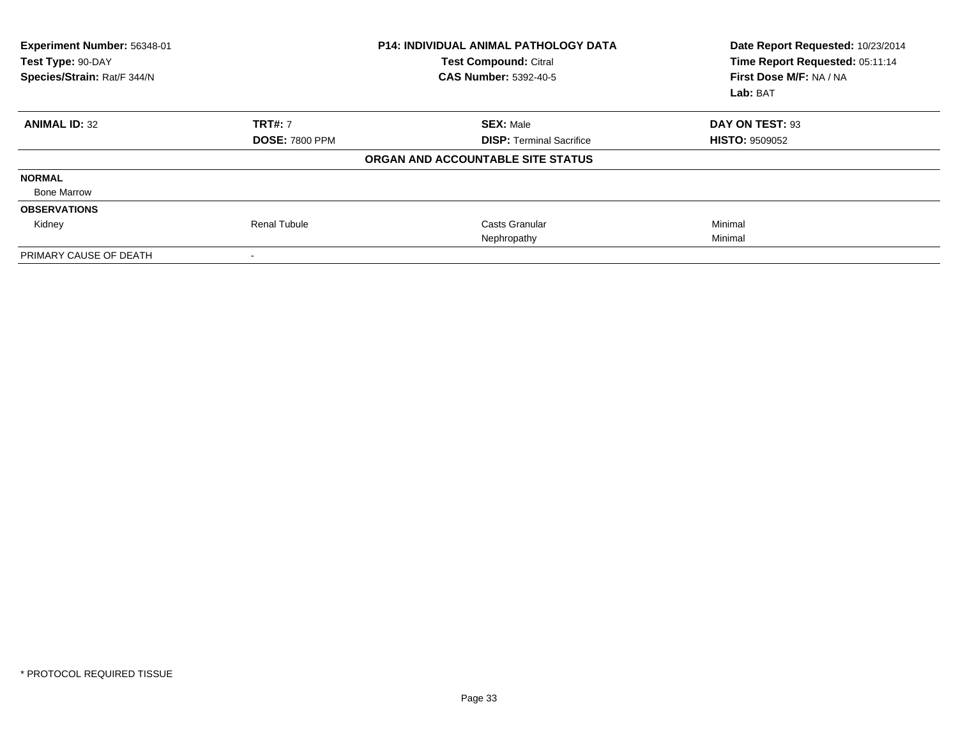| Experiment Number: 56348-01<br>Test Type: 90-DAY<br>Species/Strain: Rat/F 344/N |                       | <b>P14: INDIVIDUAL ANIMAL PATHOLOGY DATA</b><br><b>Test Compound: Citral</b><br><b>CAS Number: 5392-40-5</b> | Date Report Requested: 10/23/2014<br>Time Report Requested: 05:11:14<br>First Dose M/F: NA / NA<br>Lab: BAT |
|---------------------------------------------------------------------------------|-----------------------|--------------------------------------------------------------------------------------------------------------|-------------------------------------------------------------------------------------------------------------|
| <b>ANIMAL ID: 32</b>                                                            | <b>TRT#: 7</b>        | <b>SEX: Male</b>                                                                                             | DAY ON TEST: 93                                                                                             |
|                                                                                 | <b>DOSE: 7800 PPM</b> | <b>DISP: Terminal Sacrifice</b>                                                                              | <b>HISTO: 9509052</b>                                                                                       |
|                                                                                 |                       | ORGAN AND ACCOUNTABLE SITE STATUS                                                                            |                                                                                                             |
| <b>NORMAL</b>                                                                   |                       |                                                                                                              |                                                                                                             |
| <b>Bone Marrow</b>                                                              |                       |                                                                                                              |                                                                                                             |
| <b>OBSERVATIONS</b>                                                             |                       |                                                                                                              |                                                                                                             |
| Kidney                                                                          | <b>Renal Tubule</b>   | Casts Granular                                                                                               | Minimal                                                                                                     |
|                                                                                 |                       | Nephropathy                                                                                                  | Minimal                                                                                                     |
| PRIMARY CAUSE OF DEATH                                                          |                       |                                                                                                              |                                                                                                             |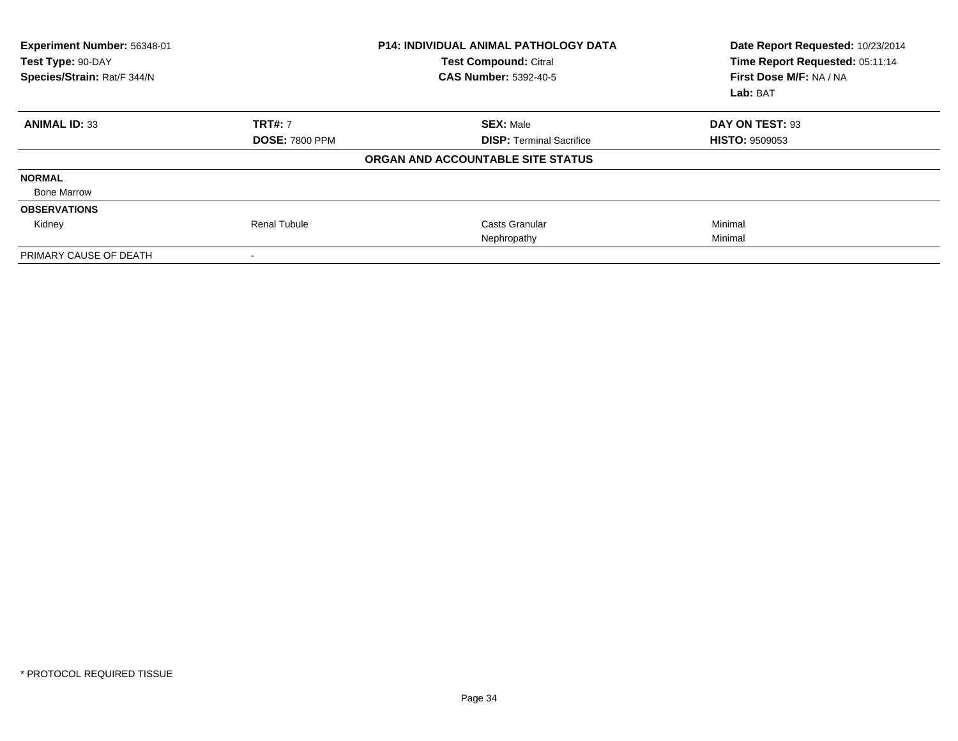| Experiment Number: 56348-01<br>Test Type: 90-DAY<br>Species/Strain: Rat/F 344/N |                       | <b>P14: INDIVIDUAL ANIMAL PATHOLOGY DATA</b><br><b>Test Compound: Citral</b><br><b>CAS Number: 5392-40-5</b> | Date Report Requested: 10/23/2014<br>Time Report Requested: 05:11:14<br>First Dose M/F: NA / NA<br>Lab: BAT |
|---------------------------------------------------------------------------------|-----------------------|--------------------------------------------------------------------------------------------------------------|-------------------------------------------------------------------------------------------------------------|
| <b>ANIMAL ID: 33</b>                                                            | <b>TRT#: 7</b>        | <b>SEX: Male</b>                                                                                             | DAY ON TEST: 93                                                                                             |
|                                                                                 | <b>DOSE: 7800 PPM</b> | <b>DISP: Terminal Sacrifice</b>                                                                              | <b>HISTO: 9509053</b>                                                                                       |
|                                                                                 |                       | ORGAN AND ACCOUNTABLE SITE STATUS                                                                            |                                                                                                             |
| <b>NORMAL</b>                                                                   |                       |                                                                                                              |                                                                                                             |
| <b>Bone Marrow</b>                                                              |                       |                                                                                                              |                                                                                                             |
| <b>OBSERVATIONS</b>                                                             |                       |                                                                                                              |                                                                                                             |
| Kidney                                                                          | <b>Renal Tubule</b>   | Casts Granular                                                                                               | Minimal                                                                                                     |
|                                                                                 |                       | Nephropathy                                                                                                  | Minimal                                                                                                     |
| PRIMARY CAUSE OF DEATH                                                          |                       |                                                                                                              |                                                                                                             |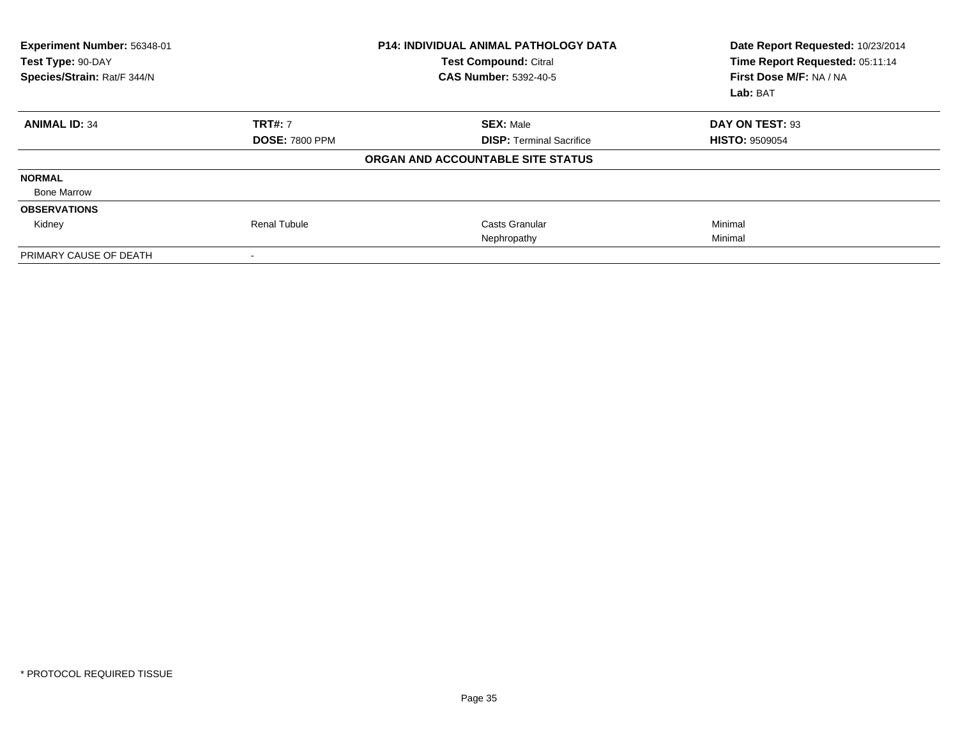| Experiment Number: 56348-01<br>Test Type: 90-DAY<br>Species/Strain: Rat/F 344/N |                       | <b>P14: INDIVIDUAL ANIMAL PATHOLOGY DATA</b><br><b>Test Compound: Citral</b><br><b>CAS Number: 5392-40-5</b> | Date Report Requested: 10/23/2014<br>Time Report Requested: 05:11:14<br>First Dose M/F: NA / NA<br>Lab: BAT |
|---------------------------------------------------------------------------------|-----------------------|--------------------------------------------------------------------------------------------------------------|-------------------------------------------------------------------------------------------------------------|
| <b>ANIMAL ID: 34</b>                                                            | <b>TRT#: 7</b>        | <b>SEX: Male</b>                                                                                             | DAY ON TEST: 93                                                                                             |
|                                                                                 | <b>DOSE: 7800 PPM</b> | <b>DISP: Terminal Sacrifice</b>                                                                              | <b>HISTO: 9509054</b>                                                                                       |
|                                                                                 |                       | ORGAN AND ACCOUNTABLE SITE STATUS                                                                            |                                                                                                             |
| <b>NORMAL</b>                                                                   |                       |                                                                                                              |                                                                                                             |
| <b>Bone Marrow</b>                                                              |                       |                                                                                                              |                                                                                                             |
| <b>OBSERVATIONS</b>                                                             |                       |                                                                                                              |                                                                                                             |
| Kidney                                                                          | <b>Renal Tubule</b>   | Casts Granular                                                                                               | Minimal                                                                                                     |
|                                                                                 |                       | Nephropathy                                                                                                  | Minimal                                                                                                     |
| PRIMARY CAUSE OF DEATH                                                          |                       |                                                                                                              |                                                                                                             |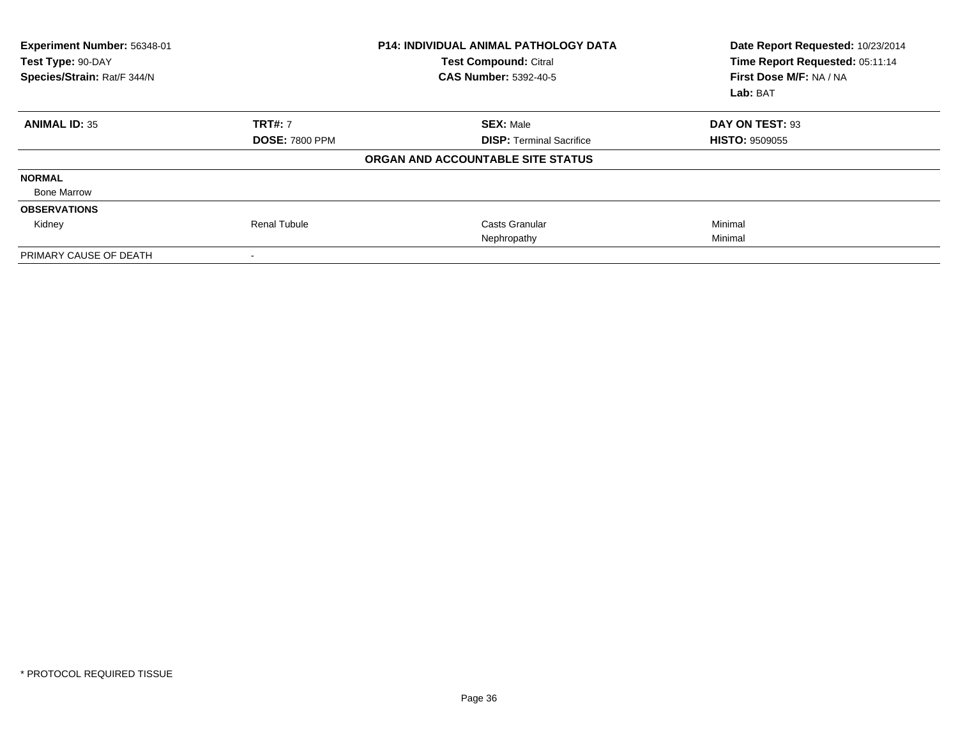| Experiment Number: 56348-01<br>Test Type: 90-DAY<br>Species/Strain: Rat/F 344/N |                       | <b>P14: INDIVIDUAL ANIMAL PATHOLOGY DATA</b><br><b>Test Compound: Citral</b><br><b>CAS Number: 5392-40-5</b> | Date Report Requested: 10/23/2014<br>Time Report Requested: 05:11:14<br>First Dose M/F: NA / NA<br>Lab: BAT |
|---------------------------------------------------------------------------------|-----------------------|--------------------------------------------------------------------------------------------------------------|-------------------------------------------------------------------------------------------------------------|
| <b>ANIMAL ID: 35</b>                                                            | <b>TRT#: 7</b>        | <b>SEX: Male</b>                                                                                             | DAY ON TEST: 93                                                                                             |
|                                                                                 | <b>DOSE: 7800 PPM</b> | <b>DISP: Terminal Sacrifice</b>                                                                              | <b>HISTO: 9509055</b>                                                                                       |
|                                                                                 |                       | ORGAN AND ACCOUNTABLE SITE STATUS                                                                            |                                                                                                             |
| <b>NORMAL</b>                                                                   |                       |                                                                                                              |                                                                                                             |
| <b>Bone Marrow</b>                                                              |                       |                                                                                                              |                                                                                                             |
| <b>OBSERVATIONS</b>                                                             |                       |                                                                                                              |                                                                                                             |
| Kidney                                                                          | <b>Renal Tubule</b>   | Casts Granular                                                                                               | Minimal                                                                                                     |
|                                                                                 |                       | Nephropathy                                                                                                  | Minimal                                                                                                     |
| PRIMARY CAUSE OF DEATH                                                          |                       |                                                                                                              |                                                                                                             |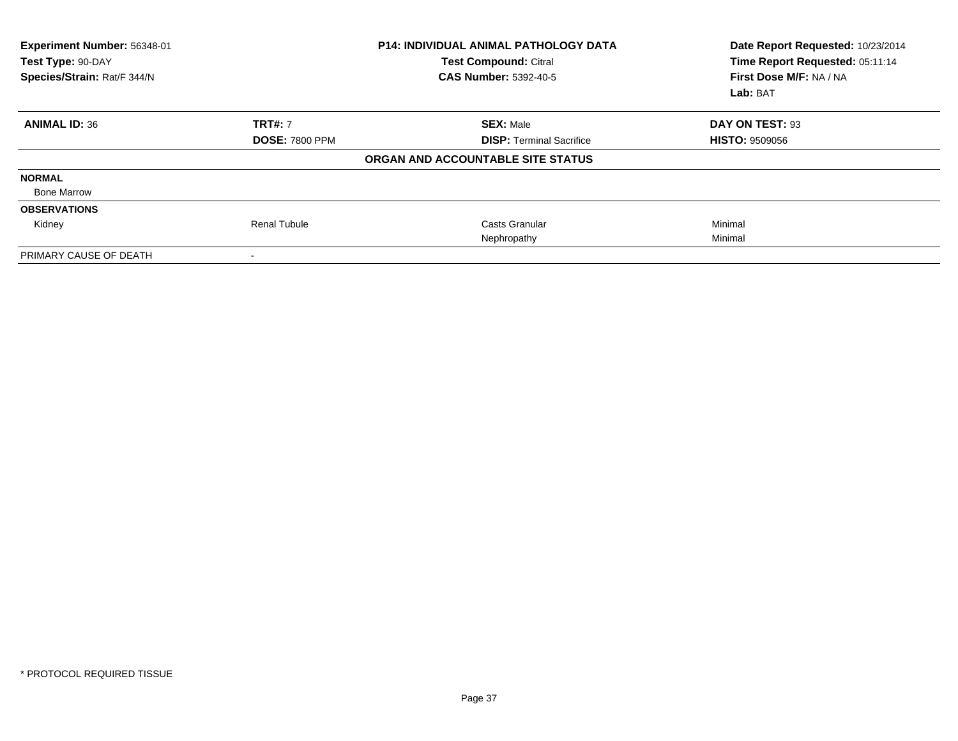| Experiment Number: 56348-01<br>Test Type: 90-DAY<br>Species/Strain: Rat/F 344/N |                       | <b>P14: INDIVIDUAL ANIMAL PATHOLOGY DATA</b><br><b>Test Compound: Citral</b><br><b>CAS Number: 5392-40-5</b> | Date Report Requested: 10/23/2014<br>Time Report Requested: 05:11:14<br>First Dose M/F: NA / NA<br>Lab: BAT |
|---------------------------------------------------------------------------------|-----------------------|--------------------------------------------------------------------------------------------------------------|-------------------------------------------------------------------------------------------------------------|
| <b>ANIMAL ID: 36</b>                                                            | <b>TRT#: 7</b>        | <b>SEX: Male</b>                                                                                             | DAY ON TEST: 93                                                                                             |
|                                                                                 | <b>DOSE: 7800 PPM</b> | <b>DISP: Terminal Sacrifice</b>                                                                              | <b>HISTO: 9509056</b>                                                                                       |
|                                                                                 |                       | ORGAN AND ACCOUNTABLE SITE STATUS                                                                            |                                                                                                             |
| <b>NORMAL</b>                                                                   |                       |                                                                                                              |                                                                                                             |
| <b>Bone Marrow</b>                                                              |                       |                                                                                                              |                                                                                                             |
| <b>OBSERVATIONS</b>                                                             |                       |                                                                                                              |                                                                                                             |
| Kidney                                                                          | <b>Renal Tubule</b>   | Casts Granular                                                                                               | Minimal                                                                                                     |
|                                                                                 |                       | Nephropathy                                                                                                  | Minimal                                                                                                     |
| PRIMARY CAUSE OF DEATH                                                          |                       |                                                                                                              |                                                                                                             |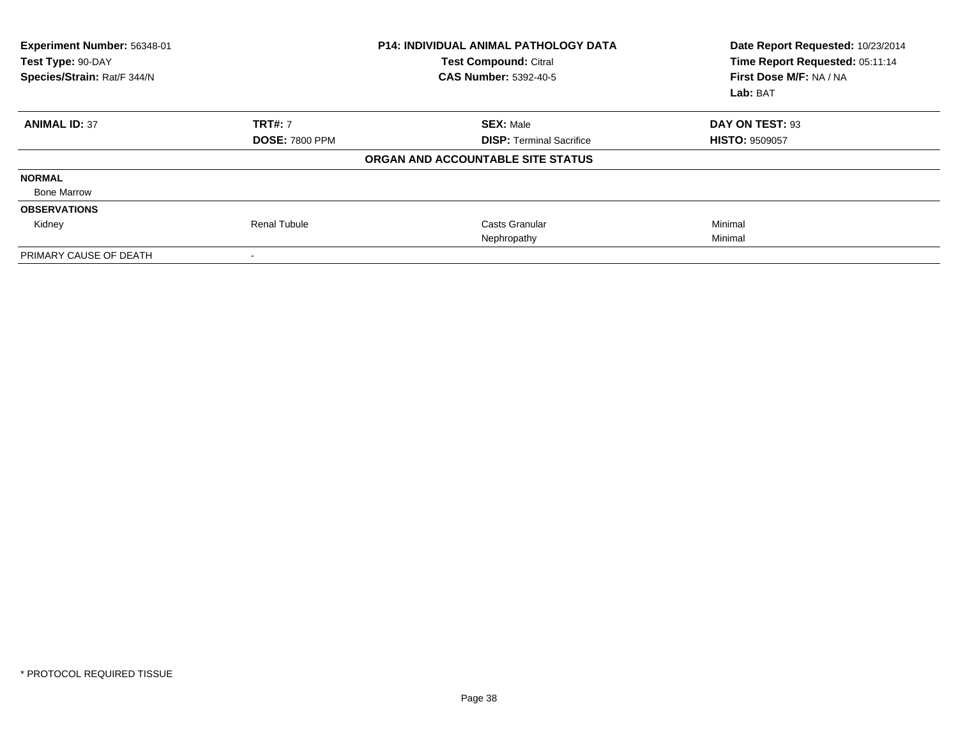| Experiment Number: 56348-01<br>Test Type: 90-DAY<br>Species/Strain: Rat/F 344/N |                       | <b>P14: INDIVIDUAL ANIMAL PATHOLOGY DATA</b><br><b>Test Compound: Citral</b><br><b>CAS Number: 5392-40-5</b> | Date Report Requested: 10/23/2014<br>Time Report Requested: 05:11:14<br>First Dose M/F: NA / NA<br>Lab: BAT |
|---------------------------------------------------------------------------------|-----------------------|--------------------------------------------------------------------------------------------------------------|-------------------------------------------------------------------------------------------------------------|
| <b>ANIMAL ID: 37</b>                                                            | <b>TRT#: 7</b>        | <b>SEX: Male</b>                                                                                             | DAY ON TEST: 93                                                                                             |
|                                                                                 | <b>DOSE: 7800 PPM</b> | <b>DISP: Terminal Sacrifice</b>                                                                              | <b>HISTO: 9509057</b>                                                                                       |
|                                                                                 |                       | ORGAN AND ACCOUNTABLE SITE STATUS                                                                            |                                                                                                             |
| <b>NORMAL</b>                                                                   |                       |                                                                                                              |                                                                                                             |
| <b>Bone Marrow</b>                                                              |                       |                                                                                                              |                                                                                                             |
| <b>OBSERVATIONS</b>                                                             |                       |                                                                                                              |                                                                                                             |
| Kidney                                                                          | <b>Renal Tubule</b>   | Casts Granular                                                                                               | Minimal                                                                                                     |
|                                                                                 |                       | Nephropathy                                                                                                  | Minimal                                                                                                     |
| PRIMARY CAUSE OF DEATH                                                          |                       |                                                                                                              |                                                                                                             |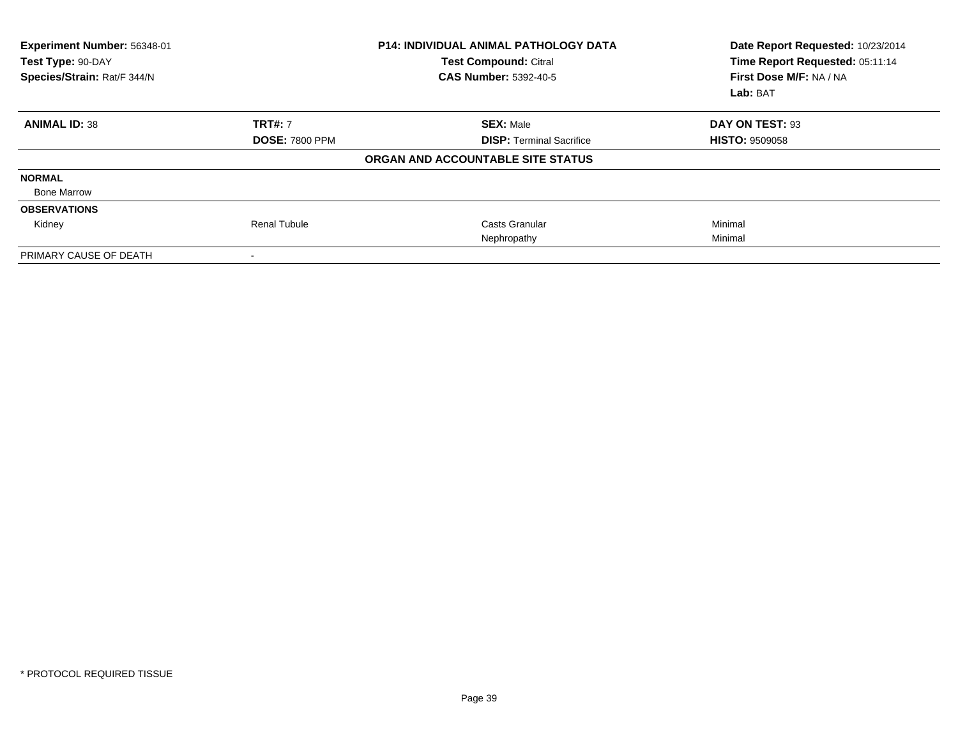| Experiment Number: 56348-01<br>Test Type: 90-DAY<br>Species/Strain: Rat/F 344/N |                       | <b>P14: INDIVIDUAL ANIMAL PATHOLOGY DATA</b><br><b>Test Compound: Citral</b><br><b>CAS Number: 5392-40-5</b> | Date Report Requested: 10/23/2014<br>Time Report Requested: 05:11:14<br>First Dose M/F: NA / NA<br>Lab: BAT |
|---------------------------------------------------------------------------------|-----------------------|--------------------------------------------------------------------------------------------------------------|-------------------------------------------------------------------------------------------------------------|
| <b>ANIMAL ID: 38</b>                                                            | <b>TRT#: 7</b>        | <b>SEX: Male</b>                                                                                             | DAY ON TEST: 93                                                                                             |
|                                                                                 | <b>DOSE: 7800 PPM</b> | <b>DISP: Terminal Sacrifice</b>                                                                              | <b>HISTO: 9509058</b>                                                                                       |
|                                                                                 |                       | ORGAN AND ACCOUNTABLE SITE STATUS                                                                            |                                                                                                             |
| <b>NORMAL</b>                                                                   |                       |                                                                                                              |                                                                                                             |
| <b>Bone Marrow</b>                                                              |                       |                                                                                                              |                                                                                                             |
| <b>OBSERVATIONS</b>                                                             |                       |                                                                                                              |                                                                                                             |
| Kidney                                                                          | <b>Renal Tubule</b>   | Casts Granular                                                                                               | Minimal                                                                                                     |
|                                                                                 |                       | Nephropathy                                                                                                  | Minimal                                                                                                     |
| PRIMARY CAUSE OF DEATH                                                          |                       |                                                                                                              |                                                                                                             |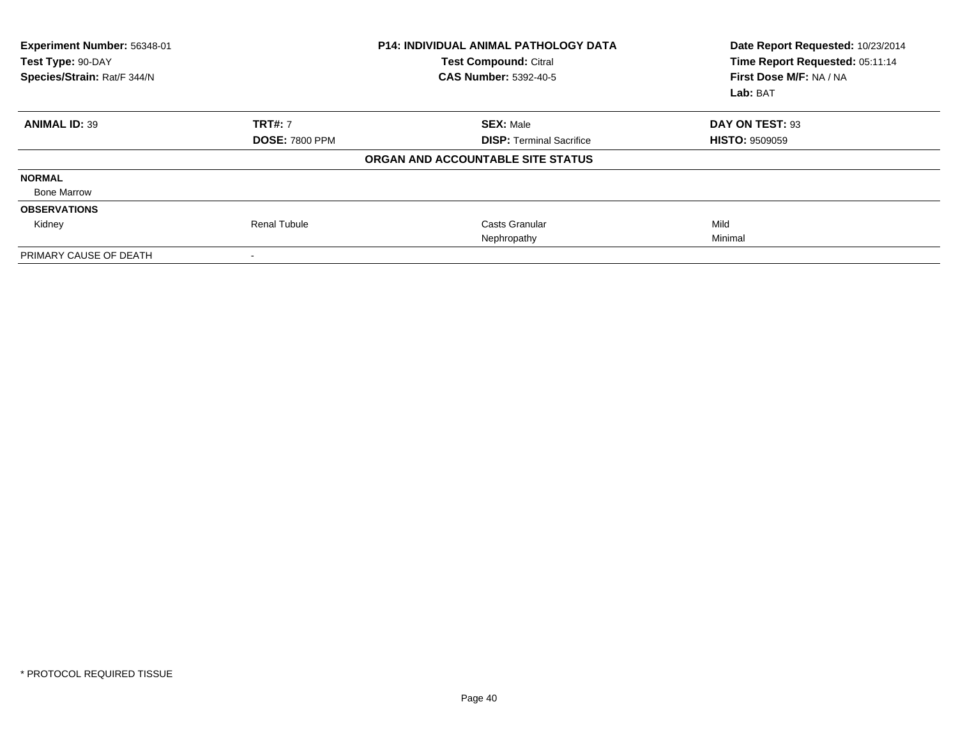| Experiment Number: 56348-01<br>Test Type: 90-DAY<br>Species/Strain: Rat/F 344/N |                       | <b>P14: INDIVIDUAL ANIMAL PATHOLOGY DATA</b><br><b>Test Compound: Citral</b><br><b>CAS Number: 5392-40-5</b> | Date Report Requested: 10/23/2014<br>Time Report Requested: 05:11:14<br>First Dose M/F: NA / NA<br>Lab: BAT |
|---------------------------------------------------------------------------------|-----------------------|--------------------------------------------------------------------------------------------------------------|-------------------------------------------------------------------------------------------------------------|
| <b>ANIMAL ID: 39</b>                                                            | <b>TRT#: 7</b>        | <b>SEX: Male</b>                                                                                             | DAY ON TEST: 93                                                                                             |
|                                                                                 | <b>DOSE: 7800 PPM</b> | <b>DISP: Terminal Sacrifice</b>                                                                              | <b>HISTO: 9509059</b>                                                                                       |
|                                                                                 |                       | ORGAN AND ACCOUNTABLE SITE STATUS                                                                            |                                                                                                             |
| <b>NORMAL</b>                                                                   |                       |                                                                                                              |                                                                                                             |
| <b>Bone Marrow</b>                                                              |                       |                                                                                                              |                                                                                                             |
| <b>OBSERVATIONS</b>                                                             |                       |                                                                                                              |                                                                                                             |
| Kidney                                                                          | <b>Renal Tubule</b>   | Casts Granular                                                                                               | Mild                                                                                                        |
|                                                                                 |                       | Nephropathy                                                                                                  | Minimal                                                                                                     |
| PRIMARY CAUSE OF DEATH                                                          |                       |                                                                                                              |                                                                                                             |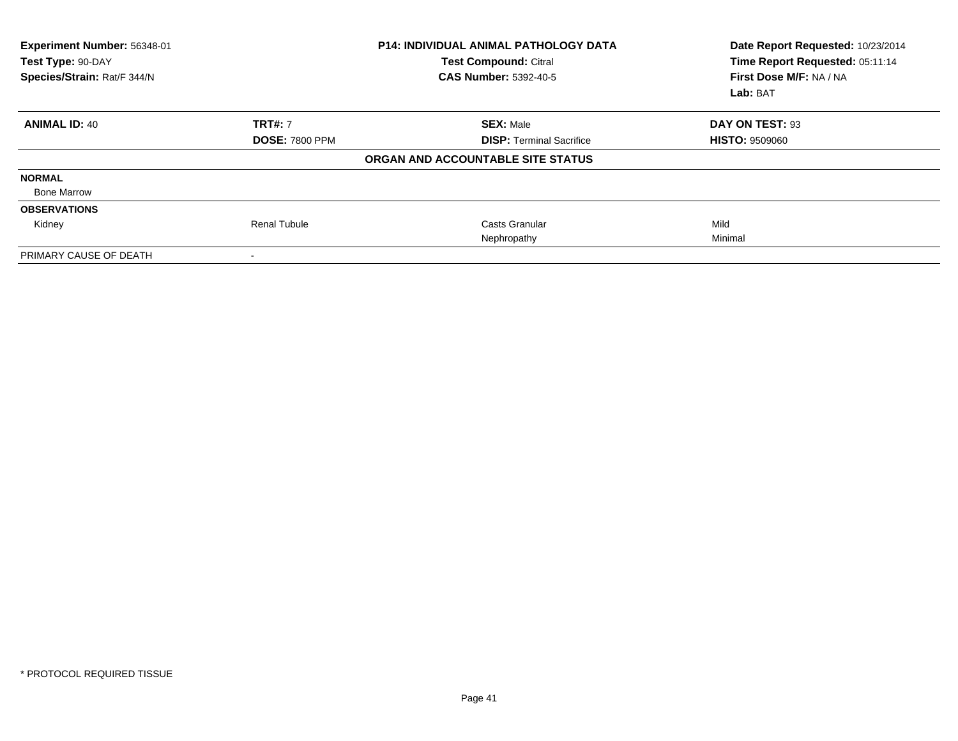| Experiment Number: 56348-01<br>Test Type: 90-DAY<br>Species/Strain: Rat/F 344/N |                       | <b>P14: INDIVIDUAL ANIMAL PATHOLOGY DATA</b><br><b>Test Compound: Citral</b><br><b>CAS Number: 5392-40-5</b> | Date Report Requested: 10/23/2014<br>Time Report Requested: 05:11:14<br>First Dose M/F: NA / NA<br>Lab: BAT |
|---------------------------------------------------------------------------------|-----------------------|--------------------------------------------------------------------------------------------------------------|-------------------------------------------------------------------------------------------------------------|
| <b>ANIMAL ID: 40</b>                                                            | <b>TRT#: 7</b>        | <b>SEX: Male</b>                                                                                             | DAY ON TEST: 93                                                                                             |
|                                                                                 | <b>DOSE: 7800 PPM</b> | <b>DISP: Terminal Sacrifice</b>                                                                              | <b>HISTO: 9509060</b>                                                                                       |
|                                                                                 |                       | ORGAN AND ACCOUNTABLE SITE STATUS                                                                            |                                                                                                             |
| <b>NORMAL</b>                                                                   |                       |                                                                                                              |                                                                                                             |
| <b>Bone Marrow</b>                                                              |                       |                                                                                                              |                                                                                                             |
| <b>OBSERVATIONS</b>                                                             |                       |                                                                                                              |                                                                                                             |
| Kidney                                                                          | <b>Renal Tubule</b>   | Casts Granular                                                                                               | Mild                                                                                                        |
|                                                                                 |                       | Nephropathy                                                                                                  | Minimal                                                                                                     |
| PRIMARY CAUSE OF DEATH                                                          |                       |                                                                                                              |                                                                                                             |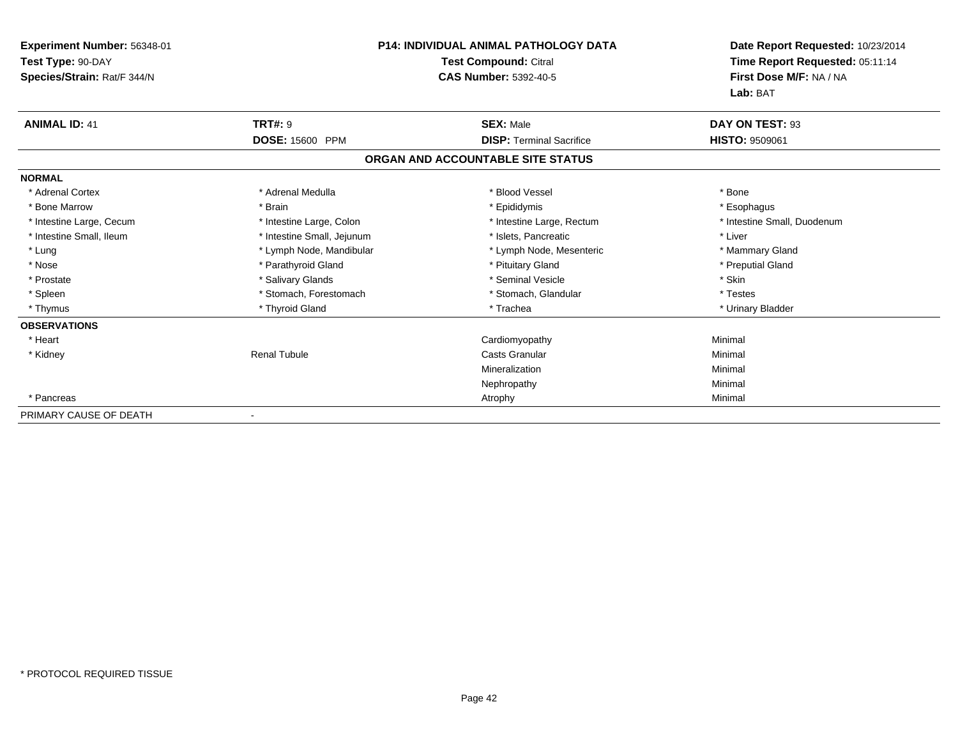| Experiment Number: 56348-01 |                            | <b>P14: INDIVIDUAL ANIMAL PATHOLOGY DATA</b> | Date Report Requested: 10/23/2014 |
|-----------------------------|----------------------------|----------------------------------------------|-----------------------------------|
| Test Type: 90-DAY           | Test Compound: Citral      |                                              | Time Report Requested: 05:11:14   |
| Species/Strain: Rat/F 344/N |                            | <b>CAS Number: 5392-40-5</b>                 | First Dose M/F: NA / NA           |
|                             |                            |                                              | Lab: BAT                          |
| <b>ANIMAL ID: 41</b>        | <b>TRT#: 9</b>             | <b>SEX: Male</b>                             | DAY ON TEST: 93                   |
|                             | DOSE: 15600 PPM            | <b>DISP: Terminal Sacrifice</b>              | <b>HISTO: 9509061</b>             |
|                             |                            | ORGAN AND ACCOUNTABLE SITE STATUS            |                                   |
| <b>NORMAL</b>               |                            |                                              |                                   |
| * Adrenal Cortex            | * Adrenal Medulla          | * Blood Vessel                               | * Bone                            |
| * Bone Marrow               | * Brain                    | * Epididymis                                 | * Esophagus                       |
| * Intestine Large, Cecum    | * Intestine Large, Colon   | * Intestine Large, Rectum                    | * Intestine Small, Duodenum       |
| * Intestine Small, Ileum    | * Intestine Small, Jejunum | * Islets. Pancreatic                         | * Liver                           |
| * Lung                      | * Lymph Node, Mandibular   | * Lymph Node, Mesenteric                     | * Mammary Gland                   |
| * Nose                      | * Parathyroid Gland        | * Pituitary Gland                            | * Preputial Gland                 |
| * Prostate                  | * Salivary Glands          | * Seminal Vesicle                            | * Skin                            |
| * Spleen                    | * Stomach, Forestomach     | * Stomach, Glandular                         | * Testes                          |
| * Thymus                    | * Thyroid Gland            | * Trachea                                    | * Urinary Bladder                 |
| <b>OBSERVATIONS</b>         |                            |                                              |                                   |
| * Heart                     |                            | Cardiomyopathy                               | Minimal                           |
| * Kidney                    | <b>Renal Tubule</b>        | <b>Casts Granular</b>                        | Minimal                           |
|                             |                            | Mineralization                               | Minimal                           |
|                             |                            | Nephropathy                                  | Minimal                           |
| * Pancreas                  |                            | Atrophy                                      | Minimal                           |
| PRIMARY CAUSE OF DEATH      |                            |                                              |                                   |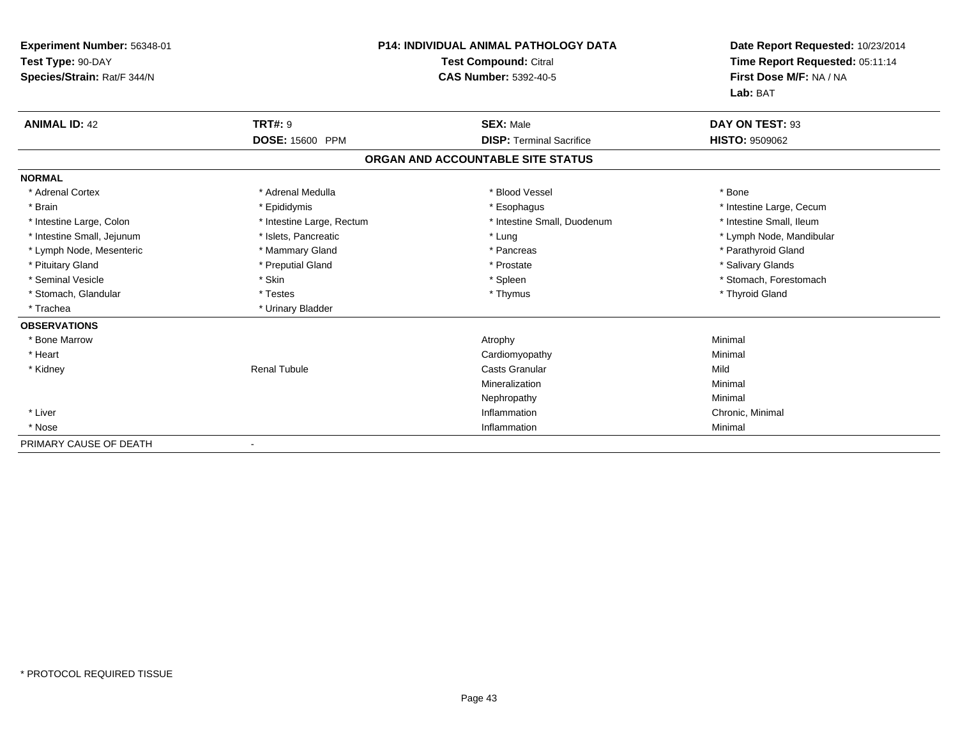| Experiment Number: 56348-01<br>Test Type: 90-DAY<br>Species/Strain: Rat/F 344/N |                           | <b>P14: INDIVIDUAL ANIMAL PATHOLOGY DATA</b><br><b>Test Compound: Citral</b><br><b>CAS Number: 5392-40-5</b> | Date Report Requested: 10/23/2014<br>Time Report Requested: 05:11:14<br>First Dose M/F: NA / NA |
|---------------------------------------------------------------------------------|---------------------------|--------------------------------------------------------------------------------------------------------------|-------------------------------------------------------------------------------------------------|
|                                                                                 |                           |                                                                                                              | Lab: BAT                                                                                        |
| <b>ANIMAL ID: 42</b>                                                            | <b>TRT#: 9</b>            | <b>SEX: Male</b>                                                                                             | DAY ON TEST: 93                                                                                 |
|                                                                                 | <b>DOSE: 15600 PPM</b>    | <b>DISP: Terminal Sacrifice</b>                                                                              | <b>HISTO: 9509062</b>                                                                           |
|                                                                                 |                           | ORGAN AND ACCOUNTABLE SITE STATUS                                                                            |                                                                                                 |
| <b>NORMAL</b>                                                                   |                           |                                                                                                              |                                                                                                 |
| * Adrenal Cortex                                                                | * Adrenal Medulla         | * Blood Vessel                                                                                               | * Bone                                                                                          |
| * Brain                                                                         | * Epididymis              | * Esophagus                                                                                                  | * Intestine Large, Cecum                                                                        |
| * Intestine Large, Colon                                                        | * Intestine Large, Rectum | * Intestine Small, Duodenum                                                                                  | * Intestine Small, Ileum                                                                        |
| * Intestine Small, Jejunum                                                      | * Islets, Pancreatic      | * Lung                                                                                                       | * Lymph Node, Mandibular                                                                        |
| * Lymph Node, Mesenteric                                                        | * Mammary Gland           | * Pancreas                                                                                                   | * Parathyroid Gland                                                                             |
| * Pituitary Gland                                                               | * Preputial Gland         | * Prostate                                                                                                   | * Salivary Glands                                                                               |
| * Seminal Vesicle                                                               | * Skin                    | * Spleen                                                                                                     | * Stomach, Forestomach                                                                          |
| * Stomach, Glandular                                                            | * Testes                  | * Thymus                                                                                                     | * Thyroid Gland                                                                                 |
| * Trachea                                                                       | * Urinary Bladder         |                                                                                                              |                                                                                                 |
| <b>OBSERVATIONS</b>                                                             |                           |                                                                                                              |                                                                                                 |
| * Bone Marrow                                                                   |                           | Atrophy                                                                                                      | Minimal                                                                                         |
| * Heart                                                                         |                           | Cardiomyopathy                                                                                               | Minimal                                                                                         |
| * Kidney                                                                        | <b>Renal Tubule</b>       | <b>Casts Granular</b>                                                                                        | Mild                                                                                            |
|                                                                                 |                           | Mineralization                                                                                               | Minimal                                                                                         |
|                                                                                 |                           | Nephropathy                                                                                                  | Minimal                                                                                         |
| * Liver                                                                         |                           | Inflammation                                                                                                 | Chronic, Minimal                                                                                |
| * Nose                                                                          |                           | Inflammation                                                                                                 | Minimal                                                                                         |
| PRIMARY CAUSE OF DEATH                                                          |                           |                                                                                                              |                                                                                                 |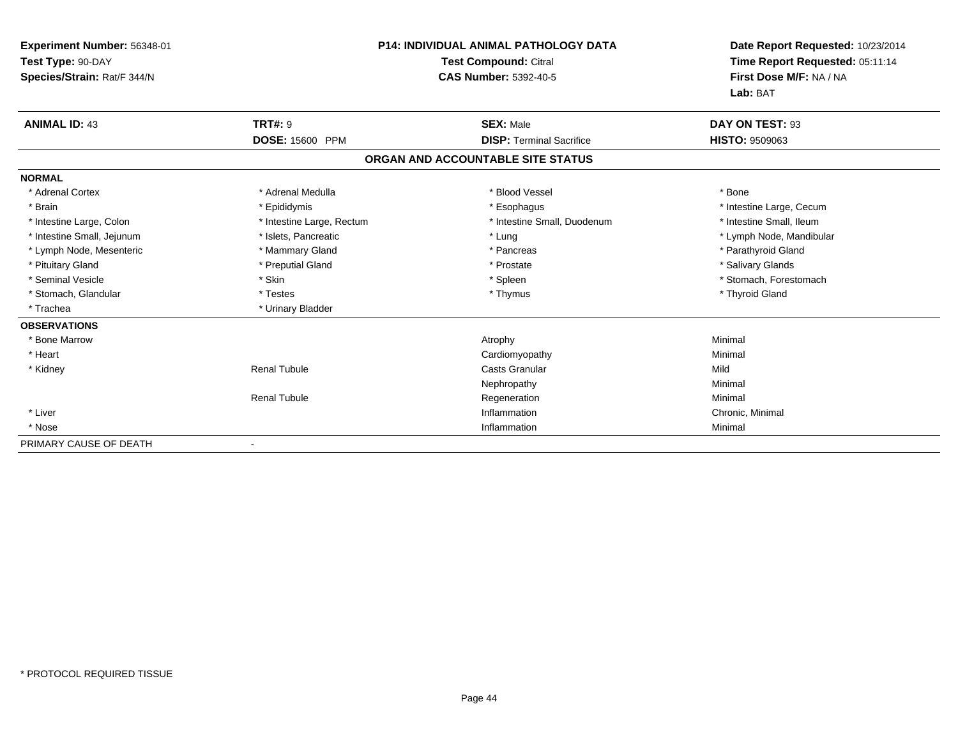| Experiment Number: 56348-01<br>Test Type: 90-DAY<br>Species/Strain: Rat/F 344/N |                           | <b>P14: INDIVIDUAL ANIMAL PATHOLOGY DATA</b><br><b>Test Compound: Citral</b><br><b>CAS Number: 5392-40-5</b> | Date Report Requested: 10/23/2014<br>Time Report Requested: 05:11:14<br>First Dose M/F: NA / NA<br>Lab: BAT |
|---------------------------------------------------------------------------------|---------------------------|--------------------------------------------------------------------------------------------------------------|-------------------------------------------------------------------------------------------------------------|
| <b>ANIMAL ID: 43</b>                                                            | <b>TRT#: 9</b>            | <b>SEX: Male</b>                                                                                             | DAY ON TEST: 93                                                                                             |
|                                                                                 | DOSE: 15600 PPM           | <b>DISP: Terminal Sacrifice</b>                                                                              | <b>HISTO: 9509063</b>                                                                                       |
|                                                                                 |                           | ORGAN AND ACCOUNTABLE SITE STATUS                                                                            |                                                                                                             |
| <b>NORMAL</b>                                                                   |                           |                                                                                                              |                                                                                                             |
| * Adrenal Cortex                                                                | * Adrenal Medulla         | * Blood Vessel                                                                                               | * Bone                                                                                                      |
| * Brain                                                                         | * Epididymis              | * Esophagus                                                                                                  | * Intestine Large, Cecum                                                                                    |
| * Intestine Large, Colon                                                        | * Intestine Large, Rectum | * Intestine Small, Duodenum                                                                                  | * Intestine Small, Ileum                                                                                    |
| * Intestine Small, Jejunum                                                      | * Islets, Pancreatic      | * Lung                                                                                                       | * Lymph Node, Mandibular                                                                                    |
| * Lymph Node, Mesenteric                                                        | * Mammary Gland           | * Pancreas                                                                                                   | * Parathyroid Gland                                                                                         |
| * Pituitary Gland                                                               | * Preputial Gland         | * Prostate                                                                                                   | * Salivary Glands                                                                                           |
| * Seminal Vesicle                                                               | * Skin                    | * Spleen                                                                                                     | * Stomach, Forestomach                                                                                      |
| * Stomach, Glandular                                                            | * Testes                  | * Thymus                                                                                                     | * Thyroid Gland                                                                                             |
| * Trachea                                                                       | * Urinary Bladder         |                                                                                                              |                                                                                                             |
| <b>OBSERVATIONS</b>                                                             |                           |                                                                                                              |                                                                                                             |
| * Bone Marrow                                                                   |                           | Atrophy                                                                                                      | Minimal                                                                                                     |
| * Heart                                                                         |                           | Cardiomyopathy                                                                                               | Minimal                                                                                                     |
| * Kidney                                                                        | <b>Renal Tubule</b>       | <b>Casts Granular</b>                                                                                        | Mild                                                                                                        |
|                                                                                 |                           | Nephropathy                                                                                                  | Minimal                                                                                                     |
|                                                                                 | <b>Renal Tubule</b>       | Regeneration                                                                                                 | Minimal                                                                                                     |
| * Liver                                                                         |                           | Inflammation                                                                                                 | Chronic, Minimal                                                                                            |
| * Nose                                                                          |                           | Inflammation                                                                                                 | Minimal                                                                                                     |
| PRIMARY CAUSE OF DEATH                                                          |                           |                                                                                                              |                                                                                                             |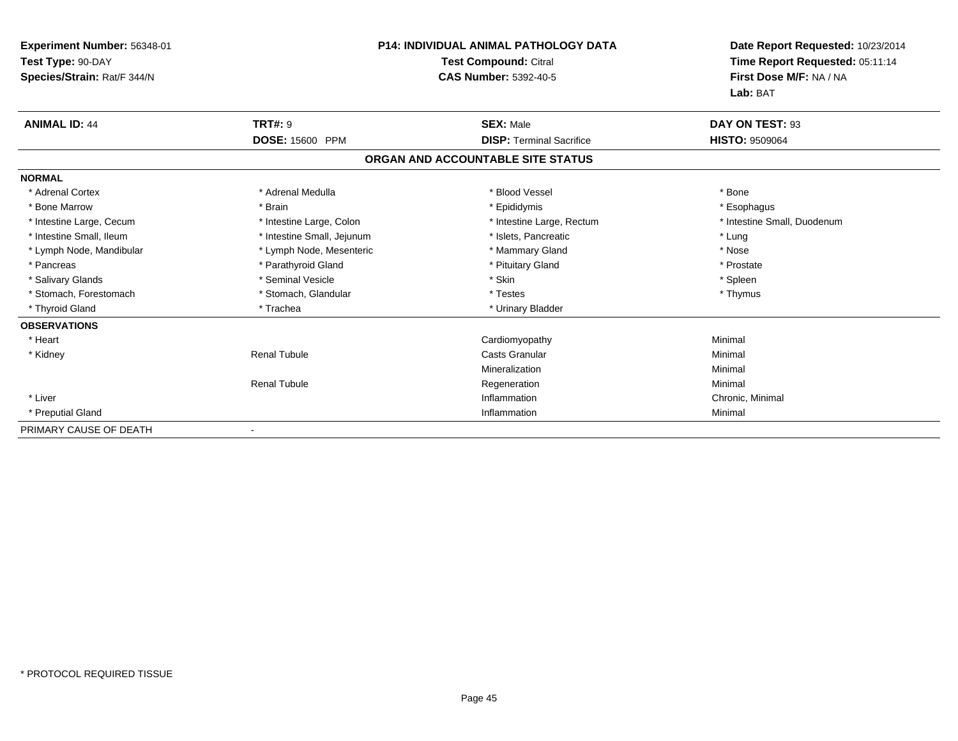| Experiment Number: 56348-01<br>Test Type: 90-DAY<br>Species/Strain: Rat/F 344/N | <b>P14: INDIVIDUAL ANIMAL PATHOLOGY DATA</b><br><b>Test Compound: Citral</b><br><b>CAS Number: 5392-40-5</b> |                                   | Date Report Requested: 10/23/2014<br>Time Report Requested: 05:11:14<br>First Dose M/F: NA / NA<br>Lab: BAT |
|---------------------------------------------------------------------------------|--------------------------------------------------------------------------------------------------------------|-----------------------------------|-------------------------------------------------------------------------------------------------------------|
| <b>ANIMAL ID: 44</b>                                                            | <b>TRT#: 9</b>                                                                                               | <b>SEX: Male</b>                  | DAY ON TEST: 93                                                                                             |
|                                                                                 | DOSE: 15600 PPM                                                                                              | <b>DISP: Terminal Sacrifice</b>   | <b>HISTO: 9509064</b>                                                                                       |
|                                                                                 |                                                                                                              | ORGAN AND ACCOUNTABLE SITE STATUS |                                                                                                             |
| <b>NORMAL</b>                                                                   |                                                                                                              |                                   |                                                                                                             |
| * Adrenal Cortex                                                                | * Adrenal Medulla                                                                                            | * Blood Vessel                    | * Bone                                                                                                      |
| * Bone Marrow                                                                   | * Brain                                                                                                      | * Epididymis                      | * Esophagus                                                                                                 |
| * Intestine Large, Cecum                                                        | * Intestine Large, Colon                                                                                     | * Intestine Large, Rectum         | * Intestine Small, Duodenum                                                                                 |
| * Intestine Small, Ileum                                                        | * Intestine Small, Jejunum                                                                                   | * Islets, Pancreatic              | * Lung                                                                                                      |
| * Lymph Node, Mandibular                                                        | * Lymph Node, Mesenteric                                                                                     | * Mammary Gland                   | * Nose                                                                                                      |
| * Pancreas                                                                      | * Parathyroid Gland                                                                                          | * Pituitary Gland                 | * Prostate                                                                                                  |
| * Salivary Glands                                                               | * Seminal Vesicle                                                                                            | * Skin                            | * Spleen                                                                                                    |
| * Stomach, Forestomach                                                          | * Stomach, Glandular                                                                                         | * Testes                          | * Thymus                                                                                                    |
| * Thyroid Gland                                                                 | * Trachea                                                                                                    | * Urinary Bladder                 |                                                                                                             |
| <b>OBSERVATIONS</b>                                                             |                                                                                                              |                                   |                                                                                                             |
| * Heart                                                                         |                                                                                                              | Cardiomyopathy                    | Minimal                                                                                                     |
| * Kidney                                                                        | <b>Renal Tubule</b>                                                                                          | <b>Casts Granular</b>             | Minimal                                                                                                     |
|                                                                                 |                                                                                                              | Mineralization                    | Minimal                                                                                                     |
|                                                                                 | <b>Renal Tubule</b>                                                                                          | Regeneration                      | Minimal                                                                                                     |
| * Liver                                                                         |                                                                                                              | Inflammation                      | Chronic, Minimal                                                                                            |
| * Preputial Gland                                                               |                                                                                                              | Inflammation                      | Minimal                                                                                                     |
| PRIMARY CAUSE OF DEATH                                                          |                                                                                                              |                                   |                                                                                                             |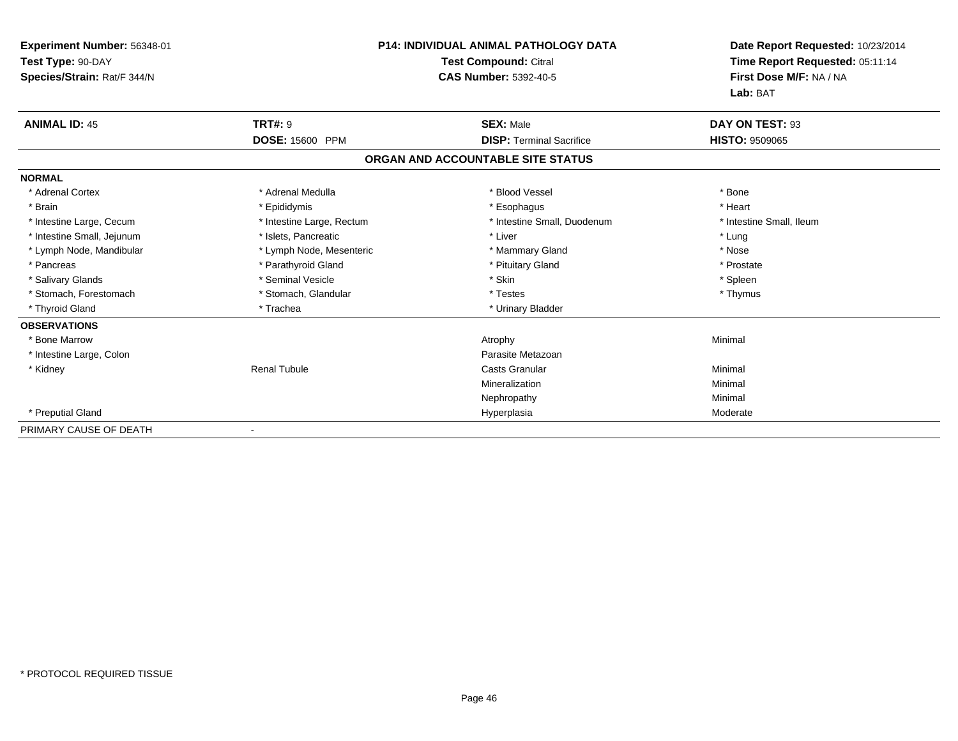| Experiment Number: 56348-01<br>Test Type: 90-DAY<br>Species/Strain: Rat/F 344/N | <b>P14: INDIVIDUAL ANIMAL PATHOLOGY DATA</b><br><b>Test Compound: Citral</b><br><b>CAS Number: 5392-40-5</b> |                                   | Date Report Requested: 10/23/2014<br>Time Report Requested: 05:11:14<br>First Dose M/F: NA / NA<br>Lab: BAT |
|---------------------------------------------------------------------------------|--------------------------------------------------------------------------------------------------------------|-----------------------------------|-------------------------------------------------------------------------------------------------------------|
| <b>ANIMAL ID: 45</b>                                                            | <b>TRT#: 9</b>                                                                                               | <b>SEX: Male</b>                  | DAY ON TEST: 93                                                                                             |
|                                                                                 | DOSE: 15600 PPM                                                                                              | <b>DISP: Terminal Sacrifice</b>   | <b>HISTO: 9509065</b>                                                                                       |
|                                                                                 |                                                                                                              | ORGAN AND ACCOUNTABLE SITE STATUS |                                                                                                             |
| <b>NORMAL</b>                                                                   |                                                                                                              |                                   |                                                                                                             |
| * Adrenal Cortex                                                                | * Adrenal Medulla                                                                                            | * Blood Vessel                    | * Bone                                                                                                      |
| * Brain                                                                         | * Epididymis                                                                                                 | * Esophagus                       | * Heart                                                                                                     |
| * Intestine Large, Cecum                                                        | * Intestine Large, Rectum                                                                                    | * Intestine Small, Duodenum       | * Intestine Small, Ileum                                                                                    |
| * Intestine Small, Jejunum                                                      | * Islets, Pancreatic                                                                                         | * Liver                           | * Lung                                                                                                      |
| * Lymph Node, Mandibular                                                        | * Lymph Node, Mesenteric                                                                                     | * Mammary Gland                   | * Nose                                                                                                      |
| * Pancreas                                                                      | * Parathyroid Gland                                                                                          | * Pituitary Gland                 | * Prostate                                                                                                  |
| * Salivary Glands                                                               | * Seminal Vesicle                                                                                            | * Skin                            | * Spleen                                                                                                    |
| * Stomach, Forestomach                                                          | * Stomach, Glandular                                                                                         | * Testes                          | * Thymus                                                                                                    |
| * Thyroid Gland                                                                 | * Trachea                                                                                                    | * Urinary Bladder                 |                                                                                                             |
| <b>OBSERVATIONS</b>                                                             |                                                                                                              |                                   |                                                                                                             |
| * Bone Marrow                                                                   |                                                                                                              | Atrophy                           | Minimal                                                                                                     |
| * Intestine Large, Colon                                                        |                                                                                                              | Parasite Metazoan                 |                                                                                                             |
| * Kidney                                                                        | <b>Renal Tubule</b>                                                                                          | <b>Casts Granular</b>             | Minimal                                                                                                     |
|                                                                                 |                                                                                                              | Mineralization                    | Minimal                                                                                                     |
|                                                                                 |                                                                                                              | Nephropathy                       | Minimal                                                                                                     |
| * Preputial Gland                                                               |                                                                                                              | Hyperplasia                       | Moderate                                                                                                    |
| PRIMARY CAUSE OF DEATH                                                          |                                                                                                              |                                   |                                                                                                             |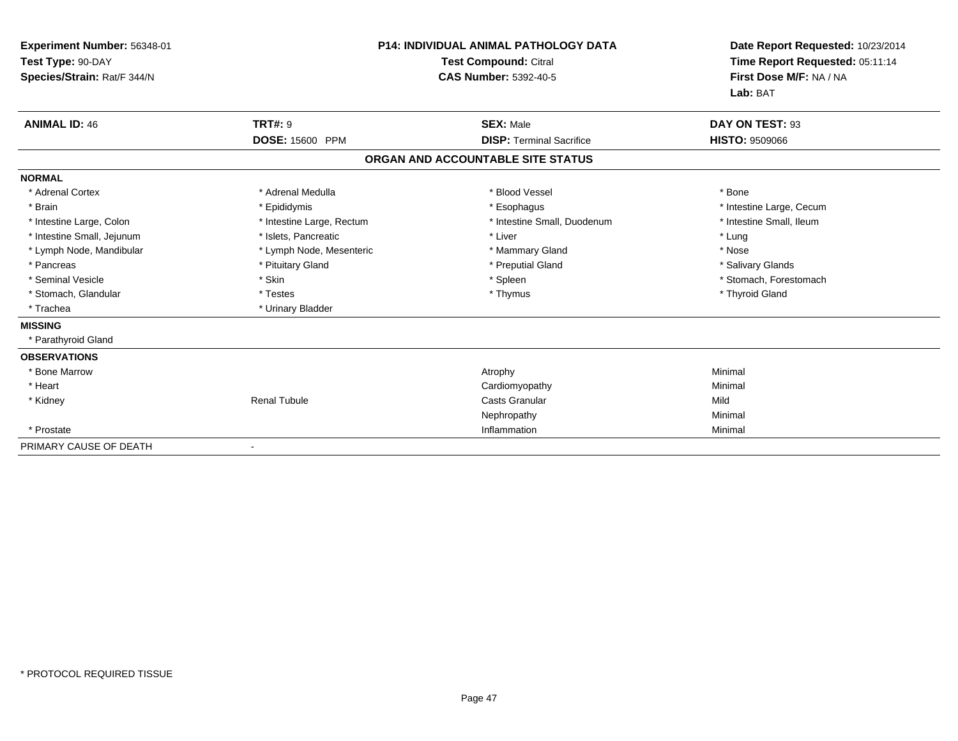| Experiment Number: 56348-01<br>Test Type: 90-DAY<br>Species/Strain: Rat/F 344/N |                           | <b>P14: INDIVIDUAL ANIMAL PATHOLOGY DATA</b><br><b>Test Compound: Citral</b><br><b>CAS Number: 5392-40-5</b> | Date Report Requested: 10/23/2014<br>Time Report Requested: 05:11:14<br>First Dose M/F: NA / NA<br>Lab: BAT |
|---------------------------------------------------------------------------------|---------------------------|--------------------------------------------------------------------------------------------------------------|-------------------------------------------------------------------------------------------------------------|
| <b>ANIMAL ID: 46</b>                                                            | <b>TRT#: 9</b>            | <b>SEX: Male</b>                                                                                             | DAY ON TEST: 93                                                                                             |
|                                                                                 | DOSE: 15600 PPM           | <b>DISP: Terminal Sacrifice</b>                                                                              | <b>HISTO: 9509066</b>                                                                                       |
|                                                                                 |                           | ORGAN AND ACCOUNTABLE SITE STATUS                                                                            |                                                                                                             |
| <b>NORMAL</b>                                                                   |                           |                                                                                                              |                                                                                                             |
| * Adrenal Cortex                                                                | * Adrenal Medulla         | * Blood Vessel                                                                                               | * Bone                                                                                                      |
| * Brain                                                                         | * Epididymis              | * Esophagus                                                                                                  | * Intestine Large, Cecum                                                                                    |
| * Intestine Large, Colon                                                        | * Intestine Large, Rectum | * Intestine Small, Duodenum                                                                                  | * Intestine Small, Ileum                                                                                    |
| * Intestine Small, Jejunum                                                      | * Islets, Pancreatic      | * Liver                                                                                                      | * Lung                                                                                                      |
| * Lymph Node, Mandibular                                                        | * Lymph Node, Mesenteric  | * Mammary Gland                                                                                              | * Nose                                                                                                      |
| * Pancreas                                                                      | * Pituitary Gland         | * Preputial Gland                                                                                            | * Salivary Glands                                                                                           |
| * Seminal Vesicle                                                               | * Skin                    | * Spleen                                                                                                     | * Stomach, Forestomach                                                                                      |
| * Stomach, Glandular                                                            | * Testes                  | * Thymus                                                                                                     | * Thyroid Gland                                                                                             |
| * Trachea                                                                       | * Urinary Bladder         |                                                                                                              |                                                                                                             |
| <b>MISSING</b>                                                                  |                           |                                                                                                              |                                                                                                             |
| * Parathyroid Gland                                                             |                           |                                                                                                              |                                                                                                             |
| <b>OBSERVATIONS</b>                                                             |                           |                                                                                                              |                                                                                                             |
| * Bone Marrow                                                                   |                           | Atrophy                                                                                                      | Minimal                                                                                                     |
| * Heart                                                                         |                           | Cardiomyopathy                                                                                               | Minimal                                                                                                     |
| * Kidney                                                                        | <b>Renal Tubule</b>       | <b>Casts Granular</b>                                                                                        | Mild                                                                                                        |
|                                                                                 |                           | Nephropathy                                                                                                  | Minimal                                                                                                     |
| * Prostate                                                                      |                           | Inflammation                                                                                                 | Minimal                                                                                                     |
| PRIMARY CAUSE OF DEATH                                                          |                           |                                                                                                              |                                                                                                             |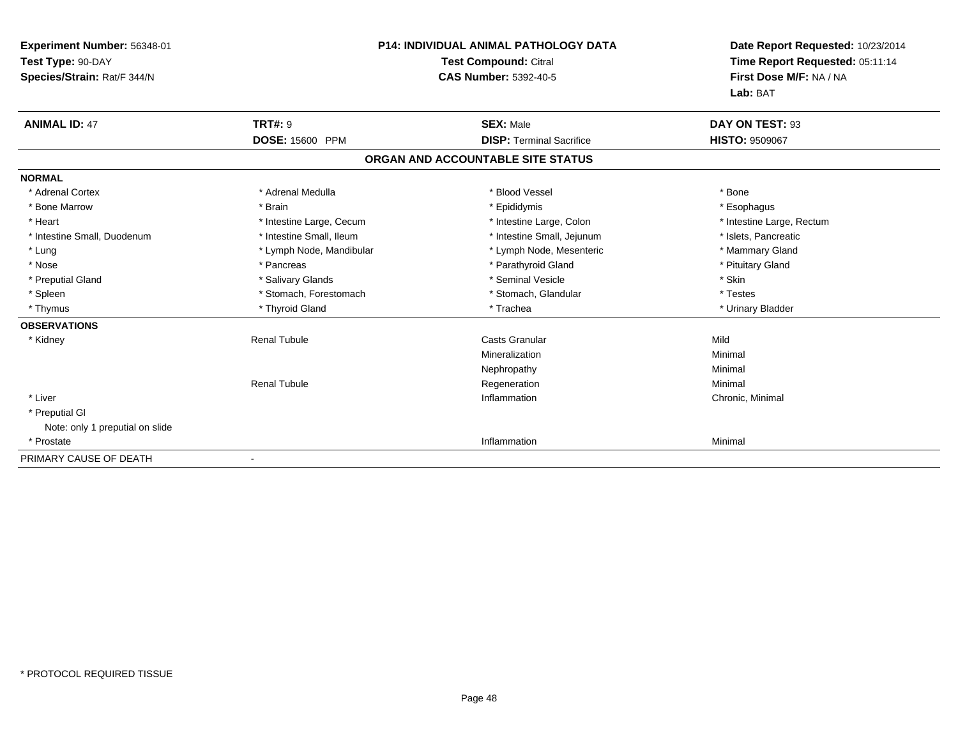| <b>P14: INDIVIDUAL ANIMAL PATHOLOGY DATA</b><br>Experiment Number: 56348-01<br>Test Type: 90-DAY<br><b>Test Compound: Citral</b><br><b>CAS Number: 5392-40-5</b><br>Species/Strain: Rat/F 344/N |                          | Date Report Requested: 10/23/2014<br>Time Report Requested: 05:11:14<br>First Dose M/F: NA / NA<br>Lab: BAT |                           |
|-------------------------------------------------------------------------------------------------------------------------------------------------------------------------------------------------|--------------------------|-------------------------------------------------------------------------------------------------------------|---------------------------|
| <b>ANIMAL ID: 47</b>                                                                                                                                                                            | <b>TRT#: 9</b>           | <b>SEX: Male</b>                                                                                            | DAY ON TEST: 93           |
|                                                                                                                                                                                                 | DOSE: 15600 PPM          | <b>DISP: Terminal Sacrifice</b>                                                                             | <b>HISTO: 9509067</b>     |
|                                                                                                                                                                                                 |                          | ORGAN AND ACCOUNTABLE SITE STATUS                                                                           |                           |
| <b>NORMAL</b>                                                                                                                                                                                   |                          |                                                                                                             |                           |
| * Adrenal Cortex                                                                                                                                                                                | * Adrenal Medulla        | * Blood Vessel                                                                                              | * Bone                    |
| * Bone Marrow                                                                                                                                                                                   | * Brain                  | * Epididymis                                                                                                | * Esophagus               |
| * Heart                                                                                                                                                                                         | * Intestine Large, Cecum | * Intestine Large, Colon                                                                                    | * Intestine Large, Rectum |
| * Intestine Small, Duodenum                                                                                                                                                                     | * Intestine Small, Ileum | * Intestine Small, Jejunum                                                                                  | * Islets, Pancreatic      |
| * Lung                                                                                                                                                                                          | * Lymph Node, Mandibular | * Lymph Node, Mesenteric                                                                                    | * Mammary Gland           |
| * Nose                                                                                                                                                                                          | * Pancreas               | * Parathyroid Gland                                                                                         | * Pituitary Gland         |
| * Preputial Gland                                                                                                                                                                               | * Salivary Glands        | * Seminal Vesicle                                                                                           | * Skin                    |
| * Spleen                                                                                                                                                                                        | * Stomach, Forestomach   | * Stomach, Glandular                                                                                        | * Testes                  |
| * Thymus                                                                                                                                                                                        | * Thyroid Gland          | * Trachea                                                                                                   | * Urinary Bladder         |
| <b>OBSERVATIONS</b>                                                                                                                                                                             |                          |                                                                                                             |                           |
| * Kidney                                                                                                                                                                                        | <b>Renal Tubule</b>      | <b>Casts Granular</b>                                                                                       | Mild                      |
|                                                                                                                                                                                                 |                          | Mineralization                                                                                              | Minimal                   |
|                                                                                                                                                                                                 |                          | Nephropathy                                                                                                 | Minimal                   |
|                                                                                                                                                                                                 | <b>Renal Tubule</b>      | Regeneration                                                                                                | Minimal                   |
| * Liver                                                                                                                                                                                         |                          | Inflammation                                                                                                | Chronic, Minimal          |
| * Preputial GI                                                                                                                                                                                  |                          |                                                                                                             |                           |
| Note: only 1 preputial on slide                                                                                                                                                                 |                          |                                                                                                             |                           |
| * Prostate                                                                                                                                                                                      |                          | Inflammation                                                                                                | Minimal                   |
| PRIMARY CAUSE OF DEATH                                                                                                                                                                          |                          |                                                                                                             |                           |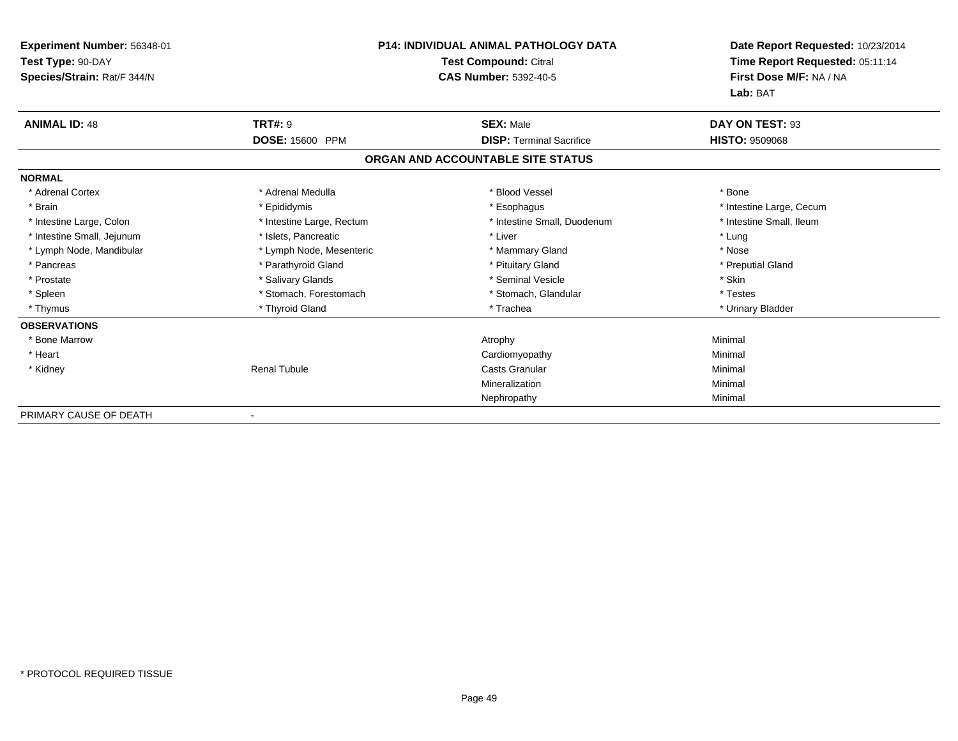| <b>P14: INDIVIDUAL ANIMAL PATHOLOGY DATA</b><br><b>Test Compound: Citral</b><br><b>CAS Number: 5392-40-5</b> |                                                                                                                                                                                                                                                                         | Date Report Requested: 10/23/2014<br>Time Report Requested: 05:11:14<br>First Dose M/F: NA / NA<br>Lab: BAT |
|--------------------------------------------------------------------------------------------------------------|-------------------------------------------------------------------------------------------------------------------------------------------------------------------------------------------------------------------------------------------------------------------------|-------------------------------------------------------------------------------------------------------------|
|                                                                                                              | <b>SEX: Male</b>                                                                                                                                                                                                                                                        | DAY ON TEST: 93                                                                                             |
|                                                                                                              | <b>DISP: Terminal Sacrifice</b>                                                                                                                                                                                                                                         | <b>HISTO: 9509068</b>                                                                                       |
|                                                                                                              |                                                                                                                                                                                                                                                                         |                                                                                                             |
|                                                                                                              |                                                                                                                                                                                                                                                                         |                                                                                                             |
|                                                                                                              | * Blood Vessel                                                                                                                                                                                                                                                          | * Bone                                                                                                      |
|                                                                                                              | * Esophagus                                                                                                                                                                                                                                                             | * Intestine Large, Cecum                                                                                    |
|                                                                                                              | * Intestine Small, Duodenum                                                                                                                                                                                                                                             | * Intestine Small, Ileum                                                                                    |
|                                                                                                              | * Liver                                                                                                                                                                                                                                                                 | * Lung                                                                                                      |
|                                                                                                              | * Mammary Gland                                                                                                                                                                                                                                                         | * Nose                                                                                                      |
|                                                                                                              | * Pituitary Gland                                                                                                                                                                                                                                                       | * Preputial Gland                                                                                           |
|                                                                                                              | * Seminal Vesicle                                                                                                                                                                                                                                                       | * Skin                                                                                                      |
|                                                                                                              | * Stomach, Glandular                                                                                                                                                                                                                                                    | * Testes                                                                                                    |
|                                                                                                              | * Trachea                                                                                                                                                                                                                                                               | * Urinary Bladder                                                                                           |
|                                                                                                              |                                                                                                                                                                                                                                                                         |                                                                                                             |
|                                                                                                              | Atrophy                                                                                                                                                                                                                                                                 | Minimal                                                                                                     |
|                                                                                                              | Cardiomyopathy                                                                                                                                                                                                                                                          | Minimal                                                                                                     |
|                                                                                                              | Casts Granular                                                                                                                                                                                                                                                          | Minimal                                                                                                     |
|                                                                                                              | Mineralization                                                                                                                                                                                                                                                          | Minimal                                                                                                     |
|                                                                                                              | Nephropathy                                                                                                                                                                                                                                                             | Minimal                                                                                                     |
|                                                                                                              | <b>TRT#: 9</b><br>DOSE: 15600 PPM<br>* Adrenal Medulla<br>* Epididymis<br>* Intestine Large, Rectum<br>* Islets, Pancreatic<br>* Lymph Node, Mesenteric<br>* Parathyroid Gland<br>* Salivary Glands<br>* Stomach, Forestomach<br>* Thyroid Gland<br><b>Renal Tubule</b> | ORGAN AND ACCOUNTABLE SITE STATUS                                                                           |

PRIMARY CAUSE OF DEATH-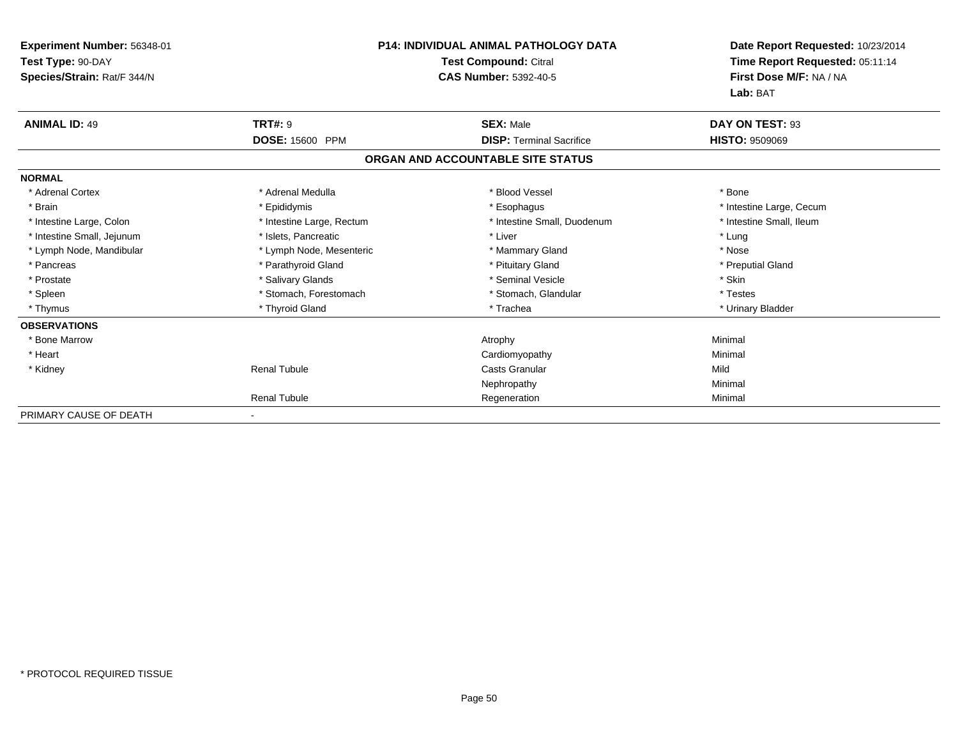| <b>Experiment Number: 56348-01</b><br>Test Type: 90-DAY<br>Species/Strain: Rat/F 344/N |                           | <b>P14: INDIVIDUAL ANIMAL PATHOLOGY DATA</b><br><b>Test Compound: Citral</b><br><b>CAS Number: 5392-40-5</b> |                             |
|----------------------------------------------------------------------------------------|---------------------------|--------------------------------------------------------------------------------------------------------------|-----------------------------|
| <b>ANIMAL ID: 49</b>                                                                   | <b>TRT#: 9</b>            | <b>SEX: Male</b>                                                                                             | Lab: BAT<br>DAY ON TEST: 93 |
|                                                                                        | DOSE: 15600 PPM           | <b>DISP: Terminal Sacrifice</b>                                                                              | <b>HISTO: 9509069</b>       |
|                                                                                        |                           | ORGAN AND ACCOUNTABLE SITE STATUS                                                                            |                             |
| <b>NORMAL</b>                                                                          |                           |                                                                                                              |                             |
| * Adrenal Cortex                                                                       | * Adrenal Medulla         | * Blood Vessel                                                                                               | * Bone                      |
| * Brain                                                                                | * Epididymis              | * Esophagus                                                                                                  | * Intestine Large, Cecum    |
| * Intestine Large, Colon                                                               | * Intestine Large, Rectum | * Intestine Small, Duodenum                                                                                  | * Intestine Small, Ileum    |
| * Intestine Small, Jejunum                                                             | * Islets, Pancreatic      | * Liver                                                                                                      | * Lung                      |
| * Lymph Node, Mandibular                                                               | * Lymph Node, Mesenteric  | * Mammary Gland                                                                                              | * Nose                      |
| * Pancreas                                                                             | * Parathyroid Gland       | * Pituitary Gland                                                                                            | * Preputial Gland           |
| * Prostate                                                                             | * Salivary Glands         | * Seminal Vesicle                                                                                            | * Skin                      |
| * Spleen                                                                               | * Stomach, Forestomach    | * Stomach, Glandular                                                                                         | * Testes                    |
| * Thymus                                                                               | * Thyroid Gland           | * Trachea                                                                                                    | * Urinary Bladder           |
| <b>OBSERVATIONS</b>                                                                    |                           |                                                                                                              |                             |
| * Bone Marrow                                                                          |                           | Atrophy                                                                                                      | Minimal                     |
| * Heart                                                                                |                           | Cardiomyopathy                                                                                               | Minimal                     |
| * Kidney                                                                               | <b>Renal Tubule</b>       | <b>Casts Granular</b>                                                                                        | Mild                        |
|                                                                                        |                           | Nephropathy                                                                                                  | Minimal                     |
|                                                                                        | <b>Renal Tubule</b>       | Regeneration                                                                                                 | Minimal                     |
| PRIMARY CAUSE OF DEATH                                                                 | $\sim$                    |                                                                                                              |                             |

-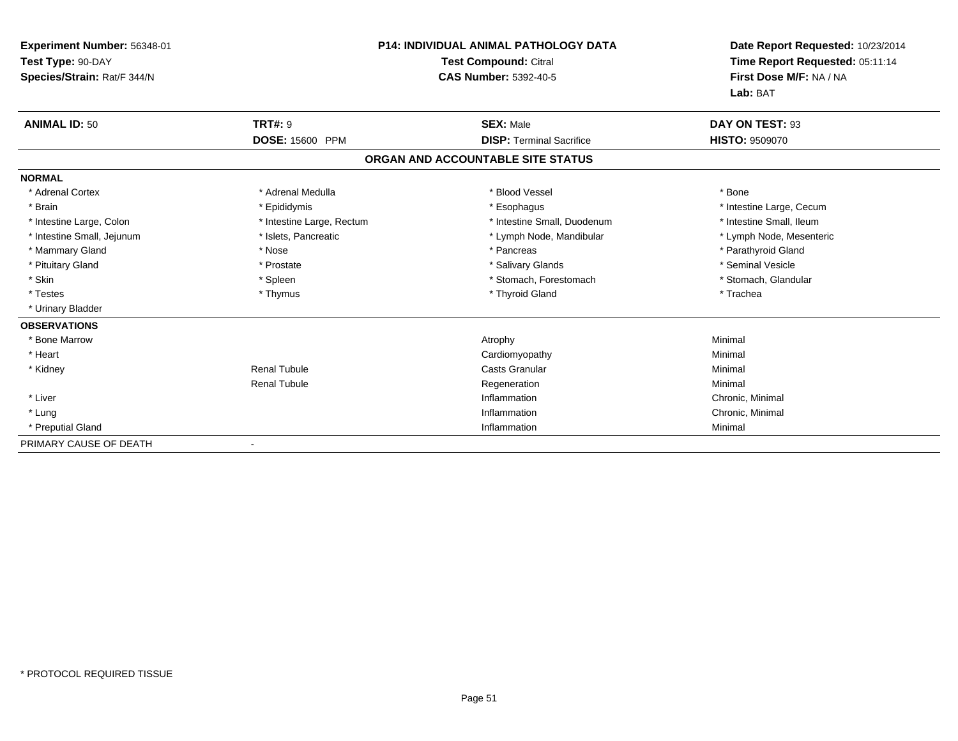| Experiment Number: 56348-01 | <b>P14: INDIVIDUAL ANIMAL PATHOLOGY DATA</b><br><b>Test Compound: Citral</b> |                                   | Date Report Requested: 10/23/2014 |  |
|-----------------------------|------------------------------------------------------------------------------|-----------------------------------|-----------------------------------|--|
| Test Type: 90-DAY           |                                                                              |                                   | Time Report Requested: 05:11:14   |  |
| Species/Strain: Rat/F 344/N |                                                                              | <b>CAS Number: 5392-40-5</b>      | First Dose M/F: NA / NA           |  |
|                             |                                                                              |                                   | Lab: BAT                          |  |
| <b>ANIMAL ID: 50</b>        | <b>TRT#: 9</b>                                                               | <b>SEX: Male</b>                  | DAY ON TEST: 93                   |  |
|                             | <b>DOSE: 15600 PPM</b>                                                       | <b>DISP: Terminal Sacrifice</b>   | <b>HISTO: 9509070</b>             |  |
|                             |                                                                              | ORGAN AND ACCOUNTABLE SITE STATUS |                                   |  |
| <b>NORMAL</b>               |                                                                              |                                   |                                   |  |
| * Adrenal Cortex            | * Adrenal Medulla                                                            | * Blood Vessel                    | * Bone                            |  |
| * Brain                     | * Epididymis                                                                 | * Esophagus                       | * Intestine Large, Cecum          |  |
| * Intestine Large, Colon    | * Intestine Large, Rectum                                                    | * Intestine Small, Duodenum       | * Intestine Small, Ileum          |  |
| * Intestine Small, Jejunum  | * Islets, Pancreatic                                                         | * Lymph Node, Mandibular          | * Lymph Node, Mesenteric          |  |
| * Mammary Gland             | * Nose                                                                       | * Pancreas                        | * Parathyroid Gland               |  |
| * Pituitary Gland           | * Prostate                                                                   | * Salivary Glands                 | * Seminal Vesicle                 |  |
| * Skin                      | * Spleen                                                                     | * Stomach, Forestomach            | * Stomach, Glandular              |  |
| * Testes                    | * Thymus                                                                     | * Thyroid Gland                   | * Trachea                         |  |
| * Urinary Bladder           |                                                                              |                                   |                                   |  |
| <b>OBSERVATIONS</b>         |                                                                              |                                   |                                   |  |
| * Bone Marrow               |                                                                              | Atrophy                           | Minimal                           |  |
| * Heart                     |                                                                              | Cardiomyopathy                    | Minimal                           |  |
| * Kidney                    | <b>Renal Tubule</b>                                                          | Casts Granular                    | Minimal                           |  |
|                             | <b>Renal Tubule</b>                                                          | Regeneration                      | Minimal                           |  |
| * Liver                     |                                                                              | Inflammation                      | Chronic, Minimal                  |  |
| * Lung                      |                                                                              | Inflammation                      | Chronic, Minimal                  |  |
| * Preputial Gland           |                                                                              | Inflammation                      | Minimal                           |  |
| PRIMARY CAUSE OF DEATH      |                                                                              |                                   |                                   |  |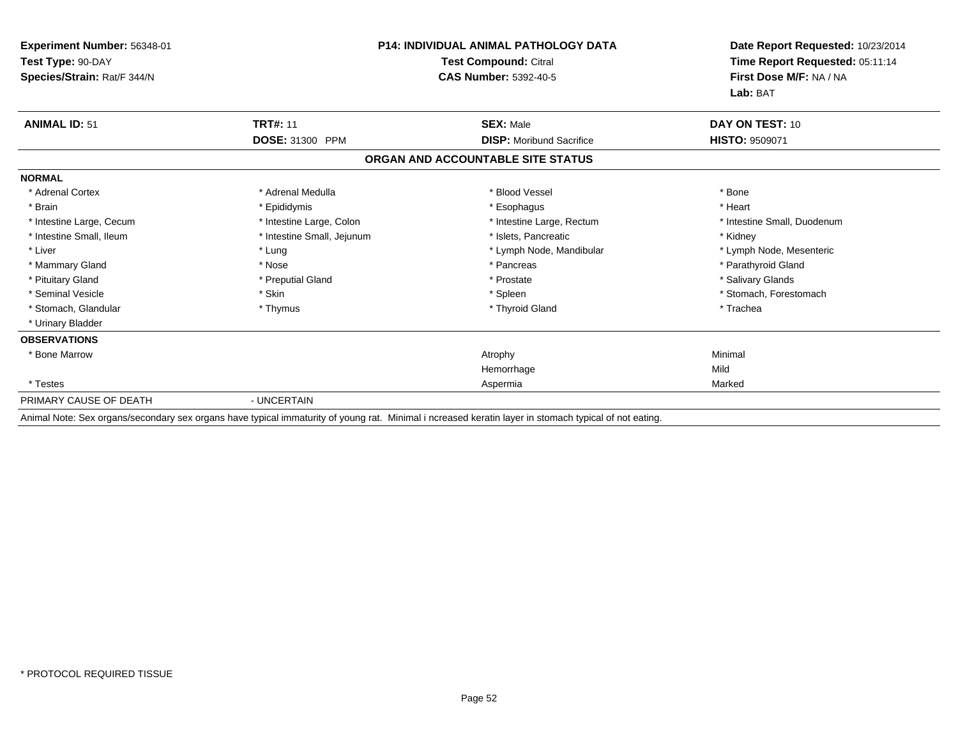| Experiment Number: 56348-01<br>Test Type: 90-DAY<br>Species/Strain: Rat/F 344/N | <b>P14: INDIVIDUAL ANIMAL PATHOLOGY DATA</b><br><b>Test Compound: Citral</b><br><b>CAS Number: 5392-40-5</b> |                                   | Date Report Requested: 10/23/2014<br>Time Report Requested: 05:11:14<br>First Dose M/F: NA / NA |  |
|---------------------------------------------------------------------------------|--------------------------------------------------------------------------------------------------------------|-----------------------------------|-------------------------------------------------------------------------------------------------|--|
|                                                                                 |                                                                                                              |                                   | Lab: BAT                                                                                        |  |
| <b>ANIMAL ID: 51</b>                                                            | <b>TRT#: 11</b>                                                                                              | <b>SEX: Male</b>                  | DAY ON TEST: 10                                                                                 |  |
|                                                                                 | DOSE: 31300 PPM                                                                                              | <b>DISP:</b> Moribund Sacrifice   | <b>HISTO: 9509071</b>                                                                           |  |
|                                                                                 |                                                                                                              | ORGAN AND ACCOUNTABLE SITE STATUS |                                                                                                 |  |
| <b>NORMAL</b>                                                                   |                                                                                                              |                                   |                                                                                                 |  |
| * Adrenal Cortex                                                                | * Adrenal Medulla                                                                                            | * Blood Vessel                    | * Bone                                                                                          |  |
| * Brain                                                                         | * Epididymis                                                                                                 | * Esophagus                       | * Heart                                                                                         |  |
| * Intestine Large, Cecum                                                        | * Intestine Large, Colon                                                                                     | * Intestine Large, Rectum         | * Intestine Small, Duodenum                                                                     |  |
| * Intestine Small, Ileum                                                        | * Intestine Small, Jejunum                                                                                   | * Islets, Pancreatic              | * Kidney                                                                                        |  |
| * Liver                                                                         | * Lung                                                                                                       | * Lymph Node, Mandibular          | * Lymph Node, Mesenteric                                                                        |  |
| * Mammary Gland                                                                 | * Nose                                                                                                       | * Pancreas                        | * Parathyroid Gland                                                                             |  |
| * Pituitary Gland                                                               | * Preputial Gland                                                                                            | * Prostate                        | * Salivary Glands                                                                               |  |
| * Seminal Vesicle                                                               | * Skin                                                                                                       | * Spleen                          | * Stomach, Forestomach                                                                          |  |
| * Stomach, Glandular                                                            | * Thymus                                                                                                     | * Thyroid Gland                   | * Trachea                                                                                       |  |
| * Urinary Bladder                                                               |                                                                                                              |                                   |                                                                                                 |  |
| <b>OBSERVATIONS</b>                                                             |                                                                                                              |                                   |                                                                                                 |  |
| * Bone Marrow                                                                   |                                                                                                              | Atrophy                           | Minimal                                                                                         |  |
|                                                                                 |                                                                                                              | Hemorrhage                        | Mild                                                                                            |  |
| * Testes                                                                        |                                                                                                              | Aspermia                          | Marked                                                                                          |  |
| PRIMARY CAUSE OF DEATH                                                          | - UNCERTAIN                                                                                                  |                                   |                                                                                                 |  |

Animal Note: Sex organs/secondary sex organs have typical immaturity of young rat. Minimal i ncreased keratin layer in stomach typical of not eating.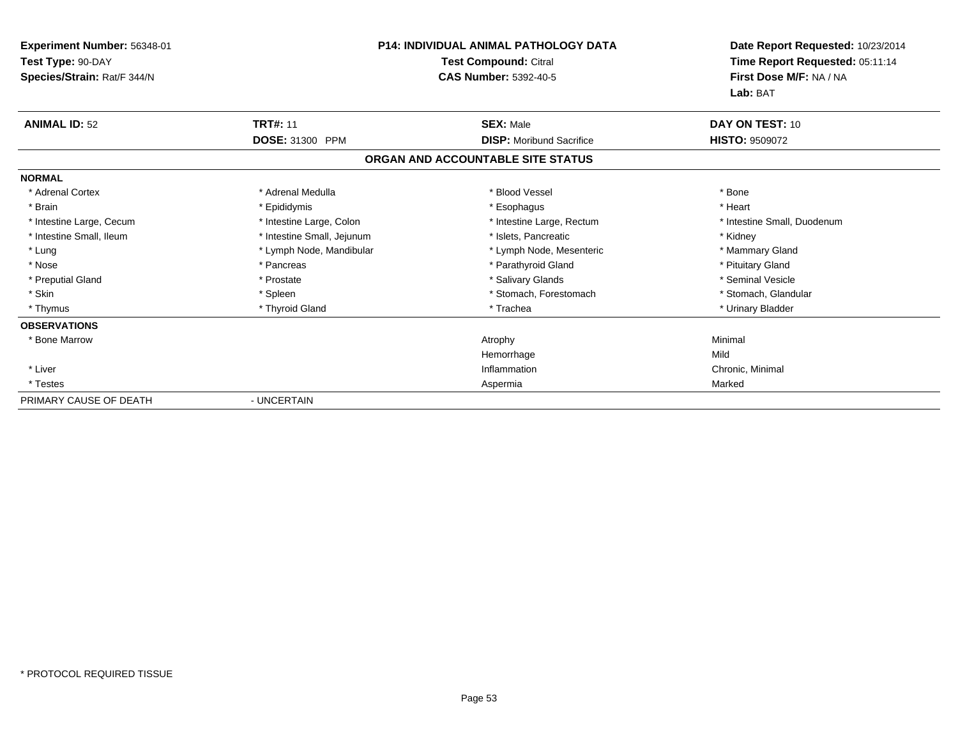| Experiment Number: 56348-01<br>Test Type: 90-DAY<br>Species/Strain: Rat/F 344/N |                            | <b>P14: INDIVIDUAL ANIMAL PATHOLOGY DATA</b><br><b>Test Compound: Citral</b><br><b>CAS Number: 5392-40-5</b> | Date Report Requested: 10/23/2014<br>Time Report Requested: 05:11:14<br>First Dose M/F: NA / NA<br>Lab: BAT |
|---------------------------------------------------------------------------------|----------------------------|--------------------------------------------------------------------------------------------------------------|-------------------------------------------------------------------------------------------------------------|
| <b>ANIMAL ID: 52</b>                                                            | <b>TRT#: 11</b>            | <b>SEX: Male</b>                                                                                             | DAY ON TEST: 10                                                                                             |
|                                                                                 | DOSE: 31300 PPM            | <b>DISP:</b> Moribund Sacrifice                                                                              | <b>HISTO: 9509072</b>                                                                                       |
|                                                                                 |                            | ORGAN AND ACCOUNTABLE SITE STATUS                                                                            |                                                                                                             |
| <b>NORMAL</b>                                                                   |                            |                                                                                                              |                                                                                                             |
| * Adrenal Cortex                                                                | * Adrenal Medulla          | * Blood Vessel                                                                                               | * Bone                                                                                                      |
| * Brain                                                                         | * Epididymis               | * Esophagus                                                                                                  | * Heart                                                                                                     |
| * Intestine Large, Cecum                                                        | * Intestine Large, Colon   | * Intestine Large, Rectum                                                                                    | * Intestine Small, Duodenum                                                                                 |
| * Intestine Small, Ileum                                                        | * Intestine Small, Jejunum | * Islets. Pancreatic                                                                                         | * Kidney                                                                                                    |
| * Lung                                                                          | * Lymph Node, Mandibular   | * Lymph Node, Mesenteric                                                                                     | * Mammary Gland                                                                                             |
| * Nose                                                                          | * Pancreas                 | * Parathyroid Gland                                                                                          | * Pituitary Gland                                                                                           |
| * Preputial Gland                                                               | * Prostate                 | * Salivary Glands                                                                                            | * Seminal Vesicle                                                                                           |
| * Skin                                                                          | * Spleen                   | * Stomach, Forestomach                                                                                       | * Stomach, Glandular                                                                                        |
| * Thymus                                                                        | * Thyroid Gland            | * Trachea                                                                                                    | * Urinary Bladder                                                                                           |
| <b>OBSERVATIONS</b>                                                             |                            |                                                                                                              |                                                                                                             |
| * Bone Marrow                                                                   |                            | Atrophy                                                                                                      | Minimal                                                                                                     |
|                                                                                 |                            | Hemorrhage                                                                                                   | Mild                                                                                                        |
| * Liver                                                                         |                            | Inflammation                                                                                                 | Chronic, Minimal                                                                                            |
| * Testes                                                                        |                            | Aspermia                                                                                                     | Marked                                                                                                      |
| PRIMARY CAUSE OF DEATH                                                          | - UNCERTAIN                |                                                                                                              |                                                                                                             |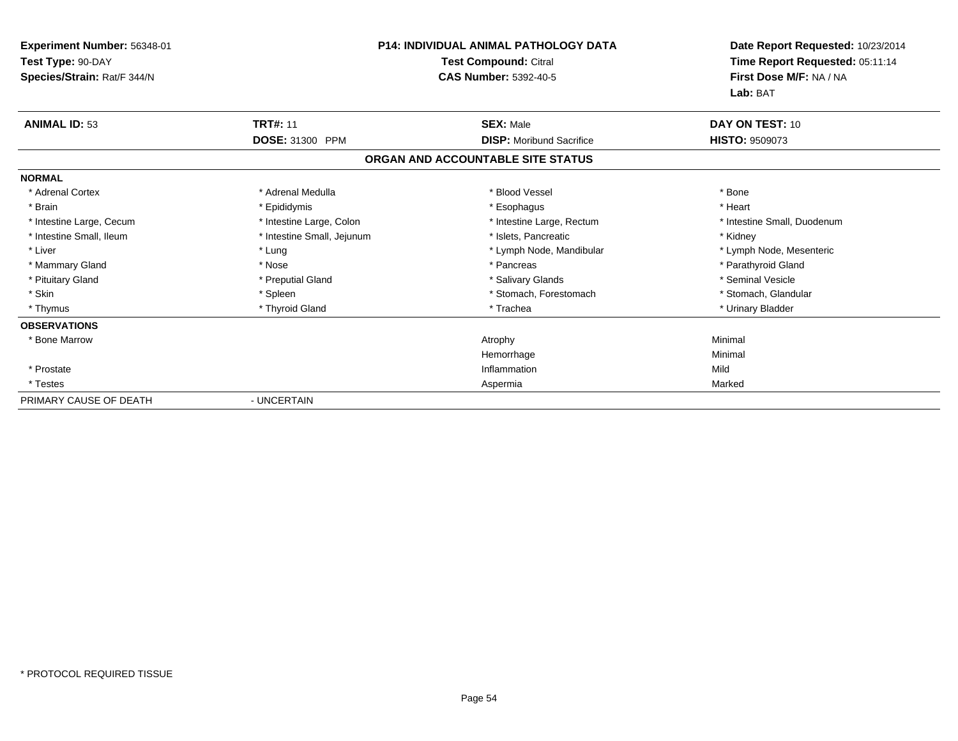| Experiment Number: 56348-01<br>Test Type: 90-DAY<br>Species/Strain: Rat/F 344/N | <b>P14: INDIVIDUAL ANIMAL PATHOLOGY DATA</b><br>Test Compound: Citral<br><b>CAS Number: 5392-40-5</b> |                                   | Date Report Requested: 10/23/2014<br>Time Report Requested: 05:11:14<br>First Dose M/F: NA / NA<br>Lab: BAT |
|---------------------------------------------------------------------------------|-------------------------------------------------------------------------------------------------------|-----------------------------------|-------------------------------------------------------------------------------------------------------------|
| <b>ANIMAL ID: 53</b>                                                            | <b>TRT#: 11</b>                                                                                       | <b>SEX: Male</b>                  | DAY ON TEST: 10                                                                                             |
|                                                                                 | DOSE: 31300 PPM                                                                                       | <b>DISP:</b> Moribund Sacrifice   | <b>HISTO: 9509073</b>                                                                                       |
|                                                                                 |                                                                                                       | ORGAN AND ACCOUNTABLE SITE STATUS |                                                                                                             |
| <b>NORMAL</b>                                                                   |                                                                                                       |                                   |                                                                                                             |
| * Adrenal Cortex                                                                | * Adrenal Medulla                                                                                     | * Blood Vessel                    | * Bone                                                                                                      |
| * Brain                                                                         | * Epididymis                                                                                          | * Esophagus                       | * Heart                                                                                                     |
| * Intestine Large, Cecum                                                        | * Intestine Large, Colon                                                                              | * Intestine Large, Rectum         | * Intestine Small, Duodenum                                                                                 |
| * Intestine Small, Ileum                                                        | * Intestine Small, Jejunum                                                                            | * Islets, Pancreatic              | * Kidney                                                                                                    |
| * Liver                                                                         | * Lung                                                                                                | * Lymph Node, Mandibular          | * Lymph Node, Mesenteric                                                                                    |
| * Mammary Gland                                                                 | * Nose                                                                                                | * Pancreas                        | * Parathyroid Gland                                                                                         |
| * Pituitary Gland                                                               | * Preputial Gland                                                                                     | * Salivary Glands                 | * Seminal Vesicle                                                                                           |
| * Skin                                                                          | * Spleen                                                                                              | * Stomach, Forestomach            | * Stomach, Glandular                                                                                        |
| * Thymus                                                                        | * Thyroid Gland                                                                                       | * Trachea                         | * Urinary Bladder                                                                                           |
| <b>OBSERVATIONS</b>                                                             |                                                                                                       |                                   |                                                                                                             |
| * Bone Marrow                                                                   |                                                                                                       | Atrophy                           | Minimal                                                                                                     |
|                                                                                 |                                                                                                       | Hemorrhage                        | Minimal                                                                                                     |
| * Prostate                                                                      |                                                                                                       | Inflammation                      | Mild                                                                                                        |
| * Testes                                                                        |                                                                                                       | Aspermia                          | Marked                                                                                                      |
| PRIMARY CAUSE OF DEATH                                                          | - UNCERTAIN                                                                                           |                                   |                                                                                                             |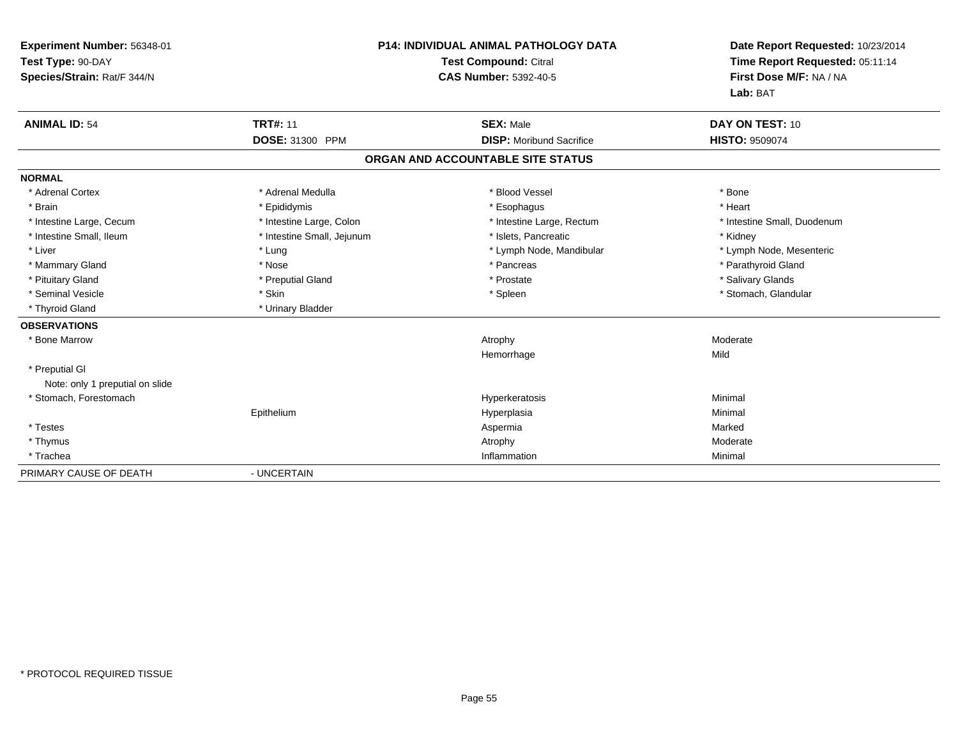| Experiment Number: 56348-01<br>Test Type: 90-DAY<br>Species/Strain: Rat/F 344/N |                            | <b>P14: INDIVIDUAL ANIMAL PATHOLOGY DATA</b><br><b>Test Compound: Citral</b><br><b>CAS Number: 5392-40-5</b> | Date Report Requested: 10/23/2014<br>Time Report Requested: 05:11:14<br>First Dose M/F: NA / NA<br>Lab: BAT |
|---------------------------------------------------------------------------------|----------------------------|--------------------------------------------------------------------------------------------------------------|-------------------------------------------------------------------------------------------------------------|
| <b>ANIMAL ID: 54</b>                                                            | <b>TRT#: 11</b>            | <b>SEX: Male</b>                                                                                             | DAY ON TEST: 10                                                                                             |
|                                                                                 | DOSE: 31300 PPM            | <b>DISP:</b> Moribund Sacrifice                                                                              | <b>HISTO: 9509074</b>                                                                                       |
|                                                                                 |                            | ORGAN AND ACCOUNTABLE SITE STATUS                                                                            |                                                                                                             |
| <b>NORMAL</b>                                                                   |                            |                                                                                                              |                                                                                                             |
| * Adrenal Cortex                                                                | * Adrenal Medulla          | * Blood Vessel                                                                                               | * Bone                                                                                                      |
| * Brain                                                                         | * Epididymis               | * Esophagus                                                                                                  | * Heart                                                                                                     |
| * Intestine Large, Cecum                                                        | * Intestine Large, Colon   | * Intestine Large, Rectum                                                                                    | * Intestine Small, Duodenum                                                                                 |
| * Intestine Small. Ileum                                                        | * Intestine Small, Jejunum | * Islets. Pancreatic                                                                                         | * Kidney                                                                                                    |
| * Liver                                                                         | * Lung                     | * Lymph Node, Mandibular                                                                                     | * Lymph Node, Mesenteric                                                                                    |
| * Mammary Gland                                                                 | * Nose                     | * Pancreas                                                                                                   | * Parathyroid Gland                                                                                         |
| * Pituitary Gland                                                               | * Preputial Gland          | * Prostate                                                                                                   | * Salivary Glands                                                                                           |
| * Seminal Vesicle                                                               | * Skin                     | * Spleen                                                                                                     | * Stomach, Glandular                                                                                        |
| * Thyroid Gland                                                                 | * Urinary Bladder          |                                                                                                              |                                                                                                             |
| <b>OBSERVATIONS</b>                                                             |                            |                                                                                                              |                                                                                                             |
| * Bone Marrow                                                                   |                            | Atrophy                                                                                                      | Moderate                                                                                                    |
|                                                                                 |                            | Hemorrhage                                                                                                   | Mild                                                                                                        |
| * Preputial GI                                                                  |                            |                                                                                                              |                                                                                                             |
| Note: only 1 preputial on slide                                                 |                            |                                                                                                              |                                                                                                             |
| * Stomach, Forestomach                                                          |                            | Hyperkeratosis                                                                                               | Minimal                                                                                                     |
|                                                                                 | Epithelium                 | Hyperplasia                                                                                                  | Minimal                                                                                                     |
| * Testes                                                                        |                            | Aspermia                                                                                                     | Marked                                                                                                      |
| * Thymus                                                                        |                            | Atrophy                                                                                                      | Moderate                                                                                                    |
| * Trachea                                                                       |                            | Inflammation                                                                                                 | Minimal                                                                                                     |
| PRIMARY CAUSE OF DEATH                                                          | - UNCERTAIN                |                                                                                                              |                                                                                                             |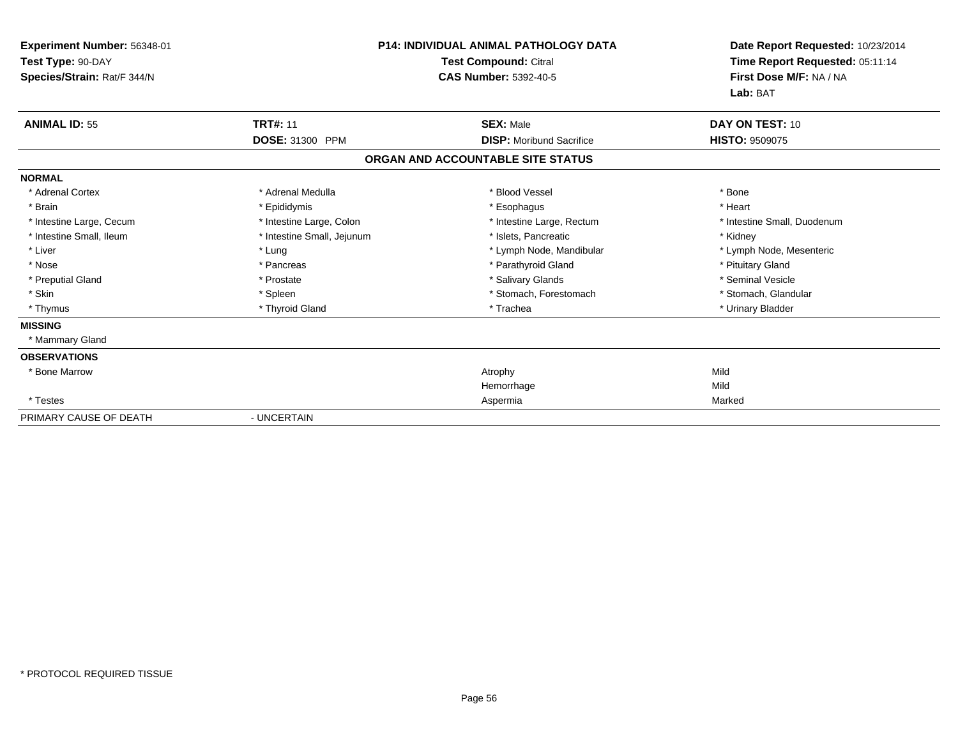| Experiment Number: 56348-01<br>Test Type: 90-DAY<br>Species/Strain: Rat/F 344/N |                            | <b>P14: INDIVIDUAL ANIMAL PATHOLOGY DATA</b><br><b>Test Compound: Citral</b><br><b>CAS Number: 5392-40-5</b> | Date Report Requested: 10/23/2014<br>Time Report Requested: 05:11:14<br>First Dose M/F: NA / NA<br>Lab: BAT |
|---------------------------------------------------------------------------------|----------------------------|--------------------------------------------------------------------------------------------------------------|-------------------------------------------------------------------------------------------------------------|
| <b>ANIMAL ID: 55</b>                                                            | <b>TRT#: 11</b>            | <b>SEX: Male</b>                                                                                             | DAY ON TEST: 10                                                                                             |
|                                                                                 | DOSE: 31300 PPM            | <b>DISP:</b> Moribund Sacrifice                                                                              | <b>HISTO: 9509075</b>                                                                                       |
|                                                                                 |                            | ORGAN AND ACCOUNTABLE SITE STATUS                                                                            |                                                                                                             |
| <b>NORMAL</b>                                                                   |                            |                                                                                                              |                                                                                                             |
| * Adrenal Cortex                                                                | * Adrenal Medulla          | * Blood Vessel                                                                                               | * Bone                                                                                                      |
| * Brain                                                                         | * Epididymis               | * Esophagus                                                                                                  | * Heart                                                                                                     |
| * Intestine Large, Cecum                                                        | * Intestine Large, Colon   | * Intestine Large, Rectum                                                                                    | * Intestine Small, Duodenum                                                                                 |
| * Intestine Small, Ileum                                                        | * Intestine Small, Jejunum | * Islets, Pancreatic                                                                                         | * Kidney                                                                                                    |
| * Liver                                                                         | * Lung                     | * Lymph Node, Mandibular                                                                                     | * Lymph Node, Mesenteric                                                                                    |
| * Nose                                                                          | * Pancreas                 | * Parathyroid Gland                                                                                          | * Pituitary Gland                                                                                           |
| * Preputial Gland                                                               | * Prostate                 | * Salivary Glands                                                                                            | * Seminal Vesicle                                                                                           |
| * Skin                                                                          | * Spleen                   | * Stomach, Forestomach                                                                                       | * Stomach, Glandular                                                                                        |
| * Thymus                                                                        | * Thyroid Gland            | * Trachea                                                                                                    | * Urinary Bladder                                                                                           |
| <b>MISSING</b>                                                                  |                            |                                                                                                              |                                                                                                             |
| * Mammary Gland                                                                 |                            |                                                                                                              |                                                                                                             |
| <b>OBSERVATIONS</b>                                                             |                            |                                                                                                              |                                                                                                             |
| * Bone Marrow                                                                   |                            | Atrophy                                                                                                      | Mild                                                                                                        |
|                                                                                 |                            | Hemorrhage                                                                                                   | Mild                                                                                                        |
| * Testes                                                                        |                            | Aspermia                                                                                                     | Marked                                                                                                      |
| PRIMARY CAUSE OF DEATH                                                          | - UNCERTAIN                |                                                                                                              |                                                                                                             |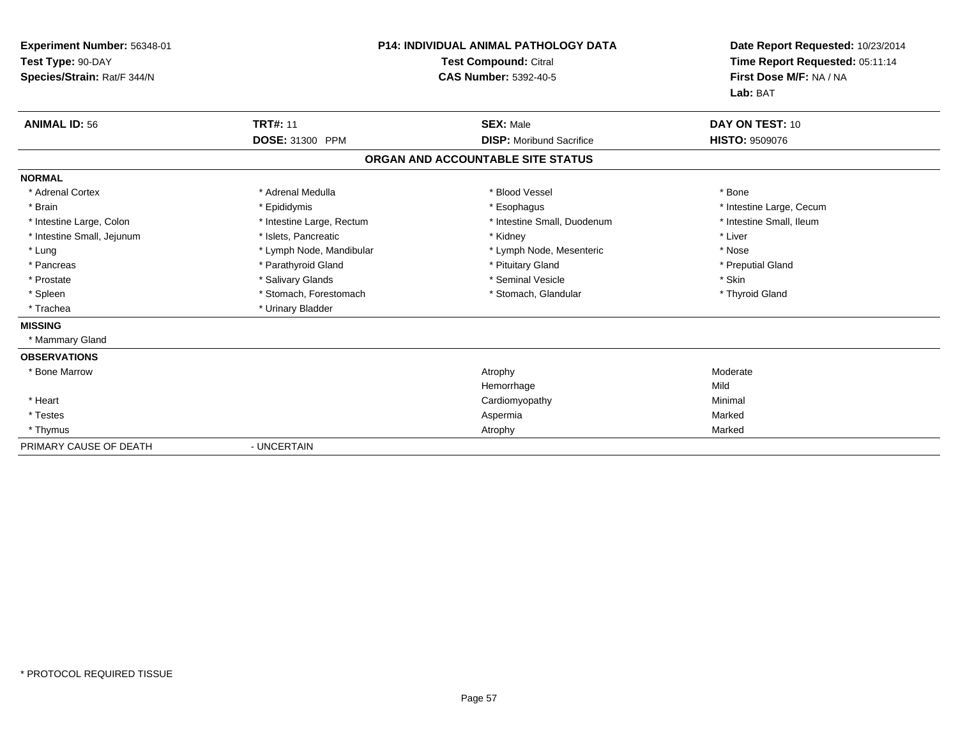| Experiment Number: 56348-01<br>Test Type: 90-DAY<br>Species/Strain: Rat/F 344/N |                           | <b>P14: INDIVIDUAL ANIMAL PATHOLOGY DATA</b><br><b>Test Compound: Citral</b><br><b>CAS Number: 5392-40-5</b> | Date Report Requested: 10/23/2014<br>Time Report Requested: 05:11:14<br>First Dose M/F: NA / NA<br>Lab: BAT |
|---------------------------------------------------------------------------------|---------------------------|--------------------------------------------------------------------------------------------------------------|-------------------------------------------------------------------------------------------------------------|
| <b>ANIMAL ID: 56</b>                                                            | <b>TRT#: 11</b>           | <b>SEX: Male</b>                                                                                             | DAY ON TEST: 10                                                                                             |
|                                                                                 | DOSE: 31300 PPM           | <b>DISP:</b> Moribund Sacrifice                                                                              | <b>HISTO: 9509076</b>                                                                                       |
|                                                                                 |                           | ORGAN AND ACCOUNTABLE SITE STATUS                                                                            |                                                                                                             |
| <b>NORMAL</b>                                                                   |                           |                                                                                                              |                                                                                                             |
| * Adrenal Cortex                                                                | * Adrenal Medulla         | * Blood Vessel                                                                                               | * Bone                                                                                                      |
| * Brain                                                                         | * Epididymis              | * Esophagus                                                                                                  | * Intestine Large, Cecum                                                                                    |
| * Intestine Large, Colon                                                        | * Intestine Large, Rectum | * Intestine Small, Duodenum                                                                                  | * Intestine Small. Ileum                                                                                    |
| * Intestine Small, Jejunum                                                      | * Islets, Pancreatic      | * Kidney                                                                                                     | * Liver                                                                                                     |
| * Lung                                                                          | * Lymph Node, Mandibular  | * Lymph Node, Mesenteric                                                                                     | * Nose                                                                                                      |
| * Pancreas                                                                      | * Parathyroid Gland       | * Pituitary Gland                                                                                            | * Preputial Gland                                                                                           |
| * Prostate                                                                      | * Salivary Glands         | * Seminal Vesicle                                                                                            | * Skin                                                                                                      |
| * Spleen                                                                        | * Stomach, Forestomach    | * Stomach, Glandular                                                                                         | * Thyroid Gland                                                                                             |
| * Trachea                                                                       | * Urinary Bladder         |                                                                                                              |                                                                                                             |
| <b>MISSING</b>                                                                  |                           |                                                                                                              |                                                                                                             |
| * Mammary Gland                                                                 |                           |                                                                                                              |                                                                                                             |
| <b>OBSERVATIONS</b>                                                             |                           |                                                                                                              |                                                                                                             |
| * Bone Marrow                                                                   |                           | Atrophy                                                                                                      | Moderate                                                                                                    |
|                                                                                 |                           | Hemorrhage                                                                                                   | Mild                                                                                                        |
| * Heart                                                                         |                           | Cardiomyopathy                                                                                               | Minimal                                                                                                     |
| * Testes                                                                        |                           | Aspermia                                                                                                     | Marked                                                                                                      |
| * Thymus                                                                        |                           | Atrophy                                                                                                      | Marked                                                                                                      |
| PRIMARY CAUSE OF DEATH                                                          | - UNCERTAIN               |                                                                                                              |                                                                                                             |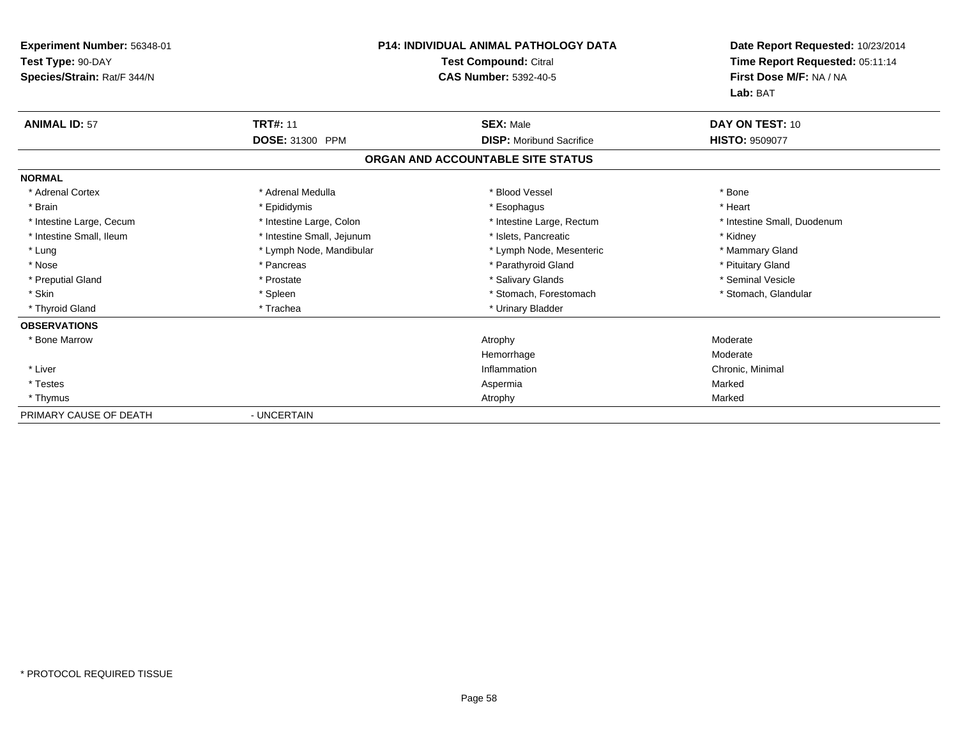| Experiment Number: 56348-01<br>Test Type: 90-DAY<br>Species/Strain: Rat/F 344/N |                            | <b>P14: INDIVIDUAL ANIMAL PATHOLOGY DATA</b><br><b>Test Compound: Citral</b><br><b>CAS Number: 5392-40-5</b> | Date Report Requested: 10/23/2014<br>Time Report Requested: 05:11:14<br>First Dose M/F: NA / NA<br>Lab: BAT |
|---------------------------------------------------------------------------------|----------------------------|--------------------------------------------------------------------------------------------------------------|-------------------------------------------------------------------------------------------------------------|
| <b>ANIMAL ID: 57</b>                                                            | <b>TRT#: 11</b>            | <b>SEX: Male</b>                                                                                             | DAY ON TEST: 10                                                                                             |
|                                                                                 | DOSE: 31300 PPM            | <b>DISP:</b> Moribund Sacrifice                                                                              | <b>HISTO: 9509077</b>                                                                                       |
|                                                                                 |                            | ORGAN AND ACCOUNTABLE SITE STATUS                                                                            |                                                                                                             |
| <b>NORMAL</b>                                                                   |                            |                                                                                                              |                                                                                                             |
| * Adrenal Cortex                                                                | * Adrenal Medulla          | * Blood Vessel                                                                                               | * Bone                                                                                                      |
| * Brain                                                                         | * Epididymis               | * Esophagus                                                                                                  | * Heart                                                                                                     |
| * Intestine Large, Cecum                                                        | * Intestine Large, Colon   | * Intestine Large, Rectum                                                                                    | * Intestine Small, Duodenum                                                                                 |
| * Intestine Small, Ileum                                                        | * Intestine Small, Jejunum | * Islets. Pancreatic                                                                                         | * Kidney                                                                                                    |
| * Lung                                                                          | * Lymph Node, Mandibular   | * Lymph Node, Mesenteric                                                                                     | * Mammary Gland                                                                                             |
| * Nose                                                                          | * Pancreas                 | * Parathyroid Gland                                                                                          | * Pituitary Gland                                                                                           |
| * Preputial Gland                                                               | * Prostate                 | * Salivary Glands                                                                                            | * Seminal Vesicle                                                                                           |
| * Skin                                                                          | * Spleen                   | * Stomach, Forestomach                                                                                       | * Stomach, Glandular                                                                                        |
| * Thyroid Gland                                                                 | * Trachea                  | * Urinary Bladder                                                                                            |                                                                                                             |
| <b>OBSERVATIONS</b>                                                             |                            |                                                                                                              |                                                                                                             |
| * Bone Marrow                                                                   |                            | Atrophy                                                                                                      | Moderate                                                                                                    |
|                                                                                 |                            | Hemorrhage                                                                                                   | Moderate                                                                                                    |
| * Liver                                                                         |                            | Inflammation                                                                                                 | Chronic, Minimal                                                                                            |
| * Testes                                                                        |                            | Aspermia                                                                                                     | Marked                                                                                                      |
| * Thymus                                                                        |                            | Atrophy                                                                                                      | Marked                                                                                                      |
| PRIMARY CAUSE OF DEATH                                                          | - UNCERTAIN                |                                                                                                              |                                                                                                             |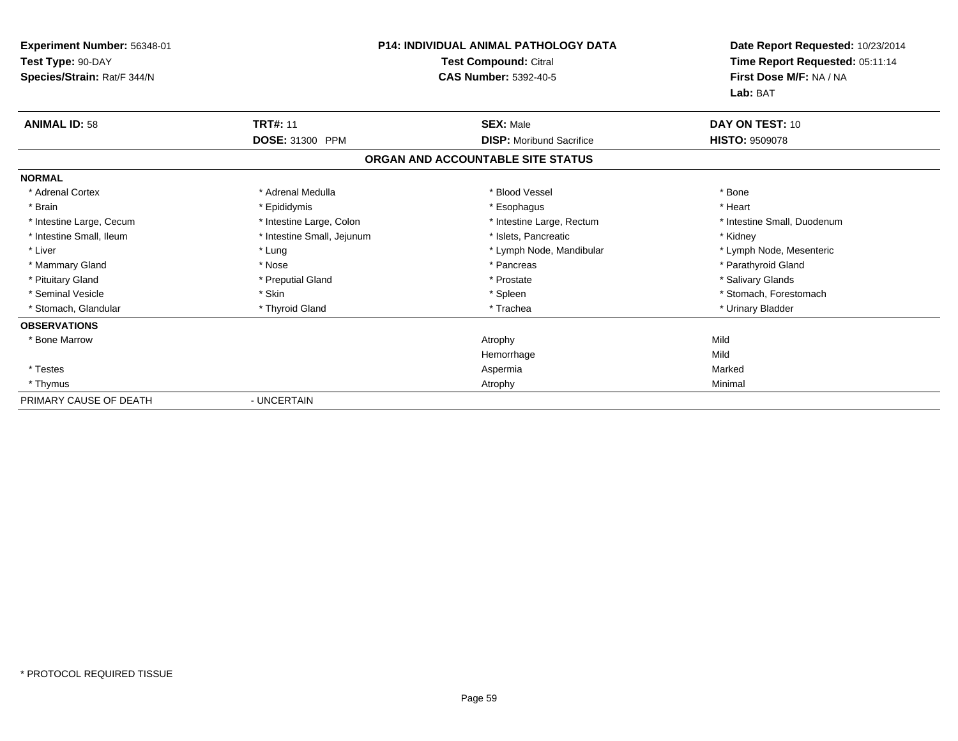| Experiment Number: 56348-01<br>Test Type: 90-DAY<br>Species/Strain: Rat/F 344/N | <b>P14: INDIVIDUAL ANIMAL PATHOLOGY DATA</b><br><b>Test Compound: Citral</b><br><b>CAS Number: 5392-40-5</b> |                                   | Date Report Requested: 10/23/2014<br>Time Report Requested: 05:11:14<br>First Dose M/F: NA / NA<br>Lab: BAT |
|---------------------------------------------------------------------------------|--------------------------------------------------------------------------------------------------------------|-----------------------------------|-------------------------------------------------------------------------------------------------------------|
| <b>ANIMAL ID: 58</b>                                                            | <b>TRT#: 11</b>                                                                                              | <b>SEX: Male</b>                  | DAY ON TEST: 10                                                                                             |
|                                                                                 | DOSE: 31300 PPM                                                                                              | <b>DISP:</b> Moribund Sacrifice   | <b>HISTO: 9509078</b>                                                                                       |
|                                                                                 |                                                                                                              | ORGAN AND ACCOUNTABLE SITE STATUS |                                                                                                             |
| <b>NORMAL</b>                                                                   |                                                                                                              |                                   |                                                                                                             |
| * Adrenal Cortex                                                                | * Adrenal Medulla                                                                                            | * Blood Vessel                    | * Bone                                                                                                      |
| * Brain                                                                         | * Epididymis                                                                                                 | * Esophagus                       | * Heart                                                                                                     |
| * Intestine Large, Cecum                                                        | * Intestine Large, Colon                                                                                     | * Intestine Large, Rectum         | * Intestine Small, Duodenum                                                                                 |
| * Intestine Small, Ileum                                                        | * Intestine Small, Jejunum                                                                                   | * Islets, Pancreatic              | * Kidney                                                                                                    |
| * Liver                                                                         | * Lung                                                                                                       | * Lymph Node, Mandibular          | * Lymph Node, Mesenteric                                                                                    |
| * Mammary Gland                                                                 | * Nose                                                                                                       | * Pancreas                        | * Parathyroid Gland                                                                                         |
| * Pituitary Gland                                                               | * Preputial Gland                                                                                            | * Prostate                        | * Salivary Glands                                                                                           |
| * Seminal Vesicle                                                               | * Skin                                                                                                       | * Spleen                          | * Stomach, Forestomach                                                                                      |
| * Stomach, Glandular                                                            | * Thyroid Gland                                                                                              | * Trachea                         | * Urinary Bladder                                                                                           |
| <b>OBSERVATIONS</b>                                                             |                                                                                                              |                                   |                                                                                                             |
| * Bone Marrow                                                                   |                                                                                                              | Atrophy                           | Mild                                                                                                        |
|                                                                                 |                                                                                                              | Hemorrhage                        | Mild                                                                                                        |
| * Testes                                                                        |                                                                                                              | Aspermia                          | Marked                                                                                                      |
| * Thymus                                                                        |                                                                                                              | Atrophy                           | Minimal                                                                                                     |
| PRIMARY CAUSE OF DEATH                                                          | - UNCERTAIN                                                                                                  |                                   |                                                                                                             |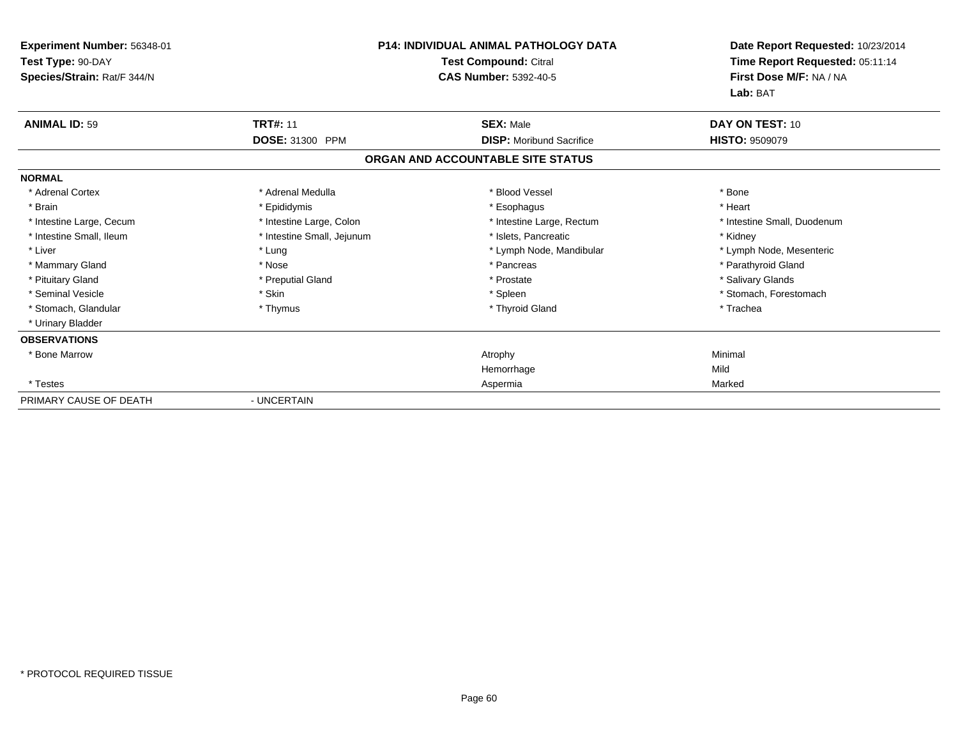| Experiment Number: 56348-01<br>Test Type: 90-DAY<br>Species/Strain: Rat/F 344/N | P14: INDIVIDUAL ANIMAL PATHOLOGY DATA<br>Test Compound: Citral<br><b>CAS Number: 5392-40-5</b> |                                   | Date Report Requested: 10/23/2014<br>Time Report Requested: 05:11:14<br>First Dose M/F: NA / NA<br>Lab: BAT |  |
|---------------------------------------------------------------------------------|------------------------------------------------------------------------------------------------|-----------------------------------|-------------------------------------------------------------------------------------------------------------|--|
| <b>ANIMAL ID: 59</b>                                                            | <b>TRT#: 11</b>                                                                                | <b>SEX: Male</b>                  | DAY ON TEST: 10                                                                                             |  |
|                                                                                 | <b>DOSE: 31300 PPM</b>                                                                         | <b>DISP:</b> Moribund Sacrifice   | <b>HISTO: 9509079</b>                                                                                       |  |
|                                                                                 |                                                                                                | ORGAN AND ACCOUNTABLE SITE STATUS |                                                                                                             |  |
| <b>NORMAL</b>                                                                   |                                                                                                |                                   |                                                                                                             |  |
| * Adrenal Cortex                                                                | * Adrenal Medulla                                                                              | * Blood Vessel                    | * Bone                                                                                                      |  |
| * Brain                                                                         | * Epididymis                                                                                   | * Esophagus                       | * Heart                                                                                                     |  |
| * Intestine Large, Cecum                                                        | * Intestine Large, Colon                                                                       | * Intestine Large, Rectum         | * Intestine Small, Duodenum                                                                                 |  |
| * Intestine Small, Ileum                                                        | * Intestine Small, Jejunum                                                                     | * Islets, Pancreatic              | * Kidney                                                                                                    |  |
| * Liver                                                                         | * Lung                                                                                         | * Lymph Node, Mandibular          | * Lymph Node, Mesenteric                                                                                    |  |
| * Mammary Gland                                                                 | * Nose                                                                                         | * Pancreas                        | * Parathyroid Gland                                                                                         |  |
| * Pituitary Gland                                                               | * Preputial Gland                                                                              | * Prostate                        | * Salivary Glands                                                                                           |  |
| * Seminal Vesicle                                                               | * Skin                                                                                         | * Spleen                          | * Stomach, Forestomach                                                                                      |  |
| * Stomach, Glandular                                                            | * Thymus                                                                                       | * Thyroid Gland                   | * Trachea                                                                                                   |  |
| * Urinary Bladder                                                               |                                                                                                |                                   |                                                                                                             |  |
| <b>OBSERVATIONS</b>                                                             |                                                                                                |                                   |                                                                                                             |  |
| * Bone Marrow                                                                   |                                                                                                | Atrophy                           | Minimal                                                                                                     |  |
|                                                                                 |                                                                                                | Hemorrhage                        | Mild                                                                                                        |  |
| * Testes                                                                        |                                                                                                | Aspermia                          | Marked                                                                                                      |  |
| PRIMARY CAUSE OF DEATH                                                          | - UNCERTAIN                                                                                    |                                   |                                                                                                             |  |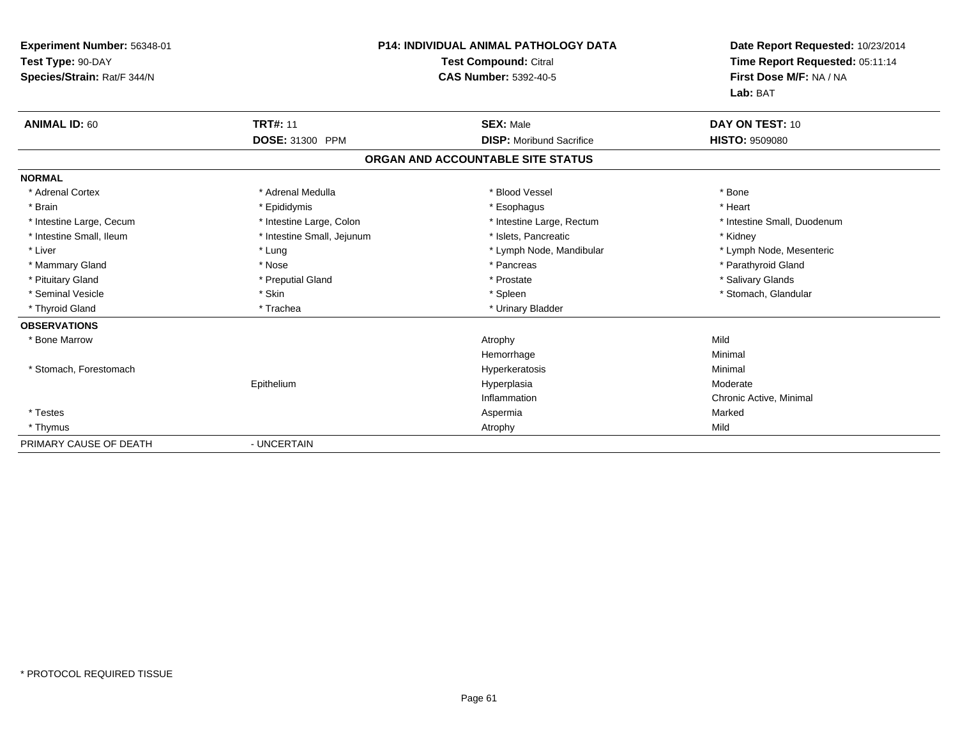| Experiment Number: 56348-01<br>Test Type: 90-DAY<br>Species/Strain: Rat/F 344/N | <b>P14: INDIVIDUAL ANIMAL PATHOLOGY DATA</b><br><b>Test Compound: Citral</b><br><b>CAS Number: 5392-40-5</b> |                                   | Date Report Requested: 10/23/2014<br>Time Report Requested: 05:11:14<br>First Dose M/F: NA / NA<br>Lab: BAT |  |
|---------------------------------------------------------------------------------|--------------------------------------------------------------------------------------------------------------|-----------------------------------|-------------------------------------------------------------------------------------------------------------|--|
| <b>ANIMAL ID: 60</b>                                                            | <b>TRT#: 11</b>                                                                                              | <b>SEX: Male</b>                  | DAY ON TEST: 10                                                                                             |  |
|                                                                                 | DOSE: 31300 PPM                                                                                              | <b>DISP:</b> Moribund Sacrifice   | <b>HISTO: 9509080</b>                                                                                       |  |
|                                                                                 |                                                                                                              | ORGAN AND ACCOUNTABLE SITE STATUS |                                                                                                             |  |
| <b>NORMAL</b>                                                                   |                                                                                                              |                                   |                                                                                                             |  |
| * Adrenal Cortex                                                                | * Adrenal Medulla                                                                                            | * Blood Vessel                    | * Bone                                                                                                      |  |
| * Brain                                                                         | * Epididymis                                                                                                 | * Esophagus                       | * Heart                                                                                                     |  |
| * Intestine Large, Cecum                                                        | * Intestine Large, Colon                                                                                     | * Intestine Large, Rectum         | * Intestine Small, Duodenum                                                                                 |  |
| * Intestine Small. Ileum                                                        | * Intestine Small, Jejunum                                                                                   | * Islets, Pancreatic              | * Kidney                                                                                                    |  |
| * Liver                                                                         | * Lung                                                                                                       | * Lymph Node, Mandibular          | * Lymph Node, Mesenteric                                                                                    |  |
| * Mammary Gland                                                                 | * Nose                                                                                                       | * Pancreas                        | * Parathyroid Gland                                                                                         |  |
| * Pituitary Gland                                                               | * Preputial Gland                                                                                            | * Prostate                        | * Salivary Glands                                                                                           |  |
| * Seminal Vesicle                                                               | * Skin                                                                                                       | * Spleen                          | * Stomach, Glandular                                                                                        |  |
| * Thyroid Gland                                                                 | * Trachea                                                                                                    | * Urinary Bladder                 |                                                                                                             |  |
| <b>OBSERVATIONS</b>                                                             |                                                                                                              |                                   |                                                                                                             |  |
| * Bone Marrow                                                                   |                                                                                                              | Atrophy                           | Mild                                                                                                        |  |
|                                                                                 |                                                                                                              | Hemorrhage                        | Minimal                                                                                                     |  |
| * Stomach, Forestomach                                                          |                                                                                                              | Hyperkeratosis                    | Minimal                                                                                                     |  |
|                                                                                 | Epithelium                                                                                                   | Hyperplasia                       | Moderate                                                                                                    |  |
|                                                                                 |                                                                                                              | Inflammation                      | Chronic Active, Minimal                                                                                     |  |
| * Testes                                                                        |                                                                                                              | Aspermia                          | Marked                                                                                                      |  |
| * Thymus                                                                        |                                                                                                              | Atrophy                           | Mild                                                                                                        |  |
| PRIMARY CAUSE OF DEATH                                                          | - UNCERTAIN                                                                                                  |                                   |                                                                                                             |  |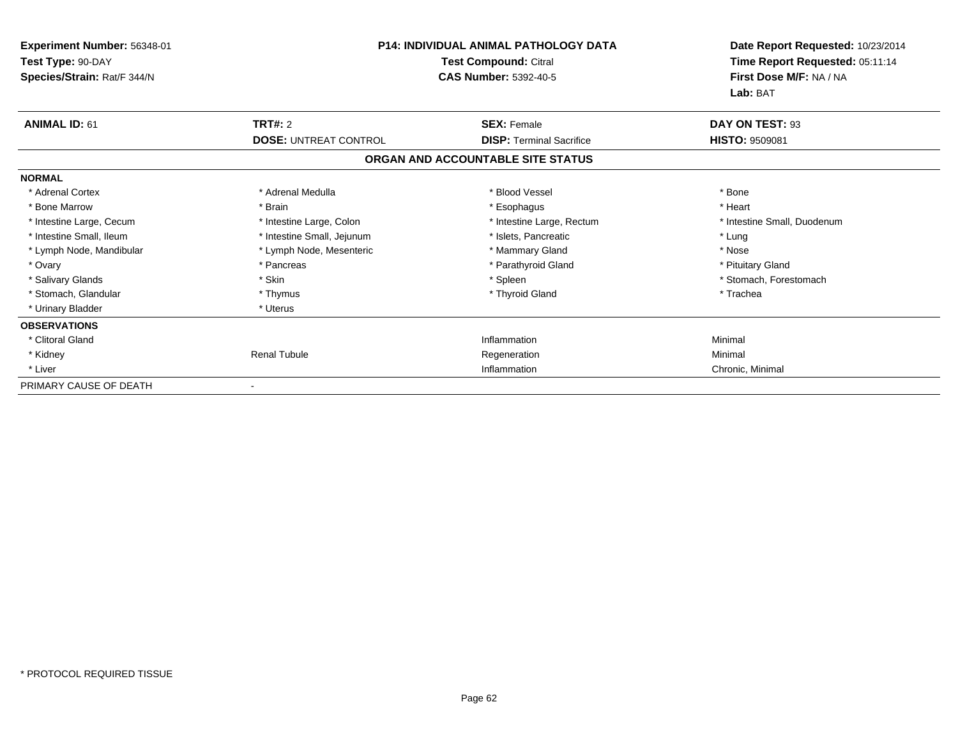| Experiment Number: 56348-01<br>Test Type: 90-DAY<br>Species/Strain: Rat/F 344/N | <b>P14: INDIVIDUAL ANIMAL PATHOLOGY DATA</b><br>Test Compound: Citral<br><b>CAS Number: 5392-40-5</b> |                                   | Date Report Requested: 10/23/2014<br>Time Report Requested: 05:11:14<br>First Dose M/F: NA / NA<br>Lab: BAT |
|---------------------------------------------------------------------------------|-------------------------------------------------------------------------------------------------------|-----------------------------------|-------------------------------------------------------------------------------------------------------------|
| <b>ANIMAL ID: 61</b>                                                            | <b>TRT#: 2</b>                                                                                        | <b>SEX: Female</b>                | DAY ON TEST: 93                                                                                             |
|                                                                                 | <b>DOSE: UNTREAT CONTROL</b>                                                                          | <b>DISP: Terminal Sacrifice</b>   | <b>HISTO: 9509081</b>                                                                                       |
|                                                                                 |                                                                                                       | ORGAN AND ACCOUNTABLE SITE STATUS |                                                                                                             |
| <b>NORMAL</b>                                                                   |                                                                                                       |                                   |                                                                                                             |
| * Adrenal Cortex                                                                | * Adrenal Medulla                                                                                     | * Blood Vessel                    | * Bone                                                                                                      |
| * Bone Marrow                                                                   | * Brain                                                                                               | * Esophagus                       | * Heart                                                                                                     |
| * Intestine Large, Cecum                                                        | * Intestine Large, Colon                                                                              | * Intestine Large, Rectum         | * Intestine Small, Duodenum                                                                                 |
| * Intestine Small, Ileum                                                        | * Intestine Small, Jejunum                                                                            | * Islets, Pancreatic              | * Lung                                                                                                      |
| * Lymph Node, Mandibular                                                        | * Lymph Node, Mesenteric                                                                              | * Mammary Gland                   | * Nose                                                                                                      |
| * Ovary                                                                         | * Pancreas                                                                                            | * Parathyroid Gland               | * Pituitary Gland                                                                                           |
| * Salivary Glands                                                               | * Skin                                                                                                | * Spleen                          | * Stomach, Forestomach                                                                                      |
| * Stomach, Glandular                                                            | * Thymus                                                                                              | * Thyroid Gland                   | * Trachea                                                                                                   |
| * Urinary Bladder                                                               | * Uterus                                                                                              |                                   |                                                                                                             |
| <b>OBSERVATIONS</b>                                                             |                                                                                                       |                                   |                                                                                                             |
| * Clitoral Gland                                                                |                                                                                                       | Inflammation                      | Minimal                                                                                                     |
| * Kidney                                                                        | <b>Renal Tubule</b>                                                                                   | Regeneration                      | Minimal                                                                                                     |
| * Liver                                                                         |                                                                                                       | Inflammation                      | Chronic, Minimal                                                                                            |
| PRIMARY CAUSE OF DEATH                                                          |                                                                                                       |                                   |                                                                                                             |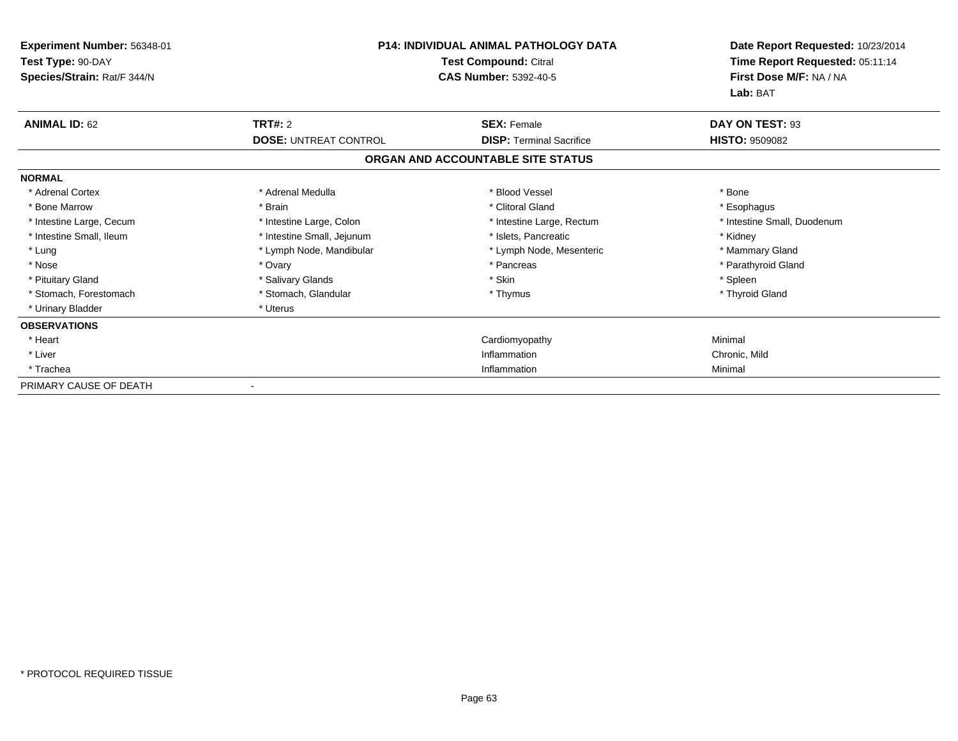| Experiment Number: 56348-01<br>Test Type: 90-DAY<br>Species/Strain: Rat/F 344/N | <b>P14: INDIVIDUAL ANIMAL PATHOLOGY DATA</b><br><b>Test Compound: Citral</b><br><b>CAS Number: 5392-40-5</b> |                                   | Date Report Requested: 10/23/2014<br>Time Report Requested: 05:11:14<br>First Dose M/F: NA / NA<br>Lab: BAT |
|---------------------------------------------------------------------------------|--------------------------------------------------------------------------------------------------------------|-----------------------------------|-------------------------------------------------------------------------------------------------------------|
| <b>ANIMAL ID: 62</b>                                                            | <b>TRT#: 2</b>                                                                                               | <b>SEX: Female</b>                | DAY ON TEST: 93                                                                                             |
|                                                                                 | <b>DOSE: UNTREAT CONTROL</b>                                                                                 | <b>DISP: Terminal Sacrifice</b>   | <b>HISTO: 9509082</b>                                                                                       |
|                                                                                 |                                                                                                              | ORGAN AND ACCOUNTABLE SITE STATUS |                                                                                                             |
| <b>NORMAL</b>                                                                   |                                                                                                              |                                   |                                                                                                             |
| * Adrenal Cortex                                                                | * Adrenal Medulla                                                                                            | * Blood Vessel                    | * Bone                                                                                                      |
| * Bone Marrow                                                                   | * Brain                                                                                                      | * Clitoral Gland                  | * Esophagus                                                                                                 |
| * Intestine Large, Cecum                                                        | * Intestine Large, Colon                                                                                     | * Intestine Large, Rectum         | * Intestine Small, Duodenum                                                                                 |
| * Intestine Small, Ileum                                                        | * Intestine Small, Jejunum                                                                                   | * Islets, Pancreatic              | * Kidney                                                                                                    |
| * Lung                                                                          | * Lymph Node, Mandibular                                                                                     | * Lymph Node, Mesenteric          | * Mammary Gland                                                                                             |
| * Nose                                                                          | * Ovary                                                                                                      | * Pancreas                        | * Parathyroid Gland                                                                                         |
| * Pituitary Gland                                                               | * Salivary Glands                                                                                            | * Skin                            | * Spleen                                                                                                    |
| * Stomach, Forestomach                                                          | * Stomach, Glandular                                                                                         | * Thymus                          | * Thyroid Gland                                                                                             |
| * Urinary Bladder                                                               | * Uterus                                                                                                     |                                   |                                                                                                             |
| <b>OBSERVATIONS</b>                                                             |                                                                                                              |                                   |                                                                                                             |
| * Heart                                                                         |                                                                                                              | Cardiomyopathy                    | Minimal                                                                                                     |
| * Liver                                                                         |                                                                                                              | Inflammation                      | Chronic, Mild                                                                                               |
| * Trachea                                                                       |                                                                                                              | Inflammation                      | Minimal                                                                                                     |
| PRIMARY CAUSE OF DEATH                                                          |                                                                                                              |                                   |                                                                                                             |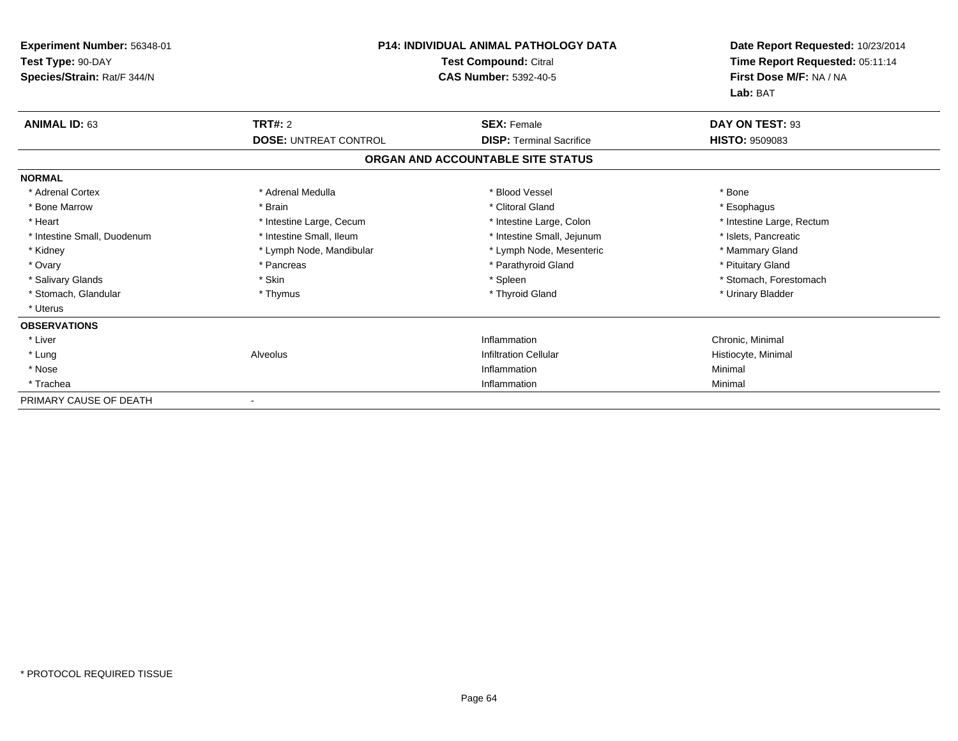| Experiment Number: 56348-01<br>Test Type: 90-DAY<br>Species/Strain: Rat/F 344/N | <b>P14: INDIVIDUAL ANIMAL PATHOLOGY DATA</b><br>Test Compound: Citral<br><b>CAS Number: 5392-40-5</b> |                                   | Date Report Requested: 10/23/2014<br>Time Report Requested: 05:11:14<br>First Dose M/F: NA / NA<br>Lab: BAT |
|---------------------------------------------------------------------------------|-------------------------------------------------------------------------------------------------------|-----------------------------------|-------------------------------------------------------------------------------------------------------------|
| <b>ANIMAL ID: 63</b>                                                            | <b>TRT#: 2</b>                                                                                        | <b>SEX: Female</b>                | DAY ON TEST: 93                                                                                             |
|                                                                                 | <b>DOSE: UNTREAT CONTROL</b>                                                                          | <b>DISP:</b> Terminal Sacrifice   | <b>HISTO: 9509083</b>                                                                                       |
|                                                                                 |                                                                                                       | ORGAN AND ACCOUNTABLE SITE STATUS |                                                                                                             |
| <b>NORMAL</b>                                                                   |                                                                                                       |                                   |                                                                                                             |
| * Adrenal Cortex                                                                | * Adrenal Medulla                                                                                     | * Blood Vessel                    | * Bone                                                                                                      |
| * Bone Marrow                                                                   | * Brain                                                                                               | * Clitoral Gland                  | * Esophagus                                                                                                 |
| * Heart                                                                         | * Intestine Large, Cecum                                                                              | * Intestine Large, Colon          | * Intestine Large, Rectum                                                                                   |
| * Intestine Small, Duodenum                                                     | * Intestine Small, Ileum                                                                              | * Intestine Small, Jejunum        | * Islets, Pancreatic                                                                                        |
| * Kidney                                                                        | * Lymph Node, Mandibular                                                                              | * Lymph Node, Mesenteric          | * Mammary Gland                                                                                             |
| * Ovary                                                                         | * Pancreas                                                                                            | * Parathyroid Gland               | * Pituitary Gland                                                                                           |
| * Salivary Glands                                                               | * Skin                                                                                                | * Spleen                          | * Stomach, Forestomach                                                                                      |
| * Stomach, Glandular                                                            | * Thymus                                                                                              | * Thyroid Gland                   | * Urinary Bladder                                                                                           |
| * Uterus                                                                        |                                                                                                       |                                   |                                                                                                             |
| <b>OBSERVATIONS</b>                                                             |                                                                                                       |                                   |                                                                                                             |
| * Liver                                                                         |                                                                                                       | Inflammation                      | Chronic, Minimal                                                                                            |
| * Lung                                                                          | Alveolus                                                                                              | <b>Infiltration Cellular</b>      | Histiocyte, Minimal                                                                                         |
| * Nose                                                                          |                                                                                                       | Inflammation                      | Minimal                                                                                                     |
| * Trachea                                                                       |                                                                                                       | Inflammation                      | Minimal                                                                                                     |
| PRIMARY CAUSE OF DEATH                                                          |                                                                                                       |                                   |                                                                                                             |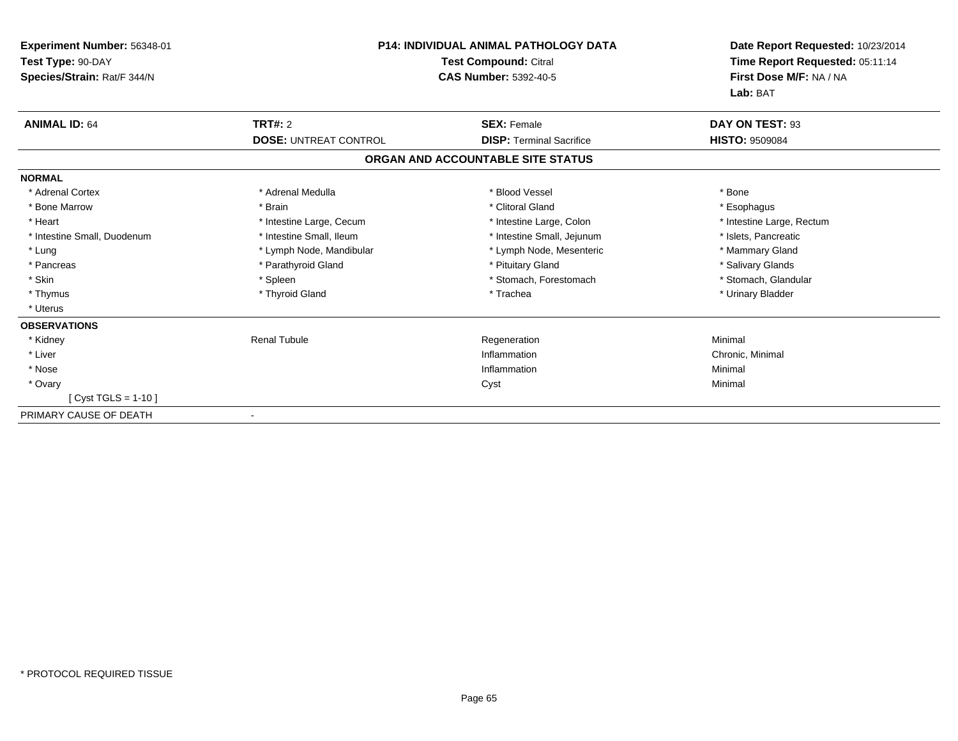| <b>Experiment Number: 56348-01</b><br>Test Type: 90-DAY<br>Species/Strain: Rat/F 344/N | <b>P14: INDIVIDUAL ANIMAL PATHOLOGY DATA</b><br><b>Test Compound: Citral</b><br><b>CAS Number: 5392-40-5</b> |                                   | Date Report Requested: 10/23/2014<br>Time Report Requested: 05:11:14<br>First Dose M/F: NA / NA<br>Lab: BAT |
|----------------------------------------------------------------------------------------|--------------------------------------------------------------------------------------------------------------|-----------------------------------|-------------------------------------------------------------------------------------------------------------|
| <b>ANIMAL ID: 64</b>                                                                   | TRT#: 2                                                                                                      | <b>SEX: Female</b>                | DAY ON TEST: 93                                                                                             |
|                                                                                        | <b>DOSE: UNTREAT CONTROL</b>                                                                                 | <b>DISP: Terminal Sacrifice</b>   | <b>HISTO: 9509084</b>                                                                                       |
|                                                                                        |                                                                                                              | ORGAN AND ACCOUNTABLE SITE STATUS |                                                                                                             |
| <b>NORMAL</b>                                                                          |                                                                                                              |                                   |                                                                                                             |
| * Adrenal Cortex                                                                       | * Adrenal Medulla                                                                                            | * Blood Vessel                    | * Bone                                                                                                      |
| * Bone Marrow                                                                          | * Brain                                                                                                      | * Clitoral Gland                  | * Esophagus                                                                                                 |
| * Heart                                                                                | * Intestine Large, Cecum                                                                                     | * Intestine Large, Colon          | * Intestine Large, Rectum                                                                                   |
| * Intestine Small, Duodenum                                                            | * Intestine Small, Ileum                                                                                     | * Intestine Small, Jejunum        | * Islets, Pancreatic                                                                                        |
| * Lung                                                                                 | * Lymph Node, Mandibular                                                                                     | * Lymph Node, Mesenteric          | * Mammary Gland                                                                                             |
| * Pancreas                                                                             | * Parathyroid Gland                                                                                          | * Pituitary Gland                 | * Salivary Glands                                                                                           |
| * Skin                                                                                 | * Spleen                                                                                                     | * Stomach, Forestomach            | * Stomach, Glandular                                                                                        |
| * Thymus                                                                               | * Thyroid Gland                                                                                              | * Trachea                         | * Urinary Bladder                                                                                           |
| * Uterus                                                                               |                                                                                                              |                                   |                                                                                                             |
| <b>OBSERVATIONS</b>                                                                    |                                                                                                              |                                   |                                                                                                             |
| * Kidney                                                                               | <b>Renal Tubule</b>                                                                                          | Regeneration                      | Minimal                                                                                                     |
| * Liver                                                                                |                                                                                                              | Inflammation                      | Chronic, Minimal                                                                                            |
| * Nose                                                                                 |                                                                                                              | Inflammation                      | Minimal                                                                                                     |
| * Ovary                                                                                |                                                                                                              | Cyst                              | Minimal                                                                                                     |
| $[Cyst TGLS = 1-10]$                                                                   |                                                                                                              |                                   |                                                                                                             |
| PRIMARY CAUSE OF DEATH                                                                 |                                                                                                              |                                   |                                                                                                             |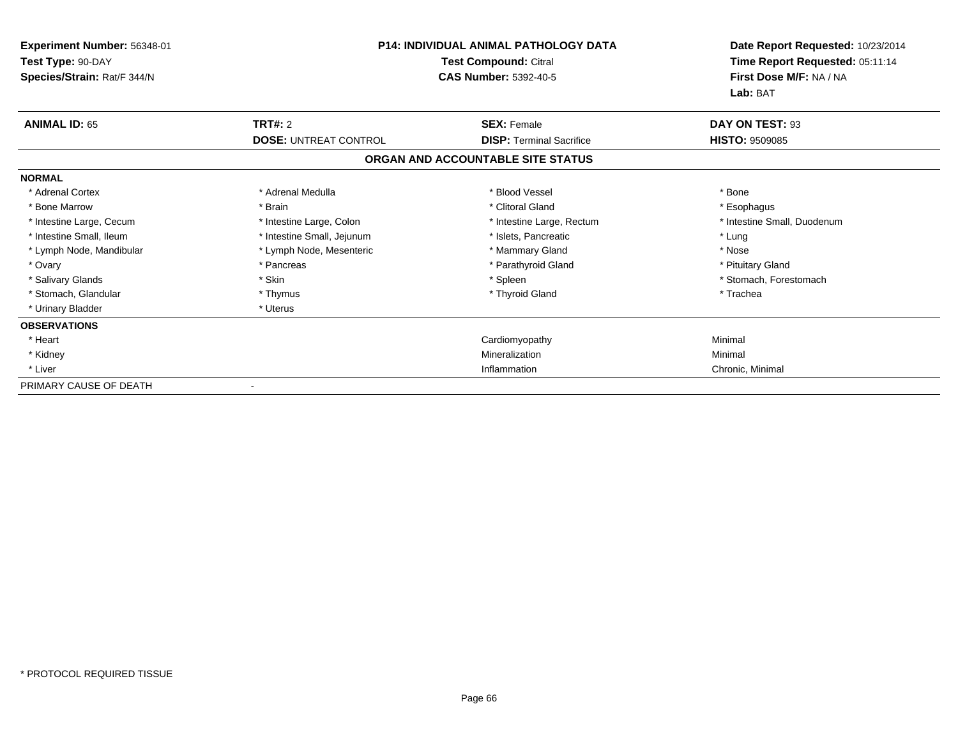| Experiment Number: 56348-01<br>Test Type: 90-DAY<br>Species/Strain: Rat/F 344/N | <b>P14: INDIVIDUAL ANIMAL PATHOLOGY DATA</b><br><b>Test Compound: Citral</b><br><b>CAS Number: 5392-40-5</b> |                                   | Date Report Requested: 10/23/2014<br>Time Report Requested: 05:11:14<br>First Dose M/F: NA / NA<br>Lab: BAT |
|---------------------------------------------------------------------------------|--------------------------------------------------------------------------------------------------------------|-----------------------------------|-------------------------------------------------------------------------------------------------------------|
| <b>ANIMAL ID: 65</b>                                                            | <b>TRT#: 2</b>                                                                                               | <b>SEX: Female</b>                | DAY ON TEST: 93                                                                                             |
|                                                                                 | <b>DOSE: UNTREAT CONTROL</b>                                                                                 | <b>DISP: Terminal Sacrifice</b>   | <b>HISTO: 9509085</b>                                                                                       |
|                                                                                 |                                                                                                              | ORGAN AND ACCOUNTABLE SITE STATUS |                                                                                                             |
| <b>NORMAL</b>                                                                   |                                                                                                              |                                   |                                                                                                             |
| * Adrenal Cortex                                                                | * Adrenal Medulla                                                                                            | * Blood Vessel                    | * Bone                                                                                                      |
| * Bone Marrow                                                                   | * Brain                                                                                                      | * Clitoral Gland                  | * Esophagus                                                                                                 |
| * Intestine Large, Cecum                                                        | * Intestine Large, Colon                                                                                     | * Intestine Large, Rectum         | * Intestine Small, Duodenum                                                                                 |
| * Intestine Small, Ileum                                                        | * Intestine Small, Jejunum                                                                                   | * Islets, Pancreatic              | * Lung                                                                                                      |
| * Lymph Node, Mandibular                                                        | * Lymph Node, Mesenteric                                                                                     | * Mammary Gland                   | * Nose                                                                                                      |
| * Ovary                                                                         | * Pancreas                                                                                                   | * Parathyroid Gland               | * Pituitary Gland                                                                                           |
| * Salivary Glands                                                               | * Skin                                                                                                       | * Spleen                          | * Stomach, Forestomach                                                                                      |
| * Stomach, Glandular                                                            | * Thymus                                                                                                     | * Thyroid Gland                   | * Trachea                                                                                                   |
| * Urinary Bladder                                                               | * Uterus                                                                                                     |                                   |                                                                                                             |
| <b>OBSERVATIONS</b>                                                             |                                                                                                              |                                   |                                                                                                             |
| * Heart                                                                         |                                                                                                              | Cardiomyopathy                    | Minimal                                                                                                     |
| * Kidney                                                                        |                                                                                                              | Mineralization                    | Minimal                                                                                                     |
| * Liver                                                                         |                                                                                                              | Inflammation                      | Chronic, Minimal                                                                                            |
| PRIMARY CAUSE OF DEATH                                                          |                                                                                                              |                                   |                                                                                                             |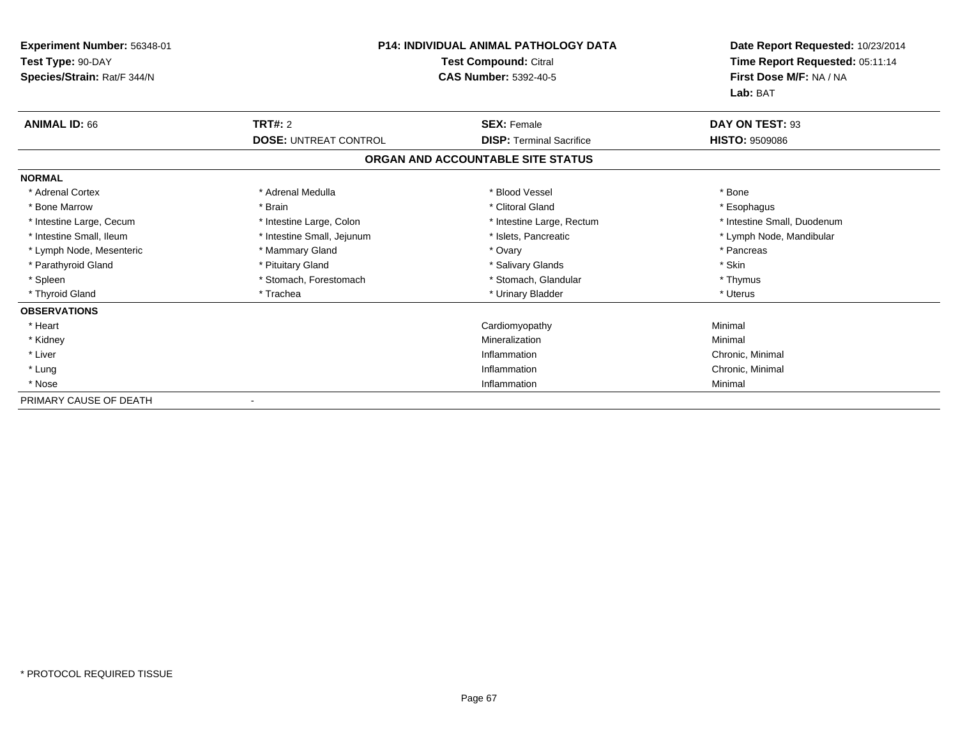| Experiment Number: 56348-01<br>Test Type: 90-DAY<br>Species/Strain: Rat/F 344/N | <b>P14: INDIVIDUAL ANIMAL PATHOLOGY DATA</b><br>Test Compound: Citral<br><b>CAS Number: 5392-40-5</b> |                                   | Date Report Requested: 10/23/2014<br>Time Report Requested: 05:11:14<br>First Dose M/F: NA / NA<br>Lab: BAT |
|---------------------------------------------------------------------------------|-------------------------------------------------------------------------------------------------------|-----------------------------------|-------------------------------------------------------------------------------------------------------------|
| <b>ANIMAL ID: 66</b>                                                            | TRT#: 2                                                                                               | <b>SEX: Female</b>                | DAY ON TEST: 93                                                                                             |
|                                                                                 | <b>DOSE: UNTREAT CONTROL</b>                                                                          | <b>DISP:</b> Terminal Sacrifice   | <b>HISTO: 9509086</b>                                                                                       |
|                                                                                 |                                                                                                       | ORGAN AND ACCOUNTABLE SITE STATUS |                                                                                                             |
| <b>NORMAL</b>                                                                   |                                                                                                       |                                   |                                                                                                             |
| * Adrenal Cortex                                                                | * Adrenal Medulla                                                                                     | * Blood Vessel                    | * Bone                                                                                                      |
| * Bone Marrow                                                                   | * Brain                                                                                               | * Clitoral Gland                  | * Esophagus                                                                                                 |
| * Intestine Large, Cecum                                                        | * Intestine Large, Colon                                                                              | * Intestine Large, Rectum         | * Intestine Small, Duodenum                                                                                 |
| * Intestine Small, Ileum                                                        | * Intestine Small, Jejunum                                                                            | * Islets, Pancreatic              | * Lymph Node, Mandibular                                                                                    |
| * Lymph Node, Mesenteric                                                        | * Mammary Gland                                                                                       | * Ovary                           | * Pancreas                                                                                                  |
| * Parathyroid Gland                                                             | * Pituitary Gland                                                                                     | * Salivary Glands                 | * Skin                                                                                                      |
| * Spleen                                                                        | * Stomach, Forestomach                                                                                | * Stomach, Glandular              | * Thymus                                                                                                    |
| * Thyroid Gland                                                                 | * Trachea                                                                                             | * Urinary Bladder                 | * Uterus                                                                                                    |
| <b>OBSERVATIONS</b>                                                             |                                                                                                       |                                   |                                                                                                             |
| * Heart                                                                         |                                                                                                       | Cardiomyopathy                    | Minimal                                                                                                     |
| * Kidney                                                                        |                                                                                                       | Mineralization                    | Minimal                                                                                                     |
| * Liver                                                                         |                                                                                                       | Inflammation                      | Chronic, Minimal                                                                                            |
| * Lung                                                                          |                                                                                                       | Inflammation                      | Chronic, Minimal                                                                                            |
| * Nose                                                                          |                                                                                                       | Inflammation                      | Minimal                                                                                                     |
| PRIMARY CAUSE OF DEATH                                                          |                                                                                                       |                                   |                                                                                                             |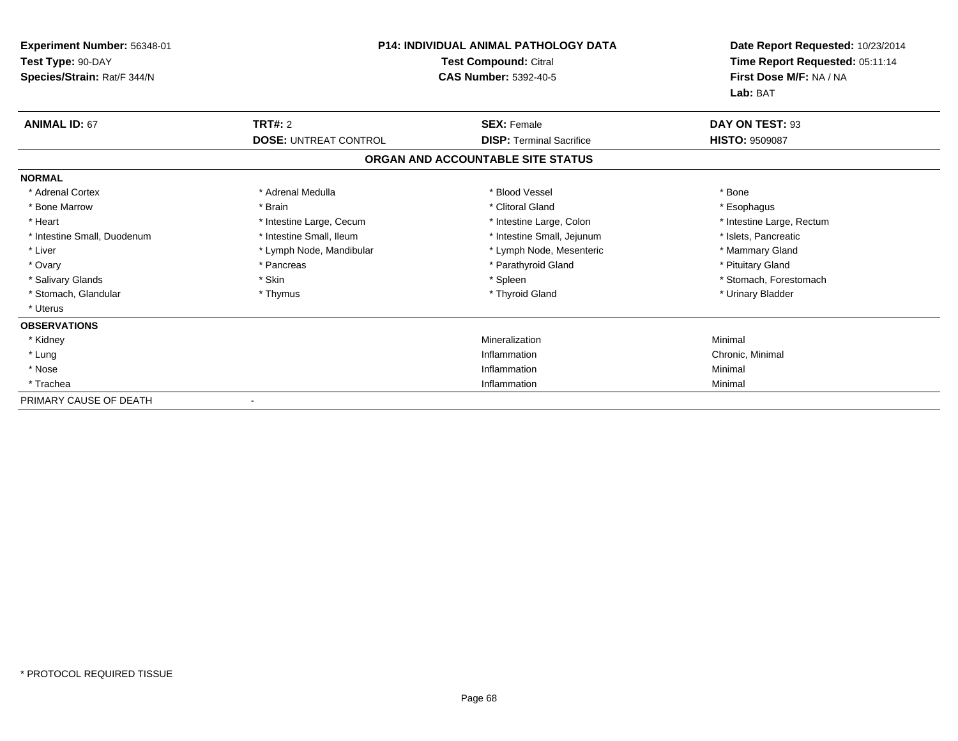| <b>Experiment Number: 56348-01</b><br>Test Type: 90-DAY<br>Species/Strain: Rat/F 344/N | <b>P14: INDIVIDUAL ANIMAL PATHOLOGY DATA</b><br><b>Test Compound: Citral</b><br><b>CAS Number: 5392-40-5</b> |                                   | Date Report Requested: 10/23/2014<br>Time Report Requested: 05:11:14<br>First Dose M/F: NA / NA |  |
|----------------------------------------------------------------------------------------|--------------------------------------------------------------------------------------------------------------|-----------------------------------|-------------------------------------------------------------------------------------------------|--|
|                                                                                        |                                                                                                              |                                   | Lab: BAT                                                                                        |  |
| <b>ANIMAL ID: 67</b>                                                                   | <b>TRT#: 2</b>                                                                                               | <b>SEX: Female</b>                | DAY ON TEST: 93                                                                                 |  |
|                                                                                        | <b>DOSE: UNTREAT CONTROL</b>                                                                                 | <b>DISP: Terminal Sacrifice</b>   | <b>HISTO: 9509087</b>                                                                           |  |
|                                                                                        |                                                                                                              | ORGAN AND ACCOUNTABLE SITE STATUS |                                                                                                 |  |
| <b>NORMAL</b>                                                                          |                                                                                                              |                                   |                                                                                                 |  |
| * Adrenal Cortex                                                                       | * Adrenal Medulla                                                                                            | * Blood Vessel                    | * Bone                                                                                          |  |
| * Bone Marrow                                                                          | * Brain                                                                                                      | * Clitoral Gland                  | * Esophagus                                                                                     |  |
| * Heart                                                                                | * Intestine Large, Cecum                                                                                     | * Intestine Large, Colon          | * Intestine Large, Rectum                                                                       |  |
| * Intestine Small, Duodenum                                                            | * Intestine Small, Ileum                                                                                     | * Intestine Small, Jejunum        | * Islets, Pancreatic                                                                            |  |
| * Liver                                                                                | * Lymph Node, Mandibular                                                                                     | * Lymph Node, Mesenteric          | * Mammary Gland                                                                                 |  |
| * Ovary                                                                                | * Pancreas                                                                                                   | * Parathyroid Gland               | * Pituitary Gland                                                                               |  |
| * Salivary Glands                                                                      | * Skin                                                                                                       | * Spleen                          | * Stomach, Forestomach                                                                          |  |
| * Stomach, Glandular                                                                   | * Thymus                                                                                                     | * Thyroid Gland                   | * Urinary Bladder                                                                               |  |
| * Uterus                                                                               |                                                                                                              |                                   |                                                                                                 |  |
| <b>OBSERVATIONS</b>                                                                    |                                                                                                              |                                   |                                                                                                 |  |
| * Kidney                                                                               |                                                                                                              | Mineralization                    | Minimal                                                                                         |  |
| * Lung                                                                                 |                                                                                                              | Inflammation                      | Chronic, Minimal                                                                                |  |
| * Nose                                                                                 |                                                                                                              | Inflammation                      | Minimal                                                                                         |  |
| * Trachea                                                                              |                                                                                                              | Inflammation                      | Minimal                                                                                         |  |
| PRIMARY CAUSE OF DEATH                                                                 |                                                                                                              |                                   |                                                                                                 |  |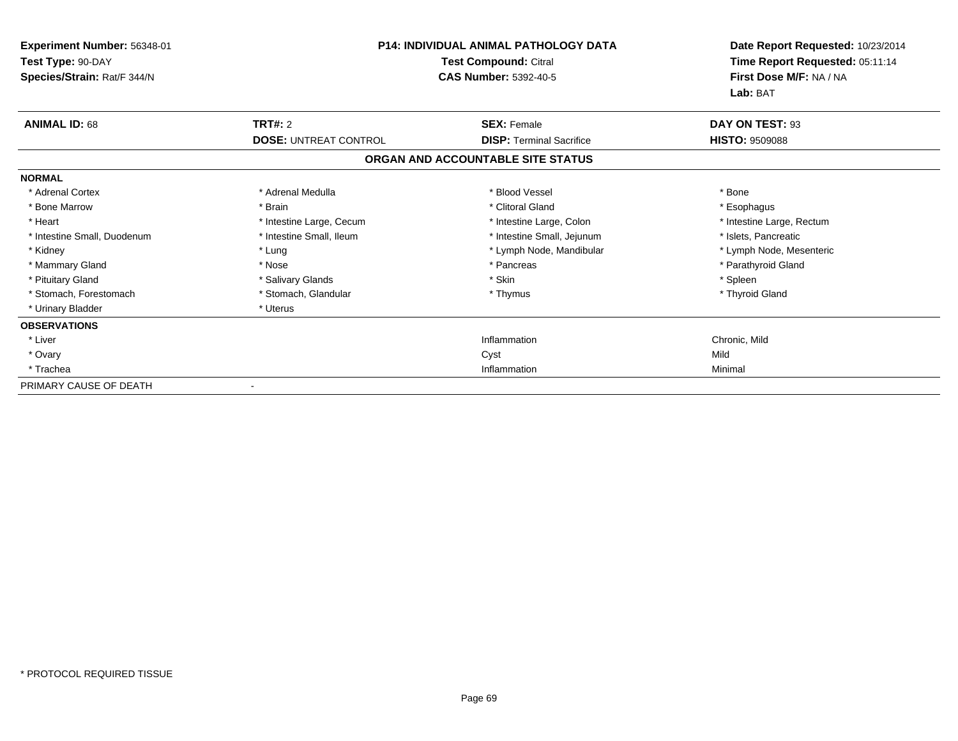| Experiment Number: 56348-01<br>Test Type: 90-DAY<br>Species/Strain: Rat/F 344/N | <b>P14: INDIVIDUAL ANIMAL PATHOLOGY DATA</b><br>Test Compound: Citral<br><b>CAS Number: 5392-40-5</b> |                                   | Date Report Requested: 10/23/2014<br>Time Report Requested: 05:11:14<br>First Dose M/F: NA / NA<br>Lab: BAT |
|---------------------------------------------------------------------------------|-------------------------------------------------------------------------------------------------------|-----------------------------------|-------------------------------------------------------------------------------------------------------------|
| <b>ANIMAL ID: 68</b>                                                            | <b>TRT#: 2</b>                                                                                        | <b>SEX: Female</b>                | DAY ON TEST: 93                                                                                             |
|                                                                                 | <b>DOSE: UNTREAT CONTROL</b>                                                                          | <b>DISP: Terminal Sacrifice</b>   | <b>HISTO: 9509088</b>                                                                                       |
|                                                                                 |                                                                                                       | ORGAN AND ACCOUNTABLE SITE STATUS |                                                                                                             |
| <b>NORMAL</b>                                                                   |                                                                                                       |                                   |                                                                                                             |
| * Adrenal Cortex                                                                | * Adrenal Medulla                                                                                     | * Blood Vessel                    | * Bone                                                                                                      |
| * Bone Marrow                                                                   | * Brain                                                                                               | * Clitoral Gland                  | * Esophagus                                                                                                 |
| * Heart                                                                         | * Intestine Large, Cecum                                                                              | * Intestine Large, Colon          | * Intestine Large, Rectum                                                                                   |
| * Intestine Small, Duodenum                                                     | * Intestine Small, Ileum                                                                              | * Intestine Small, Jejunum        | * Islets, Pancreatic                                                                                        |
| * Kidney                                                                        | * Lung                                                                                                | * Lymph Node, Mandibular          | * Lymph Node, Mesenteric                                                                                    |
| * Mammary Gland                                                                 | * Nose                                                                                                | * Pancreas                        | * Parathyroid Gland                                                                                         |
| * Pituitary Gland                                                               | * Salivary Glands                                                                                     | * Skin                            | * Spleen                                                                                                    |
| * Stomach, Forestomach                                                          | * Stomach, Glandular                                                                                  | * Thymus                          | * Thyroid Gland                                                                                             |
| * Urinary Bladder                                                               | * Uterus                                                                                              |                                   |                                                                                                             |
| <b>OBSERVATIONS</b>                                                             |                                                                                                       |                                   |                                                                                                             |
| * Liver                                                                         |                                                                                                       | Inflammation                      | Chronic, Mild                                                                                               |
| * Ovary                                                                         |                                                                                                       | Cyst                              | Mild                                                                                                        |
| * Trachea                                                                       |                                                                                                       | Inflammation                      | Minimal                                                                                                     |
| PRIMARY CAUSE OF DEATH                                                          |                                                                                                       |                                   |                                                                                                             |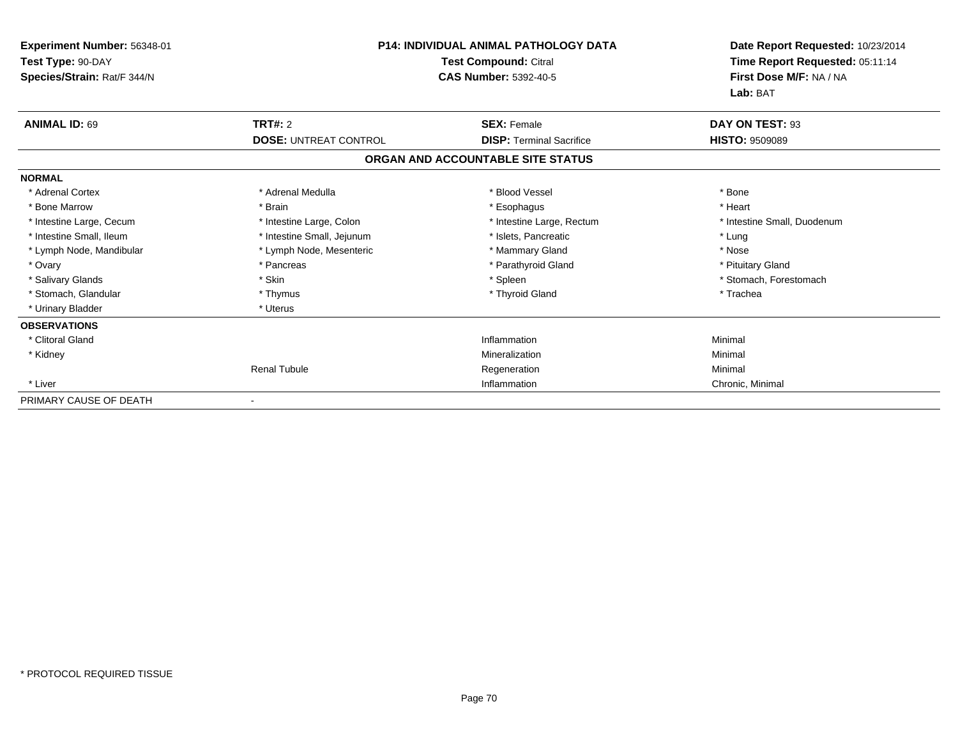| Experiment Number: 56348-01<br>Test Type: 90-DAY<br>Species/Strain: Rat/F 344/N | <b>P14: INDIVIDUAL ANIMAL PATHOLOGY DATA</b><br>Test Compound: Citral<br><b>CAS Number: 5392-40-5</b> |                                                       | Date Report Requested: 10/23/2014<br>Time Report Requested: 05:11:14<br>First Dose M/F: NA / NA<br>Lab: BAT |  |
|---------------------------------------------------------------------------------|-------------------------------------------------------------------------------------------------------|-------------------------------------------------------|-------------------------------------------------------------------------------------------------------------|--|
| <b>ANIMAL ID: 69</b>                                                            | <b>TRT#: 2</b><br><b>DOSE: UNTREAT CONTROL</b>                                                        | <b>SEX: Female</b><br><b>DISP: Terminal Sacrifice</b> | DAY ON TEST: 93<br><b>HISTO: 9509089</b>                                                                    |  |
|                                                                                 |                                                                                                       | ORGAN AND ACCOUNTABLE SITE STATUS                     |                                                                                                             |  |
| <b>NORMAL</b>                                                                   |                                                                                                       |                                                       |                                                                                                             |  |
| * Adrenal Cortex                                                                | * Adrenal Medulla                                                                                     | * Blood Vessel                                        | * Bone                                                                                                      |  |
| * Bone Marrow                                                                   | * Brain                                                                                               | * Esophagus                                           | * Heart                                                                                                     |  |
| * Intestine Large, Cecum                                                        | * Intestine Large, Colon                                                                              | * Intestine Large, Rectum                             | * Intestine Small, Duodenum                                                                                 |  |
| * Intestine Small, Ileum                                                        | * Intestine Small, Jejunum                                                                            | * Islets, Pancreatic                                  | * Lung                                                                                                      |  |
| * Lymph Node, Mandibular                                                        | * Lymph Node, Mesenteric                                                                              | * Mammary Gland                                       | * Nose                                                                                                      |  |
| * Ovary                                                                         | * Pancreas                                                                                            | * Parathyroid Gland                                   | * Pituitary Gland                                                                                           |  |
| * Salivary Glands                                                               | * Skin                                                                                                | * Spleen                                              | * Stomach, Forestomach                                                                                      |  |
| * Stomach, Glandular                                                            | * Thymus                                                                                              | * Thyroid Gland                                       | * Trachea                                                                                                   |  |
| * Urinary Bladder                                                               | * Uterus                                                                                              |                                                       |                                                                                                             |  |
| <b>OBSERVATIONS</b>                                                             |                                                                                                       |                                                       |                                                                                                             |  |
| * Clitoral Gland                                                                |                                                                                                       | Inflammation                                          | Minimal                                                                                                     |  |
| * Kidney                                                                        |                                                                                                       | Mineralization                                        | Minimal                                                                                                     |  |
|                                                                                 | <b>Renal Tubule</b>                                                                                   | Regeneration                                          | Minimal                                                                                                     |  |
| * Liver                                                                         |                                                                                                       | Inflammation                                          | Chronic, Minimal                                                                                            |  |
| PRIMARY CAUSE OF DEATH                                                          |                                                                                                       |                                                       |                                                                                                             |  |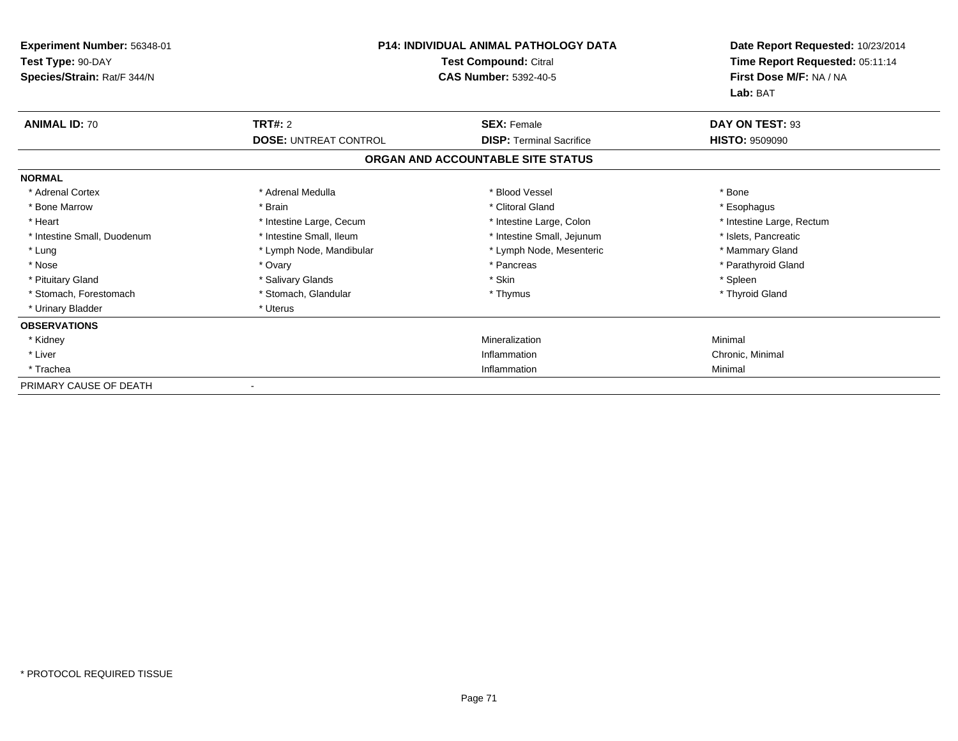| Experiment Number: 56348-01<br>Test Type: 90-DAY<br>Species/Strain: Rat/F 344/N | <b>P14: INDIVIDUAL ANIMAL PATHOLOGY DATA</b><br><b>Test Compound: Citral</b><br><b>CAS Number: 5392-40-5</b> |                                                       | Date Report Requested: 10/23/2014<br>Time Report Requested: 05:11:14<br>First Dose M/F: NA / NA<br>Lab: BAT |
|---------------------------------------------------------------------------------|--------------------------------------------------------------------------------------------------------------|-------------------------------------------------------|-------------------------------------------------------------------------------------------------------------|
| <b>ANIMAL ID: 70</b>                                                            | <b>TRT#: 2</b><br><b>DOSE: UNTREAT CONTROL</b>                                                               | <b>SEX: Female</b><br><b>DISP: Terminal Sacrifice</b> | DAY ON TEST: 93<br><b>HISTO: 9509090</b>                                                                    |
|                                                                                 |                                                                                                              | ORGAN AND ACCOUNTABLE SITE STATUS                     |                                                                                                             |
| <b>NORMAL</b>                                                                   |                                                                                                              |                                                       |                                                                                                             |
| * Adrenal Cortex                                                                | * Adrenal Medulla                                                                                            | * Blood Vessel                                        | * Bone                                                                                                      |
| * Bone Marrow                                                                   | * Brain                                                                                                      | * Clitoral Gland                                      | * Esophagus                                                                                                 |
| * Heart                                                                         | * Intestine Large, Cecum                                                                                     | * Intestine Large, Colon                              | * Intestine Large, Rectum                                                                                   |
| * Intestine Small, Duodenum                                                     | * Intestine Small, Ileum                                                                                     | * Intestine Small, Jejunum                            | * Islets, Pancreatic                                                                                        |
| * Lung                                                                          | * Lymph Node, Mandibular                                                                                     | * Lymph Node, Mesenteric                              | * Mammary Gland                                                                                             |
| * Nose                                                                          | * Ovary                                                                                                      | * Pancreas                                            | * Parathyroid Gland                                                                                         |
| * Pituitary Gland                                                               | * Salivary Glands                                                                                            | * Skin                                                | * Spleen                                                                                                    |
| * Stomach, Forestomach                                                          | * Stomach, Glandular                                                                                         | * Thymus                                              | * Thyroid Gland                                                                                             |
| * Urinary Bladder                                                               | * Uterus                                                                                                     |                                                       |                                                                                                             |
| <b>OBSERVATIONS</b>                                                             |                                                                                                              |                                                       |                                                                                                             |
| * Kidney                                                                        |                                                                                                              | Mineralization                                        | Minimal                                                                                                     |
| * Liver                                                                         |                                                                                                              | Inflammation                                          | Chronic, Minimal                                                                                            |
| * Trachea                                                                       |                                                                                                              | Inflammation                                          | Minimal                                                                                                     |
| PRIMARY CAUSE OF DEATH                                                          |                                                                                                              |                                                       |                                                                                                             |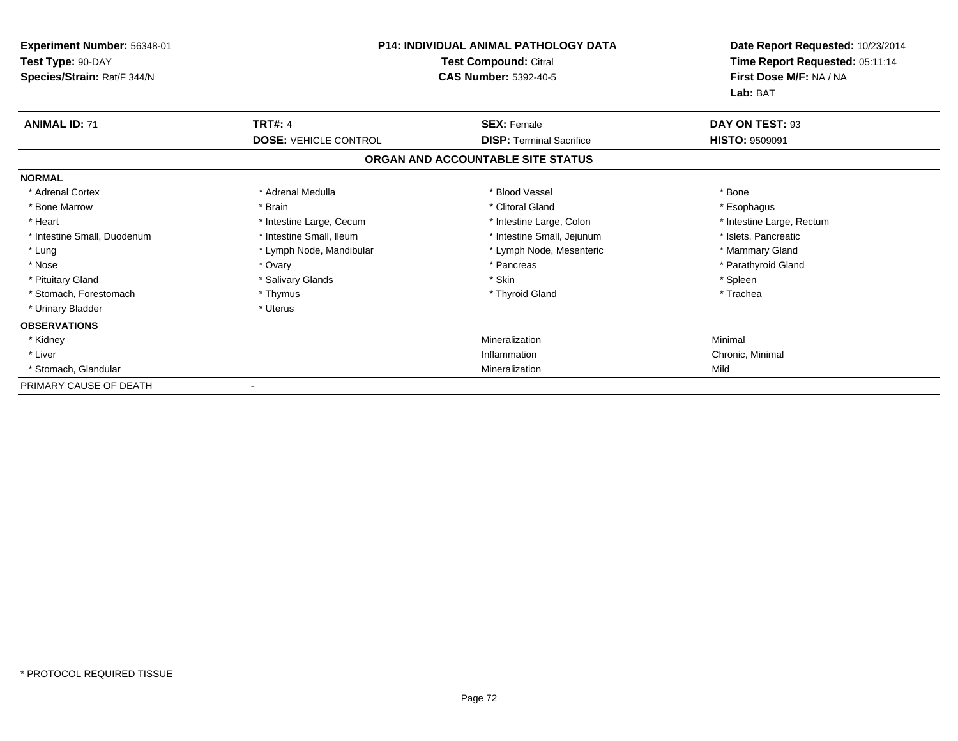| Experiment Number: 56348-01<br>Test Type: 90-DAY<br>Species/Strain: Rat/F 344/N | <b>P14: INDIVIDUAL ANIMAL PATHOLOGY DATA</b><br>Test Compound: Citral<br><b>CAS Number: 5392-40-5</b> |                                                                      | Date Report Requested: 10/23/2014<br>Time Report Requested: 05:11:14<br>First Dose M/F: NA / NA<br>Lab: BAT |
|---------------------------------------------------------------------------------|-------------------------------------------------------------------------------------------------------|----------------------------------------------------------------------|-------------------------------------------------------------------------------------------------------------|
| <b>ANIMAL ID: 71</b>                                                            | <b>TRT#: 4</b>                                                                                        | <b>SEX: Female</b>                                                   | DAY ON TEST: 93                                                                                             |
|                                                                                 | <b>DOSE: VEHICLE CONTROL</b>                                                                          | <b>DISP: Terminal Sacrifice</b><br>ORGAN AND ACCOUNTABLE SITE STATUS | <b>HISTO: 9509091</b>                                                                                       |
| <b>NORMAL</b>                                                                   |                                                                                                       |                                                                      |                                                                                                             |
| * Adrenal Cortex<br>* Bone Marrow                                               | * Adrenal Medulla<br>* Brain                                                                          | * Blood Vessel<br>* Clitoral Gland                                   | * Bone<br>* Esophagus                                                                                       |
| * Heart                                                                         | * Intestine Large, Cecum                                                                              | * Intestine Large, Colon                                             | * Intestine Large, Rectum                                                                                   |
| * Intestine Small, Duodenum                                                     | * Intestine Small, Ileum                                                                              | * Intestine Small, Jejunum                                           | * Islets, Pancreatic                                                                                        |
| * Lung                                                                          | * Lymph Node, Mandibular                                                                              | * Lymph Node, Mesenteric                                             | * Mammary Gland                                                                                             |
| * Nose                                                                          | * Ovary                                                                                               | * Pancreas                                                           | * Parathyroid Gland                                                                                         |
| * Pituitary Gland                                                               | * Salivary Glands                                                                                     | * Skin                                                               | * Spleen                                                                                                    |
| * Stomach, Forestomach<br>* Urinary Bladder                                     | * Thymus<br>* Uterus                                                                                  | * Thyroid Gland                                                      | * Trachea                                                                                                   |
| <b>OBSERVATIONS</b>                                                             |                                                                                                       |                                                                      |                                                                                                             |
| * Kidney                                                                        |                                                                                                       | Mineralization                                                       | Minimal                                                                                                     |
| * Liver                                                                         |                                                                                                       | Inflammation                                                         | Chronic, Minimal                                                                                            |
| * Stomach, Glandular                                                            |                                                                                                       | Mineralization                                                       | Mild                                                                                                        |
| PRIMARY CAUSE OF DEATH                                                          |                                                                                                       |                                                                      |                                                                                                             |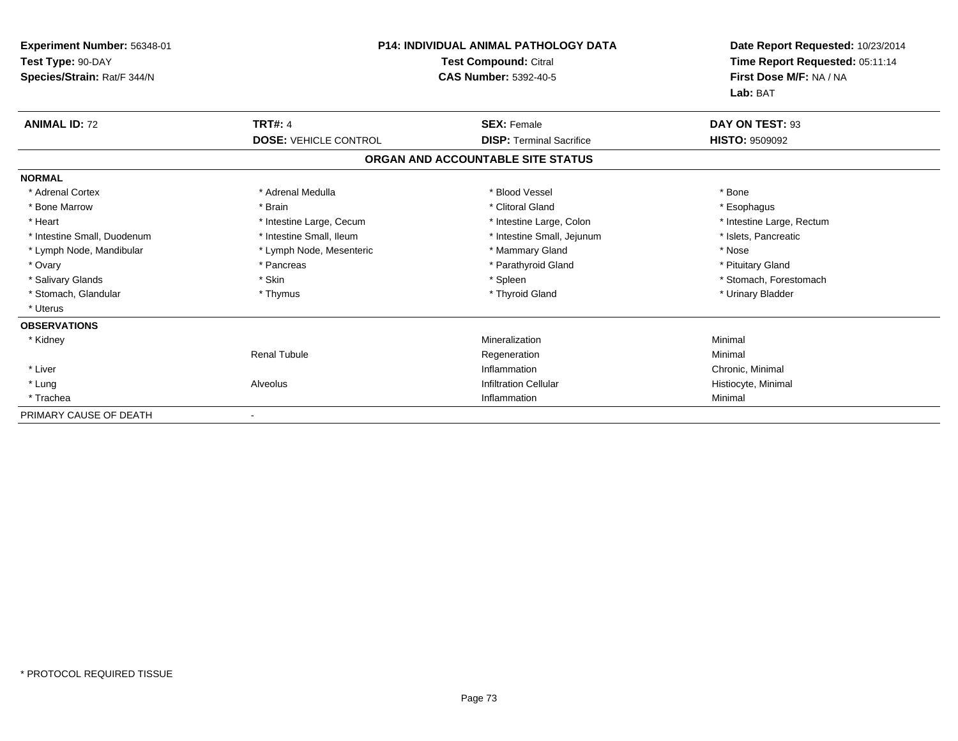| Experiment Number: 56348-01<br>Test Type: 90-DAY<br>Species/Strain: Rat/F 344/N | <b>P14: INDIVIDUAL ANIMAL PATHOLOGY DATA</b><br><b>Test Compound: Citral</b><br><b>CAS Number: 5392-40-5</b> |                                   | Date Report Requested: 10/23/2014<br>Time Report Requested: 05:11:14<br>First Dose M/F: NA / NA<br>Lab: BAT |
|---------------------------------------------------------------------------------|--------------------------------------------------------------------------------------------------------------|-----------------------------------|-------------------------------------------------------------------------------------------------------------|
| <b>ANIMAL ID: 72</b>                                                            | <b>TRT#: 4</b>                                                                                               | <b>SEX: Female</b>                | DAY ON TEST: 93                                                                                             |
|                                                                                 | <b>DOSE: VEHICLE CONTROL</b>                                                                                 | <b>DISP: Terminal Sacrifice</b>   | <b>HISTO: 9509092</b>                                                                                       |
|                                                                                 |                                                                                                              | ORGAN AND ACCOUNTABLE SITE STATUS |                                                                                                             |
| <b>NORMAL</b>                                                                   |                                                                                                              |                                   |                                                                                                             |
| * Adrenal Cortex                                                                | * Adrenal Medulla                                                                                            | * Blood Vessel                    | * Bone                                                                                                      |
| * Bone Marrow                                                                   | * Brain                                                                                                      | * Clitoral Gland                  | * Esophagus                                                                                                 |
| * Heart                                                                         | * Intestine Large, Cecum                                                                                     | * Intestine Large, Colon          | * Intestine Large, Rectum                                                                                   |
| * Intestine Small, Duodenum                                                     | * Intestine Small, Ileum                                                                                     | * Intestine Small, Jejunum        | * Islets. Pancreatic                                                                                        |
| * Lymph Node, Mandibular                                                        | * Lymph Node, Mesenteric                                                                                     | * Mammary Gland                   | * Nose                                                                                                      |
| * Ovary                                                                         | * Pancreas                                                                                                   | * Parathyroid Gland               | * Pituitary Gland                                                                                           |
| * Salivary Glands                                                               | * Skin                                                                                                       | * Spleen                          | * Stomach, Forestomach                                                                                      |
| * Stomach, Glandular                                                            | * Thymus                                                                                                     | * Thyroid Gland                   | * Urinary Bladder                                                                                           |
| * Uterus                                                                        |                                                                                                              |                                   |                                                                                                             |
| <b>OBSERVATIONS</b>                                                             |                                                                                                              |                                   |                                                                                                             |
| * Kidney                                                                        |                                                                                                              | Mineralization                    | Minimal                                                                                                     |
|                                                                                 | <b>Renal Tubule</b>                                                                                          | Regeneration                      | Minimal                                                                                                     |
| * Liver                                                                         |                                                                                                              | Inflammation                      | Chronic, Minimal                                                                                            |
| * Lung                                                                          | Alveolus                                                                                                     | <b>Infiltration Cellular</b>      | Histiocyte, Minimal                                                                                         |
| * Trachea                                                                       |                                                                                                              | Inflammation                      | Minimal                                                                                                     |
| PRIMARY CAUSE OF DEATH                                                          |                                                                                                              |                                   |                                                                                                             |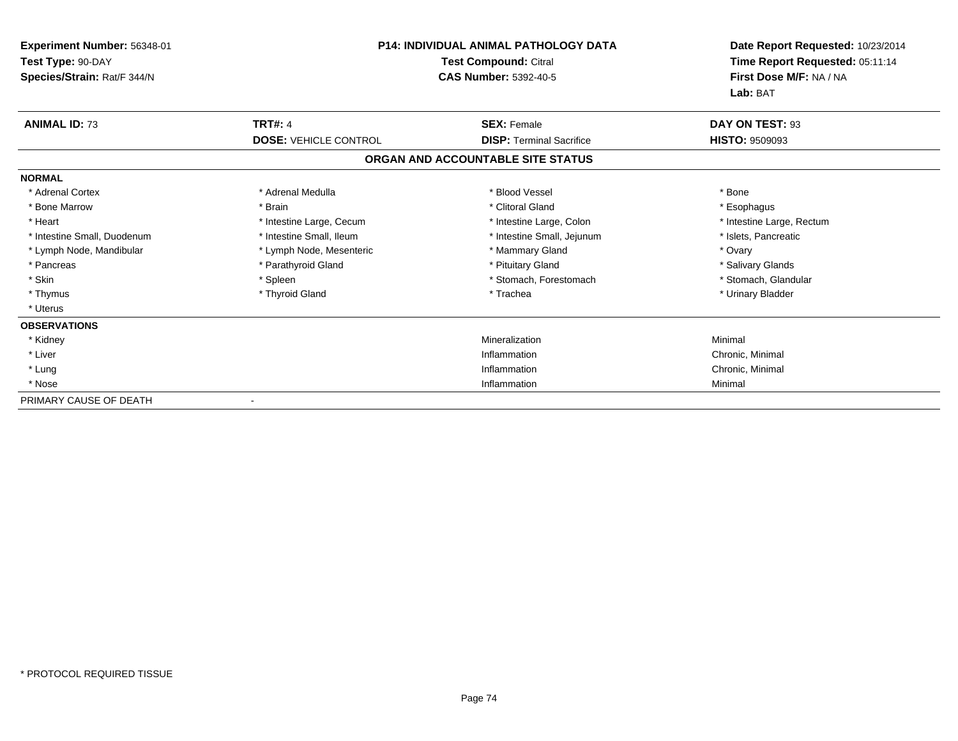| Experiment Number: 56348-01<br>Test Type: 90-DAY |                              | <b>P14: INDIVIDUAL ANIMAL PATHOLOGY DATA</b><br>Test Compound: Citral | Date Report Requested: 10/23/2014<br>Time Report Requested: 05:11:14 |
|--------------------------------------------------|------------------------------|-----------------------------------------------------------------------|----------------------------------------------------------------------|
| Species/Strain: Rat/F 344/N                      |                              | <b>CAS Number: 5392-40-5</b>                                          | First Dose M/F: NA / NA<br>Lab: BAT                                  |
| <b>ANIMAL ID: 73</b>                             | <b>TRT#: 4</b>               | <b>SEX: Female</b>                                                    | DAY ON TEST: 93                                                      |
|                                                  | <b>DOSE: VEHICLE CONTROL</b> | <b>DISP: Terminal Sacrifice</b>                                       | <b>HISTO: 9509093</b>                                                |
|                                                  |                              | ORGAN AND ACCOUNTABLE SITE STATUS                                     |                                                                      |
| <b>NORMAL</b>                                    |                              |                                                                       |                                                                      |
| * Adrenal Cortex                                 | * Adrenal Medulla            | * Blood Vessel                                                        | * Bone                                                               |
| * Bone Marrow                                    | * Brain                      | * Clitoral Gland                                                      | * Esophagus                                                          |
| * Heart                                          | * Intestine Large, Cecum     | * Intestine Large, Colon                                              | * Intestine Large, Rectum                                            |
| * Intestine Small, Duodenum                      | * Intestine Small, Ileum     | * Intestine Small, Jejunum                                            | * Islets, Pancreatic                                                 |
| * Lymph Node, Mandibular                         | * Lymph Node, Mesenteric     | * Mammary Gland                                                       | * Ovary                                                              |
| * Pancreas                                       | * Parathyroid Gland          | * Pituitary Gland                                                     | * Salivary Glands                                                    |
| * Skin                                           | * Spleen                     | * Stomach, Forestomach                                                | * Stomach, Glandular                                                 |
| * Thymus                                         | * Thyroid Gland              | * Trachea                                                             | * Urinary Bladder                                                    |
| * Uterus                                         |                              |                                                                       |                                                                      |
| <b>OBSERVATIONS</b>                              |                              |                                                                       |                                                                      |
| * Kidney                                         |                              | Mineralization                                                        | Minimal                                                              |
| * Liver                                          |                              | Inflammation                                                          | Chronic, Minimal                                                     |
| * Lung                                           |                              | Inflammation                                                          | Chronic, Minimal                                                     |
| * Nose                                           |                              | Inflammation                                                          | Minimal                                                              |
| PRIMARY CAUSE OF DEATH                           |                              |                                                                       |                                                                      |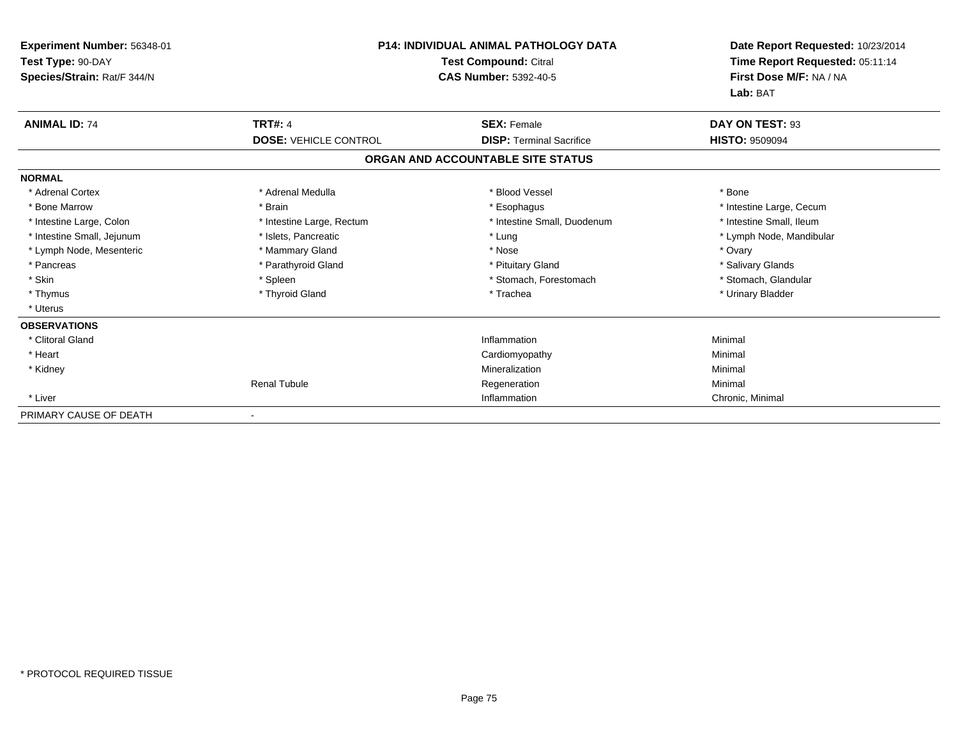| Experiment Number: 56348-01<br>Test Type: 90-DAY<br>Species/Strain: Rat/F 344/N |                              | <b>P14: INDIVIDUAL ANIMAL PATHOLOGY DATA</b><br><b>Test Compound: Citral</b><br><b>CAS Number: 5392-40-5</b> | Date Report Requested: 10/23/2014<br>Time Report Requested: 05:11:14<br>First Dose M/F: NA / NA<br>Lab: BAT |
|---------------------------------------------------------------------------------|------------------------------|--------------------------------------------------------------------------------------------------------------|-------------------------------------------------------------------------------------------------------------|
| <b>ANIMAL ID: 74</b>                                                            | <b>TRT#: 4</b>               | <b>SEX: Female</b>                                                                                           | DAY ON TEST: 93                                                                                             |
|                                                                                 | <b>DOSE: VEHICLE CONTROL</b> | <b>DISP:</b> Terminal Sacrifice                                                                              | <b>HISTO: 9509094</b>                                                                                       |
|                                                                                 |                              | ORGAN AND ACCOUNTABLE SITE STATUS                                                                            |                                                                                                             |
| <b>NORMAL</b>                                                                   |                              |                                                                                                              |                                                                                                             |
| * Adrenal Cortex                                                                | * Adrenal Medulla            | * Blood Vessel                                                                                               | * Bone                                                                                                      |
| * Bone Marrow                                                                   | * Brain                      | * Esophagus                                                                                                  | * Intestine Large, Cecum                                                                                    |
| * Intestine Large, Colon                                                        | * Intestine Large, Rectum    | * Intestine Small, Duodenum                                                                                  | * Intestine Small, Ileum                                                                                    |
| * Intestine Small, Jejunum                                                      | * Islets, Pancreatic         | * Lung                                                                                                       | * Lymph Node, Mandibular                                                                                    |
| * Lymph Node, Mesenteric                                                        | * Mammary Gland              | * Nose                                                                                                       | * Ovary                                                                                                     |
| * Pancreas                                                                      | * Parathyroid Gland          | * Pituitary Gland                                                                                            | * Salivary Glands                                                                                           |
| * Skin                                                                          | * Spleen                     | * Stomach, Forestomach                                                                                       | * Stomach, Glandular                                                                                        |
| * Thymus                                                                        | * Thyroid Gland              | * Trachea                                                                                                    | * Urinary Bladder                                                                                           |
| * Uterus                                                                        |                              |                                                                                                              |                                                                                                             |
| <b>OBSERVATIONS</b>                                                             |                              |                                                                                                              |                                                                                                             |
| * Clitoral Gland                                                                |                              | Inflammation                                                                                                 | Minimal                                                                                                     |
| * Heart                                                                         |                              | Cardiomyopathy                                                                                               | Minimal                                                                                                     |
| * Kidney                                                                        |                              | Mineralization                                                                                               | Minimal                                                                                                     |
|                                                                                 | <b>Renal Tubule</b>          | Regeneration                                                                                                 | Minimal                                                                                                     |
| * Liver                                                                         |                              | Inflammation                                                                                                 | Chronic, Minimal                                                                                            |
| PRIMARY CAUSE OF DEATH                                                          |                              |                                                                                                              |                                                                                                             |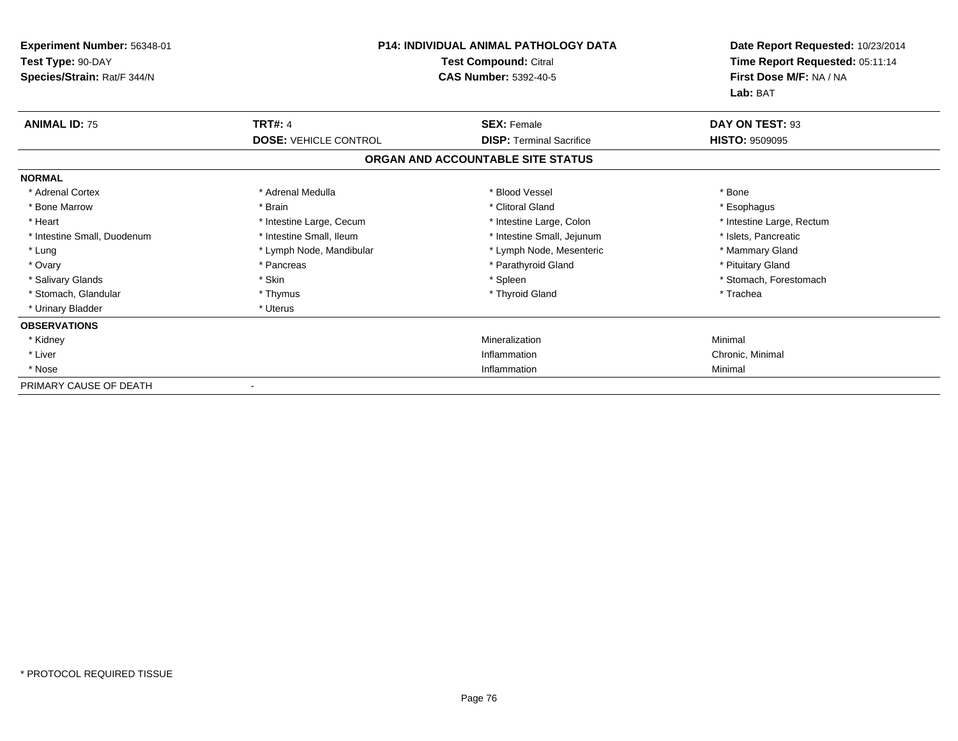| Experiment Number: 56348-01<br>Test Type: 90-DAY<br>Species/Strain: Rat/F 344/N | <b>P14: INDIVIDUAL ANIMAL PATHOLOGY DATA</b><br>Test Compound: Citral<br><b>CAS Number: 5392-40-5</b> |                                                                      |                           |  | Date Report Requested: 10/23/2014<br>Time Report Requested: 05:11:14<br>First Dose M/F: NA / NA<br>Lab: BAT |
|---------------------------------------------------------------------------------|-------------------------------------------------------------------------------------------------------|----------------------------------------------------------------------|---------------------------|--|-------------------------------------------------------------------------------------------------------------|
| <b>ANIMAL ID: 75</b>                                                            | <b>TRT#: 4</b>                                                                                        | <b>SEX: Female</b>                                                   | DAY ON TEST: 93           |  |                                                                                                             |
|                                                                                 | <b>DOSE: VEHICLE CONTROL</b>                                                                          | <b>DISP: Terminal Sacrifice</b><br>ORGAN AND ACCOUNTABLE SITE STATUS | <b>HISTO: 9509095</b>     |  |                                                                                                             |
| <b>NORMAL</b>                                                                   |                                                                                                       |                                                                      |                           |  |                                                                                                             |
| * Adrenal Cortex                                                                | * Adrenal Medulla                                                                                     | * Blood Vessel                                                       | * Bone                    |  |                                                                                                             |
| * Bone Marrow                                                                   | * Brain                                                                                               | * Clitoral Gland                                                     | * Esophagus               |  |                                                                                                             |
| * Heart                                                                         | * Intestine Large, Cecum                                                                              | * Intestine Large, Colon                                             | * Intestine Large, Rectum |  |                                                                                                             |
| * Intestine Small, Duodenum                                                     | * Intestine Small, Ileum                                                                              | * Intestine Small, Jejunum                                           | * Islets, Pancreatic      |  |                                                                                                             |
| * Lung                                                                          | * Lymph Node, Mandibular                                                                              | * Lymph Node, Mesenteric                                             | * Mammary Gland           |  |                                                                                                             |
| * Ovary                                                                         | * Pancreas                                                                                            | * Parathyroid Gland                                                  | * Pituitary Gland         |  |                                                                                                             |
| * Salivary Glands                                                               | * Skin                                                                                                | * Spleen                                                             | * Stomach, Forestomach    |  |                                                                                                             |
| * Stomach, Glandular                                                            | * Thymus                                                                                              | * Thyroid Gland                                                      | * Trachea                 |  |                                                                                                             |
| * Urinary Bladder                                                               | * Uterus                                                                                              |                                                                      |                           |  |                                                                                                             |
| <b>OBSERVATIONS</b>                                                             |                                                                                                       |                                                                      |                           |  |                                                                                                             |
| * Kidney                                                                        |                                                                                                       | Mineralization                                                       | Minimal                   |  |                                                                                                             |
| * Liver                                                                         |                                                                                                       | Inflammation                                                         | Chronic, Minimal          |  |                                                                                                             |
| * Nose                                                                          |                                                                                                       | Inflammation                                                         | Minimal                   |  |                                                                                                             |
| PRIMARY CAUSE OF DEATH                                                          |                                                                                                       |                                                                      |                           |  |                                                                                                             |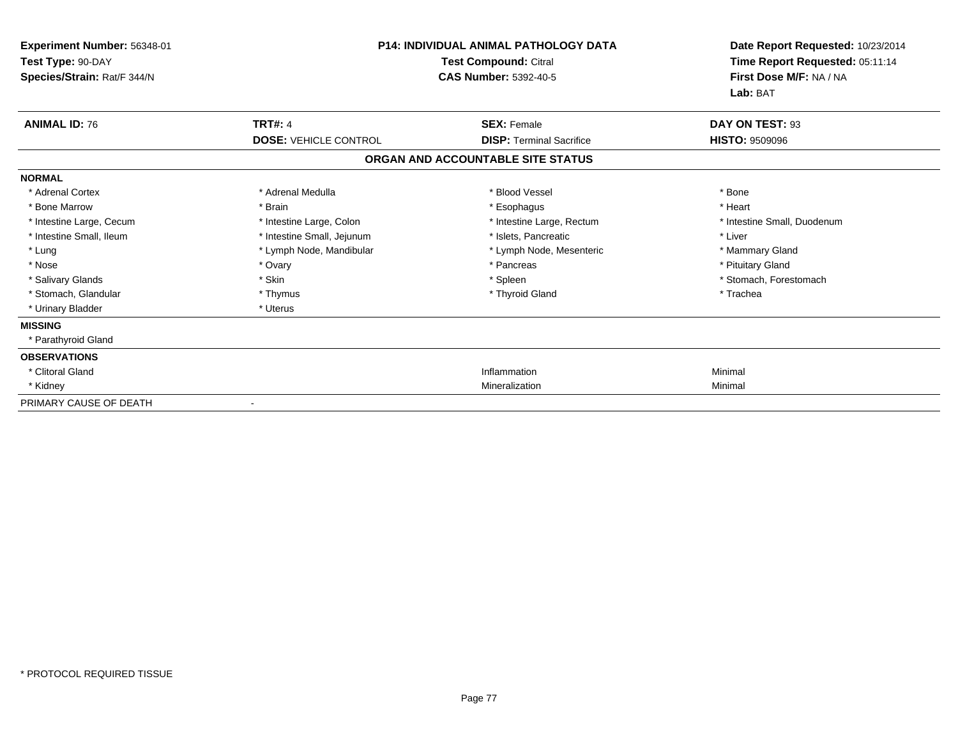| Experiment Number: 56348-01<br>Test Type: 90-DAY<br>Species/Strain: Rat/F 344/N | <b>P14: INDIVIDUAL ANIMAL PATHOLOGY DATA</b><br>Test Compound: Citral<br><b>CAS Number: 5392-40-5</b> |                                   | Date Report Requested: 10/23/2014<br>Time Report Requested: 05:11:14<br>First Dose M/F: NA / NA<br>Lab: BAT |
|---------------------------------------------------------------------------------|-------------------------------------------------------------------------------------------------------|-----------------------------------|-------------------------------------------------------------------------------------------------------------|
| <b>ANIMAL ID: 76</b>                                                            | <b>TRT#: 4</b>                                                                                        | <b>SEX: Female</b>                | DAY ON TEST: 93                                                                                             |
|                                                                                 | <b>DOSE: VEHICLE CONTROL</b>                                                                          | <b>DISP: Terminal Sacrifice</b>   | <b>HISTO: 9509096</b>                                                                                       |
|                                                                                 |                                                                                                       | ORGAN AND ACCOUNTABLE SITE STATUS |                                                                                                             |
| <b>NORMAL</b>                                                                   |                                                                                                       |                                   |                                                                                                             |
| * Adrenal Cortex                                                                | * Adrenal Medulla                                                                                     | * Blood Vessel                    | * Bone                                                                                                      |
| * Bone Marrow                                                                   | * Brain                                                                                               | * Esophagus                       | * Heart                                                                                                     |
| * Intestine Large, Cecum                                                        | * Intestine Large, Colon                                                                              | * Intestine Large, Rectum         | * Intestine Small, Duodenum                                                                                 |
| * Intestine Small, Ileum                                                        | * Intestine Small, Jejunum                                                                            | * Islets, Pancreatic              | * Liver                                                                                                     |
| * Lung                                                                          | * Lymph Node, Mandibular                                                                              | * Lymph Node, Mesenteric          | * Mammary Gland                                                                                             |
| * Nose                                                                          | * Ovary                                                                                               | * Pancreas                        | * Pituitary Gland                                                                                           |
| * Salivary Glands                                                               | * Skin                                                                                                | * Spleen                          | * Stomach, Forestomach                                                                                      |
| * Stomach, Glandular                                                            | * Thymus                                                                                              | * Thyroid Gland                   | * Trachea                                                                                                   |
| * Urinary Bladder                                                               | * Uterus                                                                                              |                                   |                                                                                                             |
| <b>MISSING</b>                                                                  |                                                                                                       |                                   |                                                                                                             |
| * Parathyroid Gland                                                             |                                                                                                       |                                   |                                                                                                             |
| <b>OBSERVATIONS</b>                                                             |                                                                                                       |                                   |                                                                                                             |
| * Clitoral Gland                                                                |                                                                                                       | Inflammation                      | Minimal                                                                                                     |
| * Kidney                                                                        |                                                                                                       | Mineralization                    | Minimal                                                                                                     |
| PRIMARY CAUSE OF DEATH                                                          |                                                                                                       |                                   |                                                                                                             |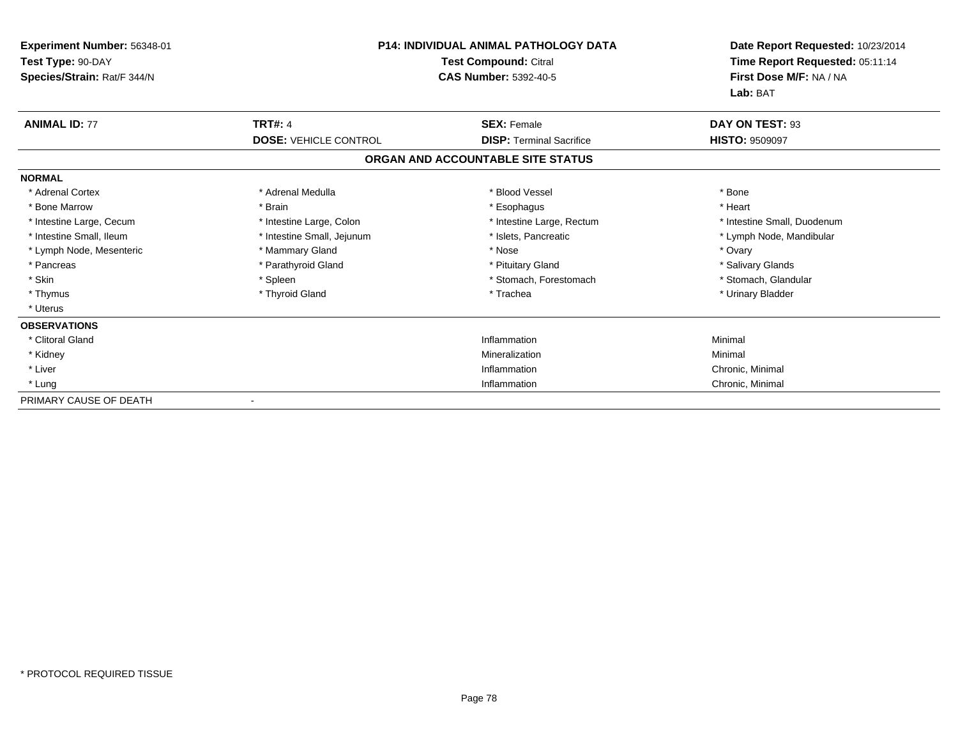| <b>Experiment Number: 56348-01</b><br>Test Type: 90-DAY<br>Species/Strain: Rat/F 344/N | <b>P14: INDIVIDUAL ANIMAL PATHOLOGY DATA</b><br><b>Test Compound: Citral</b><br><b>CAS Number: 5392-40-5</b> |                                                       | Date Report Requested: 10/23/2014<br>Time Report Requested: 05:11:14<br>First Dose M/F: NA / NA<br>Lab: BAT |
|----------------------------------------------------------------------------------------|--------------------------------------------------------------------------------------------------------------|-------------------------------------------------------|-------------------------------------------------------------------------------------------------------------|
| <b>ANIMAL ID: 77</b>                                                                   | <b>TRT#: 4</b><br><b>DOSE: VEHICLE CONTROL</b>                                                               | <b>SEX: Female</b><br><b>DISP: Terminal Sacrifice</b> | DAY ON TEST: 93<br><b>HISTO: 9509097</b>                                                                    |
|                                                                                        |                                                                                                              | ORGAN AND ACCOUNTABLE SITE STATUS                     |                                                                                                             |
| <b>NORMAL</b>                                                                          |                                                                                                              |                                                       |                                                                                                             |
| * Adrenal Cortex                                                                       | * Adrenal Medulla                                                                                            | * Blood Vessel                                        | * Bone                                                                                                      |
| * Bone Marrow                                                                          | * Brain                                                                                                      | * Esophagus                                           | * Heart                                                                                                     |
| * Intestine Large, Cecum                                                               | * Intestine Large, Colon                                                                                     | * Intestine Large, Rectum                             | * Intestine Small, Duodenum                                                                                 |
| * Intestine Small, Ileum                                                               | * Intestine Small, Jejunum                                                                                   | * Islets, Pancreatic                                  | * Lymph Node, Mandibular                                                                                    |
| * Lymph Node, Mesenteric                                                               | * Mammary Gland                                                                                              | * Nose                                                | * Ovary                                                                                                     |
| * Pancreas                                                                             | * Parathyroid Gland                                                                                          | * Pituitary Gland                                     | * Salivary Glands                                                                                           |
| * Skin                                                                                 | * Spleen                                                                                                     | * Stomach, Forestomach                                | * Stomach, Glandular                                                                                        |
| * Thymus                                                                               | * Thyroid Gland                                                                                              | * Trachea                                             | * Urinary Bladder                                                                                           |
| * Uterus                                                                               |                                                                                                              |                                                       |                                                                                                             |
| <b>OBSERVATIONS</b>                                                                    |                                                                                                              |                                                       |                                                                                                             |
| * Clitoral Gland                                                                       |                                                                                                              | Inflammation                                          | Minimal                                                                                                     |
| * Kidney                                                                               |                                                                                                              | Mineralization                                        | Minimal                                                                                                     |
| * Liver                                                                                |                                                                                                              | Inflammation                                          | Chronic, Minimal                                                                                            |
| * Lung                                                                                 |                                                                                                              | Inflammation                                          | Chronic, Minimal                                                                                            |
| PRIMARY CAUSE OF DEATH                                                                 |                                                                                                              |                                                       |                                                                                                             |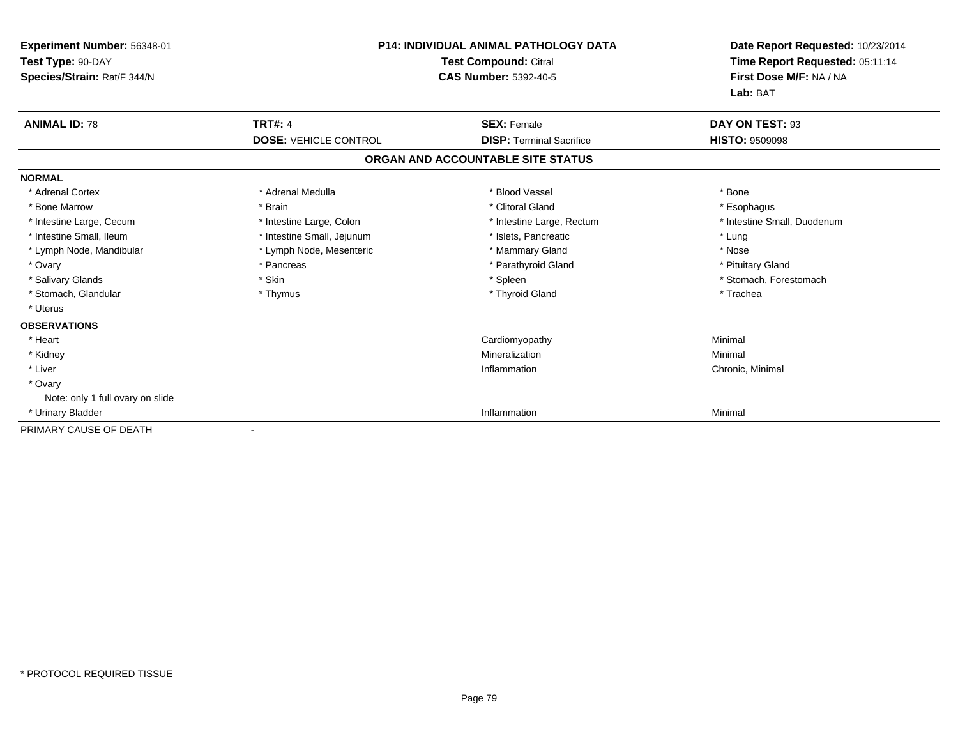| Experiment Number: 56348-01<br>Test Type: 90-DAY<br>Species/Strain: Rat/F 344/N | <b>P14: INDIVIDUAL ANIMAL PATHOLOGY DATA</b><br><b>Test Compound: Citral</b><br><b>CAS Number: 5392-40-5</b> |                                   | Date Report Requested: 10/23/2014<br>Time Report Requested: 05:11:14<br>First Dose M/F: NA / NA<br>Lab: BAT |
|---------------------------------------------------------------------------------|--------------------------------------------------------------------------------------------------------------|-----------------------------------|-------------------------------------------------------------------------------------------------------------|
| <b>ANIMAL ID: 78</b>                                                            | <b>TRT#: 4</b>                                                                                               | <b>SEX: Female</b>                | DAY ON TEST: 93                                                                                             |
|                                                                                 | <b>DOSE: VEHICLE CONTROL</b>                                                                                 | <b>DISP: Terminal Sacrifice</b>   | <b>HISTO: 9509098</b>                                                                                       |
|                                                                                 |                                                                                                              | ORGAN AND ACCOUNTABLE SITE STATUS |                                                                                                             |
| <b>NORMAL</b>                                                                   |                                                                                                              |                                   |                                                                                                             |
| * Adrenal Cortex                                                                | * Adrenal Medulla                                                                                            | * Blood Vessel                    | * Bone                                                                                                      |
| * Bone Marrow                                                                   | * Brain                                                                                                      | * Clitoral Gland                  | * Esophagus                                                                                                 |
| * Intestine Large, Cecum                                                        | * Intestine Large, Colon                                                                                     | * Intestine Large, Rectum         | * Intestine Small, Duodenum                                                                                 |
| * Intestine Small, Ileum                                                        | * Intestine Small, Jejunum                                                                                   | * Islets. Pancreatic              | * Lung                                                                                                      |
| * Lymph Node, Mandibular                                                        | * Lymph Node, Mesenteric                                                                                     | * Mammary Gland                   | * Nose                                                                                                      |
| * Ovary                                                                         | * Pancreas                                                                                                   | * Parathyroid Gland               | * Pituitary Gland                                                                                           |
| * Salivary Glands                                                               | * Skin                                                                                                       | * Spleen                          | * Stomach, Forestomach                                                                                      |
| * Stomach, Glandular                                                            | * Thymus                                                                                                     | * Thyroid Gland                   | * Trachea                                                                                                   |
| * Uterus                                                                        |                                                                                                              |                                   |                                                                                                             |
| <b>OBSERVATIONS</b>                                                             |                                                                                                              |                                   |                                                                                                             |
| * Heart                                                                         |                                                                                                              | Cardiomyopathy                    | Minimal                                                                                                     |
| * Kidney                                                                        |                                                                                                              | Mineralization                    | Minimal                                                                                                     |
| * Liver                                                                         |                                                                                                              | Inflammation                      | Chronic, Minimal                                                                                            |
| * Ovary                                                                         |                                                                                                              |                                   |                                                                                                             |
| Note: only 1 full ovary on slide                                                |                                                                                                              |                                   |                                                                                                             |
| * Urinary Bladder                                                               |                                                                                                              | Inflammation                      | Minimal                                                                                                     |
| PRIMARY CAUSE OF DEATH                                                          |                                                                                                              |                                   |                                                                                                             |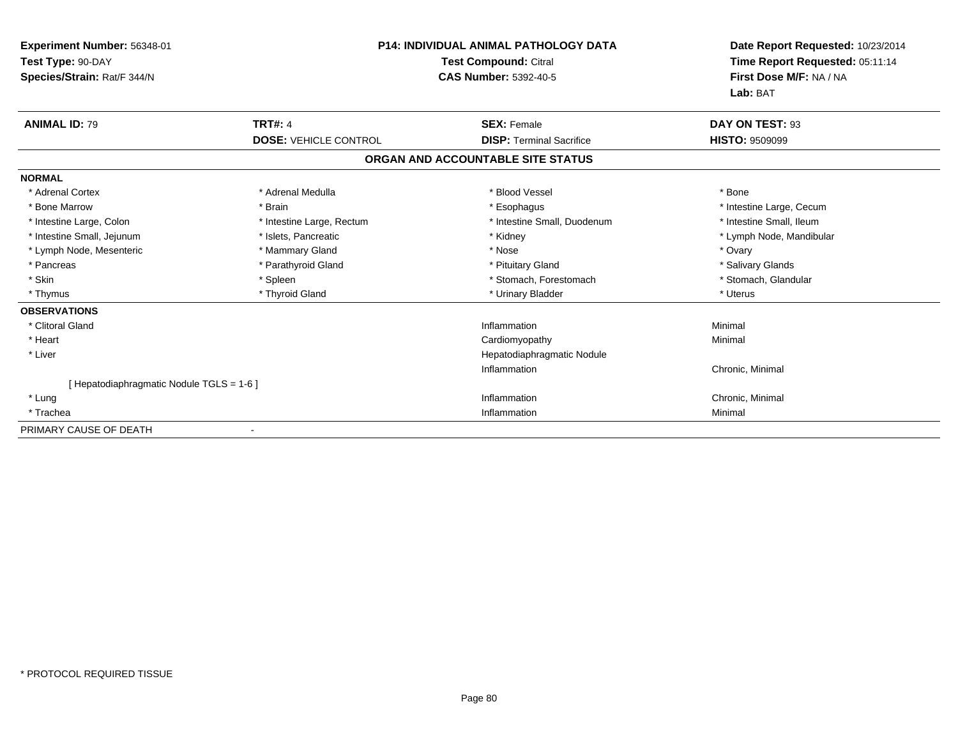| Experiment Number: 56348-01<br>Test Type: 90-DAY<br>Species/Strain: Rat/F 344/N |                              | <b>P14: INDIVIDUAL ANIMAL PATHOLOGY DATA</b><br><b>Test Compound: Citral</b><br><b>CAS Number: 5392-40-5</b> | Date Report Requested: 10/23/2014<br>Time Report Requested: 05:11:14<br>First Dose M/F: NA / NA<br>Lab: BAT |
|---------------------------------------------------------------------------------|------------------------------|--------------------------------------------------------------------------------------------------------------|-------------------------------------------------------------------------------------------------------------|
| <b>ANIMAL ID: 79</b>                                                            | <b>TRT#: 4</b>               | <b>SEX: Female</b>                                                                                           | DAY ON TEST: 93                                                                                             |
|                                                                                 | <b>DOSE: VEHICLE CONTROL</b> | <b>DISP: Terminal Sacrifice</b>                                                                              | <b>HISTO: 9509099</b>                                                                                       |
|                                                                                 |                              | ORGAN AND ACCOUNTABLE SITE STATUS                                                                            |                                                                                                             |
| <b>NORMAL</b>                                                                   |                              |                                                                                                              |                                                                                                             |
| * Adrenal Cortex                                                                | * Adrenal Medulla            | * Blood Vessel                                                                                               | * Bone                                                                                                      |
| * Bone Marrow                                                                   | * Brain                      | * Esophagus                                                                                                  | * Intestine Large, Cecum                                                                                    |
| * Intestine Large, Colon                                                        | * Intestine Large, Rectum    | * Intestine Small, Duodenum                                                                                  | * Intestine Small, Ileum                                                                                    |
| * Intestine Small, Jejunum                                                      | * Islets, Pancreatic         | * Kidney                                                                                                     | * Lymph Node, Mandibular                                                                                    |
| * Lymph Node, Mesenteric                                                        | * Mammary Gland              | * Nose                                                                                                       | * Ovary                                                                                                     |
| * Pancreas                                                                      | * Parathyroid Gland          | * Pituitary Gland                                                                                            | * Salivary Glands                                                                                           |
| * Skin                                                                          | * Spleen                     | * Stomach, Forestomach                                                                                       | * Stomach, Glandular                                                                                        |
| * Thymus                                                                        | * Thyroid Gland              | * Urinary Bladder                                                                                            | * Uterus                                                                                                    |
| <b>OBSERVATIONS</b>                                                             |                              |                                                                                                              |                                                                                                             |
| * Clitoral Gland                                                                |                              | Inflammation                                                                                                 | Minimal                                                                                                     |
| * Heart                                                                         |                              | Cardiomyopathy                                                                                               | Minimal                                                                                                     |
| * Liver                                                                         |                              | Hepatodiaphragmatic Nodule                                                                                   |                                                                                                             |
|                                                                                 |                              | Inflammation                                                                                                 | Chronic, Minimal                                                                                            |
| [Hepatodiaphragmatic Nodule TGLS = 1-6]                                         |                              |                                                                                                              |                                                                                                             |
| * Lung                                                                          |                              | Inflammation                                                                                                 | Chronic, Minimal                                                                                            |
| * Trachea                                                                       |                              | Inflammation                                                                                                 | Minimal                                                                                                     |
| PRIMARY CAUSE OF DEATH                                                          |                              |                                                                                                              |                                                                                                             |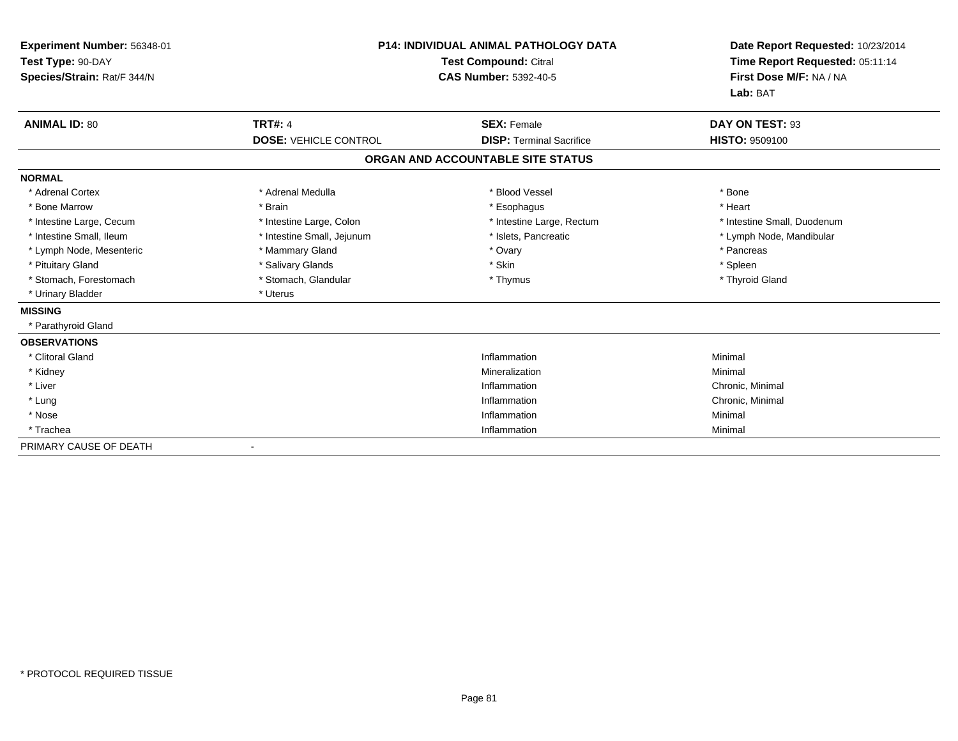| <b>Experiment Number: 56348-01</b><br>Test Type: 90-DAY<br>Species/Strain: Rat/F 344/N |                              | <b>P14: INDIVIDUAL ANIMAL PATHOLOGY DATA</b><br><b>Test Compound: Citral</b><br><b>CAS Number: 5392-40-5</b> | Date Report Requested: 10/23/2014<br>Time Report Requested: 05:11:14<br>First Dose M/F: NA / NA<br>Lab: BAT |
|----------------------------------------------------------------------------------------|------------------------------|--------------------------------------------------------------------------------------------------------------|-------------------------------------------------------------------------------------------------------------|
| <b>ANIMAL ID: 80</b>                                                                   | <b>TRT#: 4</b>               | <b>SEX: Female</b>                                                                                           | DAY ON TEST: 93                                                                                             |
|                                                                                        | <b>DOSE: VEHICLE CONTROL</b> | <b>DISP: Terminal Sacrifice</b>                                                                              | HISTO: 9509100                                                                                              |
|                                                                                        |                              | ORGAN AND ACCOUNTABLE SITE STATUS                                                                            |                                                                                                             |
| <b>NORMAL</b>                                                                          |                              |                                                                                                              |                                                                                                             |
| * Adrenal Cortex                                                                       | * Adrenal Medulla            | * Blood Vessel                                                                                               | * Bone                                                                                                      |
| * Bone Marrow                                                                          | * Brain                      | * Esophagus                                                                                                  | * Heart                                                                                                     |
| * Intestine Large, Cecum                                                               | * Intestine Large, Colon     | * Intestine Large, Rectum                                                                                    | * Intestine Small, Duodenum                                                                                 |
| * Intestine Small, Ileum                                                               | * Intestine Small, Jejunum   | * Islets, Pancreatic                                                                                         | * Lymph Node, Mandibular                                                                                    |
| * Lymph Node, Mesenteric                                                               | * Mammary Gland              | * Ovary                                                                                                      | * Pancreas                                                                                                  |
| * Pituitary Gland                                                                      | * Salivary Glands            | * Skin                                                                                                       | * Spleen                                                                                                    |
| * Stomach, Forestomach                                                                 | * Stomach, Glandular         | * Thymus                                                                                                     | * Thyroid Gland                                                                                             |
| * Urinary Bladder                                                                      | * Uterus                     |                                                                                                              |                                                                                                             |
| <b>MISSING</b>                                                                         |                              |                                                                                                              |                                                                                                             |
| * Parathyroid Gland                                                                    |                              |                                                                                                              |                                                                                                             |
| <b>OBSERVATIONS</b>                                                                    |                              |                                                                                                              |                                                                                                             |
| * Clitoral Gland                                                                       |                              | Inflammation                                                                                                 | Minimal                                                                                                     |
| * Kidney                                                                               |                              | Mineralization                                                                                               | Minimal                                                                                                     |
| * Liver                                                                                |                              | Inflammation                                                                                                 | Chronic, Minimal                                                                                            |
| * Lung                                                                                 |                              | Inflammation                                                                                                 | Chronic, Minimal                                                                                            |
| * Nose                                                                                 |                              | Inflammation                                                                                                 | Minimal                                                                                                     |
| * Trachea                                                                              |                              | Inflammation                                                                                                 | Minimal                                                                                                     |
| PRIMARY CAUSE OF DEATH                                                                 |                              |                                                                                                              |                                                                                                             |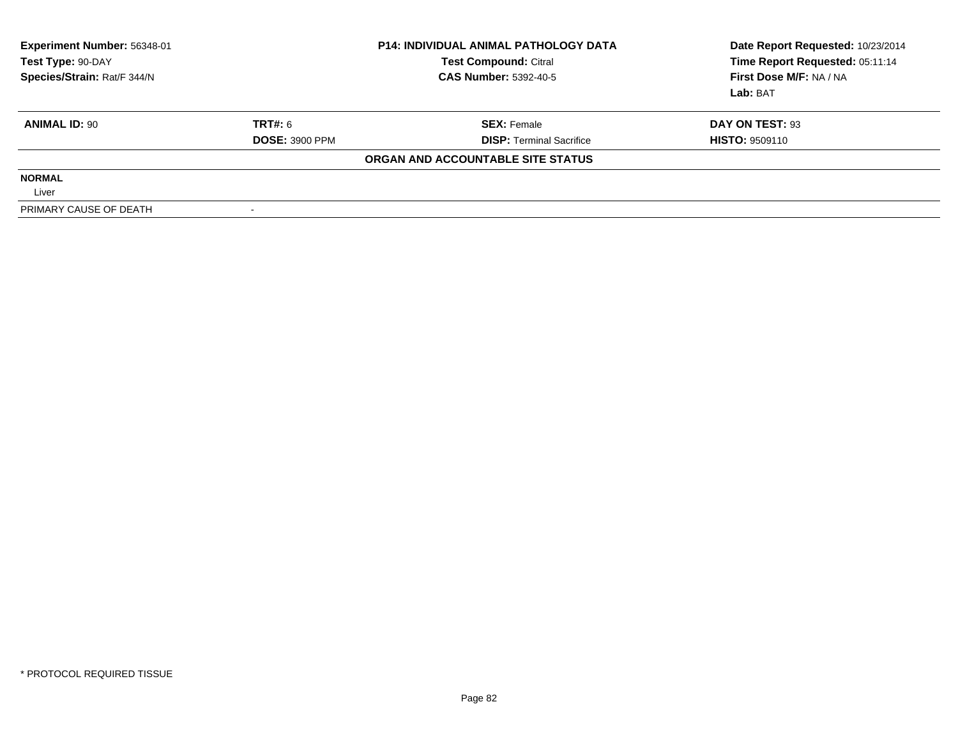| Experiment Number: 56348-01<br>Test Type: 90-DAY<br>Species/Strain: Rat/F 344/N |                       | <b>P14: INDIVIDUAL ANIMAL PATHOLOGY DATA</b><br><b>Test Compound: Citral</b><br><b>CAS Number: 5392-40-5</b> | Date Report Requested: 10/23/2014<br>Time Report Requested: 05:11:14<br>First Dose M/F: NA / NA<br>Lab: BAT |
|---------------------------------------------------------------------------------|-----------------------|--------------------------------------------------------------------------------------------------------------|-------------------------------------------------------------------------------------------------------------|
| <b>ANIMAL ID: 90</b>                                                            | TRT#: 6               | <b>SEX: Female</b>                                                                                           | DAY ON TEST: 93                                                                                             |
|                                                                                 | <b>DOSE: 3900 PPM</b> | <b>DISP: Terminal Sacrifice</b>                                                                              | <b>HISTO: 9509110</b>                                                                                       |
|                                                                                 |                       | ORGAN AND ACCOUNTABLE SITE STATUS                                                                            |                                                                                                             |
| <b>NORMAL</b>                                                                   |                       |                                                                                                              |                                                                                                             |
| Liver                                                                           |                       |                                                                                                              |                                                                                                             |
| PRIMARY CAUSE OF DEATH                                                          |                       |                                                                                                              |                                                                                                             |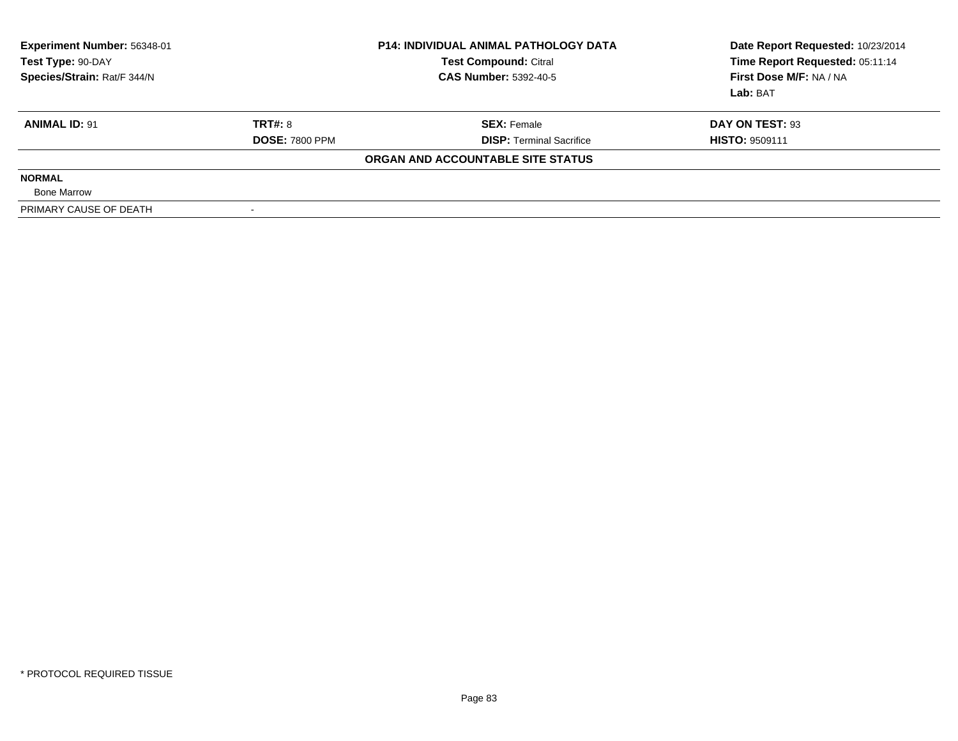| Experiment Number: 56348-01<br>Test Type: 90-DAY<br>Species/Strain: Rat/F 344/N |                       | <b>P14: INDIVIDUAL ANIMAL PATHOLOGY DATA</b><br><b>Test Compound: Citral</b><br><b>CAS Number: 5392-40-5</b> | Date Report Requested: 10/23/2014<br>Time Report Requested: 05:11:14<br>First Dose M/F: NA / NA<br>Lab: BAT |
|---------------------------------------------------------------------------------|-----------------------|--------------------------------------------------------------------------------------------------------------|-------------------------------------------------------------------------------------------------------------|
| <b>ANIMAL ID: 91</b>                                                            | TRT#: 8               | <b>SEX: Female</b>                                                                                           | DAY ON TEST: 93                                                                                             |
|                                                                                 | <b>DOSE: 7800 PPM</b> | <b>DISP: Terminal Sacrifice</b>                                                                              | <b>HISTO: 9509111</b>                                                                                       |
|                                                                                 |                       | ORGAN AND ACCOUNTABLE SITE STATUS                                                                            |                                                                                                             |
| <b>NORMAL</b>                                                                   |                       |                                                                                                              |                                                                                                             |
| <b>Bone Marrow</b>                                                              |                       |                                                                                                              |                                                                                                             |
| PRIMARY CAUSE OF DEATH                                                          |                       |                                                                                                              |                                                                                                             |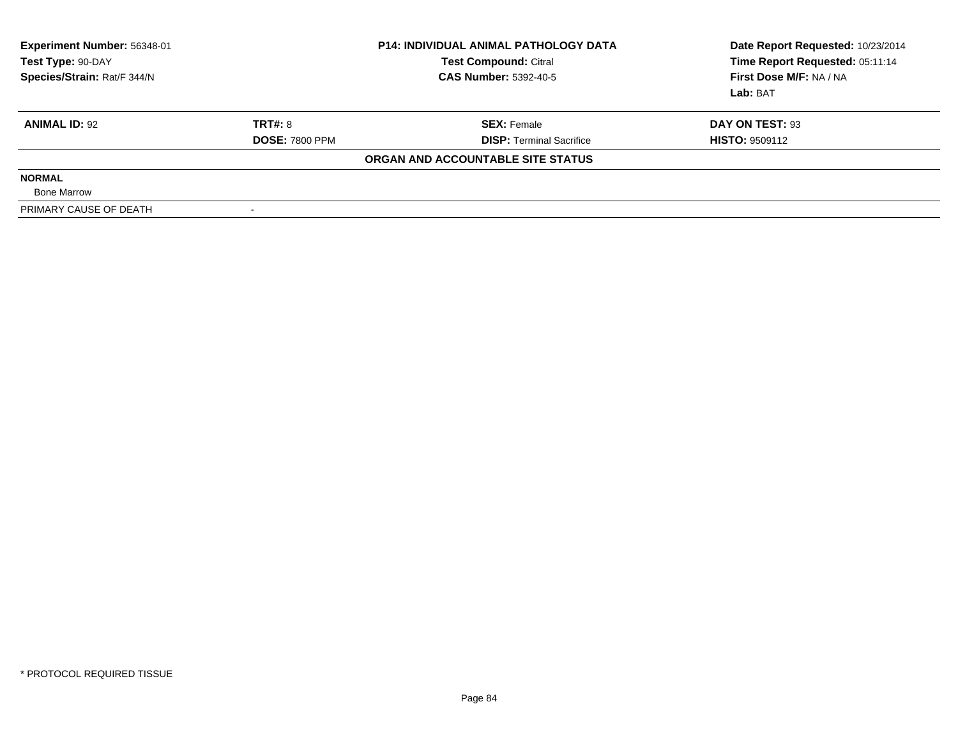| <b>Experiment Number: 56348-01</b><br>Test Type: 90-DAY<br>Species/Strain: Rat/F 344/N |                       | <b>P14: INDIVIDUAL ANIMAL PATHOLOGY DATA</b><br><b>Test Compound: Citral</b><br><b>CAS Number: 5392-40-5</b> | Date Report Requested: 10/23/2014<br>Time Report Requested: 05:11:14<br>First Dose M/F: NA / NA<br>Lab: BAT |
|----------------------------------------------------------------------------------------|-----------------------|--------------------------------------------------------------------------------------------------------------|-------------------------------------------------------------------------------------------------------------|
| <b>ANIMAL ID: 92</b>                                                                   | <b>TRT#: 8</b>        | <b>SEX: Female</b>                                                                                           | DAY ON TEST: 93                                                                                             |
|                                                                                        | <b>DOSE: 7800 PPM</b> | <b>DISP:</b> Terminal Sacrifice                                                                              | <b>HISTO: 9509112</b>                                                                                       |
|                                                                                        |                       | ORGAN AND ACCOUNTABLE SITE STATUS                                                                            |                                                                                                             |
| <b>NORMAL</b>                                                                          |                       |                                                                                                              |                                                                                                             |
| <b>Bone Marrow</b>                                                                     |                       |                                                                                                              |                                                                                                             |
| PRIMARY CAUSE OF DEATH                                                                 |                       |                                                                                                              |                                                                                                             |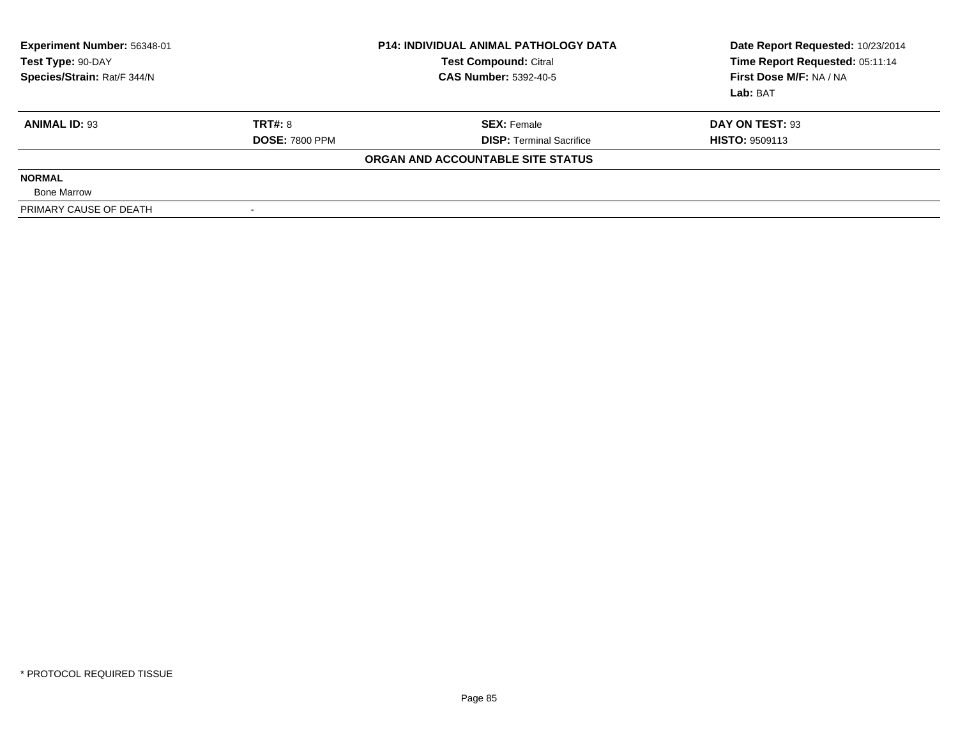| <b>Experiment Number: 56348-01</b><br><b>Test Compound: Citral</b><br>Test Type: 90-DAY<br>Species/Strain: Rat/F 344/N<br><b>CAS Number: 5392-40-5</b> |                       | <b>P14: INDIVIDUAL ANIMAL PATHOLOGY DATA</b> | Date Report Requested: 10/23/2014<br>Time Report Requested: 05:11:14<br>First Dose M/F: NA / NA<br>Lab: BAT |
|--------------------------------------------------------------------------------------------------------------------------------------------------------|-----------------------|----------------------------------------------|-------------------------------------------------------------------------------------------------------------|
| <b>ANIMAL ID: 93</b>                                                                                                                                   | <b>TRT#: 8</b>        | <b>SEX: Female</b>                           | DAY ON TEST: 93                                                                                             |
|                                                                                                                                                        | <b>DOSE: 7800 PPM</b> | <b>DISP:</b> Terminal Sacrifice              | <b>HISTO: 9509113</b>                                                                                       |
|                                                                                                                                                        |                       | ORGAN AND ACCOUNTABLE SITE STATUS            |                                                                                                             |
| <b>NORMAL</b>                                                                                                                                          |                       |                                              |                                                                                                             |
| <b>Bone Marrow</b>                                                                                                                                     |                       |                                              |                                                                                                             |
| PRIMARY CAUSE OF DEATH                                                                                                                                 |                       |                                              |                                                                                                             |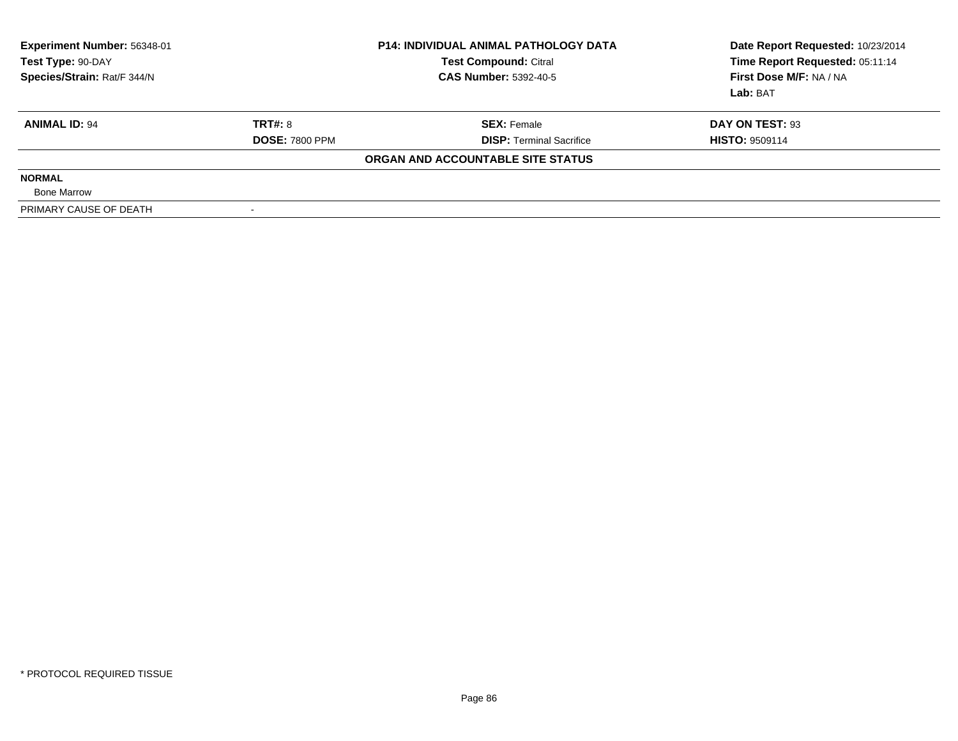| Experiment Number: 56348-01<br>Test Type: 90-DAY<br>Species/Strain: Rat/F 344/N |                       | <b>P14: INDIVIDUAL ANIMAL PATHOLOGY DATA</b><br><b>Test Compound: Citral</b><br><b>CAS Number: 5392-40-5</b> | Date Report Requested: 10/23/2014<br>Time Report Requested: 05:11:14<br>First Dose M/F: NA / NA<br>Lab: BAT |
|---------------------------------------------------------------------------------|-----------------------|--------------------------------------------------------------------------------------------------------------|-------------------------------------------------------------------------------------------------------------|
| <b>ANIMAL ID: 94</b>                                                            | <b>TRT#: 8</b>        | <b>SEX: Female</b>                                                                                           | DAY ON TEST: 93                                                                                             |
|                                                                                 | <b>DOSE: 7800 PPM</b> | <b>DISP: Terminal Sacrifice</b>                                                                              | <b>HISTO: 9509114</b>                                                                                       |
|                                                                                 |                       | ORGAN AND ACCOUNTABLE SITE STATUS                                                                            |                                                                                                             |
| <b>NORMAL</b>                                                                   |                       |                                                                                                              |                                                                                                             |
| <b>Bone Marrow</b>                                                              |                       |                                                                                                              |                                                                                                             |
| PRIMARY CAUSE OF DEATH                                                          |                       |                                                                                                              |                                                                                                             |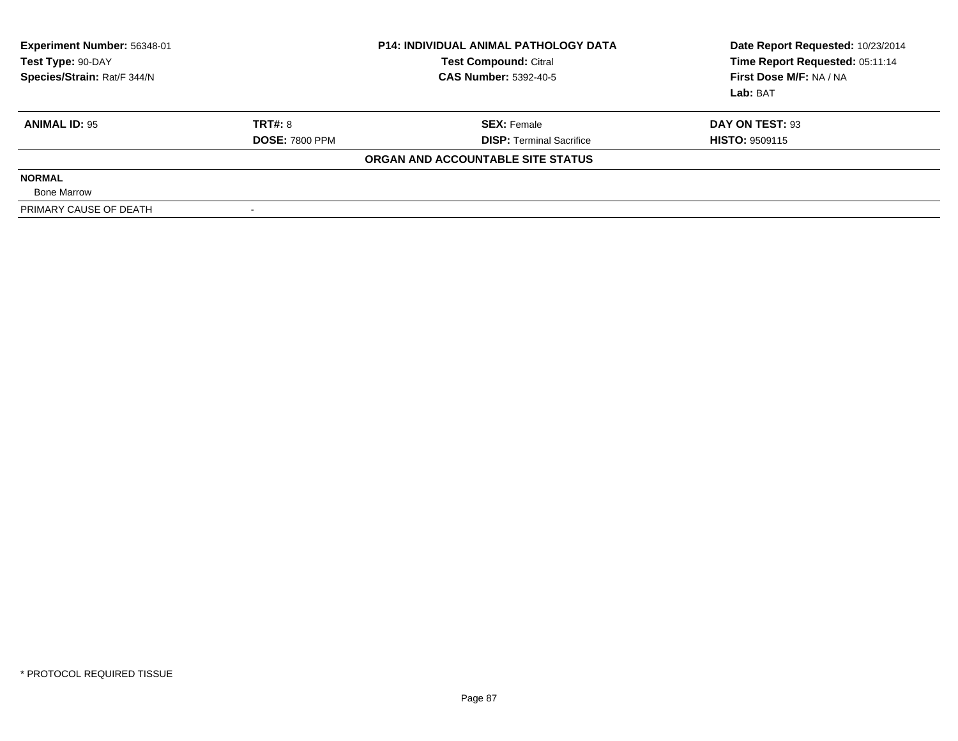| Experiment Number: 56348-01<br>Test Type: 90-DAY<br>Species/Strain: Rat/F 344/N |                       | <b>P14: INDIVIDUAL ANIMAL PATHOLOGY DATA</b><br><b>Test Compound: Citral</b><br><b>CAS Number: 5392-40-5</b> | Date Report Requested: 10/23/2014<br>Time Report Requested: 05:11:14<br>First Dose M/F: NA / NA<br>Lab: BAT |  |
|---------------------------------------------------------------------------------|-----------------------|--------------------------------------------------------------------------------------------------------------|-------------------------------------------------------------------------------------------------------------|--|
| <b>ANIMAL ID: 95</b>                                                            | TRT#: 8               | <b>SEX: Female</b>                                                                                           | DAY ON TEST: 93                                                                                             |  |
|                                                                                 | <b>DOSE: 7800 PPM</b> | <b>DISP:</b> Terminal Sacrifice                                                                              | <b>HISTO: 9509115</b>                                                                                       |  |
|                                                                                 |                       | ORGAN AND ACCOUNTABLE SITE STATUS                                                                            |                                                                                                             |  |
| <b>NORMAL</b>                                                                   |                       |                                                                                                              |                                                                                                             |  |
| <b>Bone Marrow</b>                                                              |                       |                                                                                                              |                                                                                                             |  |
| PRIMARY CAUSE OF DEATH                                                          |                       |                                                                                                              |                                                                                                             |  |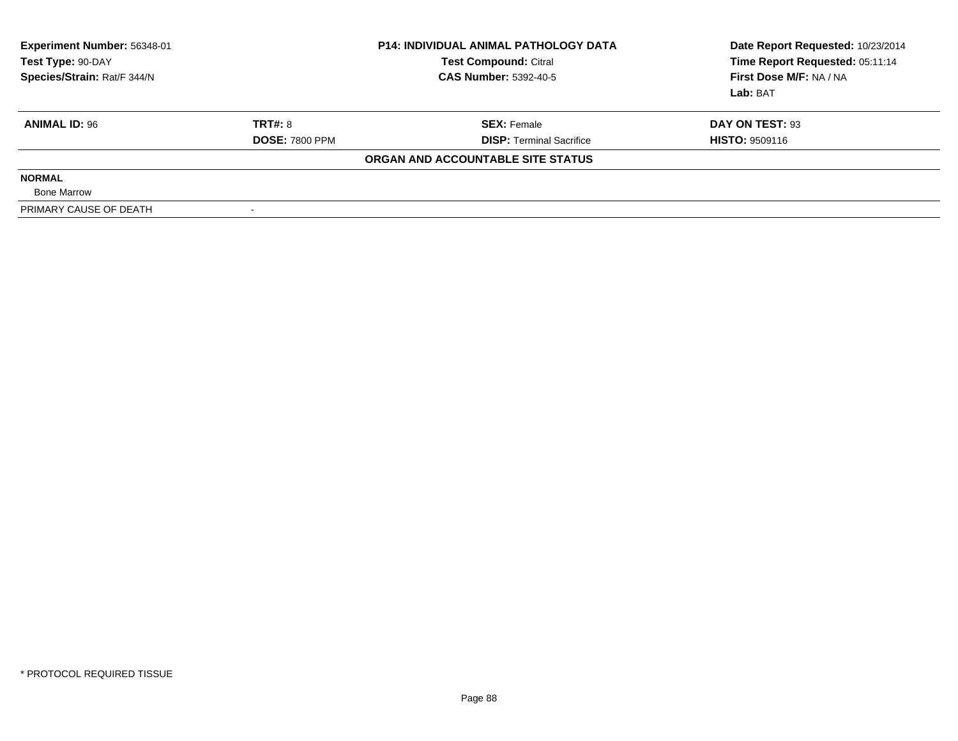| Experiment Number: 56348-01<br>Test Type: 90-DAY<br>Species/Strain: Rat/F 344/N |                       | <b>P14: INDIVIDUAL ANIMAL PATHOLOGY DATA</b><br><b>Test Compound: Citral</b><br><b>CAS Number: 5392-40-5</b> | Date Report Requested: 10/23/2014<br>Time Report Requested: 05:11:14<br>First Dose M/F: NA / NA<br>Lab: BAT |  |
|---------------------------------------------------------------------------------|-----------------------|--------------------------------------------------------------------------------------------------------------|-------------------------------------------------------------------------------------------------------------|--|
| <b>ANIMAL ID: 96</b>                                                            | TRT#: 8               | <b>SEX: Female</b>                                                                                           | DAY ON TEST: 93                                                                                             |  |
|                                                                                 | <b>DOSE: 7800 PPM</b> | <b>DISP:</b> Terminal Sacrifice                                                                              | <b>HISTO: 9509116</b>                                                                                       |  |
|                                                                                 |                       | ORGAN AND ACCOUNTABLE SITE STATUS                                                                            |                                                                                                             |  |
| <b>NORMAL</b>                                                                   |                       |                                                                                                              |                                                                                                             |  |
| <b>Bone Marrow</b>                                                              |                       |                                                                                                              |                                                                                                             |  |
| PRIMARY CAUSE OF DEATH                                                          |                       |                                                                                                              |                                                                                                             |  |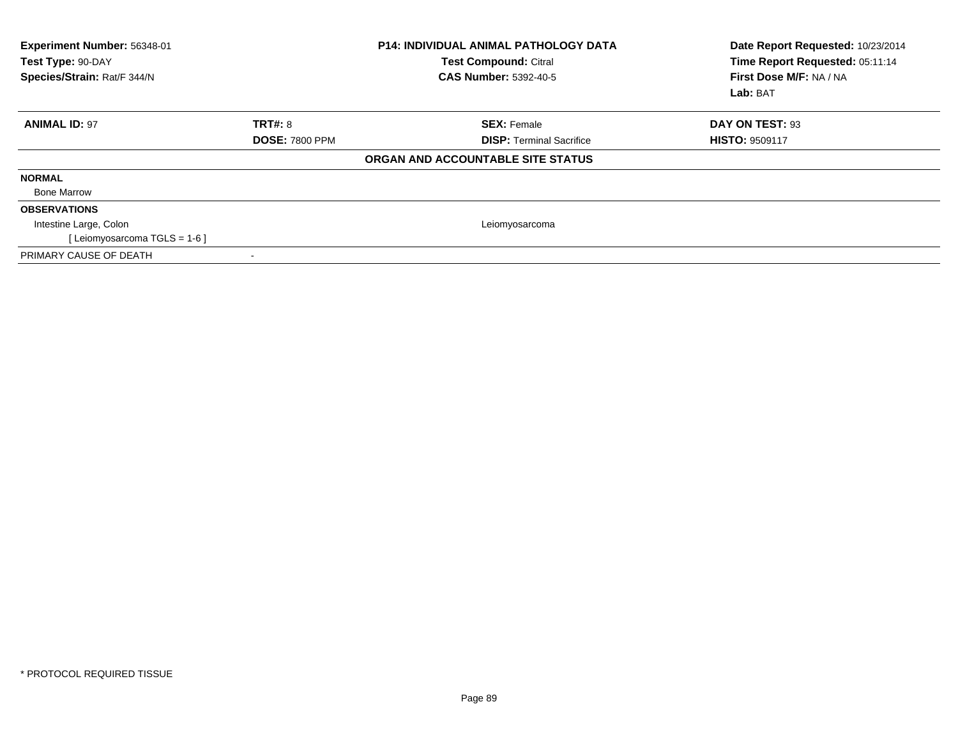| Experiment Number: 56348-01<br>Test Type: 90-DAY<br>Species/Strain: Rat/F 344/N |                       | <b>P14: INDIVIDUAL ANIMAL PATHOLOGY DATA</b><br><b>Test Compound: Citral</b><br><b>CAS Number: 5392-40-5</b> | Date Report Requested: 10/23/2014<br>Time Report Requested: 05:11:14<br>First Dose M/F: NA / NA<br>Lab: BAT |
|---------------------------------------------------------------------------------|-----------------------|--------------------------------------------------------------------------------------------------------------|-------------------------------------------------------------------------------------------------------------|
| <b>ANIMAL ID: 97</b>                                                            | <b>TRT#: 8</b>        | <b>SEX: Female</b>                                                                                           | DAY ON TEST: 93                                                                                             |
|                                                                                 | <b>DOSE: 7800 PPM</b> | <b>DISP: Terminal Sacrifice</b>                                                                              | <b>HISTO: 9509117</b>                                                                                       |
|                                                                                 |                       | ORGAN AND ACCOUNTABLE SITE STATUS                                                                            |                                                                                                             |
| <b>NORMAL</b>                                                                   |                       |                                                                                                              |                                                                                                             |
| <b>Bone Marrow</b>                                                              |                       |                                                                                                              |                                                                                                             |
| <b>OBSERVATIONS</b>                                                             |                       |                                                                                                              |                                                                                                             |
| Intestine Large, Colon                                                          |                       | Leiomyosarcoma                                                                                               |                                                                                                             |
| [Leiomyosarcoma TGLS = 1-6]                                                     |                       |                                                                                                              |                                                                                                             |
| PRIMARY CAUSE OF DEATH                                                          |                       |                                                                                                              |                                                                                                             |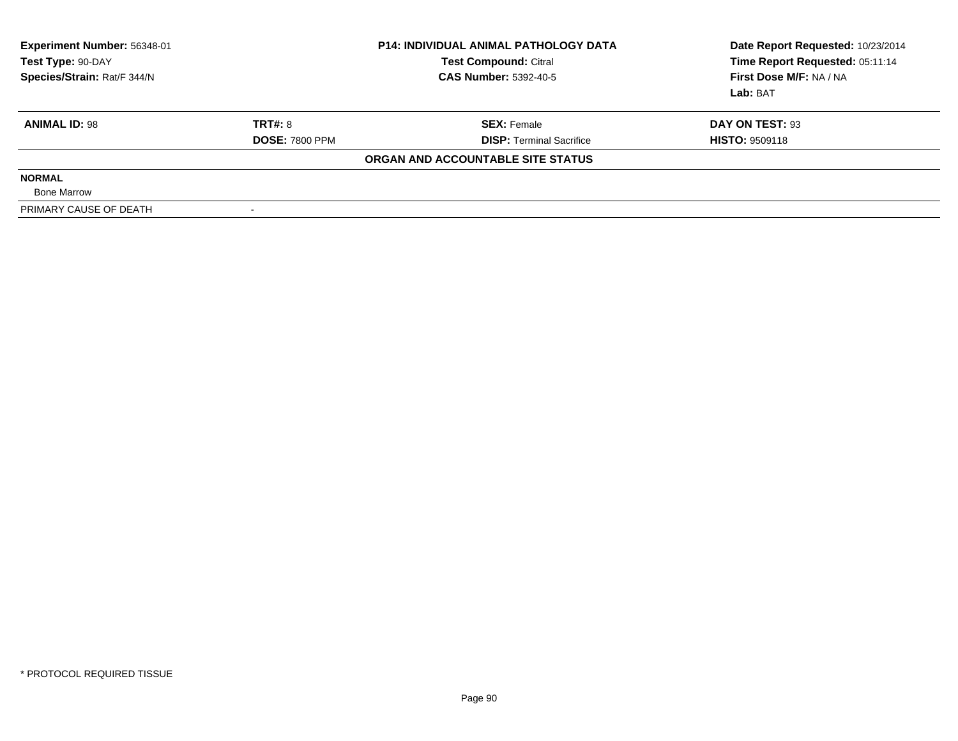| Experiment Number: 56348-01<br>Test Type: 90-DAY<br>Species/Strain: Rat/F 344/N |                       | <b>P14: INDIVIDUAL ANIMAL PATHOLOGY DATA</b><br><b>Test Compound: Citral</b><br><b>CAS Number: 5392-40-5</b> | Date Report Requested: 10/23/2014<br>Time Report Requested: 05:11:14<br>First Dose M/F: NA / NA<br>Lab: BAT |  |
|---------------------------------------------------------------------------------|-----------------------|--------------------------------------------------------------------------------------------------------------|-------------------------------------------------------------------------------------------------------------|--|
| <b>ANIMAL ID: 98</b>                                                            | TRT#: 8               | <b>SEX: Female</b>                                                                                           | DAY ON TEST: 93                                                                                             |  |
|                                                                                 | <b>DOSE: 7800 PPM</b> | <b>DISP:</b> Terminal Sacrifice                                                                              | <b>HISTO: 9509118</b>                                                                                       |  |
|                                                                                 |                       | ORGAN AND ACCOUNTABLE SITE STATUS                                                                            |                                                                                                             |  |
| <b>NORMAL</b>                                                                   |                       |                                                                                                              |                                                                                                             |  |
| <b>Bone Marrow</b>                                                              |                       |                                                                                                              |                                                                                                             |  |
| PRIMARY CAUSE OF DEATH                                                          |                       |                                                                                                              |                                                                                                             |  |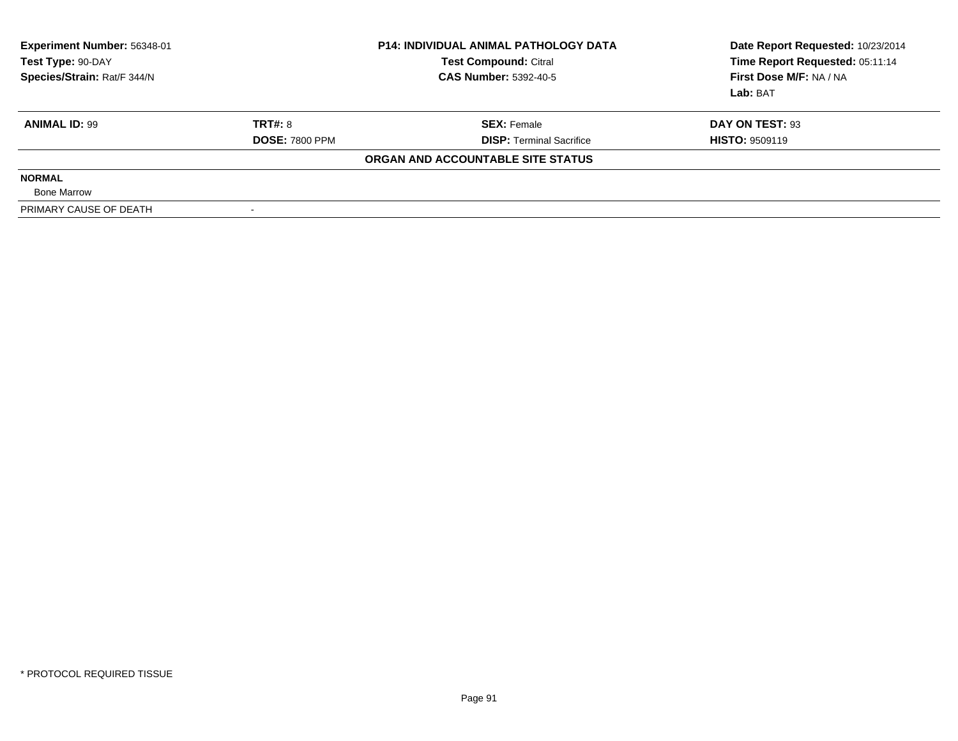| Experiment Number: 56348-01<br><b>Test Compound: Citral</b><br>Test Type: 90-DAY<br>Species/Strain: Rat/F 344/N<br><b>CAS Number: 5392-40-5</b> |                       | <b>P14: INDIVIDUAL ANIMAL PATHOLOGY DATA</b> | Date Report Requested: 10/23/2014<br>Time Report Requested: 05:11:14<br>First Dose M/F: NA / NA<br>Lab: BAT |
|-------------------------------------------------------------------------------------------------------------------------------------------------|-----------------------|----------------------------------------------|-------------------------------------------------------------------------------------------------------------|
| <b>ANIMAL ID: 99</b>                                                                                                                            | <b>TRT#: 8</b>        | <b>SEX: Female</b>                           | DAY ON TEST: 93                                                                                             |
|                                                                                                                                                 | <b>DOSE: 7800 PPM</b> | <b>DISP: Terminal Sacrifice</b>              | <b>HISTO: 9509119</b>                                                                                       |
|                                                                                                                                                 |                       | ORGAN AND ACCOUNTABLE SITE STATUS            |                                                                                                             |
| <b>NORMAL</b>                                                                                                                                   |                       |                                              |                                                                                                             |
| <b>Bone Marrow</b>                                                                                                                              |                       |                                              |                                                                                                             |
| PRIMARY CAUSE OF DEATH                                                                                                                          |                       |                                              |                                                                                                             |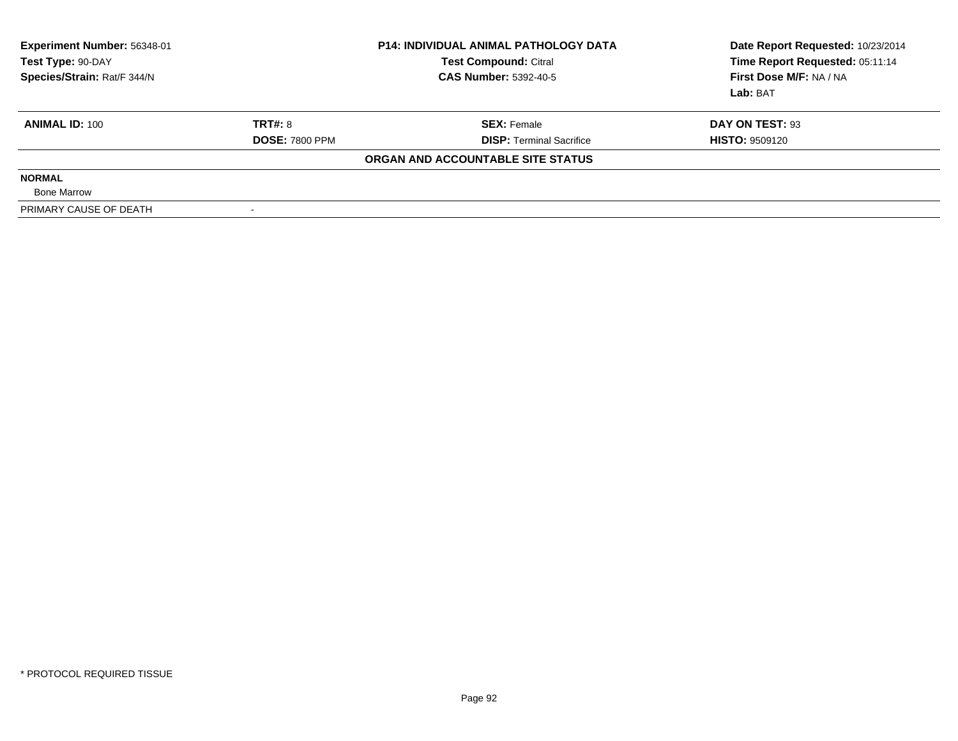| <b>Experiment Number: 56348-01</b><br><b>Test Compound: Citral</b><br>Test Type: 90-DAY<br>Species/Strain: Rat/F 344/N<br><b>CAS Number: 5392-40-5</b> |                       | <b>P14: INDIVIDUAL ANIMAL PATHOLOGY DATA</b> | Date Report Requested: 10/23/2014<br>Time Report Requested: 05:11:14<br>First Dose M/F: NA / NA<br>Lab: BAT |
|--------------------------------------------------------------------------------------------------------------------------------------------------------|-----------------------|----------------------------------------------|-------------------------------------------------------------------------------------------------------------|
| <b>ANIMAL ID: 100</b>                                                                                                                                  | <b>TRT#: 8</b>        | <b>SEX: Female</b>                           | DAY ON TEST: 93                                                                                             |
|                                                                                                                                                        | <b>DOSE: 7800 PPM</b> | <b>DISP:</b> Terminal Sacrifice              | <b>HISTO: 9509120</b>                                                                                       |
|                                                                                                                                                        |                       | ORGAN AND ACCOUNTABLE SITE STATUS            |                                                                                                             |
| <b>NORMAL</b>                                                                                                                                          |                       |                                              |                                                                                                             |
| <b>Bone Marrow</b>                                                                                                                                     |                       |                                              |                                                                                                             |
| PRIMARY CAUSE OF DEATH                                                                                                                                 |                       |                                              |                                                                                                             |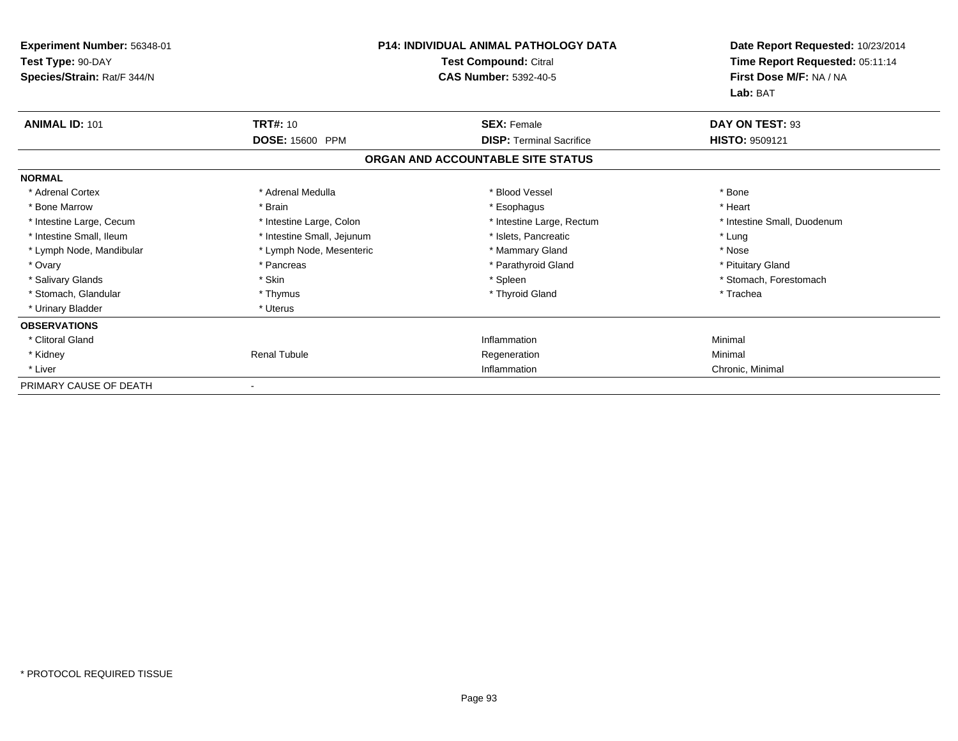| Experiment Number: 56348-01<br>Test Type: 90-DAY<br>Species/Strain: Rat/F 344/N |                            | <b>P14: INDIVIDUAL ANIMAL PATHOLOGY DATA</b><br><b>Test Compound: Citral</b><br><b>CAS Number: 5392-40-5</b> | Date Report Requested: 10/23/2014<br>Time Report Requested: 05:11:14<br>First Dose M/F: NA / NA<br>Lab: BAT |
|---------------------------------------------------------------------------------|----------------------------|--------------------------------------------------------------------------------------------------------------|-------------------------------------------------------------------------------------------------------------|
| <b>ANIMAL ID: 101</b>                                                           | <b>TRT#: 10</b>            | <b>SEX: Female</b>                                                                                           | DAY ON TEST: 93                                                                                             |
|                                                                                 | <b>DOSE: 15600 PPM</b>     | <b>DISP: Terminal Sacrifice</b><br>ORGAN AND ACCOUNTABLE SITE STATUS                                         | <b>HISTO: 9509121</b>                                                                                       |
| <b>NORMAL</b>                                                                   |                            |                                                                                                              |                                                                                                             |
| * Adrenal Cortex                                                                | * Adrenal Medulla          | * Blood Vessel                                                                                               | * Bone                                                                                                      |
| * Bone Marrow                                                                   | * Brain                    | * Esophagus                                                                                                  | * Heart                                                                                                     |
| * Intestine Large, Cecum                                                        | * Intestine Large, Colon   | * Intestine Large, Rectum                                                                                    | * Intestine Small, Duodenum                                                                                 |
| * Intestine Small, Ileum                                                        | * Intestine Small, Jejunum | * Islets, Pancreatic                                                                                         | * Lung                                                                                                      |
| * Lymph Node, Mandibular                                                        | * Lymph Node, Mesenteric   | * Mammary Gland                                                                                              | * Nose                                                                                                      |
| * Ovary                                                                         | * Pancreas                 | * Parathyroid Gland                                                                                          | * Pituitary Gland                                                                                           |
| * Salivary Glands                                                               | * Skin                     | * Spleen                                                                                                     | * Stomach, Forestomach                                                                                      |
| * Stomach, Glandular                                                            | * Thymus                   | * Thyroid Gland                                                                                              | * Trachea                                                                                                   |
| * Urinary Bladder                                                               | * Uterus                   |                                                                                                              |                                                                                                             |
| <b>OBSERVATIONS</b>                                                             |                            |                                                                                                              |                                                                                                             |
| * Clitoral Gland                                                                |                            | Inflammation                                                                                                 | Minimal                                                                                                     |
| * Kidney                                                                        | <b>Renal Tubule</b>        | Regeneration                                                                                                 | Minimal                                                                                                     |
| * Liver                                                                         |                            | Inflammation                                                                                                 | Chronic, Minimal                                                                                            |
| PRIMARY CAUSE OF DEATH                                                          |                            |                                                                                                              |                                                                                                             |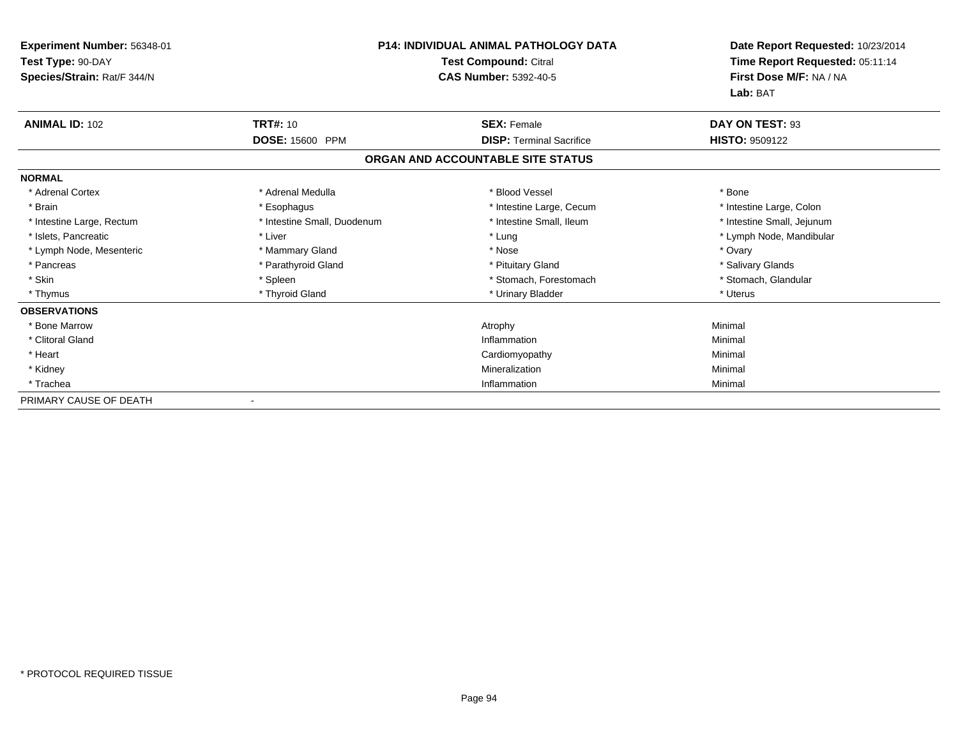| Experiment Number: 56348-01<br>Test Type: 90-DAY<br>Species/Strain: Rat/F 344/N | <b>P14: INDIVIDUAL ANIMAL PATHOLOGY DATA</b><br>Test Compound: Citral<br><b>CAS Number: 5392-40-5</b> |                                   |                            | Date Report Requested: 10/23/2014<br>Time Report Requested: 05:11:14<br>First Dose M/F: NA / NA<br>Lab: BAT |
|---------------------------------------------------------------------------------|-------------------------------------------------------------------------------------------------------|-----------------------------------|----------------------------|-------------------------------------------------------------------------------------------------------------|
| <b>ANIMAL ID: 102</b>                                                           | <b>TRT#: 10</b>                                                                                       | <b>SEX: Female</b>                | DAY ON TEST: 93            |                                                                                                             |
|                                                                                 | <b>DOSE: 15600 PPM</b>                                                                                | <b>DISP: Terminal Sacrifice</b>   | <b>HISTO: 9509122</b>      |                                                                                                             |
|                                                                                 |                                                                                                       | ORGAN AND ACCOUNTABLE SITE STATUS |                            |                                                                                                             |
| <b>NORMAL</b>                                                                   |                                                                                                       |                                   |                            |                                                                                                             |
| * Adrenal Cortex                                                                | * Adrenal Medulla                                                                                     | * Blood Vessel                    | * Bone                     |                                                                                                             |
| * Brain                                                                         | * Esophagus                                                                                           | * Intestine Large, Cecum          | * Intestine Large, Colon   |                                                                                                             |
| * Intestine Large, Rectum                                                       | * Intestine Small, Duodenum                                                                           | * Intestine Small, Ileum          | * Intestine Small, Jejunum |                                                                                                             |
| * Islets, Pancreatic                                                            | * Liver                                                                                               | * Lung                            | * Lymph Node, Mandibular   |                                                                                                             |
| * Lymph Node, Mesenteric                                                        | * Mammary Gland                                                                                       | * Nose                            | * Ovary                    |                                                                                                             |
| * Pancreas                                                                      | * Parathyroid Gland                                                                                   | * Pituitary Gland                 | * Salivary Glands          |                                                                                                             |
| * Skin                                                                          | * Spleen                                                                                              | * Stomach, Forestomach            | * Stomach, Glandular       |                                                                                                             |
| * Thymus                                                                        | * Thyroid Gland                                                                                       | * Urinary Bladder                 | * Uterus                   |                                                                                                             |
| <b>OBSERVATIONS</b>                                                             |                                                                                                       |                                   |                            |                                                                                                             |
| * Bone Marrow                                                                   |                                                                                                       | Atrophy                           | Minimal                    |                                                                                                             |
| * Clitoral Gland                                                                |                                                                                                       | Inflammation                      | Minimal                    |                                                                                                             |
| * Heart                                                                         |                                                                                                       | Cardiomyopathy                    | Minimal                    |                                                                                                             |
| * Kidney                                                                        |                                                                                                       | Mineralization                    | Minimal                    |                                                                                                             |
| * Trachea                                                                       |                                                                                                       | Inflammation                      | Minimal                    |                                                                                                             |
| PRIMARY CAUSE OF DEATH                                                          | $\overline{\phantom{a}}$                                                                              |                                   |                            |                                                                                                             |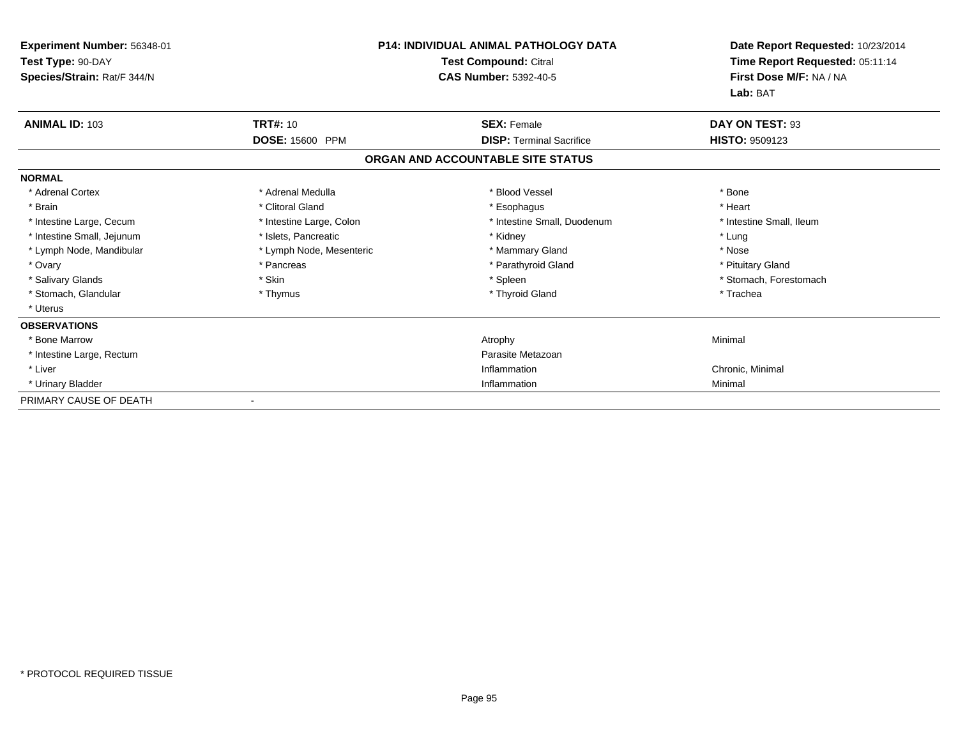| Experiment Number: 56348-01<br>Test Type: 90-DAY<br>Species/Strain: Rat/F 344/N | <b>P14: INDIVIDUAL ANIMAL PATHOLOGY DATA</b><br><b>Test Compound: Citral</b><br><b>CAS Number: 5392-40-5</b> |                                   | Date Report Requested: 10/23/2014<br>Time Report Requested: 05:11:14<br>First Dose M/F: NA / NA<br>Lab: BAT |
|---------------------------------------------------------------------------------|--------------------------------------------------------------------------------------------------------------|-----------------------------------|-------------------------------------------------------------------------------------------------------------|
| <b>ANIMAL ID: 103</b>                                                           | <b>TRT#: 10</b>                                                                                              | <b>SEX: Female</b>                | DAY ON TEST: 93                                                                                             |
|                                                                                 | <b>DOSE: 15600 PPM</b>                                                                                       | <b>DISP: Terminal Sacrifice</b>   | HISTO: 9509123                                                                                              |
|                                                                                 |                                                                                                              | ORGAN AND ACCOUNTABLE SITE STATUS |                                                                                                             |
| <b>NORMAL</b>                                                                   |                                                                                                              |                                   |                                                                                                             |
| * Adrenal Cortex                                                                | * Adrenal Medulla                                                                                            | * Blood Vessel                    | * Bone                                                                                                      |
| * Brain                                                                         | * Clitoral Gland                                                                                             | * Esophagus                       | * Heart                                                                                                     |
| * Intestine Large, Cecum                                                        | * Intestine Large, Colon                                                                                     | * Intestine Small, Duodenum       | * Intestine Small, Ileum                                                                                    |
| * Intestine Small, Jejunum                                                      | * Islets. Pancreatic                                                                                         | * Kidney                          | * Lung                                                                                                      |
| * Lymph Node, Mandibular                                                        | * Lymph Node, Mesenteric                                                                                     | * Mammary Gland                   | * Nose                                                                                                      |
| * Ovary                                                                         | * Pancreas                                                                                                   | * Parathyroid Gland               | * Pituitary Gland                                                                                           |
| * Salivary Glands                                                               | * Skin                                                                                                       | * Spleen                          | * Stomach, Forestomach                                                                                      |
| * Stomach, Glandular                                                            | * Thymus                                                                                                     | * Thyroid Gland                   | * Trachea                                                                                                   |
| * Uterus                                                                        |                                                                                                              |                                   |                                                                                                             |
| <b>OBSERVATIONS</b>                                                             |                                                                                                              |                                   |                                                                                                             |
| * Bone Marrow                                                                   |                                                                                                              | Atrophy                           | Minimal                                                                                                     |
| * Intestine Large, Rectum                                                       |                                                                                                              | Parasite Metazoan                 |                                                                                                             |
| * Liver                                                                         |                                                                                                              | Inflammation                      | Chronic, Minimal                                                                                            |
| * Urinary Bladder                                                               |                                                                                                              | Inflammation                      | Minimal                                                                                                     |
| PRIMARY CAUSE OF DEATH                                                          |                                                                                                              |                                   |                                                                                                             |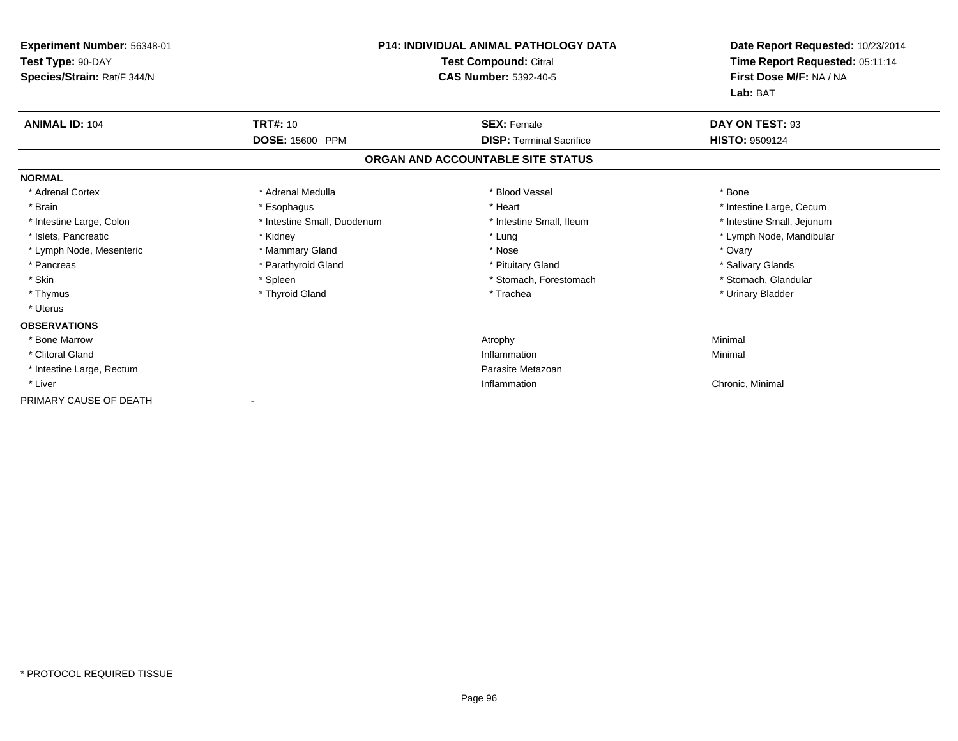| Experiment Number: 56348-01<br>Test Type: 90-DAY<br>Species/Strain: Rat/F 344/N | <b>P14: INDIVIDUAL ANIMAL PATHOLOGY DATA</b><br>Test Compound: Citral<br><b>CAS Number: 5392-40-5</b> |                                   | Date Report Requested: 10/23/2014<br>Time Report Requested: 05:11:14<br>First Dose M/F: NA / NA<br>Lab: BAT |
|---------------------------------------------------------------------------------|-------------------------------------------------------------------------------------------------------|-----------------------------------|-------------------------------------------------------------------------------------------------------------|
| <b>ANIMAL ID: 104</b>                                                           | <b>TRT#: 10</b>                                                                                       | <b>SEX: Female</b>                | DAY ON TEST: 93                                                                                             |
|                                                                                 | DOSE: 15600 PPM                                                                                       | <b>DISP: Terminal Sacrifice</b>   | <b>HISTO: 9509124</b>                                                                                       |
|                                                                                 |                                                                                                       | ORGAN AND ACCOUNTABLE SITE STATUS |                                                                                                             |
| <b>NORMAL</b>                                                                   |                                                                                                       |                                   |                                                                                                             |
| * Adrenal Cortex                                                                | * Adrenal Medulla                                                                                     | * Blood Vessel                    | * Bone                                                                                                      |
| * Brain                                                                         | * Esophagus                                                                                           | * Heart                           | * Intestine Large, Cecum                                                                                    |
| * Intestine Large, Colon                                                        | * Intestine Small, Duodenum                                                                           | * Intestine Small, Ileum          | * Intestine Small, Jejunum                                                                                  |
| * Islets, Pancreatic                                                            | * Kidney                                                                                              | * Lung                            | * Lymph Node, Mandibular                                                                                    |
| * Lymph Node, Mesenteric                                                        | * Mammary Gland                                                                                       | * Nose                            | * Ovary                                                                                                     |
| * Pancreas                                                                      | * Parathyroid Gland                                                                                   | * Pituitary Gland                 | * Salivary Glands                                                                                           |
| * Skin                                                                          | * Spleen                                                                                              | * Stomach, Forestomach            | * Stomach, Glandular                                                                                        |
| * Thymus                                                                        | * Thyroid Gland                                                                                       | * Trachea                         | * Urinary Bladder                                                                                           |
| * Uterus                                                                        |                                                                                                       |                                   |                                                                                                             |
| <b>OBSERVATIONS</b>                                                             |                                                                                                       |                                   |                                                                                                             |
| * Bone Marrow                                                                   |                                                                                                       | Atrophy                           | Minimal                                                                                                     |
| * Clitoral Gland                                                                |                                                                                                       | Inflammation                      | Minimal                                                                                                     |
| * Intestine Large, Rectum                                                       |                                                                                                       | Parasite Metazoan                 |                                                                                                             |
| * Liver                                                                         |                                                                                                       | Inflammation                      | Chronic, Minimal                                                                                            |
| PRIMARY CAUSE OF DEATH                                                          |                                                                                                       |                                   |                                                                                                             |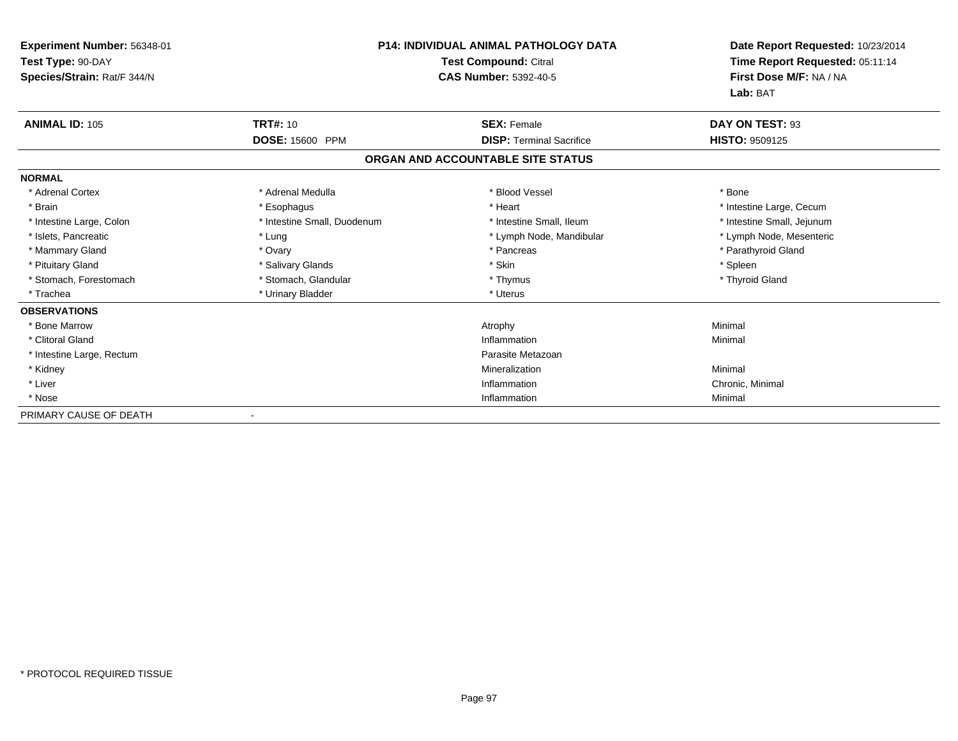| <b>Experiment Number: 56348-01</b><br>Test Type: 90-DAY<br>Species/Strain: Rat/F 344/N | <b>P14: INDIVIDUAL ANIMAL PATHOLOGY DATA</b><br><b>Test Compound: Citral</b><br><b>CAS Number: 5392-40-5</b> |                                   | Date Report Requested: 10/23/2014<br>Time Report Requested: 05:11:14<br>First Dose M/F: NA / NA<br>Lab: BAT |
|----------------------------------------------------------------------------------------|--------------------------------------------------------------------------------------------------------------|-----------------------------------|-------------------------------------------------------------------------------------------------------------|
| <b>ANIMAL ID: 105</b>                                                                  | <b>TRT#: 10</b>                                                                                              | <b>SEX: Female</b>                | DAY ON TEST: 93                                                                                             |
|                                                                                        | DOSE: 15600 PPM                                                                                              | <b>DISP: Terminal Sacrifice</b>   | HISTO: 9509125                                                                                              |
|                                                                                        |                                                                                                              | ORGAN AND ACCOUNTABLE SITE STATUS |                                                                                                             |
| <b>NORMAL</b>                                                                          |                                                                                                              |                                   |                                                                                                             |
| * Adrenal Cortex                                                                       | * Adrenal Medulla                                                                                            | * Blood Vessel                    | * Bone                                                                                                      |
| * Brain                                                                                | * Esophagus                                                                                                  | * Heart                           | * Intestine Large, Cecum                                                                                    |
| * Intestine Large, Colon                                                               | * Intestine Small, Duodenum                                                                                  | * Intestine Small, Ileum          | * Intestine Small, Jejunum                                                                                  |
| * Islets, Pancreatic                                                                   | * Lung                                                                                                       | * Lymph Node, Mandibular          | * Lymph Node, Mesenteric                                                                                    |
| * Mammary Gland                                                                        | * Ovary                                                                                                      | * Pancreas                        | * Parathyroid Gland                                                                                         |
| * Pituitary Gland                                                                      | * Salivary Glands                                                                                            | * Skin                            | * Spleen                                                                                                    |
| * Stomach, Forestomach                                                                 | * Stomach, Glandular                                                                                         | * Thymus                          | * Thyroid Gland                                                                                             |
| * Trachea                                                                              | * Urinary Bladder                                                                                            | * Uterus                          |                                                                                                             |
| <b>OBSERVATIONS</b>                                                                    |                                                                                                              |                                   |                                                                                                             |
| * Bone Marrow                                                                          |                                                                                                              | Atrophy                           | Minimal                                                                                                     |
| * Clitoral Gland                                                                       |                                                                                                              | Inflammation                      | Minimal                                                                                                     |
| * Intestine Large, Rectum                                                              |                                                                                                              | Parasite Metazoan                 |                                                                                                             |
| * Kidney                                                                               |                                                                                                              | Mineralization                    | Minimal                                                                                                     |
| * Liver                                                                                |                                                                                                              | Inflammation                      | Chronic, Minimal                                                                                            |
| * Nose                                                                                 |                                                                                                              | Inflammation                      | Minimal                                                                                                     |
| PRIMARY CAUSE OF DEATH                                                                 |                                                                                                              |                                   |                                                                                                             |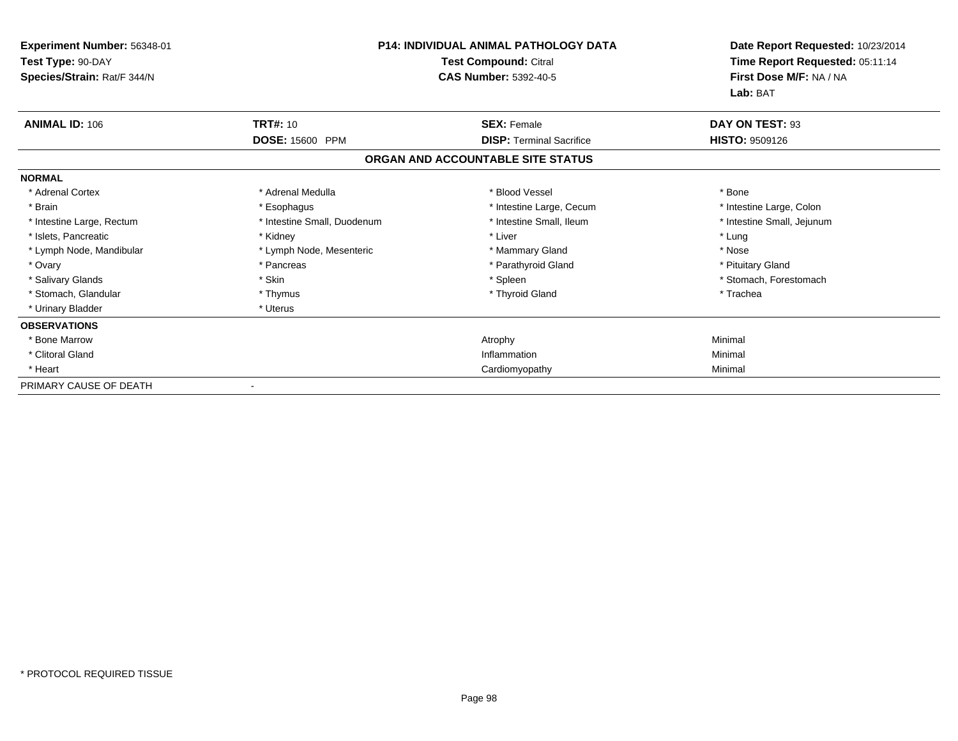| Experiment Number: 56348-01<br>Test Type: 90-DAY<br>Species/Strain: Rat/F 344/N | <b>P14: INDIVIDUAL ANIMAL PATHOLOGY DATA</b><br>Test Compound: Citral<br><b>CAS Number: 5392-40-5</b> |                                   | Date Report Requested: 10/23/2014<br>Time Report Requested: 05:11:14<br>First Dose M/F: NA / NA<br>Lab: BAT |
|---------------------------------------------------------------------------------|-------------------------------------------------------------------------------------------------------|-----------------------------------|-------------------------------------------------------------------------------------------------------------|
| <b>ANIMAL ID: 106</b>                                                           | <b>TRT#: 10</b>                                                                                       | <b>SEX: Female</b>                | DAY ON TEST: 93                                                                                             |
|                                                                                 | DOSE: 15600 PPM                                                                                       | <b>DISP: Terminal Sacrifice</b>   | <b>HISTO: 9509126</b>                                                                                       |
|                                                                                 |                                                                                                       | ORGAN AND ACCOUNTABLE SITE STATUS |                                                                                                             |
| <b>NORMAL</b>                                                                   |                                                                                                       |                                   |                                                                                                             |
| * Adrenal Cortex                                                                | * Adrenal Medulla                                                                                     | * Blood Vessel                    | * Bone                                                                                                      |
| * Brain                                                                         | * Esophagus                                                                                           | * Intestine Large, Cecum          | * Intestine Large, Colon                                                                                    |
| * Intestine Large, Rectum                                                       | * Intestine Small, Duodenum                                                                           | * Intestine Small, Ileum          | * Intestine Small, Jejunum                                                                                  |
| * Islets, Pancreatic                                                            | * Kidney                                                                                              | * Liver                           | * Lung                                                                                                      |
| * Lymph Node, Mandibular                                                        | * Lymph Node, Mesenteric                                                                              | * Mammary Gland                   | * Nose                                                                                                      |
| * Ovary                                                                         | * Pancreas                                                                                            | * Parathyroid Gland               | * Pituitary Gland                                                                                           |
| * Salivary Glands                                                               | * Skin                                                                                                | * Spleen                          | * Stomach, Forestomach                                                                                      |
| * Stomach, Glandular                                                            | * Thymus                                                                                              | * Thyroid Gland                   | * Trachea                                                                                                   |
| * Urinary Bladder                                                               | * Uterus                                                                                              |                                   |                                                                                                             |
| <b>OBSERVATIONS</b>                                                             |                                                                                                       |                                   |                                                                                                             |
| * Bone Marrow                                                                   |                                                                                                       | Atrophy                           | Minimal                                                                                                     |
| * Clitoral Gland                                                                |                                                                                                       | Inflammation                      | Minimal                                                                                                     |
| * Heart                                                                         |                                                                                                       | Cardiomyopathy                    | Minimal                                                                                                     |
| PRIMARY CAUSE OF DEATH                                                          |                                                                                                       |                                   |                                                                                                             |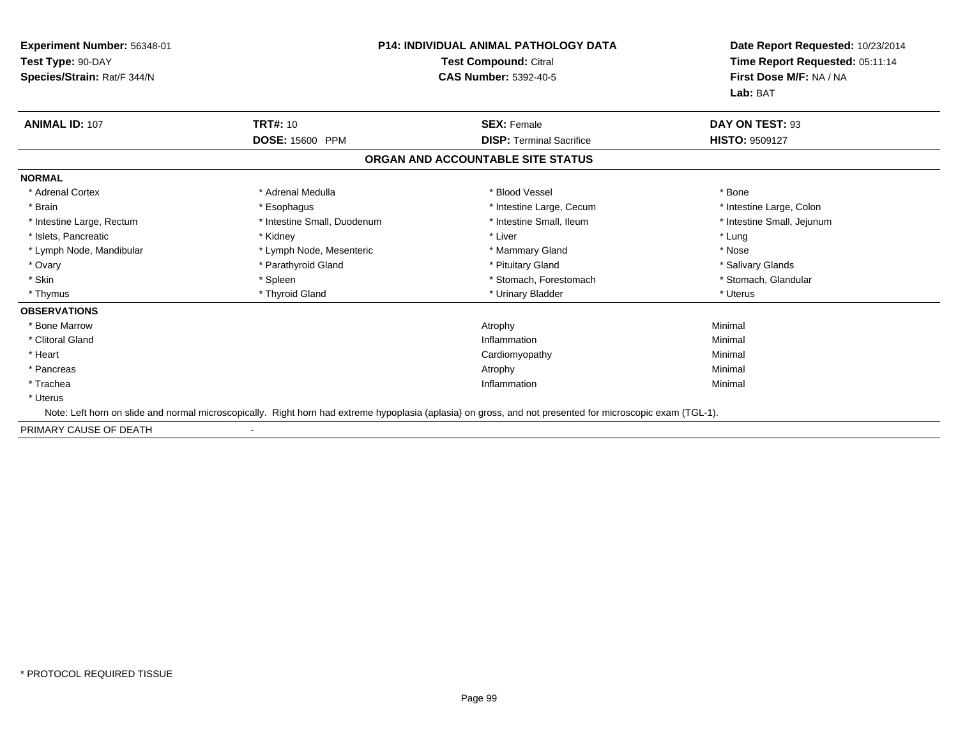| Experiment Number: 56348-01<br>Test Type: 90-DAY<br>Species/Strain: Rat/F 344/N | <b>P14: INDIVIDUAL ANIMAL PATHOLOGY DATA</b><br><b>Test Compound: Citral</b><br><b>CAS Number: 5392-40-5</b> |                                                                                                                                                            | Date Report Requested: 10/23/2014<br>Time Report Requested: 05:11:14<br>First Dose M/F: NA / NA<br>Lab: BAT |
|---------------------------------------------------------------------------------|--------------------------------------------------------------------------------------------------------------|------------------------------------------------------------------------------------------------------------------------------------------------------------|-------------------------------------------------------------------------------------------------------------|
| <b>ANIMAL ID: 107</b>                                                           | <b>TRT#: 10</b>                                                                                              | <b>SEX: Female</b>                                                                                                                                         | DAY ON TEST: 93                                                                                             |
|                                                                                 | DOSE: 15600 PPM                                                                                              | <b>DISP: Terminal Sacrifice</b>                                                                                                                            | <b>HISTO: 9509127</b>                                                                                       |
|                                                                                 |                                                                                                              | ORGAN AND ACCOUNTABLE SITE STATUS                                                                                                                          |                                                                                                             |
| <b>NORMAL</b>                                                                   |                                                                                                              |                                                                                                                                                            |                                                                                                             |
| * Adrenal Cortex                                                                | * Adrenal Medulla                                                                                            | * Blood Vessel                                                                                                                                             | * Bone                                                                                                      |
| * Brain                                                                         | * Esophagus                                                                                                  | * Intestine Large, Cecum                                                                                                                                   | * Intestine Large, Colon                                                                                    |
| * Intestine Large, Rectum                                                       | * Intestine Small, Duodenum                                                                                  | * Intestine Small, Ileum                                                                                                                                   | * Intestine Small, Jejunum                                                                                  |
| * Islets, Pancreatic                                                            | * Kidney                                                                                                     | * Liver                                                                                                                                                    | * Lung                                                                                                      |
| * Lymph Node, Mandibular                                                        | * Lymph Node, Mesenteric                                                                                     | * Mammary Gland                                                                                                                                            | * Nose                                                                                                      |
| * Ovary                                                                         | * Parathyroid Gland                                                                                          | * Pituitary Gland                                                                                                                                          | * Salivary Glands                                                                                           |
| * Skin                                                                          | * Spleen                                                                                                     | * Stomach, Forestomach                                                                                                                                     | * Stomach, Glandular                                                                                        |
| * Thymus                                                                        | * Thyroid Gland                                                                                              | * Urinary Bladder                                                                                                                                          | * Uterus                                                                                                    |
| <b>OBSERVATIONS</b>                                                             |                                                                                                              |                                                                                                                                                            |                                                                                                             |
| * Bone Marrow                                                                   |                                                                                                              | Atrophy                                                                                                                                                    | Minimal                                                                                                     |
| * Clitoral Gland                                                                |                                                                                                              | Inflammation                                                                                                                                               | Minimal                                                                                                     |
| * Heart                                                                         |                                                                                                              | Cardiomyopathy                                                                                                                                             | Minimal                                                                                                     |
| * Pancreas                                                                      |                                                                                                              | Atrophy                                                                                                                                                    | Minimal                                                                                                     |
| * Trachea                                                                       |                                                                                                              | Inflammation                                                                                                                                               | Minimal                                                                                                     |
| * Uterus                                                                        |                                                                                                              |                                                                                                                                                            |                                                                                                             |
|                                                                                 |                                                                                                              | Note: Left horn on slide and normal microscopically. Right horn had extreme hypoplasia (aplasia) on gross, and not presented for microscopic exam (TGL-1). |                                                                                                             |

PRIMARY CAUSE OF DEATH-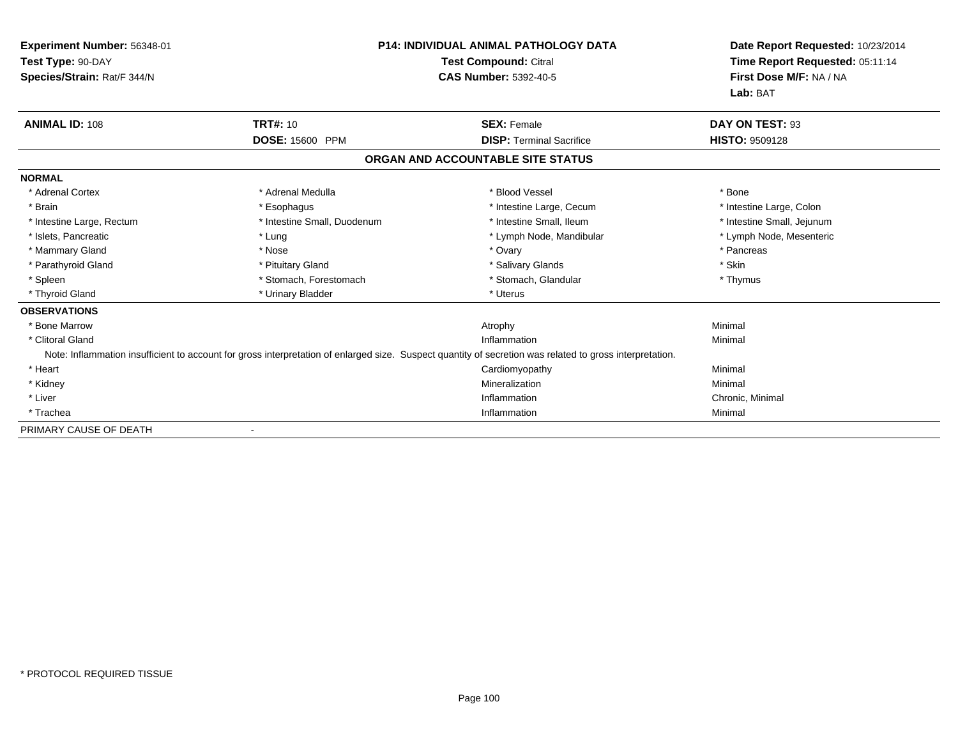| Experiment Number: 56348-01<br>Test Type: 90-DAY<br>Species/Strain: Rat/F 344/N |                             | <b>P14: INDIVIDUAL ANIMAL PATHOLOGY DATA</b><br><b>Test Compound: Citral</b><br><b>CAS Number: 5392-40-5</b>                                             | Date Report Requested: 10/23/2014<br>Time Report Requested: 05:11:14<br>First Dose M/F: NA / NA<br>Lab: BAT |
|---------------------------------------------------------------------------------|-----------------------------|----------------------------------------------------------------------------------------------------------------------------------------------------------|-------------------------------------------------------------------------------------------------------------|
| <b>ANIMAL ID: 108</b>                                                           | <b>TRT#: 10</b>             | <b>SEX: Female</b>                                                                                                                                       | DAY ON TEST: 93                                                                                             |
|                                                                                 | DOSE: 15600 PPM             | <b>DISP: Terminal Sacrifice</b>                                                                                                                          | HISTO: 9509128                                                                                              |
|                                                                                 |                             | ORGAN AND ACCOUNTABLE SITE STATUS                                                                                                                        |                                                                                                             |
| <b>NORMAL</b>                                                                   |                             |                                                                                                                                                          |                                                                                                             |
| * Adrenal Cortex                                                                | * Adrenal Medulla           | * Blood Vessel                                                                                                                                           | * Bone                                                                                                      |
| * Brain                                                                         | * Esophagus                 | * Intestine Large, Cecum                                                                                                                                 | * Intestine Large, Colon                                                                                    |
| * Intestine Large, Rectum                                                       | * Intestine Small, Duodenum | * Intestine Small, Ileum                                                                                                                                 | * Intestine Small, Jejunum                                                                                  |
| * Islets, Pancreatic                                                            | * Lung                      | * Lymph Node, Mandibular                                                                                                                                 | * Lymph Node, Mesenteric                                                                                    |
| * Mammary Gland                                                                 | * Nose                      | * Ovary                                                                                                                                                  | * Pancreas                                                                                                  |
| * Parathyroid Gland                                                             | * Pituitary Gland           | * Salivary Glands                                                                                                                                        | * Skin                                                                                                      |
| * Spleen                                                                        | * Stomach, Forestomach      | * Stomach, Glandular                                                                                                                                     | * Thymus                                                                                                    |
| * Thyroid Gland                                                                 | * Urinary Bladder           | * Uterus                                                                                                                                                 |                                                                                                             |
| <b>OBSERVATIONS</b>                                                             |                             |                                                                                                                                                          |                                                                                                             |
| * Bone Marrow                                                                   |                             | Atrophy                                                                                                                                                  | Minimal                                                                                                     |
| * Clitoral Gland                                                                |                             | Inflammation                                                                                                                                             | Minimal                                                                                                     |
|                                                                                 |                             | Note: Inflammation insufficient to account for gross interpretation of enlarged size. Suspect quantity of secretion was related to gross interpretation. |                                                                                                             |
| * Heart                                                                         |                             | Cardiomyopathy                                                                                                                                           | Minimal                                                                                                     |
| * Kidney                                                                        |                             | Mineralization                                                                                                                                           | Minimal                                                                                                     |
| * Liver                                                                         |                             | Inflammation                                                                                                                                             | Chronic, Minimal                                                                                            |
| * Trachea                                                                       |                             | Inflammation                                                                                                                                             | Minimal                                                                                                     |
| PRIMARY CAUSE OF DEATH                                                          |                             |                                                                                                                                                          |                                                                                                             |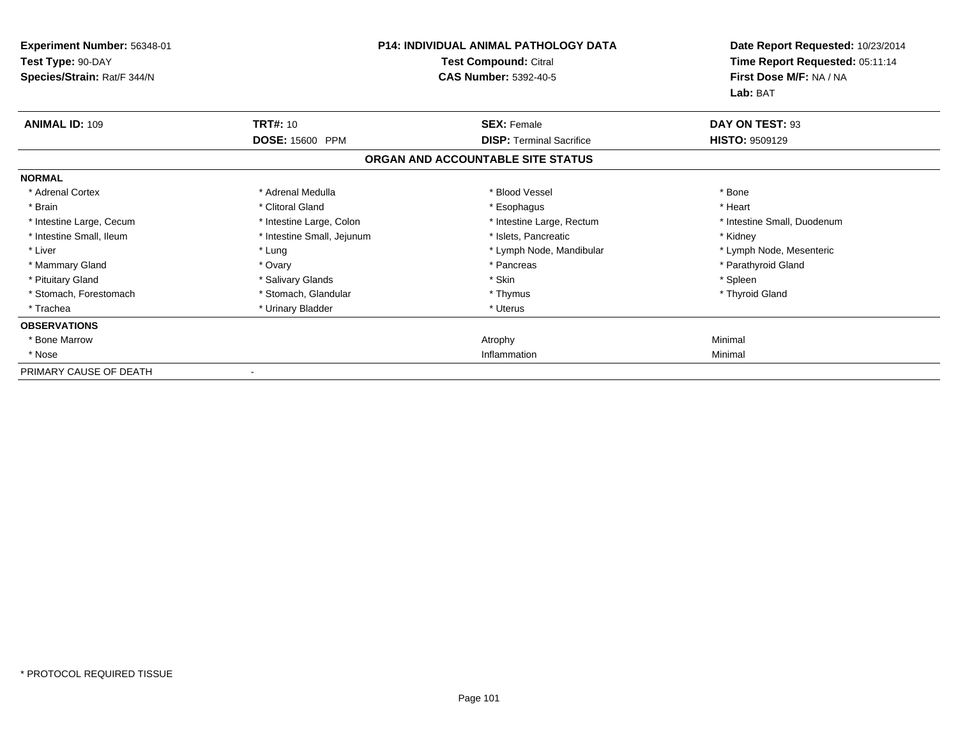| <b>Experiment Number: 56348-01</b><br>Test Type: 90-DAY<br>Species/Strain: Rat/F 344/N | <b>P14: INDIVIDUAL ANIMAL PATHOLOGY DATA</b><br>Test Compound: Citral<br><b>CAS Number: 5392-40-5</b> |                                   | Date Report Requested: 10/23/2014<br>Time Report Requested: 05:11:14<br>First Dose M/F: NA / NA<br>Lab: BAT |
|----------------------------------------------------------------------------------------|-------------------------------------------------------------------------------------------------------|-----------------------------------|-------------------------------------------------------------------------------------------------------------|
| <b>ANIMAL ID: 109</b>                                                                  | <b>TRT#: 10</b>                                                                                       | <b>SEX: Female</b>                | DAY ON TEST: 93                                                                                             |
|                                                                                        | <b>DOSE: 15600 PPM</b>                                                                                | <b>DISP: Terminal Sacrifice</b>   | <b>HISTO: 9509129</b>                                                                                       |
|                                                                                        |                                                                                                       | ORGAN AND ACCOUNTABLE SITE STATUS |                                                                                                             |
| <b>NORMAL</b>                                                                          |                                                                                                       |                                   |                                                                                                             |
| * Adrenal Cortex                                                                       | * Adrenal Medulla                                                                                     | * Blood Vessel                    | * Bone                                                                                                      |
| * Brain                                                                                | * Clitoral Gland                                                                                      | * Esophagus                       | * Heart                                                                                                     |
| * Intestine Large, Cecum                                                               | * Intestine Large, Colon                                                                              | * Intestine Large, Rectum         | * Intestine Small, Duodenum                                                                                 |
| * Intestine Small, Ileum                                                               | * Intestine Small, Jejunum                                                                            | * Islets, Pancreatic              | * Kidney                                                                                                    |
| * Liver                                                                                | * Lung                                                                                                | * Lymph Node, Mandibular          | * Lymph Node, Mesenteric                                                                                    |
| * Mammary Gland                                                                        | * Ovary                                                                                               | * Pancreas                        | * Parathyroid Gland                                                                                         |
| * Pituitary Gland                                                                      | * Salivary Glands                                                                                     | * Skin                            | * Spleen                                                                                                    |
| * Stomach, Forestomach                                                                 | * Stomach, Glandular                                                                                  | * Thymus                          | * Thyroid Gland                                                                                             |
| * Trachea                                                                              | * Urinary Bladder                                                                                     | * Uterus                          |                                                                                                             |
| <b>OBSERVATIONS</b>                                                                    |                                                                                                       |                                   |                                                                                                             |
| * Bone Marrow                                                                          |                                                                                                       | Atrophy                           | Minimal                                                                                                     |
| * Nose                                                                                 |                                                                                                       | Inflammation                      | Minimal                                                                                                     |
| PRIMARY CAUSE OF DEATH                                                                 |                                                                                                       |                                   |                                                                                                             |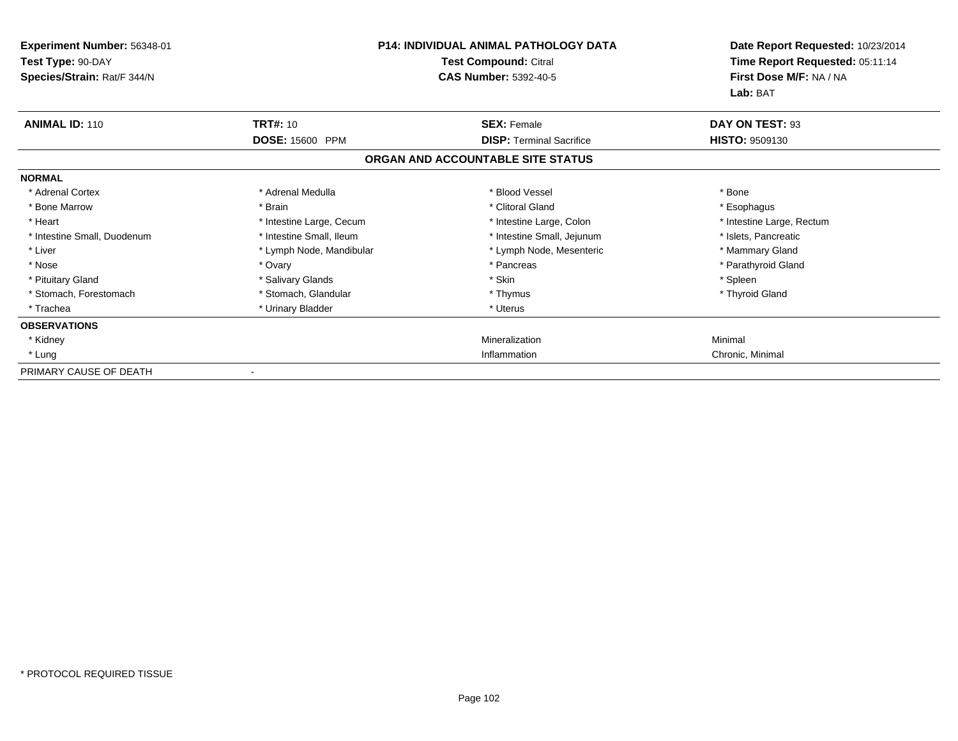| <b>Experiment Number: 56348-01</b><br>Test Type: 90-DAY<br>Species/Strain: Rat/F 344/N | <b>P14: INDIVIDUAL ANIMAL PATHOLOGY DATA</b><br>Test Compound: Citral<br><b>CAS Number: 5392-40-5</b> |                                   | Date Report Requested: 10/23/2014<br>Time Report Requested: 05:11:14<br>First Dose M/F: NA / NA<br>Lab: BAT |
|----------------------------------------------------------------------------------------|-------------------------------------------------------------------------------------------------------|-----------------------------------|-------------------------------------------------------------------------------------------------------------|
| <b>ANIMAL ID: 110</b>                                                                  | <b>TRT#: 10</b>                                                                                       | <b>SEX: Female</b>                | DAY ON TEST: 93                                                                                             |
|                                                                                        | <b>DOSE: 15600 PPM</b>                                                                                | <b>DISP: Terminal Sacrifice</b>   | <b>HISTO: 9509130</b>                                                                                       |
|                                                                                        |                                                                                                       | ORGAN AND ACCOUNTABLE SITE STATUS |                                                                                                             |
| <b>NORMAL</b>                                                                          |                                                                                                       |                                   |                                                                                                             |
| * Adrenal Cortex                                                                       | * Adrenal Medulla                                                                                     | * Blood Vessel                    | * Bone                                                                                                      |
| * Bone Marrow                                                                          | * Brain                                                                                               | * Clitoral Gland                  | * Esophagus                                                                                                 |
| * Heart                                                                                | * Intestine Large, Cecum                                                                              | * Intestine Large, Colon          | * Intestine Large, Rectum                                                                                   |
| * Intestine Small, Duodenum                                                            | * Intestine Small, Ileum                                                                              | * Intestine Small, Jejunum        | * Islets, Pancreatic                                                                                        |
| * Liver                                                                                | * Lymph Node, Mandibular                                                                              | * Lymph Node, Mesenteric          | * Mammary Gland                                                                                             |
| * Nose                                                                                 | * Ovary                                                                                               | * Pancreas                        | * Parathyroid Gland                                                                                         |
| * Pituitary Gland                                                                      | * Salivary Glands                                                                                     | * Skin                            | * Spleen                                                                                                    |
| * Stomach, Forestomach                                                                 | * Stomach, Glandular                                                                                  | * Thymus                          | * Thyroid Gland                                                                                             |
| * Trachea                                                                              | * Urinary Bladder                                                                                     | * Uterus                          |                                                                                                             |
| <b>OBSERVATIONS</b>                                                                    |                                                                                                       |                                   |                                                                                                             |
| * Kidney                                                                               |                                                                                                       | Mineralization                    | Minimal                                                                                                     |
| * Lung                                                                                 |                                                                                                       | Inflammation                      | Chronic, Minimal                                                                                            |
| PRIMARY CAUSE OF DEATH                                                                 |                                                                                                       |                                   |                                                                                                             |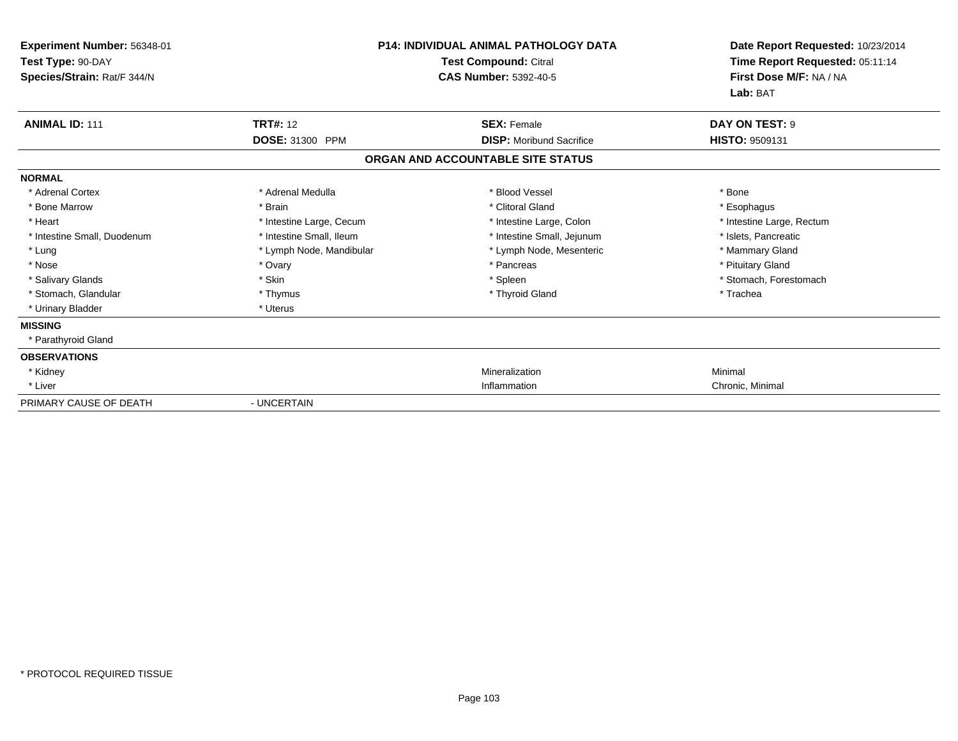| Experiment Number: 56348-01<br>Test Type: 90-DAY<br>Species/Strain: Rat/F 344/N | <b>P14: INDIVIDUAL ANIMAL PATHOLOGY DATA</b><br>Test Compound: Citral<br><b>CAS Number: 5392-40-5</b> |                                   | Date Report Requested: 10/23/2014<br>Time Report Requested: 05:11:14<br>First Dose M/F: NA / NA<br>Lab: BAT |
|---------------------------------------------------------------------------------|-------------------------------------------------------------------------------------------------------|-----------------------------------|-------------------------------------------------------------------------------------------------------------|
| <b>ANIMAL ID: 111</b>                                                           | <b>TRT#: 12</b>                                                                                       | <b>SEX: Female</b>                | DAY ON TEST: 9                                                                                              |
|                                                                                 | DOSE: 31300 PPM                                                                                       | <b>DISP:</b> Moribund Sacrifice   | <b>HISTO: 9509131</b>                                                                                       |
|                                                                                 |                                                                                                       | ORGAN AND ACCOUNTABLE SITE STATUS |                                                                                                             |
| <b>NORMAL</b>                                                                   |                                                                                                       |                                   |                                                                                                             |
| * Adrenal Cortex                                                                | * Adrenal Medulla                                                                                     | * Blood Vessel                    | * Bone                                                                                                      |
| * Bone Marrow                                                                   | * Brain                                                                                               | * Clitoral Gland                  | * Esophagus                                                                                                 |
| * Heart                                                                         | * Intestine Large, Cecum                                                                              | * Intestine Large, Colon          | * Intestine Large, Rectum                                                                                   |
| * Intestine Small, Duodenum                                                     | * Intestine Small, Ileum                                                                              | * Intestine Small, Jejunum        | * Islets, Pancreatic                                                                                        |
| * Lung                                                                          | * Lymph Node, Mandibular                                                                              | * Lymph Node, Mesenteric          | * Mammary Gland                                                                                             |
| * Nose                                                                          | * Ovary                                                                                               | * Pancreas                        | * Pituitary Gland                                                                                           |
| * Salivary Glands                                                               | * Skin                                                                                                | * Spleen                          | * Stomach, Forestomach                                                                                      |
| * Stomach, Glandular                                                            | * Thymus                                                                                              | * Thyroid Gland                   | * Trachea                                                                                                   |
| * Urinary Bladder                                                               | * Uterus                                                                                              |                                   |                                                                                                             |
| <b>MISSING</b>                                                                  |                                                                                                       |                                   |                                                                                                             |
| * Parathyroid Gland                                                             |                                                                                                       |                                   |                                                                                                             |
| <b>OBSERVATIONS</b>                                                             |                                                                                                       |                                   |                                                                                                             |
| * Kidney                                                                        |                                                                                                       | Mineralization                    | Minimal                                                                                                     |
| * Liver                                                                         |                                                                                                       | Inflammation                      | Chronic, Minimal                                                                                            |
| PRIMARY CAUSE OF DEATH                                                          | - UNCERTAIN                                                                                           |                                   |                                                                                                             |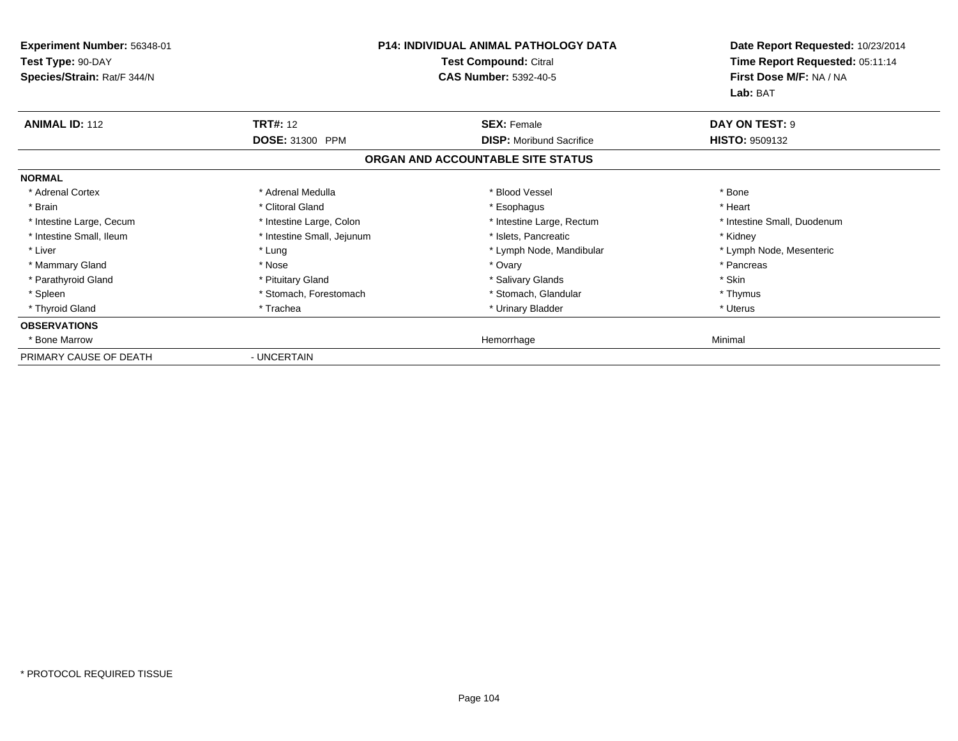| <b>Experiment Number: 56348-01</b><br>Test Type: 90-DAY<br>Species/Strain: Rat/F 344/N |                            | <b>P14: INDIVIDUAL ANIMAL PATHOLOGY DATA</b><br>Test Compound: Citral<br><b>CAS Number: 5392-40-5</b> | Date Report Requested: 10/23/2014<br>Time Report Requested: 05:11:14<br>First Dose M/F: NA / NA<br>Lab: BAT |
|----------------------------------------------------------------------------------------|----------------------------|-------------------------------------------------------------------------------------------------------|-------------------------------------------------------------------------------------------------------------|
| <b>ANIMAL ID: 112</b>                                                                  | <b>TRT#: 12</b>            | <b>SEX: Female</b>                                                                                    | DAY ON TEST: 9                                                                                              |
|                                                                                        | <b>DOSE: 31300 PPM</b>     | <b>DISP:</b> Moribund Sacrifice                                                                       | <b>HISTO: 9509132</b>                                                                                       |
|                                                                                        |                            | ORGAN AND ACCOUNTABLE SITE STATUS                                                                     |                                                                                                             |
| <b>NORMAL</b>                                                                          |                            |                                                                                                       |                                                                                                             |
| * Adrenal Cortex                                                                       | * Adrenal Medulla          | * Blood Vessel                                                                                        | * Bone                                                                                                      |
| * Brain                                                                                | * Clitoral Gland           | * Esophagus                                                                                           | * Heart                                                                                                     |
| * Intestine Large, Cecum                                                               | * Intestine Large, Colon   | * Intestine Large, Rectum                                                                             | * Intestine Small, Duodenum                                                                                 |
| * Intestine Small, Ileum                                                               | * Intestine Small, Jejunum | * Islets, Pancreatic                                                                                  | * Kidney                                                                                                    |
| * Liver                                                                                | * Lung                     | * Lymph Node, Mandibular                                                                              | * Lymph Node, Mesenteric                                                                                    |
| * Mammary Gland                                                                        | * Nose                     | * Ovary                                                                                               | * Pancreas                                                                                                  |
| * Parathyroid Gland                                                                    | * Pituitary Gland          | * Salivary Glands                                                                                     | * Skin                                                                                                      |
| * Spleen                                                                               | * Stomach, Forestomach     | * Stomach, Glandular                                                                                  | * Thymus                                                                                                    |
| * Thyroid Gland                                                                        | * Trachea                  | * Urinary Bladder                                                                                     | * Uterus                                                                                                    |
| <b>OBSERVATIONS</b>                                                                    |                            |                                                                                                       |                                                                                                             |
| * Bone Marrow                                                                          |                            | Hemorrhage                                                                                            | Minimal                                                                                                     |
| PRIMARY CAUSE OF DEATH                                                                 | - UNCERTAIN                |                                                                                                       |                                                                                                             |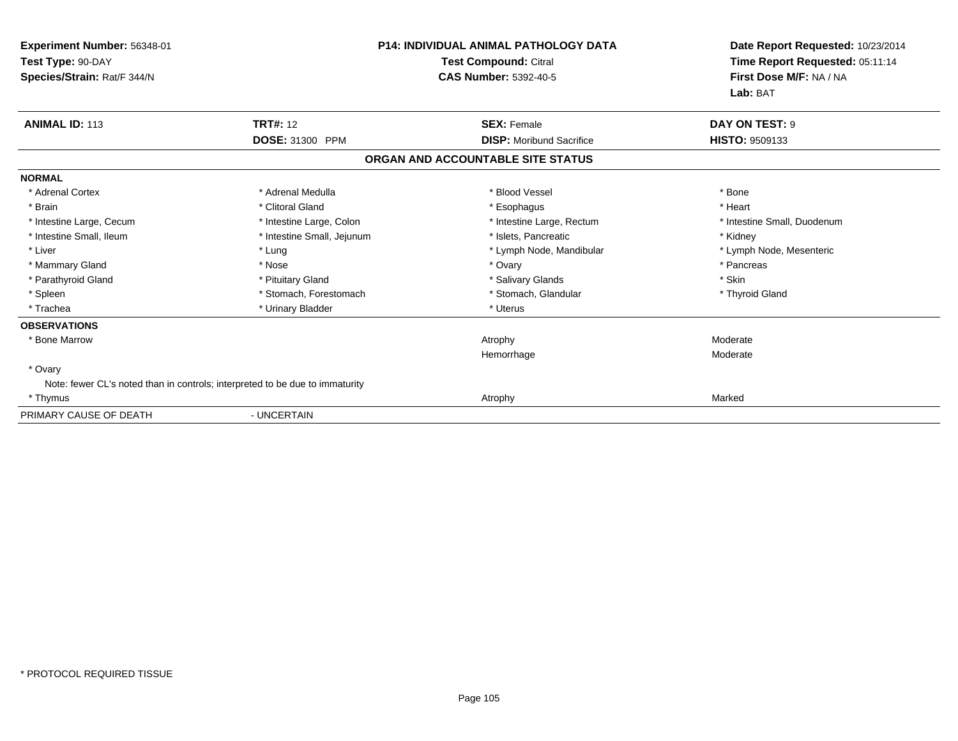| Experiment Number: 56348-01<br>Test Type: 90-DAY<br>Species/Strain: Rat/F 344/N |                            | <b>P14: INDIVIDUAL ANIMAL PATHOLOGY DATA</b><br>Test Compound: Citral<br><b>CAS Number: 5392-40-5</b> | Date Report Requested: 10/23/2014<br>Time Report Requested: 05:11:14<br>First Dose M/F: NA / NA<br>Lab: BAT |
|---------------------------------------------------------------------------------|----------------------------|-------------------------------------------------------------------------------------------------------|-------------------------------------------------------------------------------------------------------------|
| <b>ANIMAL ID: 113</b>                                                           | <b>TRT#: 12</b>            | <b>SEX: Female</b>                                                                                    | DAY ON TEST: 9                                                                                              |
|                                                                                 | DOSE: 31300 PPM            | <b>DISP:</b> Moribund Sacrifice                                                                       | HISTO: 9509133                                                                                              |
|                                                                                 |                            | ORGAN AND ACCOUNTABLE SITE STATUS                                                                     |                                                                                                             |
| <b>NORMAL</b>                                                                   |                            |                                                                                                       |                                                                                                             |
| * Adrenal Cortex                                                                | * Adrenal Medulla          | * Blood Vessel                                                                                        | * Bone                                                                                                      |
| * Brain                                                                         | * Clitoral Gland           | * Esophagus                                                                                           | * Heart                                                                                                     |
| * Intestine Large, Cecum                                                        | * Intestine Large, Colon   | * Intestine Large, Rectum                                                                             | * Intestine Small, Duodenum                                                                                 |
| * Intestine Small, Ileum                                                        | * Intestine Small, Jejunum | * Islets, Pancreatic                                                                                  | * Kidney                                                                                                    |
| * Liver                                                                         | * Lung                     | * Lymph Node, Mandibular                                                                              | * Lymph Node, Mesenteric                                                                                    |
| * Mammary Gland                                                                 | * Nose                     | * Ovary                                                                                               | * Pancreas                                                                                                  |
| * Parathyroid Gland                                                             | * Pituitary Gland          | * Salivary Glands                                                                                     | * Skin                                                                                                      |
| * Spleen                                                                        | * Stomach, Forestomach     | * Stomach, Glandular                                                                                  | * Thyroid Gland                                                                                             |
| * Trachea                                                                       | * Urinary Bladder          | * Uterus                                                                                              |                                                                                                             |
| <b>OBSERVATIONS</b>                                                             |                            |                                                                                                       |                                                                                                             |
| * Bone Marrow                                                                   |                            | Atrophy                                                                                               | Moderate                                                                                                    |
|                                                                                 |                            | Hemorrhage                                                                                            | Moderate                                                                                                    |
| * Ovary                                                                         |                            |                                                                                                       |                                                                                                             |
| Note: fewer CL's noted than in controls; interpreted to be due to immaturity    |                            |                                                                                                       |                                                                                                             |
| * Thymus                                                                        |                            | Atrophy                                                                                               | Marked                                                                                                      |
| PRIMARY CAUSE OF DEATH                                                          | - UNCERTAIN                |                                                                                                       |                                                                                                             |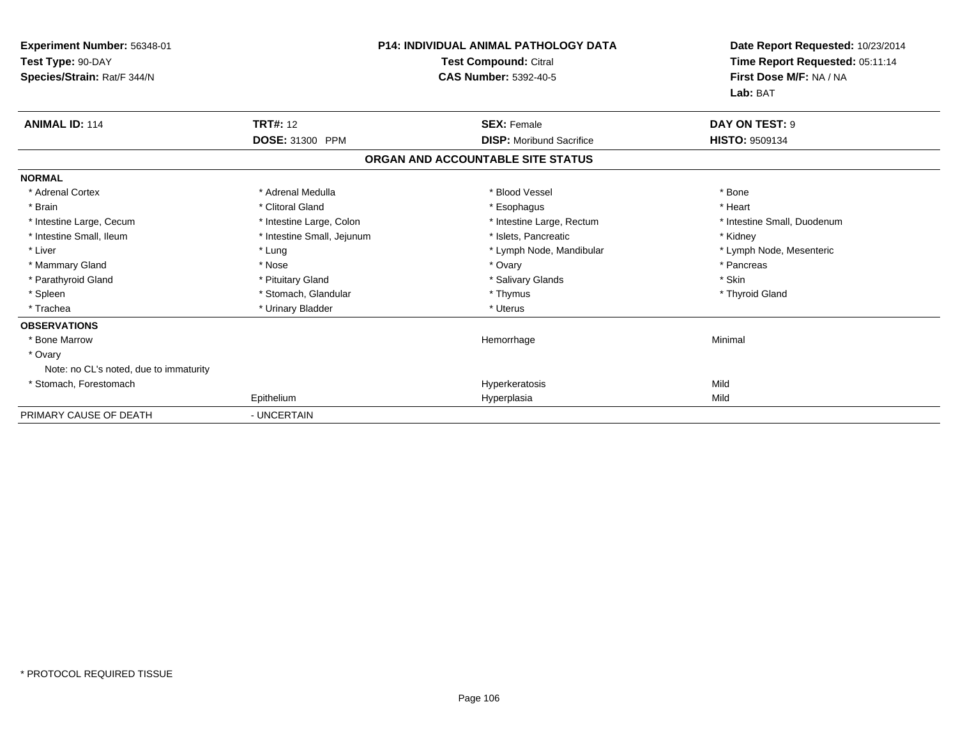| Experiment Number: 56348-01<br>Test Type: 90-DAY<br>Species/Strain: Rat/F 344/N | <b>P14: INDIVIDUAL ANIMAL PATHOLOGY DATA</b><br>Test Compound: Citral<br><b>CAS Number: 5392-40-5</b> |                                   | Date Report Requested: 10/23/2014<br>Time Report Requested: 05:11:14<br>First Dose M/F: NA / NA<br>Lab: BAT |
|---------------------------------------------------------------------------------|-------------------------------------------------------------------------------------------------------|-----------------------------------|-------------------------------------------------------------------------------------------------------------|
| <b>ANIMAL ID: 114</b>                                                           | <b>TRT#: 12</b>                                                                                       | <b>SEX: Female</b>                | DAY ON TEST: 9                                                                                              |
|                                                                                 | DOSE: 31300 PPM                                                                                       | <b>DISP:</b> Moribund Sacrifice   | <b>HISTO: 9509134</b>                                                                                       |
|                                                                                 |                                                                                                       | ORGAN AND ACCOUNTABLE SITE STATUS |                                                                                                             |
| <b>NORMAL</b>                                                                   |                                                                                                       |                                   |                                                                                                             |
| * Adrenal Cortex                                                                | * Adrenal Medulla                                                                                     | * Blood Vessel                    | * Bone                                                                                                      |
| * Brain                                                                         | * Clitoral Gland                                                                                      | * Esophagus                       | * Heart                                                                                                     |
| * Intestine Large, Cecum                                                        | * Intestine Large, Colon                                                                              | * Intestine Large, Rectum         | * Intestine Small, Duodenum                                                                                 |
| * Intestine Small, Ileum                                                        | * Intestine Small, Jejunum                                                                            | * Islets, Pancreatic              | * Kidney                                                                                                    |
| * Liver                                                                         | * Lung                                                                                                | * Lymph Node, Mandibular          | * Lymph Node, Mesenteric                                                                                    |
| * Mammary Gland                                                                 | * Nose                                                                                                | * Ovary                           | * Pancreas                                                                                                  |
| * Parathyroid Gland                                                             | * Pituitary Gland                                                                                     | * Salivary Glands                 | * Skin                                                                                                      |
| * Spleen                                                                        | * Stomach, Glandular                                                                                  | * Thymus                          | * Thyroid Gland                                                                                             |
| * Trachea                                                                       | * Urinary Bladder                                                                                     | * Uterus                          |                                                                                                             |
| <b>OBSERVATIONS</b>                                                             |                                                                                                       |                                   |                                                                                                             |
| * Bone Marrow                                                                   |                                                                                                       | Hemorrhage                        | Minimal                                                                                                     |
| * Ovary                                                                         |                                                                                                       |                                   |                                                                                                             |
| Note: no CL's noted, due to immaturity                                          |                                                                                                       |                                   |                                                                                                             |
| * Stomach, Forestomach                                                          |                                                                                                       | Hyperkeratosis                    | Mild                                                                                                        |
|                                                                                 | Epithelium                                                                                            | Hyperplasia                       | Mild                                                                                                        |
| PRIMARY CAUSE OF DEATH                                                          | - UNCERTAIN                                                                                           |                                   |                                                                                                             |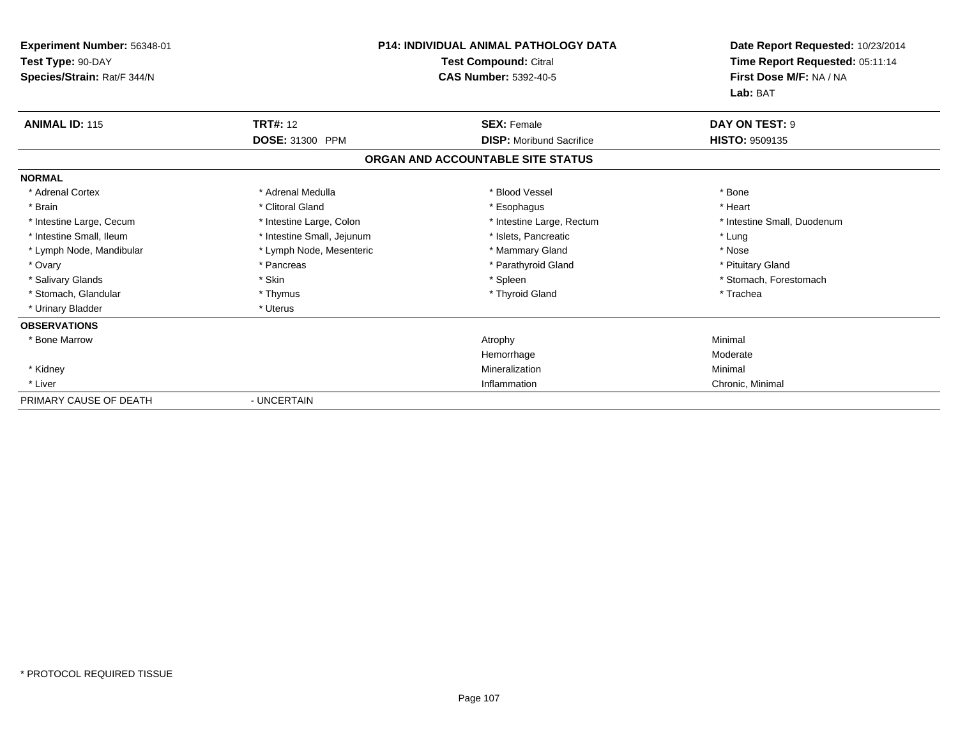| Experiment Number: 56348-01<br>Test Type: 90-DAY<br>Species/Strain: Rat/F 344/N | <b>P14: INDIVIDUAL ANIMAL PATHOLOGY DATA</b><br>Test Compound: Citral<br><b>CAS Number: 5392-40-5</b> |                                   | Date Report Requested: 10/23/2014<br>Time Report Requested: 05:11:14<br>First Dose M/F: NA / NA<br>Lab: BAT |  |
|---------------------------------------------------------------------------------|-------------------------------------------------------------------------------------------------------|-----------------------------------|-------------------------------------------------------------------------------------------------------------|--|
| <b>ANIMAL ID: 115</b>                                                           | <b>TRT#: 12</b>                                                                                       | <b>SEX: Female</b>                | DAY ON TEST: 9                                                                                              |  |
|                                                                                 | <b>DOSE: 31300 PPM</b>                                                                                | <b>DISP:</b> Moribund Sacrifice   | <b>HISTO: 9509135</b>                                                                                       |  |
|                                                                                 |                                                                                                       | ORGAN AND ACCOUNTABLE SITE STATUS |                                                                                                             |  |
| <b>NORMAL</b>                                                                   |                                                                                                       |                                   |                                                                                                             |  |
| * Adrenal Cortex                                                                | * Adrenal Medulla                                                                                     | * Blood Vessel                    | * Bone                                                                                                      |  |
| * Brain                                                                         | * Clitoral Gland                                                                                      | * Esophagus                       | * Heart                                                                                                     |  |
| * Intestine Large, Cecum                                                        | * Intestine Large, Colon                                                                              | * Intestine Large, Rectum         | * Intestine Small, Duodenum                                                                                 |  |
| * Intestine Small, Ileum                                                        | * Intestine Small, Jejunum                                                                            | * Islets, Pancreatic              | * Lung                                                                                                      |  |
| * Lymph Node, Mandibular                                                        | * Lymph Node, Mesenteric                                                                              | * Mammary Gland                   | * Nose                                                                                                      |  |
| * Ovary                                                                         | * Pancreas                                                                                            | * Parathyroid Gland               | * Pituitary Gland                                                                                           |  |
| * Salivary Glands                                                               | * Skin                                                                                                | * Spleen                          | * Stomach, Forestomach                                                                                      |  |
| * Stomach, Glandular                                                            | * Thymus                                                                                              | * Thyroid Gland                   | * Trachea                                                                                                   |  |
| * Urinary Bladder                                                               | * Uterus                                                                                              |                                   |                                                                                                             |  |
| <b>OBSERVATIONS</b>                                                             |                                                                                                       |                                   |                                                                                                             |  |
| * Bone Marrow                                                                   |                                                                                                       | Atrophy                           | Minimal                                                                                                     |  |
|                                                                                 |                                                                                                       | Hemorrhage                        | Moderate                                                                                                    |  |
| * Kidney                                                                        |                                                                                                       | Mineralization                    | Minimal                                                                                                     |  |
| * Liver                                                                         |                                                                                                       | Inflammation                      | Chronic, Minimal                                                                                            |  |
| PRIMARY CAUSE OF DEATH                                                          | - UNCERTAIN                                                                                           |                                   |                                                                                                             |  |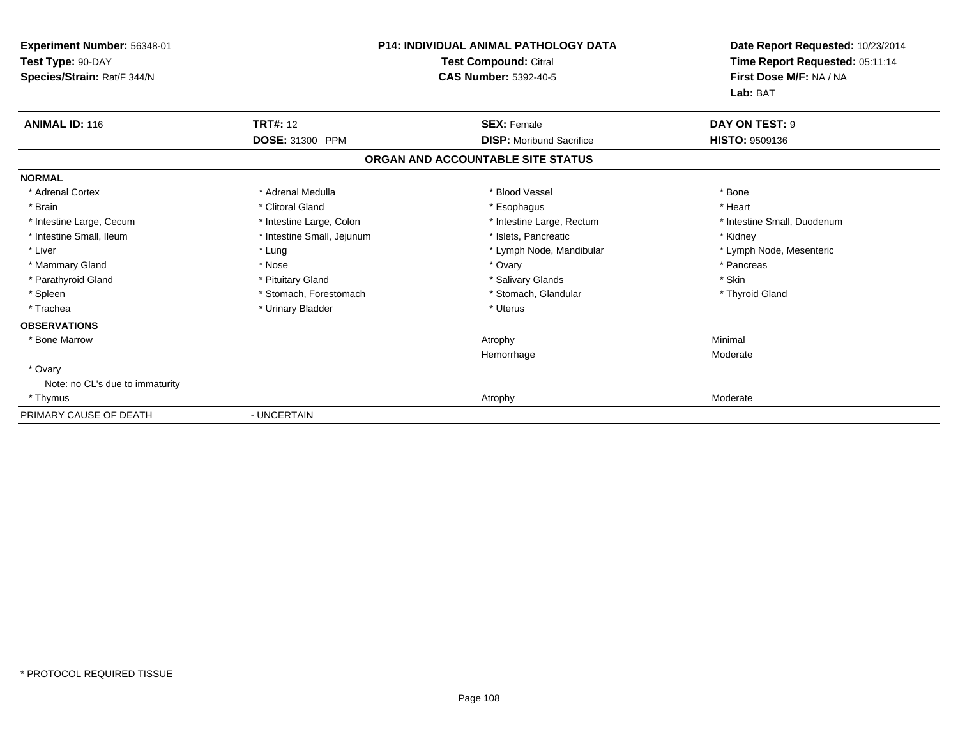| Experiment Number: 56348-01<br>Test Type: 90-DAY<br>Species/Strain: Rat/F 344/N | <b>P14: INDIVIDUAL ANIMAL PATHOLOGY DATA</b><br><b>Test Compound: Citral</b><br><b>CAS Number: 5392-40-5</b> |                                   | Date Report Requested: 10/23/2014<br>Time Report Requested: 05:11:14<br>First Dose M/F: NA / NA<br>Lab: BAT |
|---------------------------------------------------------------------------------|--------------------------------------------------------------------------------------------------------------|-----------------------------------|-------------------------------------------------------------------------------------------------------------|
| <b>ANIMAL ID: 116</b>                                                           | <b>TRT#: 12</b>                                                                                              | <b>SEX: Female</b>                | DAY ON TEST: 9                                                                                              |
|                                                                                 | DOSE: 31300 PPM                                                                                              | <b>DISP:</b> Moribund Sacrifice   | <b>HISTO: 9509136</b>                                                                                       |
|                                                                                 |                                                                                                              | ORGAN AND ACCOUNTABLE SITE STATUS |                                                                                                             |
| <b>NORMAL</b>                                                                   |                                                                                                              |                                   |                                                                                                             |
| * Adrenal Cortex                                                                | * Adrenal Medulla                                                                                            | * Blood Vessel                    | * Bone                                                                                                      |
| * Brain                                                                         | * Clitoral Gland                                                                                             | * Esophagus                       | * Heart                                                                                                     |
| * Intestine Large, Cecum                                                        | * Intestine Large, Colon                                                                                     | * Intestine Large, Rectum         | * Intestine Small, Duodenum                                                                                 |
| * Intestine Small, Ileum                                                        | * Intestine Small, Jejunum                                                                                   | * Islets, Pancreatic              | * Kidney                                                                                                    |
| * Liver                                                                         | * Lung                                                                                                       | * Lymph Node, Mandibular          | * Lymph Node, Mesenteric                                                                                    |
| * Mammary Gland                                                                 | * Nose                                                                                                       | * Ovary                           | * Pancreas                                                                                                  |
| * Parathyroid Gland                                                             | * Pituitary Gland                                                                                            | * Salivary Glands                 | * Skin                                                                                                      |
| * Spleen                                                                        | * Stomach, Forestomach                                                                                       | * Stomach, Glandular              | * Thyroid Gland                                                                                             |
| * Trachea                                                                       | * Urinary Bladder                                                                                            | * Uterus                          |                                                                                                             |
| <b>OBSERVATIONS</b>                                                             |                                                                                                              |                                   |                                                                                                             |
| * Bone Marrow                                                                   |                                                                                                              | Atrophy                           | Minimal                                                                                                     |
|                                                                                 |                                                                                                              | Hemorrhage                        | Moderate                                                                                                    |
| * Ovary                                                                         |                                                                                                              |                                   |                                                                                                             |
| Note: no CL's due to immaturity                                                 |                                                                                                              |                                   |                                                                                                             |
| * Thymus                                                                        |                                                                                                              | Atrophy                           | Moderate                                                                                                    |
| PRIMARY CAUSE OF DEATH                                                          | - UNCERTAIN                                                                                                  |                                   |                                                                                                             |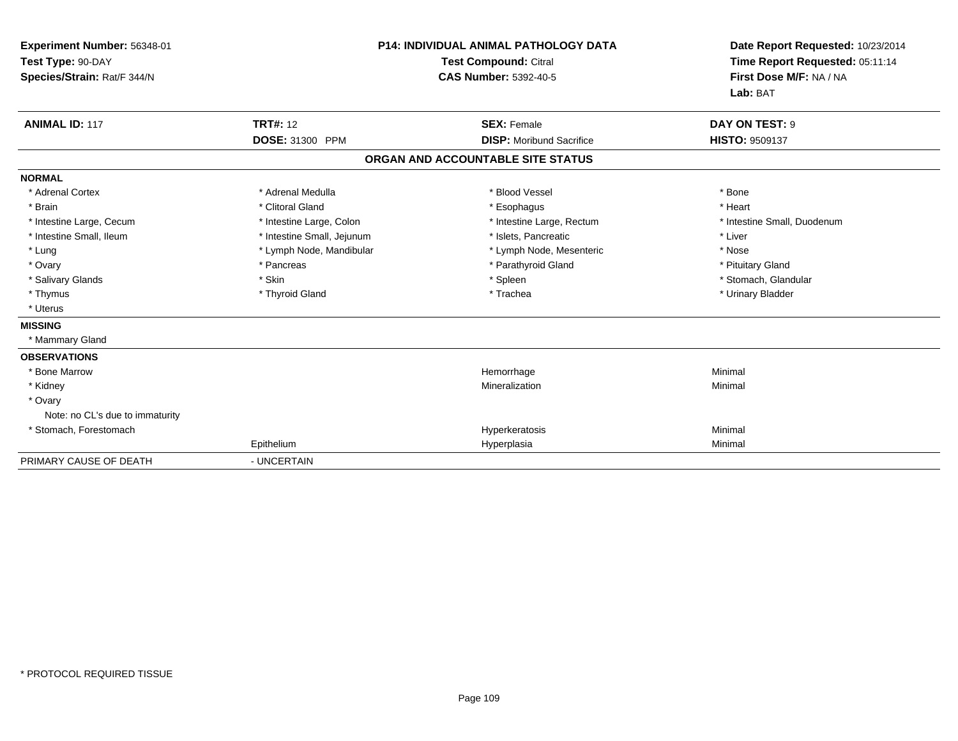| Experiment Number: 56348-01<br>Test Type: 90-DAY<br>Species/Strain: Rat/F 344/N | <b>P14: INDIVIDUAL ANIMAL PATHOLOGY DATA</b><br><b>Test Compound: Citral</b><br><b>CAS Number: 5392-40-5</b> |                                   | Date Report Requested: 10/23/2014<br>Time Report Requested: 05:11:14<br>First Dose M/F: NA / NA<br>Lab: BAT |
|---------------------------------------------------------------------------------|--------------------------------------------------------------------------------------------------------------|-----------------------------------|-------------------------------------------------------------------------------------------------------------|
| <b>ANIMAL ID: 117</b>                                                           | <b>TRT#: 12</b>                                                                                              | <b>SEX: Female</b>                | DAY ON TEST: 9                                                                                              |
|                                                                                 | DOSE: 31300 PPM                                                                                              | <b>DISP:</b> Moribund Sacrifice   | <b>HISTO: 9509137</b>                                                                                       |
|                                                                                 |                                                                                                              | ORGAN AND ACCOUNTABLE SITE STATUS |                                                                                                             |
| <b>NORMAL</b>                                                                   |                                                                                                              |                                   |                                                                                                             |
| * Adrenal Cortex                                                                | * Adrenal Medulla                                                                                            | * Blood Vessel                    | * Bone                                                                                                      |
| * Brain                                                                         | * Clitoral Gland                                                                                             | * Esophagus                       | * Heart                                                                                                     |
| * Intestine Large, Cecum                                                        | * Intestine Large, Colon                                                                                     | * Intestine Large, Rectum         | * Intestine Small, Duodenum                                                                                 |
| * Intestine Small, Ileum                                                        | * Intestine Small, Jejunum                                                                                   | * Islets, Pancreatic              | * Liver                                                                                                     |
| * Lung                                                                          | * Lymph Node, Mandibular                                                                                     | * Lymph Node, Mesenteric          | * Nose                                                                                                      |
| * Ovary                                                                         | * Pancreas                                                                                                   | * Parathyroid Gland               | * Pituitary Gland                                                                                           |
| * Salivary Glands                                                               | * Skin                                                                                                       | * Spleen                          | * Stomach, Glandular                                                                                        |
| * Thymus                                                                        | * Thyroid Gland                                                                                              | * Trachea                         | * Urinary Bladder                                                                                           |
| * Uterus                                                                        |                                                                                                              |                                   |                                                                                                             |
| <b>MISSING</b>                                                                  |                                                                                                              |                                   |                                                                                                             |
| * Mammary Gland                                                                 |                                                                                                              |                                   |                                                                                                             |
| <b>OBSERVATIONS</b>                                                             |                                                                                                              |                                   |                                                                                                             |
| * Bone Marrow                                                                   |                                                                                                              | Hemorrhage                        | Minimal                                                                                                     |
| * Kidney                                                                        |                                                                                                              | Mineralization                    | Minimal                                                                                                     |
| * Ovary                                                                         |                                                                                                              |                                   |                                                                                                             |
| Note: no CL's due to immaturity                                                 |                                                                                                              |                                   |                                                                                                             |
| * Stomach, Forestomach                                                          |                                                                                                              | Hyperkeratosis                    | Minimal                                                                                                     |
|                                                                                 | Epithelium                                                                                                   | Hyperplasia                       | Minimal                                                                                                     |
| PRIMARY CAUSE OF DEATH                                                          | - UNCERTAIN                                                                                                  |                                   |                                                                                                             |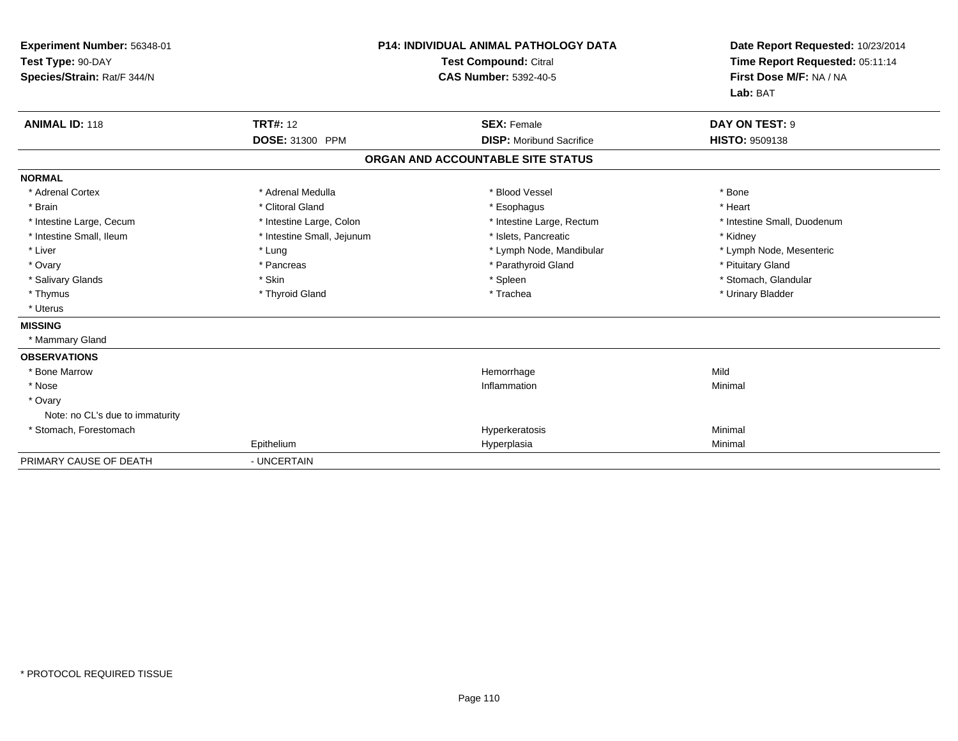| Experiment Number: 56348-01<br>Test Type: 90-DAY<br>Species/Strain: Rat/F 344/N | <b>P14: INDIVIDUAL ANIMAL PATHOLOGY DATA</b><br>Test Compound: Citral<br><b>CAS Number: 5392-40-5</b> |                                   | Date Report Requested: 10/23/2014<br>Time Report Requested: 05:11:14<br>First Dose M/F: NA / NA<br>Lab: BAT |  |
|---------------------------------------------------------------------------------|-------------------------------------------------------------------------------------------------------|-----------------------------------|-------------------------------------------------------------------------------------------------------------|--|
| <b>ANIMAL ID: 118</b>                                                           | <b>TRT#: 12</b>                                                                                       | <b>SEX: Female</b>                | DAY ON TEST: 9                                                                                              |  |
|                                                                                 | <b>DOSE: 31300 PPM</b>                                                                                | <b>DISP:</b> Moribund Sacrifice   | <b>HISTO: 9509138</b>                                                                                       |  |
|                                                                                 |                                                                                                       | ORGAN AND ACCOUNTABLE SITE STATUS |                                                                                                             |  |
| <b>NORMAL</b>                                                                   |                                                                                                       |                                   |                                                                                                             |  |
| * Adrenal Cortex                                                                | * Adrenal Medulla                                                                                     | * Blood Vessel                    | * Bone                                                                                                      |  |
| * Brain                                                                         | * Clitoral Gland                                                                                      | * Esophagus                       | * Heart                                                                                                     |  |
| * Intestine Large, Cecum                                                        | * Intestine Large, Colon                                                                              | * Intestine Large, Rectum         | * Intestine Small, Duodenum                                                                                 |  |
| * Intestine Small, Ileum                                                        | * Intestine Small, Jejunum                                                                            | * Islets. Pancreatic              | * Kidney                                                                                                    |  |
| * Liver                                                                         | * Lung                                                                                                | * Lymph Node, Mandibular          | * Lymph Node, Mesenteric                                                                                    |  |
| * Ovary                                                                         | * Pancreas                                                                                            | * Parathyroid Gland               | * Pituitary Gland                                                                                           |  |
| * Salivary Glands                                                               | * Skin                                                                                                | * Spleen                          | * Stomach, Glandular                                                                                        |  |
| * Thymus                                                                        | * Thyroid Gland                                                                                       | * Trachea                         | * Urinary Bladder                                                                                           |  |
| * Uterus                                                                        |                                                                                                       |                                   |                                                                                                             |  |
| <b>MISSING</b>                                                                  |                                                                                                       |                                   |                                                                                                             |  |
| * Mammary Gland                                                                 |                                                                                                       |                                   |                                                                                                             |  |
| <b>OBSERVATIONS</b>                                                             |                                                                                                       |                                   |                                                                                                             |  |
| * Bone Marrow                                                                   |                                                                                                       | Hemorrhage                        | Mild                                                                                                        |  |
| * Nose                                                                          |                                                                                                       | Inflammation                      | Minimal                                                                                                     |  |
| * Ovary                                                                         |                                                                                                       |                                   |                                                                                                             |  |
| Note: no CL's due to immaturity                                                 |                                                                                                       |                                   |                                                                                                             |  |
| * Stomach, Forestomach                                                          |                                                                                                       | Hyperkeratosis                    | Minimal                                                                                                     |  |
|                                                                                 | Epithelium                                                                                            | Hyperplasia                       | Minimal                                                                                                     |  |
| PRIMARY CAUSE OF DEATH                                                          | - UNCERTAIN                                                                                           |                                   |                                                                                                             |  |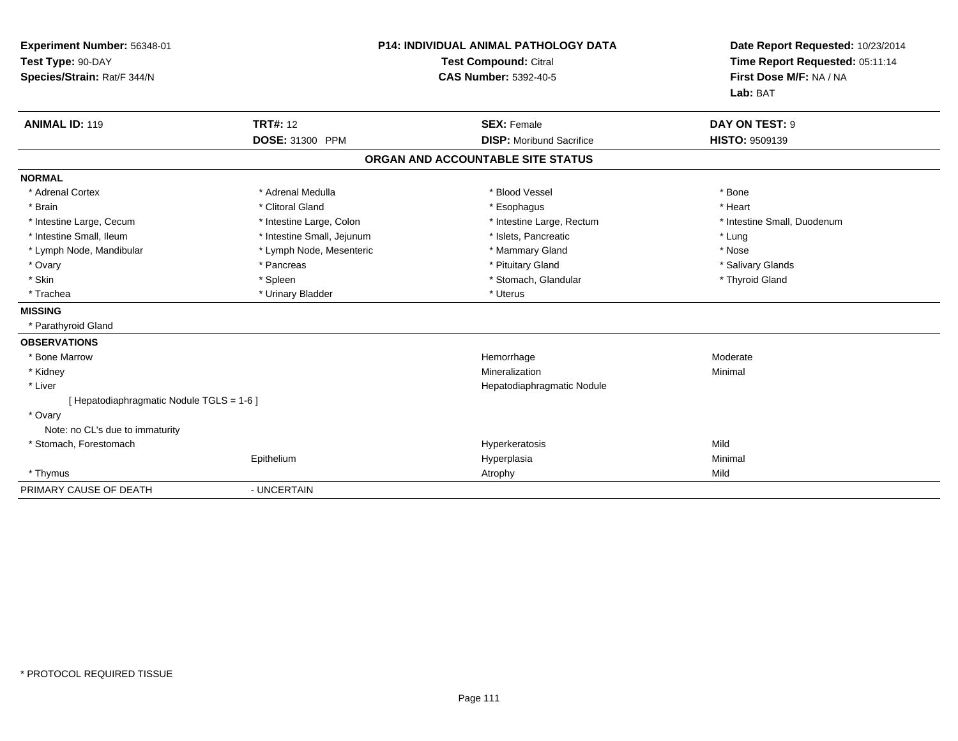| Experiment Number: 56348-01<br>Test Type: 90-DAY<br>Species/Strain: Rat/F 344/N<br><b>ANIMAL ID: 119</b> | <b>TRT#: 12</b>            | <b>P14: INDIVIDUAL ANIMAL PATHOLOGY DATA</b><br>Test Compound: Citral<br><b>CAS Number: 5392-40-5</b><br><b>SEX: Female</b> | Date Report Requested: 10/23/2014<br>Time Report Requested: 05:11:14<br>First Dose M/F: NA / NA<br>Lab: BAT<br>DAY ON TEST: 9 |
|----------------------------------------------------------------------------------------------------------|----------------------------|-----------------------------------------------------------------------------------------------------------------------------|-------------------------------------------------------------------------------------------------------------------------------|
|                                                                                                          | DOSE: 31300 PPM            | <b>DISP:</b> Moribund Sacrifice                                                                                             | <b>HISTO: 9509139</b>                                                                                                         |
|                                                                                                          |                            | ORGAN AND ACCOUNTABLE SITE STATUS                                                                                           |                                                                                                                               |
| <b>NORMAL</b>                                                                                            |                            |                                                                                                                             |                                                                                                                               |
| * Adrenal Cortex                                                                                         | * Adrenal Medulla          | * Blood Vessel                                                                                                              | * Bone                                                                                                                        |
| * Brain                                                                                                  | * Clitoral Gland           | * Esophagus                                                                                                                 | * Heart                                                                                                                       |
| * Intestine Large, Cecum                                                                                 | * Intestine Large, Colon   | * Intestine Large, Rectum                                                                                                   | * Intestine Small, Duodenum                                                                                                   |
| * Intestine Small, Ileum                                                                                 | * Intestine Small, Jejunum | * Islets, Pancreatic                                                                                                        | * Lung                                                                                                                        |
| * Lymph Node, Mandibular                                                                                 | * Lymph Node, Mesenteric   | * Mammary Gland                                                                                                             | * Nose                                                                                                                        |
| * Ovary                                                                                                  | * Pancreas                 | * Pituitary Gland                                                                                                           | * Salivary Glands                                                                                                             |
| * Skin                                                                                                   | * Spleen                   | * Stomach, Glandular                                                                                                        | * Thyroid Gland                                                                                                               |
| * Trachea                                                                                                | * Urinary Bladder          | * Uterus                                                                                                                    |                                                                                                                               |
| <b>MISSING</b>                                                                                           |                            |                                                                                                                             |                                                                                                                               |
| * Parathyroid Gland                                                                                      |                            |                                                                                                                             |                                                                                                                               |
| <b>OBSERVATIONS</b>                                                                                      |                            |                                                                                                                             |                                                                                                                               |
| * Bone Marrow                                                                                            |                            | Hemorrhage                                                                                                                  | Moderate                                                                                                                      |
| * Kidney                                                                                                 |                            | Mineralization                                                                                                              | Minimal                                                                                                                       |
| * Liver                                                                                                  |                            | Hepatodiaphragmatic Nodule                                                                                                  |                                                                                                                               |
| [Hepatodiaphragmatic Nodule TGLS = 1-6]                                                                  |                            |                                                                                                                             |                                                                                                                               |
| * Ovary                                                                                                  |                            |                                                                                                                             |                                                                                                                               |
| Note: no CL's due to immaturity                                                                          |                            |                                                                                                                             |                                                                                                                               |
| * Stomach, Forestomach                                                                                   |                            | Hyperkeratosis                                                                                                              | Mild                                                                                                                          |
|                                                                                                          | Epithelium                 | Hyperplasia                                                                                                                 | Minimal                                                                                                                       |
| * Thymus                                                                                                 |                            | Atrophy                                                                                                                     | Mild                                                                                                                          |
| PRIMARY CAUSE OF DEATH                                                                                   | - UNCERTAIN                |                                                                                                                             |                                                                                                                               |